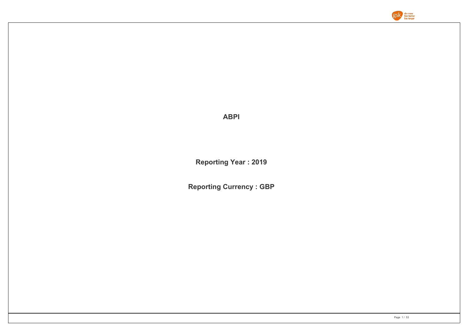

**ABPI**

**Reporting Year : 2019**

**Reporting Currency : GBP**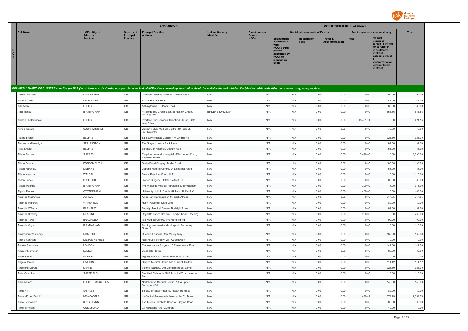

|                        |                                     |                              | <b>EFPIA REPORT</b>                                                                                                                                                                                                            |                       |                                 |                                                                                                                            |                                        | Date of Publication : 02/07/2021 |             |                                                                                                                                                                   |              |
|------------------------|-------------------------------------|------------------------------|--------------------------------------------------------------------------------------------------------------------------------------------------------------------------------------------------------------------------------|-----------------------|---------------------------------|----------------------------------------------------------------------------------------------------------------------------|----------------------------------------|----------------------------------|-------------|-------------------------------------------------------------------------------------------------------------------------------------------------------------------|--------------|
| <b>Full Name</b>       | <b>HCPs: City of</b>                | <b>Country of</b>            | <b>Principal Practice</b>                                                                                                                                                                                                      | <b>Unique Country</b> | <b>Donations and</b>            |                                                                                                                            | <b>Contribution to costs of Events</b> |                                  |             | Fee for service and consultancy                                                                                                                                   | <b>Total</b> |
| н<br>$\mathbf{c}$<br>P | <b>Principal</b><br><b>Practice</b> | Principal<br><b>Practice</b> | Address                                                                                                                                                                                                                        | Identifier            | <b>Grants to</b><br><b>HCOs</b> | Sponsorship<br>agreements<br><b>HCOs / third</b><br>parties<br>appointed by<br><b>HCOs to</b><br>manage an<br><b>Event</b> | <b>Registration</b>                    | Travel &<br><b>Accommodation</b> | <b>Fees</b> | <b>Related</b><br>expenses<br>agreed in the fee<br>for service or<br>consultancy<br>contract.<br>including travel<br>accommodation<br>relevant to the<br>contract |              |
|                        |                                     |                              | INDIVIDUAL NAMED DISCLOSURE - one line per HCP (i.e. all transfers of value during a year for an individual HCP will be summed up: itemization should be available for the individual Recipient or public authorities' consult |                       |                                 |                                                                                                                            |                                        |                                  |             |                                                                                                                                                                   |              |
| Abby Grimwood          | LANCASTER                           | GB                           | Lancaster Medics Practice, Ashton Road                                                                                                                                                                                         | N/A                   | N/A                             | N/A                                                                                                                        | 0.00                                   | 0.00                             | 0.00        | 92.00                                                                                                                                                             | 92.00        |
| Abdul Qureshi          | <b>DAGENHAM</b>                     | GB                           | 92 Hadegmans Road                                                                                                                                                                                                              | N/A                   | N/A                             | N/A                                                                                                                        | 0.00                                   | 0.00                             | 0.00        | 149.00                                                                                                                                                            | 149.00       |
| Ada Allen              | LEEDS                               | GB                           | Arthington MC, 5 Moor Road                                                                                                                                                                                                     | N/A                   | N/A                             | N/A                                                                                                                        | 0.00                                   | 0.00                             | 0.00        | 89.00                                                                                                                                                             | 89.00        |
| Adel Mansur            | <b>BIRMINGHAM</b>                   | GB                           | 45 Bordesley Green East, Bordesley Green,<br>Birmingham                                                                                                                                                                        | BINLEYS ID-625084     | N/A                             | N/A                                                                                                                        | 0.00                                   | 0.00                             | 0.00        | 551.56                                                                                                                                                            | 551.56       |
| Ahmed El-Damanawi      | LEEDS                               | GB                           | Interface Clin Services, Schofield House, Gate<br><b>Wav Drive</b>                                                                                                                                                             | N/A                   | N/A                             | N/A                                                                                                                        | 0.00                                   | 0.00                             | 15,421.14   | 0.00                                                                                                                                                              | 15,421.14    |
| Aimee Ingram           | SOUTHMINSTER                        | GB                           | William Fisher Medical Centre, 19 High St,<br>Southminster                                                                                                                                                                     | N/A                   | N/A                             | N/A                                                                                                                        | 0.00                                   | 0.00                             | 0.00        | 79.00                                                                                                                                                             | 79.00        |
| Aisling Braniff        | <b>BELFAST</b>                      | GB                           | Salisbury Medical Centre, 474 Antrim Rd                                                                                                                                                                                        | N/A                   | N/A                             | N/A                                                                                                                        | 0.00                                   | 0.00                             | 0.00        | 326.30                                                                                                                                                            | 326.30       |
| Alexandra Glenwright   | <b>STILLINGTON</b>                  | GB                           | The Surgery, North Back Lane                                                                                                                                                                                                   | N/A                   | N/A                             | N/A                                                                                                                        | 0.00                                   | 0.00                             | 0.00        | 89.00                                                                                                                                                             | 89.00        |
| Alice Shields          | <b>BELFAST</b>                      | GB                           | Belfast City Hospital, Lisburn road                                                                                                                                                                                            | N/A                   | N/A                             | N/A                                                                                                                        | 0.00                                   | 0.00                             | 0.00        | 155.00                                                                                                                                                            | 155.00       |
| Alison Barbour         | <b>SURREY</b>                       | GB                           | Croydon University Hospital, 530 London Road,<br>Thornton Heath                                                                                                                                                                | N/A                   | N/A                             | N/A                                                                                                                        | 0.00                                   | 0.00                             | 3,690.00    | 0.00                                                                                                                                                              | 3,690.00     |
| Alison Brown           | PORTSMOUTH                          | GB                           | Derby Road Surgery, Derby Road                                                                                                                                                                                                 | N/A                   | N/A                             | N/A                                                                                                                        | 0.00                                   | 0.00                             | 0.00        | 100.00                                                                                                                                                            | 100.00       |
| Alison Hardesty        | LISBANE                             | GB                           | Lisbane Medical Centre, 24 Lisbarnet Road                                                                                                                                                                                      | N/A                   | N/A                             | N/A                                                                                                                        | 0.00                                   | 0.00                             | 0.00        | 155.00                                                                                                                                                            | 155.00       |
| Alison Meacham         | WALSALL                             | $\mathbb{G}\mathbb{B}$       | Stroud Practice, Churchill Rd                                                                                                                                                                                                  | N/A                   | N/A                             | N/A                                                                                                                        | 0.00                                   | 0.00                             | 0.00        | 115.00                                                                                                                                                            | 115.00       |
| Alison Prince          | <b>BROTTON</b>                      | $\mathbb{G}\mathbb{B}$       | Brotton Surgery, ECPCH, Alford Rd                                                                                                                                                                                              | N/A                   | N/A                             | N/A                                                                                                                        | 0.00                                   | 0.00                             | 0.00        | 89.00                                                                                                                                                             | 89.00        |
| Alison Wearing         | <b>BIRMINGHAM</b>                   | GB                           | 103 Midlands Medical Partnership, Birmingham                                                                                                                                                                                   | N/A                   | N/A                             | N/A                                                                                                                        | 0.00                                   | 0.00                             | 200.00      | 115.00                                                                                                                                                            | 315.00       |
| Alyn H Morice          | COTTINGHAM                          | GB                           | University of Hull, Castle Hill Hosp, HU16 5JQ                                                                                                                                                                                 | N/A                   | N/A                             | N/A                                                                                                                        | 0.00                                   | 0.00                             | 460.00      | 0.00                                                                                                                                                              | 460.00       |
| Amanda MacArthur       | <b>ALNESS</b>                       | GB                           | Alness and Invergordon Medical, Alness                                                                                                                                                                                         | N/A                   | N/A                             | N/A                                                                                                                        | 0.00                                   | 0.00                             | 0.00        | 317.85                                                                                                                                                            | 317.85       |
| Amanda Marcroft        | WAKEFIELD                           | GB                           | HMP Wakefield, Love Lane                                                                                                                                                                                                       | N/A                   | N/A                             | N/A                                                                                                                        | 0.00                                   | 0.00                             | 0.00        | 89.00                                                                                                                                                             | 89.00        |
| Amanda O'Regan         | <b>BARNSLEY</b>                     | $\mathbb{G}\mathbb{B}$       | Burleigh Medical Centre, Burleigh Street                                                                                                                                                                                       | N/A                   | N/A                             | N/A                                                                                                                        | 0.00                                   | 0.00                             | 0.00        | 89.00                                                                                                                                                             | 89.00        |
| Amanda Smalley         | <b>READING</b>                      | GB                           | Royal Berkshire Hospital, London Road, Reading                                                                                                                                                                                 | N/A                   | N/A                             | N/A                                                                                                                        | 0.00                                   | 0.00                             | 260.00      | 0.00                                                                                                                                                              | 260.00       |
| Amanda Taylor          | <b>BRADFORD</b>                     | GB                           | Idle Medical Centre, 440 Highfield Rd                                                                                                                                                                                          | N/A                   | N/A                             | N/A                                                                                                                        | 0.00                                   | 0.00                             | 0.00        | 99.00                                                                                                                                                             | 99.00        |
| Amanda Vigus           | <b>BIRMINGHAM</b>                   | GB                           | Birmingham Heartlands Hospital, Bordesley<br>Green E                                                                                                                                                                           | N/A                   | N/A                             | N/A                                                                                                                        | 0.00                                   | 0.00                             | 0.00        | 115.00                                                                                                                                                            | 115.00       |
| Amarendra Vasireddy    | ROMFORD                             | GB                           | Queen's Hospital, Rom Valley Way                                                                                                                                                                                               | N/A                   | N/A                             | N/A                                                                                                                        | 0.00                                   | 0.00                             | 0.00        | 162.60                                                                                                                                                            | 162.60       |
| Amina Rahman           | <b>MILTON KEYNES</b>                | GB                           | Red House Surgery, 241 Queensway                                                                                                                                                                                               | N/A                   | N/A                             | N/A                                                                                                                        | 0.00                                   | 0.00                             | 0.00        | 79.00                                                                                                                                                             | 79.00        |
| Andrea Santomier       | LONDON                              | $\mathbb{G}\mathbb{B}$       | Custom House Surgery, 16 Freemasons Road                                                                                                                                                                                       | N/A                   | N/A                             | N/A                                                                                                                        | 0.00                                   | 0.00                             | 0.00        | 149.00                                                                                                                                                            | 149.00       |
| Andrew Merriman        | LEEDS                               | GB                           | Stockdale House                                                                                                                                                                                                                | N/A                   | N/A                             | N/A                                                                                                                        | 0.00                                   | 0.00                             | 0.00        | 89.00                                                                                                                                                             | 89.00        |
| Angela Allan           | <b>HIGHLEY</b>                      | GB                           | Highley Medical Centre, Bridgnorth Road                                                                                                                                                                                        | N/A                   | N/A                             | N/A                                                                                                                        | 0.00                                   | 0.00                             | 0.00        | 115.00                                                                                                                                                            | 115.00       |
| Angela James           | <b>HATTON</b>                       | GB                           | Cruden Medical Group, Main Street, Hatton                                                                                                                                                                                      | N/A                   | N/A                             | N/A                                                                                                                        | 0.00                                   | 0.00                             | 0.00        | 114.12                                                                                                                                                            | 114.12       |
| Angelene Martin        | LARNE                               | GB                           | Victoria Surgery, Old Glenarm Road, Larne                                                                                                                                                                                      | N/A                   | N/A                             | N/A                                                                                                                        | 0.00                                   | 0.00                             | 0.00        | 326.30                                                                                                                                                            | 326.30       |
| Anita Critchlow        | SHEFFIELD                           | GB                           | Sheffield Children's NHS Hospital Trust, Western<br>Bank                                                                                                                                                                       | N/A                   | N/A                             | N/A                                                                                                                        | 0.00                                   | 0.00                             | 0.00        | 115.00                                                                                                                                                            | 115.00       |
| Anita Millard          | SHOREHAM-BY-SEA                     | $\mathbb{G}\mathbb{B}$       | Northbourne Medical Centre, 193a Upper<br>Shoreham Rd                                                                                                                                                                          | N/A                   | N/A                             | N/A                                                                                                                        | 0.00                                   | 0.00                             | 0.00        | 149.00                                                                                                                                                            | 149.00       |
| Anna Hill              | SHIPLEY                             | GB                           | Shipley Medical Practice, Alexandra Road                                                                                                                                                                                       | N/A                   | N/A                             | N/A                                                                                                                        | 0.00                                   | 0.00                             | 0.00        | 89.00                                                                                                                                                             | 89.00        |
| Anna MCLAUGHLIN        | NEWCASTLE                           | GB                           | 49 Central Promenade, Newcastle, Co Down                                                                                                                                                                                       | N/A                   | N/A                             | N/A                                                                                                                        | 0.00                                   | 0.00                             | 1,680.49    | 374.29                                                                                                                                                            | 2,054.78     |
| Anna Pawlowicz         | <b>KINGS LYNN</b>                   | GB                           | The Queen Elizabeth Hospital, Gayton Road                                                                                                                                                                                      | N/A                   | N/A                             | N/A                                                                                                                        | 0.00                                   | 0.00                             | 0.00        | 300.00                                                                                                                                                            | 300.00       |
| Anne Bernicchi         | <b>GUILDFORD</b>                    | GB                           | 92 Wodeland Ave, Guildford                                                                                                                                                                                                     | N/A                   | N/A                             | N/A                                                                                                                        | 0.00                                   | 0.00                             | 0.00        | 149.00                                                                                                                                                            | 149.00       |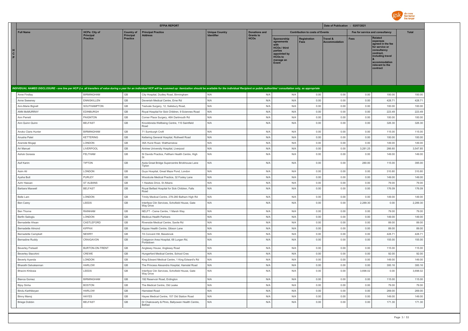

|                                                                                                                                                                                                                                |                                     |                              | <b>EFPIA REPORT</b>                                                               |                       |                                 |                                                                                                                                   |                                        | Date of Publication : 02/07/2021 |              |                                                                                                                                                                   |                  |
|--------------------------------------------------------------------------------------------------------------------------------------------------------------------------------------------------------------------------------|-------------------------------------|------------------------------|-----------------------------------------------------------------------------------|-----------------------|---------------------------------|-----------------------------------------------------------------------------------------------------------------------------------|----------------------------------------|----------------------------------|--------------|-------------------------------------------------------------------------------------------------------------------------------------------------------------------|------------------|
| <b>Full Name</b>                                                                                                                                                                                                               | <b>HCPs: City of</b>                | <b>Country of</b>            | <b>Principal Practice</b>                                                         | <b>Unique Country</b> | <b>Donations and</b>            |                                                                                                                                   | <b>Contribution to costs of Events</b> |                                  |              | Fee for service and consultancy                                                                                                                                   | <b>Total</b>     |
| C<br>P                                                                                                                                                                                                                         | <b>Principal</b><br><b>Practice</b> | Principal<br><b>Practice</b> | <b>Address</b>                                                                    | <b>Identifier</b>     | <b>Grants to</b><br><b>HCOs</b> | <b>Sponsorship</b><br>agreements<br><b>HCOs / third</b><br>parties<br>appointed by<br><b>HCOs to</b><br>manage an<br><b>Event</b> | Registration<br><b>Fees</b>            | Travel &<br><b>Accommodation</b> | <b>Fees</b>  | <b>Related</b><br>expenses<br>agreed in the fee<br>for service or<br>consultancy<br>contract.<br>including travel<br>accommodation<br>relevant to the<br>contract |                  |
| INDIVIDUAL NAMED DISCLOSURE - one line per HCP (i.e. all transfers of value during a year for an individual HCP will be summed up: itemization should be available for the individual Recipient or public authorities' consult |                                     |                              |                                                                                   |                       |                                 |                                                                                                                                   |                                        |                                  |              |                                                                                                                                                                   |                  |
| Anne Findlay                                                                                                                                                                                                                   | <b>BIRMINGHAM</b>                   | GB                           | City Hospital, Dudley Road, Birmingham                                            | N/A                   | N/A                             | N/A                                                                                                                               | 0.00                                   | 0.00                             | 0.00         | 100.00                                                                                                                                                            | 100.00           |
| Anne Sweeney                                                                                                                                                                                                                   | <b>ENNISKILLEN</b>                  | GB                           | Devenish Medical Centre, Erne Rd                                                  | N/A                   | N/A                             | N/A                                                                                                                               | 0.00                                   | 0.00                             | 0.00         | 428.71                                                                                                                                                            | 428.71           |
| Ann-Marie Bignell                                                                                                                                                                                                              | SOUTHAMPTON                         | GB                           | Testvale Surgery, 12, Salisbury Road,                                             | N/A                   | N/A                             | N/A                                                                                                                               | 0.00                                   | 0.00                             | 0.00         | 100.00                                                                                                                                                            | 100.00           |
| ANN McMURRAY                                                                                                                                                                                                                   | EDINBURGH                           | $\mathbb{G}\mathbb{B}$       | Royal Hospital for Sick Children, 9 Sciennes Road                                 | N/A                   | N/A                             | N/A                                                                                                                               | 0.00                                   | 0.00                             | 0.00         | 223.49                                                                                                                                                            | 223.49           |
| Ann Perrett                                                                                                                                                                                                                    | PAIGNTON                            | $\mathbb{G}\mathbb{B}$       | Corner Place Surgery, 46A Dartmouth Rd                                            | N/A                   | N/A                             | N/A                                                                                                                               | 0.00                                   | 0.00                             | 0.00         | 100.00                                                                                                                                                            | 100.00           |
| Ann Quinn Quinn                                                                                                                                                                                                                | <b>BELFAST</b>                      | $\mathbb{G}\mathbb{B}$       | Knockbreda Wellbeing Centre, 110 Saintfield<br>Road                               | N/A                   | N/A                             | N/A                                                                                                                               | 0.00                                   | 0.00                             | 0.00         | 326.30                                                                                                                                                            | 326.30           |
| Anoko Claris Hunter                                                                                                                                                                                                            | <b>BIRMINGHAM</b>                   | $\mathbb{G}\mathbb{B}$       | 71 Sumburgh Croft                                                                 | N/A                   | N/A                             | N/A                                                                                                                               | 0.00                                   | 0.00                             | 0.00         | 115.00                                                                                                                                                            | 115.00           |
| Anusha Patel                                                                                                                                                                                                                   | <b>KETTERING</b>                    | $\mathbb{G}\mathbb{B}$       | Kettering General Hospital, Rothwell Road                                         | N/A                   | N/A                             | N/A                                                                                                                               | 0.00                                   | 0.00                             | 0.00         | 100.00                                                                                                                                                            | 100.00           |
| Aramide Mogaji                                                                                                                                                                                                                 | LONDON                              | GB                           | 36A Hurst Road, Walthamstow                                                       | N/A                   | N/A                             | N/A                                                                                                                               | 0.00                                   | 0.00                             | 0.00         | 149.00                                                                                                                                                            | 149.00           |
| Ari Manuel                                                                                                                                                                                                                     | LIVERPOOL                           | GB                           | Aintree University Hospital, Liverpool                                            | N/A                   | N/A                             | N/A                                                                                                                               | 0.00                                   | 0.00                             | 3,281.25     | 266.60                                                                                                                                                            | 3,547.85         |
| Ashok Gorasia                                                                                                                                                                                                                  | <b>FELTHAM</b>                      | GB                           | St Davids Practice, Feltham Health Centre, High<br>S1                             | N/A                   | N/A                             | N/A                                                                                                                               | 0.00                                   | 0.00                             | 0.00         | 149.00                                                                                                                                                            | 149.00           |
| Asif Karim                                                                                                                                                                                                                     | <b>TIPTON</b>                       | GB                           | Asda Great Bridge Supercentre Brickhouse Lane<br>Tipton                           | N/A                   | N/A                             | N/A                                                                                                                               | 0.00                                   | 0.00                             | 280.00       | 115.00                                                                                                                                                            | 395.00           |
| Asim Ali                                                                                                                                                                                                                       | LONDON                              | GB                           | Guys Hospital, Great Maze Pond, London                                            | N/A                   | N/A                             | N/A                                                                                                                               | 0.00                                   | 0.00                             | 0.00         | 310.80                                                                                                                                                            | 310.80           |
| Aysha Butt                                                                                                                                                                                                                     | <b>PURLEY</b>                       | GB                           | Woodcote Medical Practice, 32 Foxley Lane                                         | N/A                   | N/A                             | N/A                                                                                                                               | 0.00                                   | 0.00                             | 0.00         | 149.00                                                                                                                                                            | 149.00           |
| Azhr Hassan                                                                                                                                                                                                                    | <b>ST ALBANS</b>                    | GB                           | 1 Hawkes Drive, St Albans                                                         | N/A                   | N/A                             | N/A                                                                                                                               | 0.00                                   | 0.00                             | 0.00         | 79.00                                                                                                                                                             | 79.00            |
| Barbara Maxwell                                                                                                                                                                                                                | <b>BELFAST</b>                      | GB                           | Royal Belfast Hospital for Sick Children, Falls<br>Road                           | N/A                   | N/A                             | N/A                                                                                                                               | 0.00                                   | 0.00                             | 0.00         | 176.09                                                                                                                                                            | 176.09           |
| Belle Lam                                                                                                                                                                                                                      | LONDON                              | GB                           | Trinity Medical Centre, 278-280 Balham High Rd                                    | N/A                   | N/A                             | N/A                                                                                                                               | 0.00                                   | 0.00                             | 0.00         | 149.00                                                                                                                                                            | 149.00           |
| Ben Carey                                                                                                                                                                                                                      | LEEDS                               | GB                           | Interface Clin Services, Schofield House, Gate<br>Way Drive                       | N/A                   | N/A                             | N/A                                                                                                                               | 0.00                                   | 0.00                             | 2,289.30     | 0.00                                                                                                                                                              | 2,289.30         |
| Ben Thorne                                                                                                                                                                                                                     | RAINHAM                             | $\mathbb{G}\mathbb{B}$       | NELFT - Ceme Centre, 1 Marsh Way                                                  | N/A                   | N/A                             | N/A                                                                                                                               | 0.00                                   | 0.00                             | 0.00         | 79.00                                                                                                                                                             | 79.00            |
| Berfin Saitoglu                                                                                                                                                                                                                | LONDON                              | GB                           | <b>Medicus Health Partners</b>                                                    | N/A                   | N/A                             | N/A                                                                                                                               | 0.00                                   | 0.00                             | 0.00         | 149.00                                                                                                                                                            | 149.00           |
| Bernadette Ahsan                                                                                                                                                                                                               | CASTLEFORD                          | GB                           | Riverside Medical Centre, Savile Rd                                               | N/A                   | N/A                             | N/A                                                                                                                               | 0.00                                   | 0.00                             | 0.00         | 89.00                                                                                                                                                             | 89.00            |
| Bernadette Almond                                                                                                                                                                                                              | <b>KIPPAX</b>                       | GB                           | Kippax Health Centre, Gibson Lane                                                 | N/A                   | N/A                             | N/A                                                                                                                               | 0.00                                   | 0.00                             | 0.00         | 89.00                                                                                                                                                             | 89.00            |
| <b>Bernadette Campbell</b><br><b>Bernadine Ruddy</b>                                                                                                                                                                           | <b>NEWRY</b><br>CRAIGAVON           | GB<br>GB                     | 7A Convent Hill, Bessbrook<br>Craigavon Area Hospital, 68 Lurgan Rd,<br>Portadown | N/A<br>N/A            | N/A<br>N/A                      | N/A<br>N/A                                                                                                                        | 0.00<br>0.00                           | 0.00<br>0.00                     | 0.00<br>0.00 | 428.71<br>155.00                                                                                                                                                  | 428.71<br>155.00 |
| <b>Beverley Fretwell</b>                                                                                                                                                                                                       | BURTON-ON-TRENT                     | GB                           | Anglesey House, Anglesey Road                                                     | N/A                   | N/A                             | N/A                                                                                                                               | 0.00                                   | 0.00                             | 0.00         | 115.00                                                                                                                                                            | 115.00           |
| Beverley Stacchini                                                                                                                                                                                                             | CREWE                               | GB                           | Hungerford Medical Centre, School Cres                                            | N/A                   | N/A                             | N/A                                                                                                                               | 0.00                                   | 0.00                             | 0.00         | 92.00                                                                                                                                                             | 92.00            |
| Beverly Ayanda                                                                                                                                                                                                                 | LONDON                              | GB                           | King Edward Medical Centre, 1 King Edward's Rd                                    | N/A                   | N/A                             | N/A                                                                                                                               | 0.00                                   | 0.00                             | 0.00         | 149.00                                                                                                                                                            | 149.00           |
| Bharathi Selvakannan                                                                                                                                                                                                           | <b>HARLOW</b>                       | GB                           | The Princess Alexandra Hospital, Hamstel Road                                     | N/A                   | N/A                             | N/A                                                                                                                               | 0.00                                   | 0.00                             | 0.00         | 300.16                                                                                                                                                            | 300.16           |
| Bhavini Khilosia                                                                                                                                                                                                               | LEEDS                               | GB                           | Interface Clin Services, Schofield House, Gate<br>Way Drive                       | N/A                   | N/A                             | N/A                                                                                                                               | 0.00                                   | 0.00                             | 3,698.02     | 0.00                                                                                                                                                              | 3,698.02         |
| Bianca Gomez                                                                                                                                                                                                                   | <b>BIRMINGHAM</b>                   | $\mathbb{G}\mathbb{B}$       | 192 Reservoir Road, Erdington                                                     | N/A                   | N/A                             | N/A                                                                                                                               | 0.00                                   | 0.00                             | 0.00         | 115.00                                                                                                                                                            | 115.00           |
| Bijoy Sinha                                                                                                                                                                                                                    | <b>BOSTON</b>                       | $\mathbb{G}\mathbb{B}$       | The Medical Centre, Old Leake                                                     | N/A                   | N/A                             | N/A                                                                                                                               | 0.00                                   | 0.00                             | 0.00         | 79.00                                                                                                                                                             | 79.00            |
| Bindu Karthikeyan                                                                                                                                                                                                              | <b>HARLOW</b>                       | GB                           | Hamsteel Road                                                                     | N/A                   | N/A                             | N/A                                                                                                                               | 0.00                                   | 0.00                             | 0.00         | 269.00                                                                                                                                                            | 269.00           |
| Binny Manoj                                                                                                                                                                                                                    | <b>HAYES</b>                        | $\mathbb{G}\mathbb{B}$       | Hayes Medical Centre, 157 Old Station Road                                        | N/A                   | N/A                             | N/A                                                                                                                               | 0.00                                   | 0.00                             | 0.00         | 149.00                                                                                                                                                            | 149.00           |
| <b>Briege Dobbin</b>                                                                                                                                                                                                           | <b>BELFAST</b>                      | GB                           | Dr Chakravarty & Ptnrs, Ballyowen Health Centre,<br>Belfast                       | N/A                   | N/A                             | N/A                                                                                                                               | 0.00                                   | 0.00                             | 0.00         | 171.30                                                                                                                                                            | 171.30           |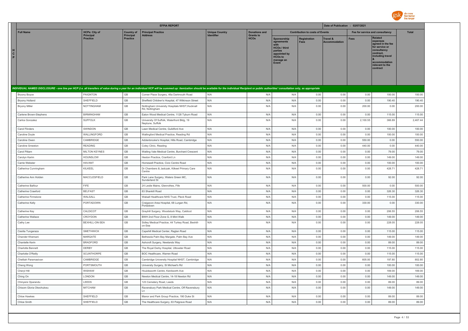

|                                                                                                                                                                                                                                |                                     |                                     | <b>EFPIA REPORT</b>                                              |                       |                                 |                                                                                                                                  |                                        | Date of Publication : 02/07/2021 |                                 |                                                                                                                                                            |          |
|--------------------------------------------------------------------------------------------------------------------------------------------------------------------------------------------------------------------------------|-------------------------------------|-------------------------------------|------------------------------------------------------------------|-----------------------|---------------------------------|----------------------------------------------------------------------------------------------------------------------------------|----------------------------------------|----------------------------------|---------------------------------|------------------------------------------------------------------------------------------------------------------------------------------------------------|----------|
| <b>Full Name</b>                                                                                                                                                                                                               | <b>HCPs: City of</b>                | <b>Country of</b>                   | <b>Principal Practice</b>                                        | <b>Unique Country</b> | <b>Donations and</b>            |                                                                                                                                  | <b>Contribution to costs of Events</b> |                                  | Fee for service and consultancy |                                                                                                                                                            | Total    |
| н<br>C<br>P                                                                                                                                                                                                                    | <b>Principal</b><br><b>Practice</b> | <b>Principal</b><br><b>Practice</b> | <b>Address</b>                                                   | <b>Identifier</b>     | <b>Grants to</b><br><b>HCOs</b> | Sponsorship<br>agreements<br>with<br><b>HCOs / third</b><br>parties<br>appointed by<br>HCO <sub>s</sub> to<br>manage an<br>Event | <b>Registration</b><br><b>Fees</b>     | Travel &<br><b>Accommodation</b> | <b>Fees</b>                     | Related<br>expenses<br>agreed in the fee<br>for service or<br>consultancy<br>contract,<br>including travel<br>accommodation<br>relevant to the<br>contract |          |
|                                                                                                                                                                                                                                |                                     |                                     |                                                                  |                       |                                 |                                                                                                                                  |                                        |                                  |                                 |                                                                                                                                                            |          |
| INDIVIDUAL NAMED DISCLOSURE - one line per HCP (i.e. all transfers of value during a year for an individual HCP will be summed up: itemization should be available for the individual Recipient or public authorities' consult |                                     |                                     |                                                                  |                       |                                 |                                                                                                                                  |                                        |                                  |                                 |                                                                                                                                                            |          |
| <b>Bryony Boyce</b>                                                                                                                                                                                                            | PAIGNTON                            | GB                                  | Corner Place Surgery, 46a Dartmouth Road                         | N/A                   | N/A                             | N/A                                                                                                                              | 0.00                                   | 0.00                             | 0.00                            | 100.00                                                                                                                                                     | 100.00   |
| Bryony Holland                                                                                                                                                                                                                 | SHEFFIELD                           | GB                                  | Sheffield Children's Hospital, 47 Wilkinson Street               | N/A                   | N/A                             | N/A                                                                                                                              | 0.00                                   | 0.00                             | 0.00                            | 190.40                                                                                                                                                     | 190.40   |
| <b>Bryony Miller</b>                                                                                                                                                                                                           | NOTTINGHAM                          | GB                                  | Nottingham University Hospitals NHST, Hucknall<br>Rd, Nottingham | N/A                   | N/A                             | N/A                                                                                                                              | 0.00                                   | 0.00                             | 200.00                          | 0.00                                                                                                                                                       | 200.00   |
| Carlene Brown-Stephens                                                                                                                                                                                                         | <b>BIRMINGHAM</b>                   | GB                                  | Eaton Wood Medical Centre, 1128 Tyburn Road                      | N/A                   | N/A                             | N/A                                                                                                                              | 0.00                                   | 0.00                             | 0.00                            | 115.00                                                                                                                                                     | 115.00   |
| Carlos Gonzalez                                                                                                                                                                                                                | <b>SUFFOLK</b>                      | GB                                  | University Of Suffolk, Waterfront Bldg, 19<br>Neptune, Suffolk   | N/A                   | N/A                             | N/A                                                                                                                              | 0.00                                   | 0.00                             | 2,100.55                        | 366.89                                                                                                                                                     | 2,467.44 |
| Carol Flinders                                                                                                                                                                                                                 | SWINDON                             | GB                                  | Lawn Medical Centre, Gulidford Ave                               | N/A                   | N/A                             | N/A                                                                                                                              | 0.00                                   | 0.00                             | 0.00                            | 100.00                                                                                                                                                     | 100.00   |
| Caroline Dovle                                                                                                                                                                                                                 | WALLINGFORD                         | GB                                  | Wallingford Medical Practice, Reading Rd                         | N/A                   | N/A                             | N/A                                                                                                                              | 0.00                                   | 0.00                             | 0.00                            | 100.00                                                                                                                                                     | 100.00   |
| Caroline Owen                                                                                                                                                                                                                  | CAMBRIDGE                           | GB                                  | Addenbrooke's Hospital, Hills Road, Cambridge                    | N/A                   | N/A                             | N/A                                                                                                                              | 0.00                                   | 0.00                             | 550.00                          | 0.00                                                                                                                                                       | 550.00   |
| Caroline Smeeton                                                                                                                                                                                                               | <b>READING</b>                      | GB                                  | Coley Clinic, Reading                                            | N/A                   | N/A                             | N/A                                                                                                                              | 0.00                                   | 0.00                             | 440.00                          | 0.00                                                                                                                                                       | 440.00   |
| Carol Pittam                                                                                                                                                                                                                   | <b>MILTON KEYNES</b>                | GB                                  | Watling Vale Medical Centre, Burchard Crescent                   | N/A                   | N/A                             | N/A                                                                                                                              | 0.00                                   | 0.00                             | 0.00                            | 79.00                                                                                                                                                      | 79.00    |
| Carolyn Karim                                                                                                                                                                                                                  | <b>HOUNSLOW</b>                     | GB                                  | Heston Practice, Cranford Ln                                     | N/A                   | N/A                             | N/A                                                                                                                              | 0.00                                   | 0.00                             | 0.00                            | 149.00                                                                                                                                                     | 149.00   |
| Carrie Webster                                                                                                                                                                                                                 | <b>HAVANT</b>                       | GB                                  | Homewell Practice, Civic Centre Road                             | N/A                   | N/A                             | N/A                                                                                                                              | 0.00                                   | 0.00                             | 0.00                            | 100.00                                                                                                                                                     | 100.00   |
| Catherina Cunningham                                                                                                                                                                                                           | KILKEEL                             | GB                                  | Dr Chambers & Jadczak, Kilkeel Primary Care<br>Centre            | N/A                   | N/A                             | N/A                                                                                                                              | 0.00                                   | 0.00                             | 0.00                            | 428.71                                                                                                                                                     | 428.71   |
| Catherine Ann Holden                                                                                                                                                                                                           | MACCLESFIELD                        | GB                                  | Park Lane Surgery, Waters Green MC,<br>Sunderland St             | N/A                   | N/A                             | N/A                                                                                                                              | 0.00                                   | 0.00                             | 0.00                            | 92.00                                                                                                                                                      | 92.00    |
| Catherine Balfour                                                                                                                                                                                                              | <b>FIFE</b>                         | GB                                  | 24 Leslie Mains, Glenrothes, Fife                                | N/A                   | N/A                             | N/A                                                                                                                              | 0.00                                   | 0.00                             | 500.00                          | 0.00                                                                                                                                                       | 500.00   |
| Catherine Crawford                                                                                                                                                                                                             | <b>BELFAST</b>                      | GB                                  | 83 Shankill Road                                                 | N/A                   | N/A                             | N/A                                                                                                                              | 0.00                                   | 0.00                             | 0.00                            | 326.30                                                                                                                                                     | 326.30   |
| Catherine Firmstone                                                                                                                                                                                                            | WALSALL                             | GB                                  | Walsall Healthcare NHS Trust, Pleck Road                         | N/A                   | N/A                             | N/A                                                                                                                              | 0.00                                   | 0.00                             | 0.00                            | 115.00                                                                                                                                                     | 115.00   |
| Catherine Kelly                                                                                                                                                                                                                | PORTADOWN                           | GB                                  | Craigavon Area Hospital, 68 Lurgan Rd,<br>Portadown              | N/A                   | N/A                             | N/A                                                                                                                              | 0.00                                   | 0.00                             | 330.00                          | 0.00                                                                                                                                                       | 330.00   |
| Catherine Kev                                                                                                                                                                                                                  | CALDICOT                            | GB                                  | Grayhill Surgery, Woodstock Way, Caldicot                        | N/A                   | N/A                             | N/A                                                                                                                              | 0.00                                   | 0.00                             | 0.00                            | 206.55                                                                                                                                                     | 206.55   |
| Catherine Wallace                                                                                                                                                                                                              | CROYDON                             | GB                                  | BWH 2nd Floor Zone G, 8 Mint Walk                                | N/A                   | N/A                             | N/A                                                                                                                              | 0.00                                   | 0.00                             | 0.00                            | 149.00                                                                                                                                                     | 149.00   |
| Cathy Lee                                                                                                                                                                                                                      | BEXHILL-ON-SEA                      | GB                                  | Sidley Medical Practice, 44 Turkey Road, Bexhill-<br>on-Sea      | N/A                   | N/A                             | N/A                                                                                                                              | 0.00                                   | 0.00                             | 0.00                            | 228.05                                                                                                                                                     | 228.05   |
| Cesilia Tungaraza                                                                                                                                                                                                              | <b>SMETHWICK</b>                    | GB                                  | Capehill Medical Center, Raglan Road                             | N/A                   | N/A                             | N/A                                                                                                                              | 0.00                                   | 0.00                             | 0.00                            | 115.00                                                                                                                                                     | 115.00   |
| Chander Khemani                                                                                                                                                                                                                | MARGATE                             | GB                                  | Bethesda Palm Bay Margate, Palm Bay Ave                          | N/A                   | N/A                             | N/A                                                                                                                              | 0.00                                   | 0.00                             | 0.00                            | 149.00                                                                                                                                                     | 149.00   |
| Chantelle Kerin                                                                                                                                                                                                                | <b>BRADFORD</b>                     | GB                                  | Ashcroft Surgery, Newlands Way                                   | N/A                   | N/A                             | N/A                                                                                                                              | 0.00                                   | 0.00                             | 0.00                            | 89.00                                                                                                                                                      | 89.00    |
| Charlotte Bennett                                                                                                                                                                                                              | DERBY                               | GB                                  | The Royal Derby Hospital, Uttoxeter Road                         | N/A                   | N/A                             | N/A                                                                                                                              | 0.00                                   | 0.00                             | 0.00                            | 115.00                                                                                                                                                     | 115.00   |
| Charlotte O'Reilly                                                                                                                                                                                                             | SCUNTHORPE                          | GB                                  | BOC Healthcare, Warren Road                                      | N/A                   | N/A                             | N/A                                                                                                                              | 0.00                                   | 0.00                             | 0.00                            | 115.00                                                                                                                                                     | 115.00   |
| Chelliah Paramasivan                                                                                                                                                                                                           | CAMBRIDGE                           | GB                                  | Cambridge University Hospital NHST, Cambridge                    | N/A                   | N/A                             | N/A                                                                                                                              | 0.00                                   | 0.00                             | 605.00                          | 197.80                                                                                                                                                     | 802.80   |
| Cheng Wong                                                                                                                                                                                                                     | PORTSMOUTH                          | GB                                  | University Surgery, St Michael's Rd                              | N/A                   | N/A                             | N/A                                                                                                                              | 0.00                                   | 0.00                             | 0.00                            | 100.00                                                                                                                                                     | 100.00   |
| Cheryl Hill                                                                                                                                                                                                                    | WISHAW                              | GB                                  | Houldsworth Centre, Kenilworth Ave                               | N/A                   | N/A                             | N/A                                                                                                                              | 0.00                                   | 0.00                             | 0.00                            | 169.00                                                                                                                                                     | 169.00   |
| Ching On                                                                                                                                                                                                                       | LONDON                              | GB                                  | Newton Medical Centre, 14-18 Newton Rd                           | N/A                   | N/A                             | N/A                                                                                                                              | 0.00                                   | 0.00                             | 0.00                            | 149.00                                                                                                                                                     | 149.00   |
| Chinyere Oparandu                                                                                                                                                                                                              | LEEDS                               | GB                                  | 123 Cemetery Road, Leeds                                         | N/A                   | N/A                             | N/A                                                                                                                              | 0.00                                   | 0.00                             | 0.00                            | 89.00                                                                                                                                                      | 89.00    |
| Chisom Gloria Okechukwu                                                                                                                                                                                                        | MITCHAM                             | GB                                  | Ravensbury Park Medical Centre, Off Ravensbury<br>Ln             | N/A                   | N/A                             | N/A                                                                                                                              | 0.00                                   | 0.00                             | 0.00                            | 149.00                                                                                                                                                     | 149.00   |
| Chloe Hawkes                                                                                                                                                                                                                   | SHEFFIELD                           | GB                                  | Manor and Park Group Practice, 190 Duke St                       | N/A                   | N/A                             | N/A                                                                                                                              | 0.00                                   | 0.00                             | 0.00                            | 89.00                                                                                                                                                      | 89.00    |
| Chloe Smith                                                                                                                                                                                                                    | SHEFFIELD                           | GB                                  | The Healthcare Surgery, 63 Palgrave Road                         | N/A                   | N/A                             | N/A                                                                                                                              | 0.00                                   | 0.00                             | 0.00                            | 89.00                                                                                                                                                      | 89.00    |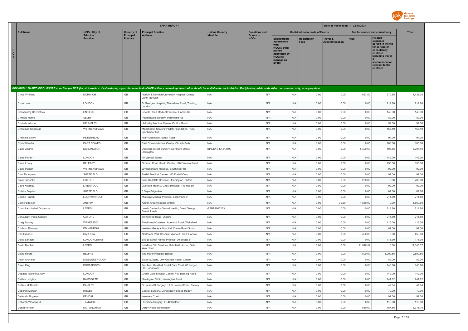

|                                                                                                                                                                                                                                |                                     |                              | <b>EFPIA REPORT</b>                                                                                        |                       |                                 |                                                                                                                          |                                        | Date of Publication : 02/07/2021 |                |                                                                                                                                                                   |                  |
|--------------------------------------------------------------------------------------------------------------------------------------------------------------------------------------------------------------------------------|-------------------------------------|------------------------------|------------------------------------------------------------------------------------------------------------|-----------------------|---------------------------------|--------------------------------------------------------------------------------------------------------------------------|----------------------------------------|----------------------------------|----------------|-------------------------------------------------------------------------------------------------------------------------------------------------------------------|------------------|
| <b>Full Name</b>                                                                                                                                                                                                               | <b>HCPs: City of</b>                | <b>Country of</b>            | <b>Principal Practice</b>                                                                                  | <b>Unique Country</b> | <b>Donations and</b>            |                                                                                                                          | <b>Contribution to costs of Events</b> |                                  |                | Fee for service and consultancy                                                                                                                                   | <b>Total</b>     |
| н<br>$\mathbf{c}$<br>P                                                                                                                                                                                                         | <b>Principal</b><br><b>Practice</b> | Principal<br><b>Practice</b> | Address                                                                                                    | Identifier            | <b>Grants to</b><br><b>HCOs</b> | Sponsorship<br>agreements<br><b>HCOs / third</b><br>parties<br>appointed by<br>HCO <sub>s</sub> to<br>manage an<br>Event | <b>Registration</b>                    | Travel &<br><b>Accommodation</b> | <b>Fees</b>    | <b>Related</b><br>expenses<br>agreed in the fee<br>for service or<br>consultancy<br>contract.<br>including travel<br>accommodation<br>relevant to the<br>contract |                  |
| INDIVIDUAL NAMED DISCLOSURE - one line per HCP (i.e. all transfers of value during a year for an individual HCP will be summed up: itemization should be available for the individual Recipient or public authorities' consult |                                     |                              |                                                                                                            |                       |                                 |                                                                                                                          |                                        |                                  |                |                                                                                                                                                                   |                  |
| Chloe Whilding                                                                                                                                                                                                                 | NORWICH                             | GB                           | Norfolk & Norwich University Hospital, Colney<br>Lane, Norwich                                             | N/A                   | N/A                             | N/A                                                                                                                      | 0.00                                   | 0.00                             | 1,067.50       | 370.85                                                                                                                                                            | 1,438.35         |
| Chon Lam                                                                                                                                                                                                                       | LONDON                              | <b>GB</b>                    | St Georges Hospital, Blackshaw Road, Tooting,<br>I ondon                                                   | N/A                   | N/A                             | N/A                                                                                                                      | 0.00                                   | 0.00                             | 0.00           | 214.80                                                                                                                                                            | 214.80           |
| Chrissanthy Baverstock                                                                                                                                                                                                         | ENFIELD                             | GB                           | Lincoln Road Medical Practice, Lincoln Rd                                                                  | N/A                   | N/A                             | N/A                                                                                                                      | 0.00                                   | 0.00                             | 0.00           | 149.00                                                                                                                                                            | 149.00           |
| Chrissie Norris                                                                                                                                                                                                                | SELBY                               | GB                           | Posterngate Surgery, Portholme Rd                                                                          | N/A                   | N/A                             | N/A                                                                                                                      | 0.00                                   | 0.00                             | 0.00           | 89.00                                                                                                                                                             | 89.00            |
| Chrissie Wilson                                                                                                                                                                                                                | <b>HELMSLEY</b>                     | GB                           | Helmsley Medical Centre, Carlton Road                                                                      | N/A                   | N/A                             | N/A                                                                                                                      | 0.00                                   | 0.00                             | 0.00           | 99.00                                                                                                                                                             | 99.00            |
| Christiana Okpalugo                                                                                                                                                                                                            | WYTHENSHAWE                         | GB                           | Manchester University NHS Foundation Trust,<br>Southmoor Rd                                                | N/A                   | N/A                             | N/A                                                                                                                      | 0.00                                   | 0.00                             | 0.00           | 156.10                                                                                                                                                            | 156.10           |
| Christine Brown                                                                                                                                                                                                                | PETERHEAD                           | GB                           | HMP Grampian, South Road                                                                                   | N/A                   | N/A                             | N/A                                                                                                                      | 0.00                                   | 0.00                             | 0.00           | 94.00                                                                                                                                                             | 94.00            |
| Chris Wheeler                                                                                                                                                                                                                  | <b>EAST COWES</b>                   | $\mathbb{G}\mathbb{B}$       | East Cowes Medical Centre, Church Path                                                                     | N/A                   | N/A                             | N/A                                                                                                                      | 0.00                                   | 0.00                             | 0.00           | 100.00                                                                                                                                                            | 100.00           |
| Claire Adams                                                                                                                                                                                                                   | <b>DARLINGTON</b>                   | GB                           | Denmark Street Surgery, Denmark Street,<br>Darlington                                                      | BINLEYS ID-513699     | N/A                             | N/A                                                                                                                      | 0.00                                   | 0.00                             | 5.390.60       | 406.86                                                                                                                                                            | 5,797.46         |
| Claire Fisher                                                                                                                                                                                                                  | LONDON                              | GB                           | 18 Mansell Street                                                                                          | N/A                   | N/A                             | N/A                                                                                                                      | 0.00                                   | 0.00                             | 0.00           | 149.00                                                                                                                                                            | 149.00           |
| Claire Lowry                                                                                                                                                                                                                   | <b>BELFAST</b>                      | GB                           | Ormeau Road Health Centre, 120 Ormeau Road                                                                 | N/A                   | N/A                             | N/A                                                                                                                      | 0.00                                   | 0.00                             | 0.00           | 155.00                                                                                                                                                            | 155.00           |
| Claire Panter                                                                                                                                                                                                                  | WYTHENSHAWE                         | GB                           | Wythenshawe Hospital, Southmoor Rd                                                                         | N/A                   | N/A                             | N/A                                                                                                                      | 0.00                                   | 0.00                             | 0.00           | 92.00                                                                                                                                                             | 92.00            |
| Clair Thompson                                                                                                                                                                                                                 | SHEFFIELD                           | $\mathbb{G}\mathbb{B}$       | Foxhill Medical Centre, 160 Foxhill Cres                                                                   | N/A                   | N/A                             | N/A                                                                                                                      | 0.00                                   | 0.00                             | 0.00           | 99.00                                                                                                                                                             | 99.00            |
| Clare Connolly                                                                                                                                                                                                                 | OXFORD                              | $\mathbb{G}\mathbb{B}$       | John Radcliffe Hospital, Headington, Oxford                                                                | N/A                   | N/A                             | N/A                                                                                                                      | 0.00                                   | 0.00                             | 200.00         | 0.00                                                                                                                                                              | 200.00           |
| Clare Kearney                                                                                                                                                                                                                  | LIVERPOOL                           | GB                           | Liverpool Heart & Chest Hospital, Thomas Dr                                                                | N/A                   | N/A                             | N/A                                                                                                                      | 0.00                                   | 0.00                             | 0.00           | 92.00                                                                                                                                                             | 92.00            |
| Colette Boyden                                                                                                                                                                                                                 | SHEFFIELD                           | GB                           | 3 Skye Edge Ave                                                                                            | N/A                   | N/A                             | N/A                                                                                                                      | 0.00                                   | 0.00                             | 0.00           | 89.00                                                                                                                                                             | 89.00            |
| <b>Colette Patrick</b>                                                                                                                                                                                                         | LOCHWINNOCH                         | GB                           | Mistylaw Medical Practice, Lochwinnoch                                                                     | N/A                   | N/A                             | N/A                                                                                                                      | 0.00                                   | 0.00                             | 0.00           | 214.80                                                                                                                                                            | 214.80           |
| Colin Patterson                                                                                                                                                                                                                | <b>ANTRIM</b>                       | GB                           | Antrim Area Hospital, Antrim                                                                               | N/A                   | N/A                             | N/A                                                                                                                      | 0.00                                   | 39.60                            | 1,830.00       | 0.00                                                                                                                                                              | 1,869.60         |
| Consultant Isabel Okpaluba                                                                                                                                                                                                     | LEEDS                               | GB                           | Leeds Centre for Sexual Health, Great George<br>Street, Leeds                                              | GBBP1002283           | N/A                             | N/A                                                                                                                      | 0.00                                   | 0.00                             | 0.00           | 214.80                                                                                                                                                            | 214.80           |
| Consultant Paola Cicconi                                                                                                                                                                                                       | OXFORD                              | $\mathbb{G}\mathbb{B}$       | 50 Kennett Road, Oxdord                                                                                    | N/A                   | N/A                             | N/A                                                                                                                      | 0.00                                   | 0.00                             | 0.00           | 214.80                                                                                                                                                            | 214.80           |
| Craig Stanley                                                                                                                                                                                                                  | WAKEFIELD                           | GB                           | Trust Head Quarters, Aberford Road, Wakefield                                                              | N/A                   | N/A                             | N/A                                                                                                                      | 0.00                                   | 0.00                             | 0.00           | 115.00                                                                                                                                                            | 115.00           |
| Crichton Ramsay                                                                                                                                                                                                                | <b>EDINBURGH</b>                    | GB                           | Western General Hospital, Crewe Road South                                                                 | N/A                   | N/A                             | N/A                                                                                                                      | 0.00                                   | 0.00                             | 0.00           | 89.00                                                                                                                                                             | 89.00            |
| Dan Ornadel                                                                                                                                                                                                                    | <b>HARROW</b><br>LONDONDERRY        | GB<br>GB                     | Northwick Park Hospital, Watford Road, Harrow                                                              | N/A<br>N/A            | N/A                             | N/A<br>N/A                                                                                                               | 0.00<br>0.00                           | 0.00<br>0.00                     | 450.00<br>0.00 | 0.00<br>171.30                                                                                                                                                    | 450.00<br>171.30 |
| David Lenagh<br>David Moohan                                                                                                                                                                                                   | LEEDS                               | GB                           | Bridge Street Family Practice, 30 Bridge St<br>Interface Clin Services, Schofield House, Gate<br>Way Drive | N/A                   | N/A<br>N/A                      | N/A                                                                                                                      | 0.00                                   | 0.00                             | 11,046.37      | 0.00                                                                                                                                                              | 11,046.37        |
| David Moore                                                                                                                                                                                                                    | <b>BELFAST</b>                      | $\mathbb{G}\mathbb{B}$       | The Mater Hospital, Belfast                                                                                | N/A                   | N/A                             | N/A                                                                                                                      | 0.00                                   | 0.00                             | 1,800.00       | 1,090.86                                                                                                                                                          | 2,890.86         |
| Dawn Archman                                                                                                                                                                                                                   | MIDDLESBROUGH                       | GB                           | Eston Surgery, Low Grange Health Centre                                                                    | N/A                   | N/A                             | N/A                                                                                                                      | 0.00                                   | 0.00                             | 0.00           | 89.00                                                                                                                                                             | 89.00            |
| Dawn King                                                                                                                                                                                                                      | PORTADOWN                           | GB                           | Southern Health & Social Care Trust, 68 Lurgan<br>Rd. Portadown                                            | N/A                   | N/A                             | N/A                                                                                                                      | 0.00                                   | 0.00                             | 0.00           | 140.86                                                                                                                                                            | 140.86           |
| Debasis Roychoudhury                                                                                                                                                                                                           | LONDON                              | GB                           | Green Gate Medical Centre, 497 Barking Road                                                                | N/A                   | N/A                             | N/A                                                                                                                      | 0.00                                   | 0.00                             | 0.00           | 149.00                                                                                                                                                            | 149.00           |
| Debbie Langley                                                                                                                                                                                                                 | RAMSGATE                            | GB                           | Newington Clinic, Newington Road                                                                           | N/A                   | N/A                             | N/A                                                                                                                      | 0.00                                   | 0.00                             | 0.00           | 241.82                                                                                                                                                            | 241.82           |
| Debbie McDonald                                                                                                                                                                                                                | PAISLEY                             | GB                           | St James St Surgery, 19 St James Street, Paisley                                                           | N/A                   | N/A                             | N/A                                                                                                                      | 0.00                                   | 0.00                             | 0.00           | 42.64                                                                                                                                                             | 42.64            |
| Deborah Morgan                                                                                                                                                                                                                 | <b>RUGBY</b>                        | $\mathbb{G}\mathbb{B}$       | Central Surgery, Corporation Street, Rugby                                                                 | N/A                   | N/A                             | N/A                                                                                                                      | 0.00                                   | 0.00                             | 0.00           | 79.00                                                                                                                                                             | 79.00            |
| Deborah Singleton                                                                                                                                                                                                              | <b>KENDAL</b>                       | GB                           | Weavers Court                                                                                              | N/A                   | N/A                             | N/A                                                                                                                      | 0.00                                   | 0.00                             | 0.00           | 92.00                                                                                                                                                             | 92.00            |
| Deborah Woodward                                                                                                                                                                                                               | <b>TAMWORTH</b>                     | GB                           | Riverside Surgery, 41-42 Balfour                                                                           | N/A                   | N/A                             | N/A                                                                                                                      | 0.00                                   | 0.00                             | 0.00           | 115.00                                                                                                                                                            | 115.00           |
| Debra Forster                                                                                                                                                                                                                  | NOTTINGHAM                          | GB                           | Derby Road, Nottingham                                                                                     | N/A                   | N/A                             | N/A                                                                                                                      | 0.00                                   | 0.00                             | 1.560.60       | 157.56                                                                                                                                                            | 1,718.16         |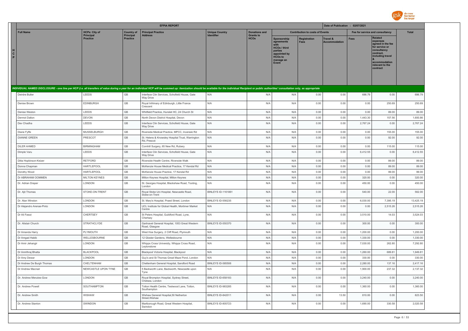

|                                                                                                                                                                                                                                |                                          |                                       | <b>EFPIA REPORT</b>                                                |                           |                                          |                                                                                                                            |                                        | Date of Publication : 02/07/2021            |                                 |                                                                                                                                                                   |              |
|--------------------------------------------------------------------------------------------------------------------------------------------------------------------------------------------------------------------------------|------------------------------------------|---------------------------------------|--------------------------------------------------------------------|---------------------------|------------------------------------------|----------------------------------------------------------------------------------------------------------------------------|----------------------------------------|---------------------------------------------|---------------------------------|-------------------------------------------------------------------------------------------------------------------------------------------------------------------|--------------|
| <b>Full Name</b>                                                                                                                                                                                                               | <b>HCPs: City of</b><br><b>Principal</b> | <b>Country of</b><br><b>Principal</b> | <b>Principal Practice</b><br><b>Address</b>                        | <b>Unique Country</b>     | <b>Donations and</b><br><b>Grants to</b> |                                                                                                                            | <b>Contribution to costs of Events</b> |                                             | Fee for service and consultancy |                                                                                                                                                                   | <b>Total</b> |
| $\mathbf{c}$<br>P.                                                                                                                                                                                                             | <b>Practice</b>                          | <b>Practice</b>                       |                                                                    | Identifier                | <b>HCOs</b>                              | Sponsorship<br>agreements<br><b>HCOs / third</b><br>parties<br>appointed by<br><b>HCOs to</b><br>manage an<br><b>Event</b> | Registration<br><b>Fees</b>            | <b>Travel &amp;</b><br><b>Accommodation</b> | <b>Fees</b>                     | <b>Related</b><br>expenses<br>agreed in the fee<br>for service or<br>consultancy<br>contract.<br>including travel<br>accommodation<br>relevant to the<br>contract |              |
| INDIVIDUAL NAMED DISCLOSURE - one line per HCP (i.e. all transfers of value during a year for an individual HCP will be summed up: itemization should be available for the individual Recipient or public authorities' consult |                                          |                                       |                                                                    |                           |                                          |                                                                                                                            |                                        |                                             |                                 |                                                                                                                                                                   |              |
| Deirdre Butler                                                                                                                                                                                                                 | LEEDS                                    | GB                                    | Interface Clin Services, Schofield House, Gate<br><b>Way Drive</b> | N/A                       | N/A                                      | N/A                                                                                                                        | 0.00                                   | 0.00                                        | 686.79                          | 0.00                                                                                                                                                              | 686.79       |
| Denise Brown                                                                                                                                                                                                                   | EDINBURGH                                | $\mathbb{G}\mathbb{B}$                | Royal Infrimary of Edinburgh, Little France<br>Crescent            | N/A                       | N/A                                      | N/A                                                                                                                        | 0.00                                   | 0.00                                        | 0.00                            | 250.69                                                                                                                                                            | 250.69       |
| Denise Weston                                                                                                                                                                                                                  | LEEDS                                    | $\mathbb{G}\mathbb{B}$                | Whitfield Practice, Hunslet HC, 24 Church St                       | N/A                       | N/A                                      | N/A                                                                                                                        | 0.00                                   | 0.00                                        | 0.00                            | 89.00                                                                                                                                                             | 89.00        |
| Dermot Dalton                                                                                                                                                                                                                  | <b>DEVON</b>                             | $\mathbb{G}\mathbb{B}$                | North Devon District Hospital, Devon                               | N/A                       | N/A                                      | N/A                                                                                                                        | 0.00                                   | 0.00                                        | 1,443.30                        | 157.56                                                                                                                                                            | 1,600.86     |
| Dev Chadha                                                                                                                                                                                                                     | LEEDS                                    | GB                                    | Interface Clin Services, Schofield House, Gate<br>Way Drive        | N/A                       | N/A                                      | N/A                                                                                                                        | 0.00                                   | 0.00                                        | 2,767.24                        | 0.00                                                                                                                                                              | 2,767.24     |
| Diane Fyffe                                                                                                                                                                                                                    | <b>MUSSELBURGH</b>                       | GB                                    | Riverside Medical Practice, MPCC, Inveresk Rd                      | N/A                       | N/A                                      | N/A                                                                                                                        | 0.00                                   | 0.00                                        | 0.00                            | 155.00                                                                                                                                                            | 155.00       |
| <b>DIANNE GREEN</b>                                                                                                                                                                                                            | PRESCOT                                  | GB                                    | St. Helens & Knowsley Hospital Trust, Warrington<br>Rd, Prescot    | N/A                       | N/A                                      | N/A                                                                                                                        | 0.00                                   | 0.00                                        | 0.00                            | 92.00                                                                                                                                                             | 92.00        |
| DILER AHMED                                                                                                                                                                                                                    | <b>BIRMINGHAM</b>                        | GB                                    | Cornhill Surgery, 65 New Rd, Rubery                                | N/A                       | N/A                                      | N/A                                                                                                                        | 0.00                                   | 0.00                                        | 0.00                            | 115.00                                                                                                                                                            | 115.00       |
| Dimple Varu                                                                                                                                                                                                                    | LEEDS                                    | GB                                    | Interface Clin Services, Schofield House, Gate<br><b>Way Drive</b> | N/A                       | N/A                                      | N/A                                                                                                                        | 0.00                                   | 0.00                                        | 6,412.55                        | 0.00                                                                                                                                                              | 6,412.55     |
| Ditta Hopkinson-Keizer                                                                                                                                                                                                         | <b>RETFORD</b>                           | GB                                    | Riverside Health Centre, Riverside Walk                            | N/A                       | N/A                                      | N/A                                                                                                                        | 0.00                                   | 0.00                                        | 0.00                            | 89.00                                                                                                                                                             | 89.00        |
| Donna Chapman                                                                                                                                                                                                                  | <b>HARTLEPOOL</b>                        | GB                                    | McKenzie House Medical Practice, 17 Kendal Rd                      | N/A                       | N/A                                      | N/A                                                                                                                        | 0.00                                   | 0.00                                        | 0.00                            | 89.00                                                                                                                                                             | 89.00        |
| Dorothy Wood                                                                                                                                                                                                                   | HARTLEPOOL                               | GB                                    | McKenzie House Practice, 17 Kendal Rd                              | N/A                       | N/A                                      | N/A                                                                                                                        | 0.00                                   | 0.00                                        | 0.00                            | 99.00                                                                                                                                                             | 99.00        |
| Dr ABRAHAM OOMMEN                                                                                                                                                                                                              | <b>MILTON KEYNES</b>                     | GB                                    | Milton Keynes Hospital, Milton Keynes                              | N/A                       | N/A                                      | N/A                                                                                                                        | 0.00                                   | 0.00                                        | 320.00                          | 0.00                                                                                                                                                              | 320.00       |
| Dr. Adrian Draper                                                                                                                                                                                                              | LONDON                                   | GB                                    | St. Georges Hospital, Blackshaw Road, Tooting,<br>London           | N/A                       | N/A                                      | N/A                                                                                                                        | 0.00                                   | 0.00                                        | 450.00                          | 0.00                                                                                                                                                              | 450.00       |
| Dr. Ajit Thomas                                                                                                                                                                                                                | STOKE-ON-TRENT                           | GB                                    | Royal Stoke Uni Hospital, Newcastle Road,<br>Stoke-on-Trent        | <b>BINLEYS ID-1161861</b> | N/A                                      | N/A                                                                                                                        | 0.00                                   | 0.00                                        | 540.00                          | 22.00                                                                                                                                                             | 562.00       |
| Dr. Alan Winston                                                                                                                                                                                                               | LONDON                                   | GB                                    | St. Mary's Hospital, Praed Street, London                          | BINLEYS ID-556235         | N/A                                      | N/A                                                                                                                        | 0.00                                   | 0.00                                        | 6,030.00                        | 7,395.19                                                                                                                                                          | 13,425.19    |
| Dr Alejandro Arenas-Pinto                                                                                                                                                                                                      | LONDON                                   | GB                                    | UCL Institute for Global Health, Mortimer Market<br>Centre         | N/A                       | N/A                                      | N/A                                                                                                                        | 0.00                                   | 0.00                                        | 0.00                            | 2,515.26                                                                                                                                                          | 2,515.26     |
| Dr Ali Fawzi                                                                                                                                                                                                                   | CHERTSEY                                 | GB                                    | St Peters Hospital, Guildford Road, Lyne,<br>Chertsey              | N/A                       | N/A                                      | N/A                                                                                                                        | 0.00                                   | 0.00                                        | 3,510.00                        | 14.03                                                                                                                                                             | 3,524.03     |
| Dr. Alistair Church                                                                                                                                                                                                            | STRATHCLYDE                              | GB                                    | Gartnavel General Hospital, 1053 Great Western<br>Road, Glasgow    | BINLEYS ID-550370         | N/A                                      | N/A                                                                                                                        | 0.00                                   | 0.00                                        | 300.00                          | 0.00                                                                                                                                                              | 300.00       |
| Dr Amanda Harry                                                                                                                                                                                                                | PLYMOUTH                                 | GB                                    | West Hoe Surgery, 2 Cliff Road, Plymouth                           | N/A                       | N/A                                      | N/A                                                                                                                        | 0.00                                   | 0.00                                        | 1,200.00                        | 0.00                                                                                                                                                              | 1,200.00     |
| Dr Amgad Habib                                                                                                                                                                                                                 | WELLESBOURNE                             | GB                                    | 12 Gloster Gardens, Wellesbourne                                   | N/A                       | N/A                                      | N/A                                                                                                                        | 0.00                                   | 0.00                                        | 1,330.00                        | 0.00                                                                                                                                                              | 1,330.00     |
| Dr Amir Jehangir                                                                                                                                                                                                               | LONDON                                   | GB                                    | Whipps Cross University, Whipps Cross Road,<br>Leytonstone         | N/A                       | N/A                                      | N/A                                                                                                                        | 0.00                                   | 0.00                                        | 7,030.00                        | 262.80                                                                                                                                                            | 7,292.80     |
| Dr Amrithraj Bhatta                                                                                                                                                                                                            | <b>BLACKPOOL</b>                         | $\mathbb{G}\mathbb{B}$                | Blackpool Victoria Hospital, Blackpool                             | N/A                       | N/A                                      | N/A                                                                                                                        | 0.00                                   | 0.00                                        | 1,260.00                        | 689.81                                                                                                                                                            | 1,949.81     |
| Dr Amy Dewar                                                                                                                                                                                                                   | LONDON                                   | GB                                    | Guy's and St Thomas Great Maze Pond, London                        | N/A                       | N/A                                      | N/A                                                                                                                        | 0.00                                   | 0.00                                        | 330.00                          | 0.00                                                                                                                                                              | 330.00       |
| Dr Andrew De Burgh Thomas                                                                                                                                                                                                      | CHELTENHAM                               | GB                                    | Cheltenham General Hospital, Sandford Road                         | BINLEYS ID-585506         | N/A                                      | N/A                                                                                                                        | 0.00                                   | 0.00                                        | 2,280.00                        | 137.16                                                                                                                                                            | 2,417.16     |
| Dr Andrew Macnair                                                                                                                                                                                                              | NEWCASTLE UPON TYNE                      | GB                                    | 5 Backworth Lane, Backworth, Newcastle upon<br>Tyne                | N/A                       | N/A                                      | N/A                                                                                                                        | 0.00                                   | 0.00                                        | 1,900.00                        | 237.32                                                                                                                                                            | 2,137.32     |
| Dr. Andrew Menzies-Gow                                                                                                                                                                                                         | LONDON                                   | GB                                    | Royal Brompton Hospital, Sydney Street,<br>Chelsea, London         | BINLEYS ID-658183         | N/A                                      | N/A                                                                                                                        | 0.00                                   | 0.00                                        | 3,240.00                        | 0.00                                                                                                                                                              | 3,240.00     |
| Dr. Andrew Powell                                                                                                                                                                                                              | SOUTHAMPTON                              | GB                                    | Totton Health Centre, Testwood Lane, Totton,<br>Southampton        | <b>BINLEYS ID-983285</b>  | N/A                                      | N/A                                                                                                                        | 0.00                                   | 0.00                                        | 1,360.00                        | 0.00                                                                                                                                                              | 1,360.00     |
| Dr. Andrew Smith                                                                                                                                                                                                               | WISHAW                                   | GB                                    | Wishaw General Hospital, 50 Netherton<br>Street, Wishaw            | BINLEYS ID-842011         | N/A                                      | N/A                                                                                                                        | 0.00                                   | 13.50                                       | 810.00                          | 0.00                                                                                                                                                              | 823.50       |
| Dr. Andrew Stanton                                                                                                                                                                                                             | SWINDON                                  | GB                                    | Marlborough Road, Great Western Hospital,<br>Swindon               | BINLEYS ID-805723         | N/A                                      | N/A                                                                                                                        | 0.00                                   | 0.00                                        | 1,690.00                        | 330.58                                                                                                                                                            | 2,020.58     |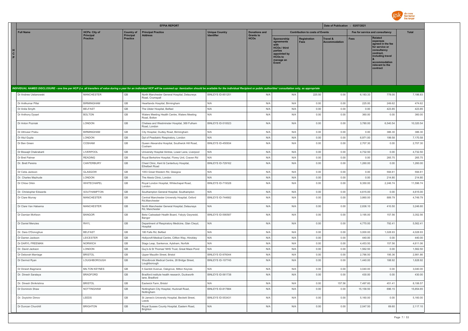

|                                                                                                                                                                                                                                |                                     |                              | <b>EFPIA REPORT</b>                                                |                                            |                                 |                                                                                                                             |                                        | Date of Publication : 02/07/2021 |             |                                                                                                                                                                   |              |
|--------------------------------------------------------------------------------------------------------------------------------------------------------------------------------------------------------------------------------|-------------------------------------|------------------------------|--------------------------------------------------------------------|--------------------------------------------|---------------------------------|-----------------------------------------------------------------------------------------------------------------------------|----------------------------------------|----------------------------------|-------------|-------------------------------------------------------------------------------------------------------------------------------------------------------------------|--------------|
| <b>Full Name</b>                                                                                                                                                                                                               | <b>HCPs: City of</b>                | <b>Country of</b>            | <b>Principal Practice</b>                                          | <b>Unique Country</b><br><b>Identifier</b> | <b>Donations and</b>            |                                                                                                                             | <b>Contribution to costs of Events</b> |                                  |             | Fee for service and consultancy                                                                                                                                   | <b>Total</b> |
| H<br>$\mathbf{c}$<br>P                                                                                                                                                                                                         | <b>Principal</b><br><b>Practice</b> | Principal<br><b>Practice</b> | <b>Address</b>                                                     |                                            | <b>Grants to</b><br><b>HCOs</b> | Sponsorship<br>agreements<br>with<br><b>HCOs / third</b><br>parties<br>appointed by<br><b>HCOs to</b><br>manage an<br>Event | <b>Registration</b><br><b>Fees</b>     | Travel &<br><b>Accommodation</b> | <b>Fees</b> | <b>Related</b><br>expenses<br>agreed in the fee<br>for service or<br>consultancy<br>contract,<br>including travel<br>accommodation<br>relevant to the<br>contract |              |
| INDIVIDUAL NAMED DISCLOSURE - one line per HCP (i.e. all transfers of value during a year for an individual HCP will be summed up: itemization should be available for the individual Recipient or public authorities' consult |                                     |                              |                                                                    |                                            |                                 |                                                                                                                             |                                        |                                  |             |                                                                                                                                                                   |              |
| Dr Andrew Ustianowski                                                                                                                                                                                                          | <b>MANCHESTER</b>                   | GB                           | North Manchester General Hospital, Delauneys<br>Road, Crumspall    | <b>BINLEYS ID-851251</b>                   | N/A                             | N/A                                                                                                                         | 225.50                                 | 0.00                             | 6,183.33    | 778.00                                                                                                                                                            | 7,186.83     |
| Dr Anilkumar Pillai                                                                                                                                                                                                            | <b>BIRMINGHAM</b>                   | GB                           | Heartlands Hospital, Birmingham                                    | N/A                                        | N/A                             | N/A                                                                                                                         | 0.00                                   | 0.00                             | 225.00      | 249.62                                                                                                                                                            | 474.62       |
| Dr Anita Smyth                                                                                                                                                                                                                 | <b>BELFAST</b>                      | GB                           | The Ulster Hospital, Belfast                                       | N/A                                        | N/A                             | N/A                                                                                                                         | 0.00                                   | 0.00                             | 0.00        | 423.85                                                                                                                                                            | 423.85       |
| Dr Anthony Dysart                                                                                                                                                                                                              | <b>BOLTON</b>                       | GB                           | Waters Meeting Health Centre, Waters Meeting<br>Road, Bolton       | N/A                                        | N/A                             | N/A                                                                                                                         | 0.00                                   | 0.00                             | 360.00      | 0.00                                                                                                                                                              | 360.00       |
| Dr Anton Pozniak                                                                                                                                                                                                               | LONDON                              | GB                           | Chelsea and Westminster Hospital, 369 Fulham<br>Road, London       | BINLEYS ID-510023                          | N/A                             | N/A                                                                                                                         | 0.00                                   | 0.00                             | 3,780.00    | 6,540.54                                                                                                                                                          | 10,320.54    |
| Dr Athiveer Prabu                                                                                                                                                                                                              | <b>BIRMINGHAM</b>                   | GB                           | City Hospital, Dudley Road, Birmingham                             | N/A                                        | N/A                             | N/A                                                                                                                         | 0.00                                   | 0.00                             | 0.00        | 386.30                                                                                                                                                            | 386.30       |
| Dr Atul Gupta                                                                                                                                                                                                                  | LONDON                              | GB                           | Dpt of Peadiatric Respiratory, London                              | N/A                                        | N/A                             | N/A                                                                                                                         | 0.00                                   | 0.00                             | 6,971.00    | 199.58                                                                                                                                                            | 7,170.58     |
| Dr Ben Green                                                                                                                                                                                                                   | COSHAM                              | GB                           | Queen Alexandra Hospital, Southwick Hill Road,<br>Cosham           | BINLEYS ID-450934                          | N/A                             | N/A                                                                                                                         | 0.00                                   | 0.00                             | 2,707.30    | 0.00                                                                                                                                                              | 2,707.30     |
| Dr Biswajit Chakrabarti                                                                                                                                                                                                        | LIVERPOOL                           | GB                           | University Hospital Aintree, Lower Lane, Liverpool                 | N/A                                        | N/A                             | N/A                                                                                                                         | 0.00                                   | 0.00                             | 4,732.50    | 0.00                                                                                                                                                              | 4,732.50     |
| Dr Bret Palmer                                                                                                                                                                                                                 | <b>READING</b>                      | GB                           | Royal Berkshire Hospital, Florey Unit, Craven Rd                   | N/A                                        | N/A                             | N/A                                                                                                                         | 0.00                                   | 0.00                             | 0.00        | 265.75                                                                                                                                                            | 265.75       |
| Dr. Brett Pereira                                                                                                                                                                                                              | CANTERBURY                          | GB                           | Chest Clinic, Kent & Canterbury Hospital,<br><b>Ethelbert Road</b> | BINLEYS ID-729162                          | N/A                             | N/A                                                                                                                         | 0.00                                   | 0.00                             | 1,260.00    | 0.00                                                                                                                                                              | 1,260.00     |
| Dr Celia Jackson                                                                                                                                                                                                               | GLASGOW                             | GB                           | 1053 Great Western Rd, Glasgow                                     | N/A                                        | N/A                             | N/A                                                                                                                         | 0.00                                   | 0.00                             | 0.00        | 594.61                                                                                                                                                            | 594.61       |
| Dr. Charles Mazhude                                                                                                                                                                                                            | LONDON                              | GB                           | The Alexis Clinic, London                                          | N/A                                        | N/A                             | N/A                                                                                                                         | 0.00                                   | 0.00                             | 0.00        | 214.80                                                                                                                                                            | 214.80       |
| Dr Chloe Orkin                                                                                                                                                                                                                 | WHITECHAPEL                         | GB                           | Royal London Hospital, Whitechapel Road,<br>London                 | BINLEYS ID-719328                          | N/A                             | N/A                                                                                                                         | 0.00                                   | 0.00                             | 9,350.00    | 2,246.74                                                                                                                                                          | 11,596.74    |
| Dr. Christopher Edwards                                                                                                                                                                                                        | SOUTHAMPTON                         | GB                           | Southampton General Hospital, Southampton                          | N/A                                        | N/A                             | N/A                                                                                                                         | 0.00                                   | 0.00                             | 4,615.00    | 0.00                                                                                                                                                              | 4,615.00     |
| Dr Clare Murray                                                                                                                                                                                                                | <b>MANCHESTER</b>                   | GB                           | Central Manchester University Hospital, Oxford<br>Rd, Manchester   | BINLEYS ID-744682                          | N/A                             | N/A                                                                                                                         | 0.00                                   | 0.00                             | 3,860.00    | 889.79                                                                                                                                                            | 4,749.79     |
| Dr Clare Van Halsema                                                                                                                                                                                                           | <b>MANCHESTER</b>                   | GB                           | North Manchester General Hospital, Delaunays<br>Rd, Manchester     | N/A                                        | N/A                             | N/A                                                                                                                         | 0.00                                   | 0.00                             | 2,836.10    | 410.50                                                                                                                                                            | 3,246.60     |
| Dr Damian McKeon                                                                                                                                                                                                               | <b>BANGOR</b>                       | GB                           | Betsi Cadwaladr Health Board, Ysbyty Gwynedd,<br>Bangor            | BINLEYS ID-590587                          | N/A                             | N/A                                                                                                                         | 0.00                                   | 0.00                             | 3,195.00    | 157.56                                                                                                                                                            | 3,352.56     |
| Dr Daniel Menzies                                                                                                                                                                                                              | RHYL                                | GB                           | Department of Respiratory Medicine, Glan Clwyd,<br>Hospital        | N/A                                        | N/A                             | N/A                                                                                                                         | 0.00                                   | 0.00                             | 4,770.00    | 792.41                                                                                                                                                            | 5,562.41     |
| Dr. Dara O'Donoghue                                                                                                                                                                                                            | <b>BELFAST</b>                      | GB                           | 180 Falls Rd, Belfast                                              | N/A                                        | N/A                             | N/A                                                                                                                         | 0.00                                   | 0.00                             | 3,000.00    | 1,028.93                                                                                                                                                          | 4,028.93     |
| Dr Darren Jackson                                                                                                                                                                                                              | LEICESTER                           | GB                           | Hollycroft Medical Centre, Clifton Way, Hinckley                   | N/A                                        | N/A                             | N/A                                                                                                                         | 0.00                                   | 0.00                             | 440.00      | 0.00                                                                                                                                                              | 440.00       |
| Dr DARYL FREEMAN                                                                                                                                                                                                               | <b>NORWICH</b>                      | GB                           | Stags Leap, Sankence, Aylsham, Norfolk                             | N/A                                        | N/A                             | N/A                                                                                                                         | 0.00                                   | 0.00                             | 4,453.50    | 157.56                                                                                                                                                            | 4,611.06     |
| Dr. David Jackson                                                                                                                                                                                                              | LONDON                              | GB                           | Guy's & St Thomas' NHS Trust, Great Maze Pond                      | N/A                                        | N/A                             | N/A                                                                                                                         | 0.00                                   | 0.00                             | 1,562.50    | 0.00                                                                                                                                                              | 1,562.50     |
| Dr Deborah Marriage                                                                                                                                                                                                            | <b>BRISTOL</b>                      | GB                           | Upper Maudlin Street, Bristol                                      | BINLEYS ID-976044                          | N/A                             | N/A                                                                                                                         | 0.00                                   | 0.00                             | 2,786.50    | 195.36                                                                                                                                                            | 2,981.86     |
| Dr Dermot Ryan                                                                                                                                                                                                                 | LOUGHBOROUGH                        | GB                           | Woodbrook Medical Centre, 28 Bridge Street,<br>Loughborough        | BINLEYS ID-107745                          | N/A                             | N/A                                                                                                                         | 0.00                                   | 0.00                             | 1,440.00    | 188.92                                                                                                                                                            | 1,628.92     |
| Dr Dinesh Bagmane                                                                                                                                                                                                              | <b>MILTON KEYNES</b>                | GB                           | 5 Gambit Avenue, Oakgrove, Milton Keynes                           | N/A                                        | N/A                             | N/A                                                                                                                         | 0.00                                   | 0.00                             | 3,040.00    | 0.00                                                                                                                                                              | 3,040.00     |
| Dr. Dinesh Saralaya                                                                                                                                                                                                            | <b>BRADFORD</b>                     | GB                           | Bradford institute health research, Duckworth<br>lane, Bradford    | BINLEYS ID-561738                          | N/A                             | N/A                                                                                                                         | 0.00                                   | 0.00                             | 430.00      | 0.00                                                                                                                                                              | 430.00       |
| Dr. Dinesh Shrikrishna                                                                                                                                                                                                         | <b>BRISTOL</b>                      | $\mathbb{G}\mathbb{B}$       | Eastwick Farm, Bristol                                             | N/A                                        | N/A                             | N/A                                                                                                                         | 0.00                                   | 157.56                           | 7,497.60    | 451.41                                                                                                                                                            | 8,106.57     |
| Dr Dominick Shaw                                                                                                                                                                                                               | NOTTINGHAM                          | $\mathbb{G}\mathbb{B}$       | Nottingham City Hospital, Hucknall Road,<br>Nottingham             | BINLEYS ID-817884                          | N/A                             | N/A                                                                                                                         | 0.00                                   | 0.00                             | 15,158.50   | 696.15                                                                                                                                                            | 15,854.65    |
| Dr. Doytchin Dimov                                                                                                                                                                                                             | LEEDS                               | $\mathbb{G}\mathbb{B}$       | St James's University Hospital, Beckett Street,<br>Leeds           | BINLEYS ID-553431                          | N/A                             | N/A                                                                                                                         | 0.00                                   | 0.00                             | 5,160.00    | 0.00                                                                                                                                                              | 5,160.00     |
| Dr Duncan Churchill                                                                                                                                                                                                            | <b>BRIGHTON</b>                     | $\mathbb{G}\mathbb{B}$       | Royal Sussex County Hospital, Eastern Road,<br>Brighton            | N/A                                        | N/A                             | N/A                                                                                                                         | 0.00                                   | 0.00                             | 2,047.50    | 69.60                                                                                                                                                             | 2,117.10     |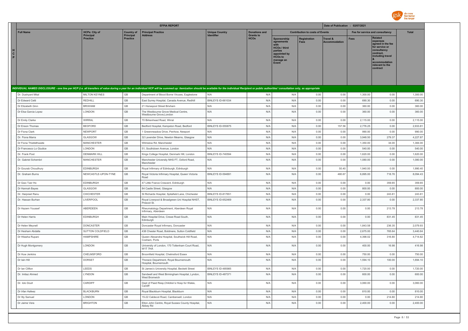

| <b>HCPs: City of</b><br><b>Full Name</b><br><b>Principal Practice</b><br><b>Unique Country</b><br><b>Donations and</b><br><b>Contribution to costs of Events</b><br>Fee for service and consultancy<br><b>Total</b><br><b>Country of</b><br><b>Principal</b><br>Principal<br><b>Address</b><br>Identifier<br><b>Grants to</b><br><b>Related</b><br><b>HCOs</b><br><b>Practice</b><br><b>Practice</b><br>Sponsorship<br><b>Registration</b><br>Travel &<br>Fees<br>expenses<br>Fees<br>agreements<br><b>Accommodation</b><br>agreed in the fee<br>for service or<br><b>HCOs / third</b><br>consultancy<br>parties<br>contract.<br>appointed by<br>including travel<br><b>HCOs to</b><br>manage an<br>accommodation<br>Event<br>relevant to the<br>contract<br>INDIVIDUAL NAMED DISCLOSURE - one line per HCP (i.e. all transfers of value during a year for an individual HCP will be summed up: itemization should be available for the individual Recipient or public authorities' consult<br><b>MILTON KEYNES</b><br>GB<br>0.00<br>0.00<br>1,300.00<br>Dr. Dushyant Mital<br>Department of Blood Borne Viruses, Eaglestone<br>N/A<br>N/A<br>N/A<br>0.00<br>1,300.00<br>$\mathbb{G}\mathbb{B}$<br><b>REDHILL</b><br>BINLEYS ID-661034<br>N/A<br>690.30<br>Dr Fdward Cetti<br>East Surrey Hospital, Canada Avenue, Redhill<br>N/A<br>0.00<br>0.00<br>690.30<br>0.00<br>GB<br>Dr Elizabeth Ginn<br><b>BRIXHAM</b><br>21 Horsepool Street Brixham<br>N/A<br>N/A<br>N/A<br>0.00<br>0.00<br>0.00<br>360.00<br>360.00<br>GB<br>N/A<br>Dr Elsa Garcia Lopez<br>LONDON<br>The Westbourne Grove Medical Centre,<br>N/A<br>N/A<br>0.00<br>0.00<br>360.00<br>0.00<br>360.00<br>Westbourne Grove, London<br>$\mathbb{G}\mathbb{B}$<br>N/A<br>N/A<br>N/A<br>0.00<br>0.00<br>2,115.00<br>0.00<br>2,115.00<br>Dr Emily Clarke<br><b>WIRRAL</b><br>70 Birkenhead Road, Wirral<br>GB<br>Dr Enson Thomas<br><b>BEDFORD</b><br>Bedford Hospital, Kempston Road, Bedford<br>BINLEYS ID-555875<br>N/A<br>N/A<br>0.00<br>157.56<br>2,776.25<br>0.00<br>2,933.81<br>GB<br><b>NEWPORT</b><br>N/A<br>N/A<br>N/A<br>0.00<br>0.00<br>990.00<br>Dr Fiona Clark<br>1 Greenmeadow Drive, Penhow, Newport<br>0.00<br>990.00<br>$\mathbb{G}\mathbb{B}$<br>N/A<br>4,227.87<br>Dr. Fiona Marra<br>GLASGOW<br>32 Lavender Drive, Newton Mearns, Glasgow<br>N/A<br>N/A<br>0.00<br>0.00<br>3,948.50<br>279.37<br>$\mathbb{G}\mathbb{B}$<br><b>MANCHESTER</b><br>N/A<br>N/A<br>1,384.00<br>Dr Fiona Thistlethwaite<br>N/A<br>0.00<br>0.00<br>1,350.00<br>34.00<br>Wilmslow Rd. Manchester<br>GB<br>N/A<br>Dr Francesco Lo Giudice<br>LONDON<br>N/A<br>N/A<br>0.00<br>0.00<br>540.00<br>0.00<br>540.00<br>51. Southdown Avenue. London<br>GB<br>1,620.00<br>Dr. Frank Post<br><b>DENMARK HILL</b><br>Kings College Hospital, Denmark Hill, London<br>BINLEYS ID-740594<br>N/A<br>N/A<br>0.00<br>0.00<br>1,620.00<br>0.00<br><b>MANCHESTER</b><br>GB<br>N/A<br>N/A<br>N/A<br>0.00<br>0.00<br>1,080.00<br>Dr. Gabriel Schembri<br>Manchester University NHS FT, Oxford Road,<br>0.00<br>1,080.00<br>Manchester<br>GB<br>Dr Gourab Choudhury<br><b>EDINBURGH</b><br>Royal Infirmary of Edinburgh, Edinburgh<br>N/A<br>N/A<br>N/A<br>0.00<br>50.40<br>1,940.00<br>0.00<br>1,990.40<br>GB<br>NEWCASTLE-UPON-TYNE<br>BINLEYS ID-594891<br>8,094.43<br>Dr. Graham Burns<br>Royal Victoria Infirmary Hospital, Queen Victoria<br>N/A<br>N/A<br>0.00<br>480.67<br>6,895.00<br>718.76<br>Road<br>GB<br>359.65<br>Dr Gwo Tzer Ho<br><b>EDINBURGH</b><br>47 Little France Crescent, Edinburgh<br>N/A<br>N/A<br>N/A<br>0.00<br>0.00<br>0.00<br>359.65<br>GB<br>N/A<br>GLASGOW<br>N/A<br>N/A<br>0.00<br>0.00<br>800.00<br>0.00<br>800.00<br>Dr Hannah Bayes<br>84 Castle Street, Glasgow<br>GB<br>243.81<br>243.81<br><b>CHICHESTER</b><br>BINLEYS ID-817651<br>N/A<br>N/A<br>0.00<br>0.00<br>0.00<br>Dr. Harpreet Ranu<br>St Richards Hospital, Spitafield Lane, Chichester<br>GB<br>2,337.80<br>Dr. Hassan Burhan<br>LIVERPOOL<br>Royal Liverpool & Broadgreen Uni Hospital NHST,<br>BINLEYS ID-652469<br>N/A<br>N/A<br>0.00<br>0.00<br>2,337.80<br>0.00<br>Prescot St.<br>GB<br>Dr Hazem Youssef<br>ABERDEEN<br>N/A<br>N/A<br>N/A<br>0.00<br>0.00<br>0.00<br>213.78<br>213.78<br>Rheumatology Department, Aberdeen Royal<br>Infirmary, Aberdeen<br>GB<br>Main Hospital Drive, Crewe Road South,<br>N/A<br>N/A<br>N/A<br>0.00<br>0.00<br>Dr Helen Harris<br><b>EDINBURGH</b><br>0.00<br>831.45<br>831.45<br>Edinburgh<br>GB<br>N/A<br>2,079.93<br>Dr Helen Meynell<br><b>DONCASTER</b><br>Doncaster Royal Infirmary, Doncaster<br>N/A<br>N/A<br>0.00<br>0.00<br>1,843.58<br>236.35<br>Dr Hesham Abdalla<br>SUTTON COLDFIELD<br>GB<br>438 Chester Road, Boldmere, Sutton Coldfield<br>N/A<br>N/A<br>N/A<br>0.00<br>0.00<br>2,675.00<br>765.64<br>3,440.64<br>GB<br>Dr Hitasha Rupani<br><b>HAMPSHIRE</b><br>Queen Alexandra Hospital, Southwick Hill Road,<br>N/A<br>N/A<br>N/A<br>0.00<br>0.00<br>4,398.02<br>316.80<br>4,714.82<br>Cosham, Ports<br>GB<br>Dr Hugh Montgomery<br>LONDON<br>University of London, 170 Tottenham Court Road,<br>N/A<br>N/A<br>N/A<br>0.00<br>0.00<br>400.00<br>16.98<br>416.98<br>W1T 7HA<br>GB<br>CHELMSFORD<br>N/A<br>0.00<br>0.00<br>750.00<br>Dr Huw Jenkins<br>Broomfield Hospital, Chelmsford Essex<br>N/A<br>N/A<br>750.00<br>0.00<br>$\mathbb{G}\mathbb{B}$<br>DORSET<br>N/A<br>N/A<br>N/A<br>0.00<br>0.00<br>100.00<br>1,694.10<br>Dr Jain Hill<br>Thoracic Department, Royal Bournemouth<br>1,594.10<br>Hospital, Bournemouth<br>LEEDS<br>GB<br><b>BINI FYS ID-485985</b><br>N/A<br>N/A<br>0.00<br>0.00<br>1,720.00<br>0.00<br>1,720.00<br>Dr Ian Clifton<br>St James's University Hospital, Beckett Street<br>GB<br>LYNDON<br>N/A<br>N/A<br>0.00<br>0.00<br>600.00<br><b>BINI FYS ID-487371</b><br>0.00<br>600.00<br>Dr. Imtiaz Ahmed<br>Sandwell and West Birmingham Hospital, Lyndon,<br>West Bromwich<br>$\mathbb{G}\mathbb{B}$<br>CARDIFF<br>N/A<br>N/A<br>N/A<br>0.00<br>0.00<br>0.00<br>3,060.00<br>Dr. Iolo Doull<br>Dept of Paed Resp, Children's Hosp for Wales,<br>3.060.00<br>Cardiff<br>GB<br>Dr Irfan Hafeez<br><b>BLACKBURN</b><br>N/A<br>N/A<br>N/A<br>0.00<br>0.00<br>810.00<br>0.00<br>810.00<br>Royal Blackburn Hospital, Blackburn<br>GB<br>N/A<br>N/A<br>0.00<br>214.80<br>214.80<br>Dr Itty Samuel<br>LONDON<br>15-22 Caldecot Road, Camberwell, London<br>N/A<br>0.00<br>0.00<br>Dr Jaime Vera<br><b>BRIGHTON</b><br>GB<br>N/A<br>N/A<br>N/A<br>0.00<br>0.00<br>2,400.00<br>0.00<br>2,400.00<br>Elton John Centre, Royal Sussex County Hospital,<br>Abbey Rd |                        |  | <b>EFPIA REPORT</b> |  |  | Date of Publication : 02/07/2021 |  |  |
|---------------------------------------------------------------------------------------------------------------------------------------------------------------------------------------------------------------------------------------------------------------------------------------------------------------------------------------------------------------------------------------------------------------------------------------------------------------------------------------------------------------------------------------------------------------------------------------------------------------------------------------------------------------------------------------------------------------------------------------------------------------------------------------------------------------------------------------------------------------------------------------------------------------------------------------------------------------------------------------------------------------------------------------------------------------------------------------------------------------------------------------------------------------------------------------------------------------------------------------------------------------------------------------------------------------------------------------------------------------------------------------------------------------------------------------------------------------------------------------------------------------------------------------------------------------------------------------------------------------------------------------------------------------------------------------------------------------------------------------------------------------------------------------------------------------------------------------------------------------------------------------------------------------------------------------------------------------------------------------------------------------------------------------------------------------------------------------------------------------------------------------------------------------------------------------------------------------------------------------------------------------------------------------------------------------------------------------------------------------------------------------------------------------------------------------------------------------------------------------------------------------------------------------------------------------------------------------------------------------------------------------------------------------------------------------------------------------------------------------------------------------------------------------------------------------------------------------------------------------------------------------------------------------------------------------------------------------------------------------------------------------------------------------------------------------------------------------------------------------------------------------------------------------------------------------------------------------------------------------------------------------------------------------------------------------------------------------------------------------------------------------------------------------------------------------------------------------------------------------------------------------------------------------------------------------------------------------------------------------------------------------------------------------------------------------------------------------------------------------------------------------------------------------------------------------------------------------------------------------------------------------------------------------------------------------------------------------------------------------------------------------------------------------------------------------------------------------------------------------------------------------------------------------------------------------------------------------------------------------------------------------------------------------------------------------------------------------------------------------------------------------------------------------------------------------------------------------------------------------------------------------------------------------------------------------------------------------------------------------------------------------------------------------------------------------------------------------------------------------------------------------------------------------------------------------------------------------------------------------------------------------------------------------------------------------------------------------------------------------------------------------------------------------------------------------------------------------------------------------------------------------------------------------------------------------------------------------------------------------------------------------------------------------------------------------------------------------------------------------------------------------------------------------------------------------------------------------------------------------------------------------------------------------------------------------------------------------------------------------------------------------------------------------------------------------------------------------------------------------------------------------------------------------------------------------------------------------------------------------------------------------------------------------------------------------------------------------------------------------------------------------------------------------------------------------------------------------------------------------------------------------------------------------------------------------------------------------------------------------------------------------------------------------------------------------------------------------------------------------------------------------------------------------------------------------------------------------------------------------------------------------------------------------------------------------------------|------------------------|--|---------------------|--|--|----------------------------------|--|--|
|                                                                                                                                                                                                                                                                                                                                                                                                                                                                                                                                                                                                                                                                                                                                                                                                                                                                                                                                                                                                                                                                                                                                                                                                                                                                                                                                                                                                                                                                                                                                                                                                                                                                                                                                                                                                                                                                                                                                                                                                                                                                                                                                                                                                                                                                                                                                                                                                                                                                                                                                                                                                                                                                                                                                                                                                                                                                                                                                                                                                                                                                                                                                                                                                                                                                                                                                                                                                                                                                                                                                                                                                                                                                                                                                                                                                                                                                                                                                                                                                                                                                                                                                                                                                                                                                                                                                                                                                                                                                                                                                                                                                                                                                                                                                                                                                                                                                                                                                                                                                                                                                                                                                                                                                                                                                                                                                                                                                                                                                                                                                                                                                                                                                                                                                                                                                                                                                                                                                                                                                                                                                                                                                                                                                                                                                                                                                                                                                                                                                                                                                                                           |                        |  |                     |  |  |                                  |  |  |
|                                                                                                                                                                                                                                                                                                                                                                                                                                                                                                                                                                                                                                                                                                                                                                                                                                                                                                                                                                                                                                                                                                                                                                                                                                                                                                                                                                                                                                                                                                                                                                                                                                                                                                                                                                                                                                                                                                                                                                                                                                                                                                                                                                                                                                                                                                                                                                                                                                                                                                                                                                                                                                                                                                                                                                                                                                                                                                                                                                                                                                                                                                                                                                                                                                                                                                                                                                                                                                                                                                                                                                                                                                                                                                                                                                                                                                                                                                                                                                                                                                                                                                                                                                                                                                                                                                                                                                                                                                                                                                                                                                                                                                                                                                                                                                                                                                                                                                                                                                                                                                                                                                                                                                                                                                                                                                                                                                                                                                                                                                                                                                                                                                                                                                                                                                                                                                                                                                                                                                                                                                                                                                                                                                                                                                                                                                                                                                                                                                                                                                                                                                           | н<br>$\mathbf{C}$<br>P |  |                     |  |  |                                  |  |  |
|                                                                                                                                                                                                                                                                                                                                                                                                                                                                                                                                                                                                                                                                                                                                                                                                                                                                                                                                                                                                                                                                                                                                                                                                                                                                                                                                                                                                                                                                                                                                                                                                                                                                                                                                                                                                                                                                                                                                                                                                                                                                                                                                                                                                                                                                                                                                                                                                                                                                                                                                                                                                                                                                                                                                                                                                                                                                                                                                                                                                                                                                                                                                                                                                                                                                                                                                                                                                                                                                                                                                                                                                                                                                                                                                                                                                                                                                                                                                                                                                                                                                                                                                                                                                                                                                                                                                                                                                                                                                                                                                                                                                                                                                                                                                                                                                                                                                                                                                                                                                                                                                                                                                                                                                                                                                                                                                                                                                                                                                                                                                                                                                                                                                                                                                                                                                                                                                                                                                                                                                                                                                                                                                                                                                                                                                                                                                                                                                                                                                                                                                                                           |                        |  |                     |  |  |                                  |  |  |
|                                                                                                                                                                                                                                                                                                                                                                                                                                                                                                                                                                                                                                                                                                                                                                                                                                                                                                                                                                                                                                                                                                                                                                                                                                                                                                                                                                                                                                                                                                                                                                                                                                                                                                                                                                                                                                                                                                                                                                                                                                                                                                                                                                                                                                                                                                                                                                                                                                                                                                                                                                                                                                                                                                                                                                                                                                                                                                                                                                                                                                                                                                                                                                                                                                                                                                                                                                                                                                                                                                                                                                                                                                                                                                                                                                                                                                                                                                                                                                                                                                                                                                                                                                                                                                                                                                                                                                                                                                                                                                                                                                                                                                                                                                                                                                                                                                                                                                                                                                                                                                                                                                                                                                                                                                                                                                                                                                                                                                                                                                                                                                                                                                                                                                                                                                                                                                                                                                                                                                                                                                                                                                                                                                                                                                                                                                                                                                                                                                                                                                                                                                           |                        |  |                     |  |  |                                  |  |  |
|                                                                                                                                                                                                                                                                                                                                                                                                                                                                                                                                                                                                                                                                                                                                                                                                                                                                                                                                                                                                                                                                                                                                                                                                                                                                                                                                                                                                                                                                                                                                                                                                                                                                                                                                                                                                                                                                                                                                                                                                                                                                                                                                                                                                                                                                                                                                                                                                                                                                                                                                                                                                                                                                                                                                                                                                                                                                                                                                                                                                                                                                                                                                                                                                                                                                                                                                                                                                                                                                                                                                                                                                                                                                                                                                                                                                                                                                                                                                                                                                                                                                                                                                                                                                                                                                                                                                                                                                                                                                                                                                                                                                                                                                                                                                                                                                                                                                                                                                                                                                                                                                                                                                                                                                                                                                                                                                                                                                                                                                                                                                                                                                                                                                                                                                                                                                                                                                                                                                                                                                                                                                                                                                                                                                                                                                                                                                                                                                                                                                                                                                                                           |                        |  |                     |  |  |                                  |  |  |
|                                                                                                                                                                                                                                                                                                                                                                                                                                                                                                                                                                                                                                                                                                                                                                                                                                                                                                                                                                                                                                                                                                                                                                                                                                                                                                                                                                                                                                                                                                                                                                                                                                                                                                                                                                                                                                                                                                                                                                                                                                                                                                                                                                                                                                                                                                                                                                                                                                                                                                                                                                                                                                                                                                                                                                                                                                                                                                                                                                                                                                                                                                                                                                                                                                                                                                                                                                                                                                                                                                                                                                                                                                                                                                                                                                                                                                                                                                                                                                                                                                                                                                                                                                                                                                                                                                                                                                                                                                                                                                                                                                                                                                                                                                                                                                                                                                                                                                                                                                                                                                                                                                                                                                                                                                                                                                                                                                                                                                                                                                                                                                                                                                                                                                                                                                                                                                                                                                                                                                                                                                                                                                                                                                                                                                                                                                                                                                                                                                                                                                                                                                           |                        |  |                     |  |  |                                  |  |  |
|                                                                                                                                                                                                                                                                                                                                                                                                                                                                                                                                                                                                                                                                                                                                                                                                                                                                                                                                                                                                                                                                                                                                                                                                                                                                                                                                                                                                                                                                                                                                                                                                                                                                                                                                                                                                                                                                                                                                                                                                                                                                                                                                                                                                                                                                                                                                                                                                                                                                                                                                                                                                                                                                                                                                                                                                                                                                                                                                                                                                                                                                                                                                                                                                                                                                                                                                                                                                                                                                                                                                                                                                                                                                                                                                                                                                                                                                                                                                                                                                                                                                                                                                                                                                                                                                                                                                                                                                                                                                                                                                                                                                                                                                                                                                                                                                                                                                                                                                                                                                                                                                                                                                                                                                                                                                                                                                                                                                                                                                                                                                                                                                                                                                                                                                                                                                                                                                                                                                                                                                                                                                                                                                                                                                                                                                                                                                                                                                                                                                                                                                                                           |                        |  |                     |  |  |                                  |  |  |
|                                                                                                                                                                                                                                                                                                                                                                                                                                                                                                                                                                                                                                                                                                                                                                                                                                                                                                                                                                                                                                                                                                                                                                                                                                                                                                                                                                                                                                                                                                                                                                                                                                                                                                                                                                                                                                                                                                                                                                                                                                                                                                                                                                                                                                                                                                                                                                                                                                                                                                                                                                                                                                                                                                                                                                                                                                                                                                                                                                                                                                                                                                                                                                                                                                                                                                                                                                                                                                                                                                                                                                                                                                                                                                                                                                                                                                                                                                                                                                                                                                                                                                                                                                                                                                                                                                                                                                                                                                                                                                                                                                                                                                                                                                                                                                                                                                                                                                                                                                                                                                                                                                                                                                                                                                                                                                                                                                                                                                                                                                                                                                                                                                                                                                                                                                                                                                                                                                                                                                                                                                                                                                                                                                                                                                                                                                                                                                                                                                                                                                                                                                           |                        |  |                     |  |  |                                  |  |  |
|                                                                                                                                                                                                                                                                                                                                                                                                                                                                                                                                                                                                                                                                                                                                                                                                                                                                                                                                                                                                                                                                                                                                                                                                                                                                                                                                                                                                                                                                                                                                                                                                                                                                                                                                                                                                                                                                                                                                                                                                                                                                                                                                                                                                                                                                                                                                                                                                                                                                                                                                                                                                                                                                                                                                                                                                                                                                                                                                                                                                                                                                                                                                                                                                                                                                                                                                                                                                                                                                                                                                                                                                                                                                                                                                                                                                                                                                                                                                                                                                                                                                                                                                                                                                                                                                                                                                                                                                                                                                                                                                                                                                                                                                                                                                                                                                                                                                                                                                                                                                                                                                                                                                                                                                                                                                                                                                                                                                                                                                                                                                                                                                                                                                                                                                                                                                                                                                                                                                                                                                                                                                                                                                                                                                                                                                                                                                                                                                                                                                                                                                                                           |                        |  |                     |  |  |                                  |  |  |
|                                                                                                                                                                                                                                                                                                                                                                                                                                                                                                                                                                                                                                                                                                                                                                                                                                                                                                                                                                                                                                                                                                                                                                                                                                                                                                                                                                                                                                                                                                                                                                                                                                                                                                                                                                                                                                                                                                                                                                                                                                                                                                                                                                                                                                                                                                                                                                                                                                                                                                                                                                                                                                                                                                                                                                                                                                                                                                                                                                                                                                                                                                                                                                                                                                                                                                                                                                                                                                                                                                                                                                                                                                                                                                                                                                                                                                                                                                                                                                                                                                                                                                                                                                                                                                                                                                                                                                                                                                                                                                                                                                                                                                                                                                                                                                                                                                                                                                                                                                                                                                                                                                                                                                                                                                                                                                                                                                                                                                                                                                                                                                                                                                                                                                                                                                                                                                                                                                                                                                                                                                                                                                                                                                                                                                                                                                                                                                                                                                                                                                                                                                           |                        |  |                     |  |  |                                  |  |  |
|                                                                                                                                                                                                                                                                                                                                                                                                                                                                                                                                                                                                                                                                                                                                                                                                                                                                                                                                                                                                                                                                                                                                                                                                                                                                                                                                                                                                                                                                                                                                                                                                                                                                                                                                                                                                                                                                                                                                                                                                                                                                                                                                                                                                                                                                                                                                                                                                                                                                                                                                                                                                                                                                                                                                                                                                                                                                                                                                                                                                                                                                                                                                                                                                                                                                                                                                                                                                                                                                                                                                                                                                                                                                                                                                                                                                                                                                                                                                                                                                                                                                                                                                                                                                                                                                                                                                                                                                                                                                                                                                                                                                                                                                                                                                                                                                                                                                                                                                                                                                                                                                                                                                                                                                                                                                                                                                                                                                                                                                                                                                                                                                                                                                                                                                                                                                                                                                                                                                                                                                                                                                                                                                                                                                                                                                                                                                                                                                                                                                                                                                                                           |                        |  |                     |  |  |                                  |  |  |
|                                                                                                                                                                                                                                                                                                                                                                                                                                                                                                                                                                                                                                                                                                                                                                                                                                                                                                                                                                                                                                                                                                                                                                                                                                                                                                                                                                                                                                                                                                                                                                                                                                                                                                                                                                                                                                                                                                                                                                                                                                                                                                                                                                                                                                                                                                                                                                                                                                                                                                                                                                                                                                                                                                                                                                                                                                                                                                                                                                                                                                                                                                                                                                                                                                                                                                                                                                                                                                                                                                                                                                                                                                                                                                                                                                                                                                                                                                                                                                                                                                                                                                                                                                                                                                                                                                                                                                                                                                                                                                                                                                                                                                                                                                                                                                                                                                                                                                                                                                                                                                                                                                                                                                                                                                                                                                                                                                                                                                                                                                                                                                                                                                                                                                                                                                                                                                                                                                                                                                                                                                                                                                                                                                                                                                                                                                                                                                                                                                                                                                                                                                           |                        |  |                     |  |  |                                  |  |  |
|                                                                                                                                                                                                                                                                                                                                                                                                                                                                                                                                                                                                                                                                                                                                                                                                                                                                                                                                                                                                                                                                                                                                                                                                                                                                                                                                                                                                                                                                                                                                                                                                                                                                                                                                                                                                                                                                                                                                                                                                                                                                                                                                                                                                                                                                                                                                                                                                                                                                                                                                                                                                                                                                                                                                                                                                                                                                                                                                                                                                                                                                                                                                                                                                                                                                                                                                                                                                                                                                                                                                                                                                                                                                                                                                                                                                                                                                                                                                                                                                                                                                                                                                                                                                                                                                                                                                                                                                                                                                                                                                                                                                                                                                                                                                                                                                                                                                                                                                                                                                                                                                                                                                                                                                                                                                                                                                                                                                                                                                                                                                                                                                                                                                                                                                                                                                                                                                                                                                                                                                                                                                                                                                                                                                                                                                                                                                                                                                                                                                                                                                                                           |                        |  |                     |  |  |                                  |  |  |
|                                                                                                                                                                                                                                                                                                                                                                                                                                                                                                                                                                                                                                                                                                                                                                                                                                                                                                                                                                                                                                                                                                                                                                                                                                                                                                                                                                                                                                                                                                                                                                                                                                                                                                                                                                                                                                                                                                                                                                                                                                                                                                                                                                                                                                                                                                                                                                                                                                                                                                                                                                                                                                                                                                                                                                                                                                                                                                                                                                                                                                                                                                                                                                                                                                                                                                                                                                                                                                                                                                                                                                                                                                                                                                                                                                                                                                                                                                                                                                                                                                                                                                                                                                                                                                                                                                                                                                                                                                                                                                                                                                                                                                                                                                                                                                                                                                                                                                                                                                                                                                                                                                                                                                                                                                                                                                                                                                                                                                                                                                                                                                                                                                                                                                                                                                                                                                                                                                                                                                                                                                                                                                                                                                                                                                                                                                                                                                                                                                                                                                                                                                           |                        |  |                     |  |  |                                  |  |  |
|                                                                                                                                                                                                                                                                                                                                                                                                                                                                                                                                                                                                                                                                                                                                                                                                                                                                                                                                                                                                                                                                                                                                                                                                                                                                                                                                                                                                                                                                                                                                                                                                                                                                                                                                                                                                                                                                                                                                                                                                                                                                                                                                                                                                                                                                                                                                                                                                                                                                                                                                                                                                                                                                                                                                                                                                                                                                                                                                                                                                                                                                                                                                                                                                                                                                                                                                                                                                                                                                                                                                                                                                                                                                                                                                                                                                                                                                                                                                                                                                                                                                                                                                                                                                                                                                                                                                                                                                                                                                                                                                                                                                                                                                                                                                                                                                                                                                                                                                                                                                                                                                                                                                                                                                                                                                                                                                                                                                                                                                                                                                                                                                                                                                                                                                                                                                                                                                                                                                                                                                                                                                                                                                                                                                                                                                                                                                                                                                                                                                                                                                                                           |                        |  |                     |  |  |                                  |  |  |
|                                                                                                                                                                                                                                                                                                                                                                                                                                                                                                                                                                                                                                                                                                                                                                                                                                                                                                                                                                                                                                                                                                                                                                                                                                                                                                                                                                                                                                                                                                                                                                                                                                                                                                                                                                                                                                                                                                                                                                                                                                                                                                                                                                                                                                                                                                                                                                                                                                                                                                                                                                                                                                                                                                                                                                                                                                                                                                                                                                                                                                                                                                                                                                                                                                                                                                                                                                                                                                                                                                                                                                                                                                                                                                                                                                                                                                                                                                                                                                                                                                                                                                                                                                                                                                                                                                                                                                                                                                                                                                                                                                                                                                                                                                                                                                                                                                                                                                                                                                                                                                                                                                                                                                                                                                                                                                                                                                                                                                                                                                                                                                                                                                                                                                                                                                                                                                                                                                                                                                                                                                                                                                                                                                                                                                                                                                                                                                                                                                                                                                                                                                           |                        |  |                     |  |  |                                  |  |  |
|                                                                                                                                                                                                                                                                                                                                                                                                                                                                                                                                                                                                                                                                                                                                                                                                                                                                                                                                                                                                                                                                                                                                                                                                                                                                                                                                                                                                                                                                                                                                                                                                                                                                                                                                                                                                                                                                                                                                                                                                                                                                                                                                                                                                                                                                                                                                                                                                                                                                                                                                                                                                                                                                                                                                                                                                                                                                                                                                                                                                                                                                                                                                                                                                                                                                                                                                                                                                                                                                                                                                                                                                                                                                                                                                                                                                                                                                                                                                                                                                                                                                                                                                                                                                                                                                                                                                                                                                                                                                                                                                                                                                                                                                                                                                                                                                                                                                                                                                                                                                                                                                                                                                                                                                                                                                                                                                                                                                                                                                                                                                                                                                                                                                                                                                                                                                                                                                                                                                                                                                                                                                                                                                                                                                                                                                                                                                                                                                                                                                                                                                                                           |                        |  |                     |  |  |                                  |  |  |
|                                                                                                                                                                                                                                                                                                                                                                                                                                                                                                                                                                                                                                                                                                                                                                                                                                                                                                                                                                                                                                                                                                                                                                                                                                                                                                                                                                                                                                                                                                                                                                                                                                                                                                                                                                                                                                                                                                                                                                                                                                                                                                                                                                                                                                                                                                                                                                                                                                                                                                                                                                                                                                                                                                                                                                                                                                                                                                                                                                                                                                                                                                                                                                                                                                                                                                                                                                                                                                                                                                                                                                                                                                                                                                                                                                                                                                                                                                                                                                                                                                                                                                                                                                                                                                                                                                                                                                                                                                                                                                                                                                                                                                                                                                                                                                                                                                                                                                                                                                                                                                                                                                                                                                                                                                                                                                                                                                                                                                                                                                                                                                                                                                                                                                                                                                                                                                                                                                                                                                                                                                                                                                                                                                                                                                                                                                                                                                                                                                                                                                                                                                           |                        |  |                     |  |  |                                  |  |  |
|                                                                                                                                                                                                                                                                                                                                                                                                                                                                                                                                                                                                                                                                                                                                                                                                                                                                                                                                                                                                                                                                                                                                                                                                                                                                                                                                                                                                                                                                                                                                                                                                                                                                                                                                                                                                                                                                                                                                                                                                                                                                                                                                                                                                                                                                                                                                                                                                                                                                                                                                                                                                                                                                                                                                                                                                                                                                                                                                                                                                                                                                                                                                                                                                                                                                                                                                                                                                                                                                                                                                                                                                                                                                                                                                                                                                                                                                                                                                                                                                                                                                                                                                                                                                                                                                                                                                                                                                                                                                                                                                                                                                                                                                                                                                                                                                                                                                                                                                                                                                                                                                                                                                                                                                                                                                                                                                                                                                                                                                                                                                                                                                                                                                                                                                                                                                                                                                                                                                                                                                                                                                                                                                                                                                                                                                                                                                                                                                                                                                                                                                                                           |                        |  |                     |  |  |                                  |  |  |
|                                                                                                                                                                                                                                                                                                                                                                                                                                                                                                                                                                                                                                                                                                                                                                                                                                                                                                                                                                                                                                                                                                                                                                                                                                                                                                                                                                                                                                                                                                                                                                                                                                                                                                                                                                                                                                                                                                                                                                                                                                                                                                                                                                                                                                                                                                                                                                                                                                                                                                                                                                                                                                                                                                                                                                                                                                                                                                                                                                                                                                                                                                                                                                                                                                                                                                                                                                                                                                                                                                                                                                                                                                                                                                                                                                                                                                                                                                                                                                                                                                                                                                                                                                                                                                                                                                                                                                                                                                                                                                                                                                                                                                                                                                                                                                                                                                                                                                                                                                                                                                                                                                                                                                                                                                                                                                                                                                                                                                                                                                                                                                                                                                                                                                                                                                                                                                                                                                                                                                                                                                                                                                                                                                                                                                                                                                                                                                                                                                                                                                                                                                           |                        |  |                     |  |  |                                  |  |  |
|                                                                                                                                                                                                                                                                                                                                                                                                                                                                                                                                                                                                                                                                                                                                                                                                                                                                                                                                                                                                                                                                                                                                                                                                                                                                                                                                                                                                                                                                                                                                                                                                                                                                                                                                                                                                                                                                                                                                                                                                                                                                                                                                                                                                                                                                                                                                                                                                                                                                                                                                                                                                                                                                                                                                                                                                                                                                                                                                                                                                                                                                                                                                                                                                                                                                                                                                                                                                                                                                                                                                                                                                                                                                                                                                                                                                                                                                                                                                                                                                                                                                                                                                                                                                                                                                                                                                                                                                                                                                                                                                                                                                                                                                                                                                                                                                                                                                                                                                                                                                                                                                                                                                                                                                                                                                                                                                                                                                                                                                                                                                                                                                                                                                                                                                                                                                                                                                                                                                                                                                                                                                                                                                                                                                                                                                                                                                                                                                                                                                                                                                                                           |                        |  |                     |  |  |                                  |  |  |
|                                                                                                                                                                                                                                                                                                                                                                                                                                                                                                                                                                                                                                                                                                                                                                                                                                                                                                                                                                                                                                                                                                                                                                                                                                                                                                                                                                                                                                                                                                                                                                                                                                                                                                                                                                                                                                                                                                                                                                                                                                                                                                                                                                                                                                                                                                                                                                                                                                                                                                                                                                                                                                                                                                                                                                                                                                                                                                                                                                                                                                                                                                                                                                                                                                                                                                                                                                                                                                                                                                                                                                                                                                                                                                                                                                                                                                                                                                                                                                                                                                                                                                                                                                                                                                                                                                                                                                                                                                                                                                                                                                                                                                                                                                                                                                                                                                                                                                                                                                                                                                                                                                                                                                                                                                                                                                                                                                                                                                                                                                                                                                                                                                                                                                                                                                                                                                                                                                                                                                                                                                                                                                                                                                                                                                                                                                                                                                                                                                                                                                                                                                           |                        |  |                     |  |  |                                  |  |  |
|                                                                                                                                                                                                                                                                                                                                                                                                                                                                                                                                                                                                                                                                                                                                                                                                                                                                                                                                                                                                                                                                                                                                                                                                                                                                                                                                                                                                                                                                                                                                                                                                                                                                                                                                                                                                                                                                                                                                                                                                                                                                                                                                                                                                                                                                                                                                                                                                                                                                                                                                                                                                                                                                                                                                                                                                                                                                                                                                                                                                                                                                                                                                                                                                                                                                                                                                                                                                                                                                                                                                                                                                                                                                                                                                                                                                                                                                                                                                                                                                                                                                                                                                                                                                                                                                                                                                                                                                                                                                                                                                                                                                                                                                                                                                                                                                                                                                                                                                                                                                                                                                                                                                                                                                                                                                                                                                                                                                                                                                                                                                                                                                                                                                                                                                                                                                                                                                                                                                                                                                                                                                                                                                                                                                                                                                                                                                                                                                                                                                                                                                                                           |                        |  |                     |  |  |                                  |  |  |
|                                                                                                                                                                                                                                                                                                                                                                                                                                                                                                                                                                                                                                                                                                                                                                                                                                                                                                                                                                                                                                                                                                                                                                                                                                                                                                                                                                                                                                                                                                                                                                                                                                                                                                                                                                                                                                                                                                                                                                                                                                                                                                                                                                                                                                                                                                                                                                                                                                                                                                                                                                                                                                                                                                                                                                                                                                                                                                                                                                                                                                                                                                                                                                                                                                                                                                                                                                                                                                                                                                                                                                                                                                                                                                                                                                                                                                                                                                                                                                                                                                                                                                                                                                                                                                                                                                                                                                                                                                                                                                                                                                                                                                                                                                                                                                                                                                                                                                                                                                                                                                                                                                                                                                                                                                                                                                                                                                                                                                                                                                                                                                                                                                                                                                                                                                                                                                                                                                                                                                                                                                                                                                                                                                                                                                                                                                                                                                                                                                                                                                                                                                           |                        |  |                     |  |  |                                  |  |  |
|                                                                                                                                                                                                                                                                                                                                                                                                                                                                                                                                                                                                                                                                                                                                                                                                                                                                                                                                                                                                                                                                                                                                                                                                                                                                                                                                                                                                                                                                                                                                                                                                                                                                                                                                                                                                                                                                                                                                                                                                                                                                                                                                                                                                                                                                                                                                                                                                                                                                                                                                                                                                                                                                                                                                                                                                                                                                                                                                                                                                                                                                                                                                                                                                                                                                                                                                                                                                                                                                                                                                                                                                                                                                                                                                                                                                                                                                                                                                                                                                                                                                                                                                                                                                                                                                                                                                                                                                                                                                                                                                                                                                                                                                                                                                                                                                                                                                                                                                                                                                                                                                                                                                                                                                                                                                                                                                                                                                                                                                                                                                                                                                                                                                                                                                                                                                                                                                                                                                                                                                                                                                                                                                                                                                                                                                                                                                                                                                                                                                                                                                                                           |                        |  |                     |  |  |                                  |  |  |
|                                                                                                                                                                                                                                                                                                                                                                                                                                                                                                                                                                                                                                                                                                                                                                                                                                                                                                                                                                                                                                                                                                                                                                                                                                                                                                                                                                                                                                                                                                                                                                                                                                                                                                                                                                                                                                                                                                                                                                                                                                                                                                                                                                                                                                                                                                                                                                                                                                                                                                                                                                                                                                                                                                                                                                                                                                                                                                                                                                                                                                                                                                                                                                                                                                                                                                                                                                                                                                                                                                                                                                                                                                                                                                                                                                                                                                                                                                                                                                                                                                                                                                                                                                                                                                                                                                                                                                                                                                                                                                                                                                                                                                                                                                                                                                                                                                                                                                                                                                                                                                                                                                                                                                                                                                                                                                                                                                                                                                                                                                                                                                                                                                                                                                                                                                                                                                                                                                                                                                                                                                                                                                                                                                                                                                                                                                                                                                                                                                                                                                                                                                           |                        |  |                     |  |  |                                  |  |  |
|                                                                                                                                                                                                                                                                                                                                                                                                                                                                                                                                                                                                                                                                                                                                                                                                                                                                                                                                                                                                                                                                                                                                                                                                                                                                                                                                                                                                                                                                                                                                                                                                                                                                                                                                                                                                                                                                                                                                                                                                                                                                                                                                                                                                                                                                                                                                                                                                                                                                                                                                                                                                                                                                                                                                                                                                                                                                                                                                                                                                                                                                                                                                                                                                                                                                                                                                                                                                                                                                                                                                                                                                                                                                                                                                                                                                                                                                                                                                                                                                                                                                                                                                                                                                                                                                                                                                                                                                                                                                                                                                                                                                                                                                                                                                                                                                                                                                                                                                                                                                                                                                                                                                                                                                                                                                                                                                                                                                                                                                                                                                                                                                                                                                                                                                                                                                                                                                                                                                                                                                                                                                                                                                                                                                                                                                                                                                                                                                                                                                                                                                                                           |                        |  |                     |  |  |                                  |  |  |
|                                                                                                                                                                                                                                                                                                                                                                                                                                                                                                                                                                                                                                                                                                                                                                                                                                                                                                                                                                                                                                                                                                                                                                                                                                                                                                                                                                                                                                                                                                                                                                                                                                                                                                                                                                                                                                                                                                                                                                                                                                                                                                                                                                                                                                                                                                                                                                                                                                                                                                                                                                                                                                                                                                                                                                                                                                                                                                                                                                                                                                                                                                                                                                                                                                                                                                                                                                                                                                                                                                                                                                                                                                                                                                                                                                                                                                                                                                                                                                                                                                                                                                                                                                                                                                                                                                                                                                                                                                                                                                                                                                                                                                                                                                                                                                                                                                                                                                                                                                                                                                                                                                                                                                                                                                                                                                                                                                                                                                                                                                                                                                                                                                                                                                                                                                                                                                                                                                                                                                                                                                                                                                                                                                                                                                                                                                                                                                                                                                                                                                                                                                           |                        |  |                     |  |  |                                  |  |  |
|                                                                                                                                                                                                                                                                                                                                                                                                                                                                                                                                                                                                                                                                                                                                                                                                                                                                                                                                                                                                                                                                                                                                                                                                                                                                                                                                                                                                                                                                                                                                                                                                                                                                                                                                                                                                                                                                                                                                                                                                                                                                                                                                                                                                                                                                                                                                                                                                                                                                                                                                                                                                                                                                                                                                                                                                                                                                                                                                                                                                                                                                                                                                                                                                                                                                                                                                                                                                                                                                                                                                                                                                                                                                                                                                                                                                                                                                                                                                                                                                                                                                                                                                                                                                                                                                                                                                                                                                                                                                                                                                                                                                                                                                                                                                                                                                                                                                                                                                                                                                                                                                                                                                                                                                                                                                                                                                                                                                                                                                                                                                                                                                                                                                                                                                                                                                                                                                                                                                                                                                                                                                                                                                                                                                                                                                                                                                                                                                                                                                                                                                                                           |                        |  |                     |  |  |                                  |  |  |
|                                                                                                                                                                                                                                                                                                                                                                                                                                                                                                                                                                                                                                                                                                                                                                                                                                                                                                                                                                                                                                                                                                                                                                                                                                                                                                                                                                                                                                                                                                                                                                                                                                                                                                                                                                                                                                                                                                                                                                                                                                                                                                                                                                                                                                                                                                                                                                                                                                                                                                                                                                                                                                                                                                                                                                                                                                                                                                                                                                                                                                                                                                                                                                                                                                                                                                                                                                                                                                                                                                                                                                                                                                                                                                                                                                                                                                                                                                                                                                                                                                                                                                                                                                                                                                                                                                                                                                                                                                                                                                                                                                                                                                                                                                                                                                                                                                                                                                                                                                                                                                                                                                                                                                                                                                                                                                                                                                                                                                                                                                                                                                                                                                                                                                                                                                                                                                                                                                                                                                                                                                                                                                                                                                                                                                                                                                                                                                                                                                                                                                                                                                           |                        |  |                     |  |  |                                  |  |  |
|                                                                                                                                                                                                                                                                                                                                                                                                                                                                                                                                                                                                                                                                                                                                                                                                                                                                                                                                                                                                                                                                                                                                                                                                                                                                                                                                                                                                                                                                                                                                                                                                                                                                                                                                                                                                                                                                                                                                                                                                                                                                                                                                                                                                                                                                                                                                                                                                                                                                                                                                                                                                                                                                                                                                                                                                                                                                                                                                                                                                                                                                                                                                                                                                                                                                                                                                                                                                                                                                                                                                                                                                                                                                                                                                                                                                                                                                                                                                                                                                                                                                                                                                                                                                                                                                                                                                                                                                                                                                                                                                                                                                                                                                                                                                                                                                                                                                                                                                                                                                                                                                                                                                                                                                                                                                                                                                                                                                                                                                                                                                                                                                                                                                                                                                                                                                                                                                                                                                                                                                                                                                                                                                                                                                                                                                                                                                                                                                                                                                                                                                                                           |                        |  |                     |  |  |                                  |  |  |
|                                                                                                                                                                                                                                                                                                                                                                                                                                                                                                                                                                                                                                                                                                                                                                                                                                                                                                                                                                                                                                                                                                                                                                                                                                                                                                                                                                                                                                                                                                                                                                                                                                                                                                                                                                                                                                                                                                                                                                                                                                                                                                                                                                                                                                                                                                                                                                                                                                                                                                                                                                                                                                                                                                                                                                                                                                                                                                                                                                                                                                                                                                                                                                                                                                                                                                                                                                                                                                                                                                                                                                                                                                                                                                                                                                                                                                                                                                                                                                                                                                                                                                                                                                                                                                                                                                                                                                                                                                                                                                                                                                                                                                                                                                                                                                                                                                                                                                                                                                                                                                                                                                                                                                                                                                                                                                                                                                                                                                                                                                                                                                                                                                                                                                                                                                                                                                                                                                                                                                                                                                                                                                                                                                                                                                                                                                                                                                                                                                                                                                                                                                           |                        |  |                     |  |  |                                  |  |  |
|                                                                                                                                                                                                                                                                                                                                                                                                                                                                                                                                                                                                                                                                                                                                                                                                                                                                                                                                                                                                                                                                                                                                                                                                                                                                                                                                                                                                                                                                                                                                                                                                                                                                                                                                                                                                                                                                                                                                                                                                                                                                                                                                                                                                                                                                                                                                                                                                                                                                                                                                                                                                                                                                                                                                                                                                                                                                                                                                                                                                                                                                                                                                                                                                                                                                                                                                                                                                                                                                                                                                                                                                                                                                                                                                                                                                                                                                                                                                                                                                                                                                                                                                                                                                                                                                                                                                                                                                                                                                                                                                                                                                                                                                                                                                                                                                                                                                                                                                                                                                                                                                                                                                                                                                                                                                                                                                                                                                                                                                                                                                                                                                                                                                                                                                                                                                                                                                                                                                                                                                                                                                                                                                                                                                                                                                                                                                                                                                                                                                                                                                                                           |                        |  |                     |  |  |                                  |  |  |
|                                                                                                                                                                                                                                                                                                                                                                                                                                                                                                                                                                                                                                                                                                                                                                                                                                                                                                                                                                                                                                                                                                                                                                                                                                                                                                                                                                                                                                                                                                                                                                                                                                                                                                                                                                                                                                                                                                                                                                                                                                                                                                                                                                                                                                                                                                                                                                                                                                                                                                                                                                                                                                                                                                                                                                                                                                                                                                                                                                                                                                                                                                                                                                                                                                                                                                                                                                                                                                                                                                                                                                                                                                                                                                                                                                                                                                                                                                                                                                                                                                                                                                                                                                                                                                                                                                                                                                                                                                                                                                                                                                                                                                                                                                                                                                                                                                                                                                                                                                                                                                                                                                                                                                                                                                                                                                                                                                                                                                                                                                                                                                                                                                                                                                                                                                                                                                                                                                                                                                                                                                                                                                                                                                                                                                                                                                                                                                                                                                                                                                                                                                           |                        |  |                     |  |  |                                  |  |  |
|                                                                                                                                                                                                                                                                                                                                                                                                                                                                                                                                                                                                                                                                                                                                                                                                                                                                                                                                                                                                                                                                                                                                                                                                                                                                                                                                                                                                                                                                                                                                                                                                                                                                                                                                                                                                                                                                                                                                                                                                                                                                                                                                                                                                                                                                                                                                                                                                                                                                                                                                                                                                                                                                                                                                                                                                                                                                                                                                                                                                                                                                                                                                                                                                                                                                                                                                                                                                                                                                                                                                                                                                                                                                                                                                                                                                                                                                                                                                                                                                                                                                                                                                                                                                                                                                                                                                                                                                                                                                                                                                                                                                                                                                                                                                                                                                                                                                                                                                                                                                                                                                                                                                                                                                                                                                                                                                                                                                                                                                                                                                                                                                                                                                                                                                                                                                                                                                                                                                                                                                                                                                                                                                                                                                                                                                                                                                                                                                                                                                                                                                                                           |                        |  |                     |  |  |                                  |  |  |
|                                                                                                                                                                                                                                                                                                                                                                                                                                                                                                                                                                                                                                                                                                                                                                                                                                                                                                                                                                                                                                                                                                                                                                                                                                                                                                                                                                                                                                                                                                                                                                                                                                                                                                                                                                                                                                                                                                                                                                                                                                                                                                                                                                                                                                                                                                                                                                                                                                                                                                                                                                                                                                                                                                                                                                                                                                                                                                                                                                                                                                                                                                                                                                                                                                                                                                                                                                                                                                                                                                                                                                                                                                                                                                                                                                                                                                                                                                                                                                                                                                                                                                                                                                                                                                                                                                                                                                                                                                                                                                                                                                                                                                                                                                                                                                                                                                                                                                                                                                                                                                                                                                                                                                                                                                                                                                                                                                                                                                                                                                                                                                                                                                                                                                                                                                                                                                                                                                                                                                                                                                                                                                                                                                                                                                                                                                                                                                                                                                                                                                                                                                           |                        |  |                     |  |  |                                  |  |  |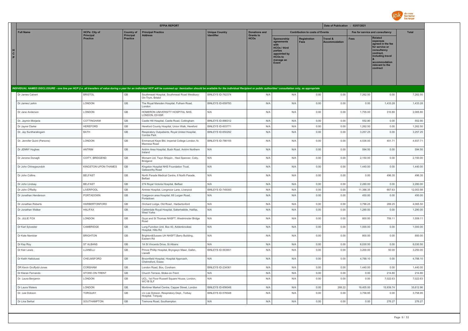

|               |                              |                                          |                                       | <b>EFPIA REPORT</b>                                                                                                                                                                                                            |                                            |                                          |                                                                                                                             |                                        | Date of Publication : 02/07/2021 |             |                                                                                                                                                                   |           |
|---------------|------------------------------|------------------------------------------|---------------------------------------|--------------------------------------------------------------------------------------------------------------------------------------------------------------------------------------------------------------------------------|--------------------------------------------|------------------------------------------|-----------------------------------------------------------------------------------------------------------------------------|----------------------------------------|----------------------------------|-------------|-------------------------------------------------------------------------------------------------------------------------------------------------------------------|-----------|
|               | <b>Full Name</b>             | <b>HCPs: City of</b><br><b>Principal</b> | <b>Country of</b><br><b>Principal</b> | <b>Principal Practice</b><br><b>Address</b>                                                                                                                                                                                    | <b>Unique Country</b><br><b>Identifier</b> | <b>Donations and</b><br><b>Grants to</b> |                                                                                                                             | <b>Contribution to costs of Events</b> |                                  |             | Fee for service and consultancy                                                                                                                                   | Total     |
| н.<br>C<br>P. |                              | <b>Practice</b>                          | <b>Practice</b>                       |                                                                                                                                                                                                                                |                                            | <b>HCOs</b>                              | Sponsorship<br>agreements<br>with<br><b>HCOs / third</b><br>parties<br>appointed by<br><b>HCOs to</b><br>manage an<br>Event | <b>Registration</b><br>Fees            | Travel &<br><b>Accommodation</b> | <b>Fees</b> | <b>Related</b><br>expenses<br>agreed in the fee<br>for service or<br>consultancy<br>contract,<br>including travel<br>accommodation<br>relevant to the<br>contract |           |
|               |                              |                                          |                                       |                                                                                                                                                                                                                                |                                            |                                          |                                                                                                                             |                                        |                                  |             |                                                                                                                                                                   |           |
|               |                              |                                          |                                       | INDIVIDUAL NAMED DISCLOSURE - one line per HCP (i.e. all transfers of value during a year for an individual HCP will be summed up: itemization should be available for the individual Recipient or public authorities' consult |                                            |                                          |                                                                                                                             |                                        |                                  |             |                                                                                                                                                                   |           |
|               | Dr James Calvert             | <b>BRISTOL</b>                           | GB                                    | Southmead Hospital, Southmead Road Westbury-<br>On-Trym, Bristol                                                                                                                                                               | BINLEYS ID-762374                          | N/A                                      | N/A                                                                                                                         | 0.00                                   | 0.00                             | 7,262.50    | 0.00                                                                                                                                                              | 7,262.50  |
|               | Dr James Larkin              | LONDON                                   | GB                                    | The Royal Marsden Hospital, Fulham Road,<br>London                                                                                                                                                                             | BINLEYS ID-659793                          | N/A                                      | N/A                                                                                                                         | 0.00                                   | 0.00                             | 0.00        | 1,433.28                                                                                                                                                          | 1,433.28  |
|               | Dr Jane Anderson             | LONDON                                   | $\mathbb{G}\mathbb{B}$                | HOMERON UNIVERSITY HOSPITAL NHS,<br>LONDON, E9 6SR                                                                                                                                                                             | N/A                                        | N/A                                      | N/A                                                                                                                         | 0.00                                   | 0.00                             | 1,755.00    | 310.80                                                                                                                                                            | 2,065.80  |
|               | Dr. Jaymin Morjaria          | COTTINGHAM                               | $\mathbb{G}\mathbb{B}$                | Castle Hill Hospital, Castle Road, Cottingham                                                                                                                                                                                  | BINLEYS ID-886312                          | N/A                                      | N/A                                                                                                                         | 0.00                                   | 0.00                             | 552.90      | 0.00                                                                                                                                                              | 552.90    |
|               | Dr Jayne Clarke              | HEREFORD                                 | $\mathbb{G}\mathbb{B}$                | Hereford County Hospital, Union Walk, Hereford                                                                                                                                                                                 | BINLEYS ID-603771                          | N/A                                      | N/A                                                                                                                         | 0.00                                   | 0.00                             | 1,262.50    | 0.00                                                                                                                                                              | 1,262.50  |
|               | Dr. Jay Suntharalingam       | BATH                                     | GB                                    | Respiratory Outpatients, Royal United Hospital,<br>Combe Park                                                                                                                                                                  | <b>BINLEYS ID-650292</b>                   | N/A                                      | N/A                                                                                                                         | 0.00                                   | 0.00                             | 3,257.25    | 0.00                                                                                                                                                              | 3,257.25  |
|               | Dr. Jennifer Quint (Parsons) | LONDON                                   | $\mathbb{G}\mathbb{B}$                | Emmanuel Kaye Bld, Imperial College London, 1b<br>Manresa Road                                                                                                                                                                 | BINLEYS ID-786155                          | N/A                                      | N/A                                                                                                                         | 0.00                                   | 0.00                             | 4,536.00    | 401.71                                                                                                                                                            | 4,937.71  |
|               | Dr JENNY Hughes              | <b>ANTRIM</b>                            | GB                                    | Antrim Area Hospital, Bush Road, Antrim Northern<br>Ireland                                                                                                                                                                    | N/A                                        | N/A                                      | N/A                                                                                                                         | 0.00                                   | 0.00                             | 594.50      | 0.00                                                                                                                                                              | 594.50    |
|               | Dr Jerome Donagh             | COITY, BRIDGEND                          | GB                                    | Morsam Ltd, Twyn Shippin, Heol Spencer, Coity,<br>Bridgend                                                                                                                                                                     | N/A                                        | N/A                                      | N/A                                                                                                                         | 0.00                                   | 0.00                             | 2,150.00    | 0.00                                                                                                                                                              | 2,150.00  |
|               | Dr John Chinegwundoh         | KINGSTON-UPON-THAMES                     | GB                                    | Kingston Hospital NHS Foundation Trust,<br>Galsworthy Road                                                                                                                                                                     | N/A                                        | N/A                                      | N/A                                                                                                                         | 0.00                                   | 0.00                             | 1,440.00    | 0.00                                                                                                                                                              | 1,440.00  |
|               | Dr John Collins              | <b>BELFAST</b>                           | $\mathbb{G}\mathbb{B}$                | North Parade Medical Centre, 6 North Parade,<br><b>Belfast</b>                                                                                                                                                                 | N/A                                        | N/A                                      | N/A                                                                                                                         | 0.00                                   | 0.00                             | 0.00        | 496.35                                                                                                                                                            | 496.35    |
|               | Dr John Lindsay              | <b>BELFAST</b>                           | GB                                    | 274 Royal Victoria Hospital, Belfast                                                                                                                                                                                           | N/A                                        | N/A                                      | N/A                                                                                                                         | 0.00                                   | 0.00                             | 2,280.00    | 0.00                                                                                                                                                              | 2,280.00  |
|               | Dr John O'Reilly             | LIVERPOOL                                | GB                                    | Aintree Hospital, Longmoor Lane, Liverpool                                                                                                                                                                                     | BINLEYS ID-749350                          | N/A                                      | N/A                                                                                                                         | 0.00                                   | 0.00                             | 11,386.35   | 667.63                                                                                                                                                            | 12,053.98 |
|               | Dr Jonathan Henderson        | PORTADOWN                                | GB                                    | Craigavon area Hospital, 68 Lurgan Road,<br>Portadown                                                                                                                                                                          | N/A                                        | N/A                                      | N/A                                                                                                                         | 0.00                                   | 0.00                             | 450.00      | 0.00                                                                                                                                                              | 450.00    |
|               | Dr Jonathan Roberts          | <b>HARBERTONFORD</b>                     | GB                                    | Orchard Lodge, Old Road, Harbertonford                                                                                                                                                                                         | N/A                                        | N/A                                      | N/A                                                                                                                         | 0.00                                   | 0.00                             | 3,796.25    | 269.25                                                                                                                                                            | 4,065.50  |
|               | Dr Jonathan Walker           | <b>HALIFAX</b>                           | $\mathbb{G}\mathbb{B}$                | Calderdale Royal Hospital, Salterhebble, Halifax,<br><b>West Yorks</b>                                                                                                                                                         | N/A                                        | N/A                                      | N/A                                                                                                                         | 0.00                                   | 0.00                             | 1,290.00    | 0.00                                                                                                                                                              | 1,290.00  |
|               | Dr. JULIE FOX                | LONDON                                   | $\mathbb{G}\mathbb{B}$                | Guys and St Thomas NHSFT, Westminster Bridge<br>Road                                                                                                                                                                           | N/A                                        | N/A                                      | N/A                                                                                                                         | 0.00                                   | 0.00                             | 800.00      | 759.11                                                                                                                                                            | 1,559.11  |
|               | Dr Karl Sylvester            | CAMBRIDGE                                | GB                                    | Lung Function Unit, Box 40, Addenbrookes<br>Hospital, Hills Rd                                                                                                                                                                 | N/A                                        | N/A                                      | N/A                                                                                                                         | 0.00                                   | 0.00                             | 1,000.00    | 0.00                                                                                                                                                              | 1,000.00  |
|               | Dr Kate Nambiar              | <b>BRIGHTON</b>                          | GB                                    | Brighton&Sussex UH NHSFT,Barry Building,<br>Eastern Rd                                                                                                                                                                         | N/A                                        | N/A                                      | N/A                                                                                                                         | 0.00                                   | 0.00                             | 800.00      | 0.00                                                                                                                                                              | 800.00    |
|               | Dr Kay Roy                   | ST ALBANS                                | GB                                    | 1A St Vincents Drive, St Albans                                                                                                                                                                                                | N/A                                        | N/A                                      | N/A                                                                                                                         | 0.00                                   | 0.00                             | 6,030.50    | 0.00                                                                                                                                                              | 6,030.50  |
|               | Dr Keir Lewis                | LLANELLI                                 | GB                                    | Prince Phillip Hospital, Bryngwyn Mawr, Dafen,<br>I lanelli                                                                                                                                                                    | BINLEYS ID-563651                          | N/A                                      | N/A                                                                                                                         | 0.00                                   | 0.00                             | 3,200.00    | 50.00                                                                                                                                                             | 3,250.00  |
|               | Dr Keith Hattotuwa           | CHELMSFORD                               | GB                                    | Broomfield Hospital, Hospital Approach,<br>Chelmsford, Essex                                                                                                                                                                   | N/A                                        | N/A                                      | N/A                                                                                                                         | 0.00                                   | 0.00                             | 4,788.10    | 0.00                                                                                                                                                              | 4,788.10  |
|               | DR Kevin Gruffydd-Jones      | CORSHAM                                  | $\mathbb{G}\mathbb{B}$                | London Road, Box, Corsham                                                                                                                                                                                                      | BINLEYS ID-234361                          | N/A                                      | N/A                                                                                                                         | 0.00                                   | 0.00                             | 1,440.00    | 0.00                                                                                                                                                              | 1,440.00  |
|               | Dr Kieran Fernando           | STOKE-ON-TRENT                           | $\mathbb{G}\mathbb{B}$                | Church Terrace, Stoke-on-Trent                                                                                                                                                                                                 | N/A                                        | N/A                                      | N/A                                                                                                                         | 0.00                                   | 0.00                             | 0.00        | 214.80                                                                                                                                                            | 214.80    |
|               | Dr. Laura Benjamin           | LONDON                                   | GB                                    | UCL, 1st Floor Russell Square House, London,<br>WC1B 5LF                                                                                                                                                                       | N/A                                        | N/A                                      | N/A                                                                                                                         | 0.00                                   | 0.00                             | 0.00        | 7,022.63                                                                                                                                                          | 7,022.63  |
|               | Dr Laura Waters              | LONDON                                   | GB                                    | Mortimer Market Centre, Capper Street, London                                                                                                                                                                                  | BINLEYS ID-656048                          | N/A                                      | N/A                                                                                                                         | 0.00                                   | 268.22                           | 19,405.00   | 15,939.74                                                                                                                                                         | 35,612.96 |
|               | Dr. Lee Dobson               | TORQUAY                                  | $\mathbb{G}\mathbb{B}$                | c/o Lee Dobson, Respiratory Dept., Torbay<br>Hospital, Torquay                                                                                                                                                                 | BINLEYS ID-576048                          | N/A                                      | N/A                                                                                                                         | 0.00                                   | 0.00                             | 3,758.95    | 0.00                                                                                                                                                              | 3,758.95  |
|               | Dr Lina Serhal               | SOUTHAMPTON                              | GB                                    | Tremona Road, Southampton                                                                                                                                                                                                      | N/A                                        | N/A                                      | N/A                                                                                                                         | 0.00                                   | 0.00                             | 0.00        | 276.27                                                                                                                                                            | 276.27    |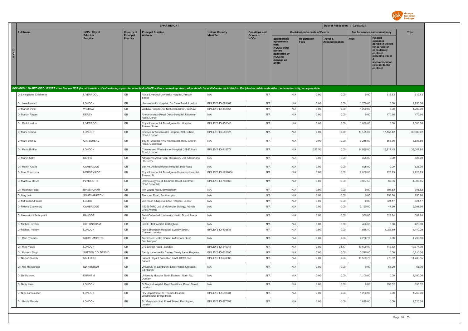

|                          |                          |                                     |                              | <b>EFPIA REPORT</b>                                                                                                                                                                                                            |                       |                                 |                                                                                                              |                                        | Date of Publication : 02/07/2021 |             |                                                                                                                                                                   |              |
|--------------------------|--------------------------|-------------------------------------|------------------------------|--------------------------------------------------------------------------------------------------------------------------------------------------------------------------------------------------------------------------------|-----------------------|---------------------------------|--------------------------------------------------------------------------------------------------------------|----------------------------------------|----------------------------------|-------------|-------------------------------------------------------------------------------------------------------------------------------------------------------------------|--------------|
|                          | <b>Full Name</b>         | <b>HCPs: City of</b>                | <b>Country of</b>            | <b>Principal Practice</b>                                                                                                                                                                                                      | <b>Unique Country</b> | <b>Donations and</b>            |                                                                                                              | <b>Contribution to costs of Events</b> |                                  |             | Fee for service and consultancy                                                                                                                                   | <b>Total</b> |
| н<br>$\mathbf{C}^-$<br>P |                          | <b>Principal</b><br><b>Practice</b> | Principal<br><b>Practice</b> | <b>Address</b>                                                                                                                                                                                                                 | <b>Identifier</b>     | <b>Grants to</b><br><b>HCOs</b> | Sponsorship<br>agreements<br>HCOs / third<br>parties<br>appointed by<br><b>HCOs to</b><br>manage an<br>Event | <b>Registration</b><br><b>Fees</b>     | Travel &<br><b>Accommodation</b> | <b>Fees</b> | <b>Related</b><br>expenses<br>agreed in the fee<br>for service or<br>consultancy<br>contract,<br>including travel<br>accommodation<br>relevant to the<br>contract |              |
|                          |                          |                                     |                              | INDIVIDUAL NAMED DISCLOSURE - one line per HCP (i.e. all transfers of value during a year for an individual HCP will be summed up: itemization should be available for the individual Recipient or public authorities' consult |                       |                                 |                                                                                                              |                                        |                                  |             |                                                                                                                                                                   |              |
|                          |                          | LIVERPOOL                           | $\mathbb{G}\mathbb{B}$       |                                                                                                                                                                                                                                | N/A                   | N/A                             | N/A                                                                                                          |                                        | 0.00                             | 0.00        | 612.83                                                                                                                                                            | 612.83       |
|                          | Dr Livingstone Chishimba |                                     |                              | Royal Liverpool University Hospital, Prescot<br>Street                                                                                                                                                                         |                       |                                 |                                                                                                              | 0.00                                   |                                  |             |                                                                                                                                                                   |              |
|                          | Dr. Luke Howard          | LONDON                              | GB                           | Hammersmith Hospital, Du Cane Road, London                                                                                                                                                                                     | BINLEYS ID-593107     | N/A                             | N/A                                                                                                          | 0.00                                   | 0.00                             | 1,750.00    | 0.00                                                                                                                                                              | 1,750.00     |
|                          | Dr Manish Patel          | <b>WISHAW</b>                       | GB                           | Wishaw Hospital, 50 Netherton Street, Wishaw                                                                                                                                                                                   | BINLEYS ID-842851     | N/A                             | N/A                                                                                                          | 0.00                                   | 0.00                             | 1,200,00    | 0.00                                                                                                                                                              | 1.200.00     |
|                          | Dr Marian Regan          | DERBY                               | GB                           | Rheumatology Royal Derby Hospital, Uttoxeter<br>Road, Derby                                                                                                                                                                    | N/A                   | N/A                             | N/A                                                                                                          | 0.00                                   | 0.00                             | 0.00        | 470.66                                                                                                                                                            | 470.66       |
|                          | Dr. Mark Lawton          | LIVERPOOL                           | GB                           | Royal Liverpool & Broadgreen Uni Hospital,<br><b>Prescot Street</b>                                                                                                                                                            | BINLEYS ID-950343     | N/A                             | N/A                                                                                                          | 0.00                                   | 0.00                             | 1,080.00    | 0.00                                                                                                                                                              | 1,080.00     |
|                          | Dr Mark Nelson           | LONDON                              | GB                           | Chelsea & Westminster Hospital, 369 Fulham<br>Road, London                                                                                                                                                                     | BINLEYS ID-509923     | N/A                             | N/A                                                                                                          | 0.00                                   | 0.00                             | 16,525.00   | 17,158.42                                                                                                                                                         | 33,683.42    |
|                          | Dr Mark Shipley          | GATESHEAD                           | GB                           | South Tyneside NHS Foundation Trust, Church<br>Road, Gateshead                                                                                                                                                                 | N/A                   | N/A                             | N/A                                                                                                          | 0.00                                   | 0.00                             | 3,215.50    | 668.36                                                                                                                                                            | 3,883.86     |
|                          | Dr. Marta Boffito        | LONDON                              | $\mathbb{G}\mathbb{B}$       | Chelsea and Westminster Hospital, 369 Fulham<br>Road, London                                                                                                                                                                   | BINLEYS ID-818574     | N/A                             | N/A                                                                                                          | 222.50                                 | 0.00                             | 14,930.00   | 16,917.45                                                                                                                                                         | 32,069.95    |
|                          | Dr Martin Kelly          | DERRY                               | $\mathbb{G}\mathbb{B}$       | Altnagelvin Area Hosp, Repiratory Dpt, Glenshane<br>Rd, Derry                                                                                                                                                                  | N/A                   | N/A                             | N/A                                                                                                          | 0.00                                   | 0.00                             | 825.00      | 0.00                                                                                                                                                              | 825.00       |
|                          | Dr. Martin Knolle        | CAMBRIDGE                           | GB                           | Box 40, Addenbrooke's Hospital, Hills Road                                                                                                                                                                                     | N/A                   | N/A                             | N/A                                                                                                          | 0.00                                   | 0.00                             | 525.00      | 0.00                                                                                                                                                              | 525.00       |
|                          | Dr Mas Chaponda          | MERSEYSIDE                          | $\mathbb{G}\mathbb{B}$       | Royal Liverpool & Broadgreen Univeristy Hospital,<br>Prescot St                                                                                                                                                                | BINLEYS ID-1239054    | N/A                             | N/A                                                                                                          | 0.00                                   | 0.00                             | 2,600.00    | 128.73                                                                                                                                                            | 2,728.73     |
|                          | Dr Matthew Masoli        | PLYMOUTH                            | GB                           | Dermatology Dept, Derriford Hospt, Derriford<br>Road Crownhill                                                                                                                                                                 | BINLEYS ID-743868     | N/A                             | N/A                                                                                                          | 0.00                                   | 0.00                             | 3,937.50    | 62.95                                                                                                                                                             | 4,000.45     |
|                          | Dr. Matthew Page         | <b>BIRMINGHAM</b>                   | GB                           | 107 Lodge Road, Birmingham                                                                                                                                                                                                     | N/A                   | N/A                             | N/A                                                                                                          | 0.00                                   | 0.00                             | 0.00        | 308.82                                                                                                                                                            | 308.82       |
|                          | Dr May Lwin              | SOUTHAMPTON                         | $\mathbb{G}\mathbb{B}$       | Tremona Road, Southampton                                                                                                                                                                                                      | N/A                   | N/A                             | N/A                                                                                                          | 0.00                                   | 0.00                             | 0.00        | 256.88                                                                                                                                                            | 256.88       |
|                          | Dr Md Yuzaiful Yusof     | LEEDS                               | GB                           | 2nd Floor, Chapel Allerton Hospital, Leeds                                                                                                                                                                                     | N/A                   | N/A                             | N/A                                                                                                          | 0.00                                   | 0.00                             | 0.00        | 621.17                                                                                                                                                            | 621.17       |
|                          | Dr Meena Clatworthy      | CAMBRIDGE                           | GB                           | 1S369 MRC Lab of Molecular Biology, Francis<br>Crick Avenue                                                                                                                                                                    | N/A                   | N/A                             | N/A                                                                                                          | 0.00                                   | 0.00                             | 2,160.00    | 47.90                                                                                                                                                             | 2,207.90     |
|                          | Dr Meenakshi Sethupathi  | <b>BANGOR</b>                       | GB                           | Betsi Cadwaladr University Health Board, Menai<br>Unit                                                                                                                                                                         | N/A                   | N/A                             | N/A                                                                                                          | 0.00                                   | 0.00                             | 360.00      | 322.24                                                                                                                                                            | 682.24       |
|                          | Dr Michael Crooks        | COTTINGHAM                          | $\mathbb{G}\mathbb{B}$       | Castle Hill Hospital, Cottingham                                                                                                                                                                                               | N/A                   | N/A                             | N/A                                                                                                          | 0.00                                   | 0.00                             | 420.00      | 0.00                                                                                                                                                              | 420.00       |
|                          | Dr Michael Polkey        | LONDON                              | GB                           | Royal Brompton Hospital, Sydney Street,<br>Chelsea, London                                                                                                                                                                     | BINLEYS ID-496838     | N/A                             | N/A                                                                                                          | 0.00                                   | 0.00                             | 1,056.40    | 5,083.89                                                                                                                                                          | 6,140.29     |
|                          | Dr. Mike Thomas          | SOUTHAMPTON                         | GB                           | Aldermoor Health Centre, Aldermoor Close,<br>Southampton                                                                                                                                                                       | N/A                   | N/A                             | N/A                                                                                                          | 0.00                                   | 0.00                             | 4.230.10    | 0.00                                                                                                                                                              | 4,230.10     |
|                          | Dr. Mike Youle           | LONDON                              | $\mathbb{G}\mathbb{B}$       | 212 Brixton Road, London                                                                                                                                                                                                       | BINLEYS ID-510046     | N/A                             | N/A                                                                                                          | 0.00                                   | 34.17                            | 10,600.00   | 143.82                                                                                                                                                            | 10,777.99    |
|                          | Dr. Mukesh Singh         | SUTTON COLDFIELD                    | GB                           | Sandy Lane Health Centre, Sandy Lane, Rugeley                                                                                                                                                                                  | BINLEYS ID-602695     | N/A                             | N/A                                                                                                          | 0.00                                   | 0.00                             | 3,210.00    | 0.00                                                                                                                                                              | 3,210.00     |
|                          | Dr Nawar Bakerly         | SALFORD                             | GB                           | Salford Royal Foundation Trust, Stott Lane,<br>Salford                                                                                                                                                                         | BINLEYS ID-648969     | N/A                             | N/A                                                                                                          | 0.00                                   | 0.00                             | 11,509.73   | 275.82                                                                                                                                                            | 11,785.55    |
|                          | Dr. Neil Henderson       | EDINBURGH                           | GB                           | University of Edinburgh, Little France Crescent,<br>Edinburgh                                                                                                                                                                  | N/A                   | N/A                             | N/A                                                                                                          | 0.00                                   | 0.00                             | 0.00        | 55.00                                                                                                                                                             | 55.00        |
|                          | Dr Neil Munro            | <b>DURHAM</b>                       | GB                           | University Hospital North Durham, North Rd,<br>Durham                                                                                                                                                                          | N/A                   | N/A                             | N/A                                                                                                          | 0.00                                   | 0.00                             | 1,100.00    | 0.00                                                                                                                                                              | 1,100.00     |
|                          | Dr Nelly Ninis           | LONDON                              | $\mathbb{G}\mathbb{B}$       | St Mary's Hospital, Dept Paeditrics, Praed Street,<br>London                                                                                                                                                                   | N/A                   | N/A                             | N/A                                                                                                          | 0.00                                   | 0.00                             | 0.00        | 153.02                                                                                                                                                            | 153.02       |
|                          | Dr Nick Larbalestier     | LONDON                              | $\mathbb{G}\mathbb{B}$       | HIV Department, St Thomas Hospital,<br>Westminster Bridge Road                                                                                                                                                                 | BINLEYS ID-552384     | N/A                             | N/A                                                                                                          | 0.00                                   | 0.00                             | 1,260.00    | 0.00                                                                                                                                                              | 1,260.00     |
|                          | Dr. Nicola Mackie        | LONDON                              | GB                           | St. Marys hospital, Praed Street, Paddington,<br>London                                                                                                                                                                        | BINLEYS ID-577097     | N/A                             | N/A                                                                                                          | 0.00                                   | 0.00                             | 1,620.00    | 0.00                                                                                                                                                              | 1,620.00     |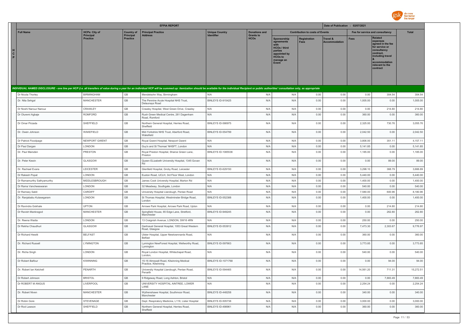

|                        |                            |                              |                              | <b>EFPIA REPORT</b>                                                                                                                                                                                                            |                           |                                 |                                                                                                                      |                                        | Date of Publication : 02/07/2021 |             |                                                                                                                                                            |              |
|------------------------|----------------------------|------------------------------|------------------------------|--------------------------------------------------------------------------------------------------------------------------------------------------------------------------------------------------------------------------------|---------------------------|---------------------------------|----------------------------------------------------------------------------------------------------------------------|----------------------------------------|----------------------------------|-------------|------------------------------------------------------------------------------------------------------------------------------------------------------------|--------------|
|                        | <b>Full Name</b>           | <b>HCPs: City of</b>         | <b>Country of</b>            | <b>Principal Practice</b>                                                                                                                                                                                                      | <b>Unique Country</b>     | <b>Donations and</b>            |                                                                                                                      | <b>Contribution to costs of Events</b> |                                  |             | Fee for service and consultancy                                                                                                                            | <b>Total</b> |
| H<br>$\mathbf{C}$<br>P |                            | Principal<br><b>Practice</b> | Principal<br><b>Practice</b> | <b>Address</b>                                                                                                                                                                                                                 | <b>Identifier</b>         | <b>Grants to</b><br><b>HCOs</b> | Sponsorship<br>agreements<br>with<br>HCOs / third<br>parties<br>appointed by<br><b>HCOs to</b><br>manage an<br>Event | <b>Registration</b><br><b>Fees</b>     | Travel &<br><b>Accommodation</b> | <b>Fees</b> | Related<br>expenses<br>agreed in the fee<br>for service or<br>consultancy<br>contract,<br>including travel<br>accommodation<br>relevant to the<br>contract |              |
|                        |                            |                              |                              | INDIVIDUAL NAMED DISCLOSURE - one line per HCP (i.e. all transfers of value during a year for an individual HCP will be summed up: itemization should be available for the individual Recipient or public authorities' consult |                           |                                 |                                                                                                                      |                                        |                                  |             |                                                                                                                                                            |              |
|                        | Dr Nicola Thorley          | <b>BIRMINGHAM</b>            | GB                           | Mendelsohn Way, Birmingham                                                                                                                                                                                                     | N/A                       | N/A                             | N/A                                                                                                                  | 0.00                                   | 0.00                             | 0.00        | 304.54                                                                                                                                                     | 304.54       |
|                        | Dr. Nita Sehgal            | MANCHESTER                   | GB                           | The Pennine Acute Hospital NHS Trust,<br>Delaunays Road                                                                                                                                                                        | BINLEYS ID-915425         | N/A                             | N/A                                                                                                                  | 0.00                                   | 0.00                             | 1,005.00    | 0.00                                                                                                                                                       | 1,005.00     |
|                        | Dr Noshi Narouz Narouz     | CRAWLEY                      | GB                           | Crawley Hospital, West Green Drive, Crawley                                                                                                                                                                                    | N/A                       | N/A                             | N/A                                                                                                                  | 0.00                                   | 0.00                             | 0.00        | 214.80                                                                                                                                                     | 214.80       |
|                        | Dr Oluremi Agbaje          | ROMFORD                      | GB                           | Rush Green Medical Centre, 261 Dagenham<br>Road, Romford                                                                                                                                                                       | N/A                       | N/A                             | N/A                                                                                                                  | 0.00                                   | 0.00                             | 360.00      | 0.00                                                                                                                                                       | 360.00       |
|                        | Dr Omar Pirzada            | SHEFFIELD                    | GB                           | Northern General Hospital, Herries Road,<br>Sheffield                                                                                                                                                                          | BINLEYS ID-586975         | N/A                             | N/A                                                                                                                  | 0.00                                   | 0.00                             | 2,325.00    | 730.76                                                                                                                                                     | 3,055.76     |
|                        | Dr. Owen Johnson           | WAKEFIELD                    | GB                           | Mid-Yorkshire NHS Trust, Aberford Road,<br>Wakefield                                                                                                                                                                           | BINLEYS ID-554799         | N/A                             | N/A                                                                                                                  | 0.00                                   | 0.00                             | 2,042.50    | 0.00                                                                                                                                                       | 2,042.50     |
|                        | Dr Patrick Floodpage       | NEWPORT GWENT                | GB                           | Royal Gwent Hospital, Newport Gwent                                                                                                                                                                                            | N/A                       | N/A                             | N/A                                                                                                                  | 0.00                                   | 0.00                             | 3,806.00    | 351.11                                                                                                                                                     | 4,157.11     |
|                        | Dr Paul Dargan             | LONDON                       | $\mathbb{G}\mathbb{B}$       | Guy's and St Thomas' NHSFT, London                                                                                                                                                                                             | N/A                       | N/A                             | N/A                                                                                                                  | 0.00                                   | 0.00                             | 5,141.85    | 0.00                                                                                                                                                       | 5,141.85     |
|                        | Dr. Paul Marsden           | PRESTON                      | GB                           | Royal Preston Hospital, Sharoe Green Lane,<br>Preston                                                                                                                                                                          | <b>BINLEYS ID-1085536</b> | N/A                             | N/A                                                                                                                  | 0.00                                   | 0.00                             | 1,185.00    | 0.00                                                                                                                                                       | 1,185.00     |
|                        | Dr. Peter Kewin            | GLASGOW                      | GB                           | Queen ELizabeth University Hospital, 1345 Govan<br>Rd                                                                                                                                                                          | N/A                       | N/A                             | N/A                                                                                                                  | 0.00                                   | 0.00                             | 0.00        | 89.00                                                                                                                                                      | 89.00        |
|                        | Dr. Rachael Evans          | LEICESTER                    | GB                           | Glenfield Hospital, Groby Road, Leicester                                                                                                                                                                                      | BINLEYS ID-629150         | N/A                             | N/A                                                                                                                  | 0.00                                   | 0.00                             | 3,298.10    | 368.79                                                                                                                                                     | 3,666.89     |
|                        | Dr Rakesh Popat            | LONDON                       | GB                           | Euston Road, UCLH, 3rd Floor West, London                                                                                                                                                                                      | N/A                       | N/A                             | N/A                                                                                                                  | 0.00                                   | 0.00                             | 5,440.00    | 0.00                                                                                                                                                       | 5,440.00     |
|                        | Dr Ramamurthy Sathyamurthy | MIDDLESBROUGH                | GB                           | James Cook University Hospital, Marton Rd                                                                                                                                                                                      | N/A                       | N/A                             | N/A                                                                                                                  | 0.00                                   | 0.00                             | 1,400.00    | 0.00                                                                                                                                                       | 1,400.00     |
|                        | Dr Rama Vancheeswaran      | LONDON                       | GB                           | 32 Meadway, Southgate, London                                                                                                                                                                                                  | N/A                       | N/A                             | N/A                                                                                                                  | 0.00                                   | 0.00                             | 540.00      | 0.00                                                                                                                                                       | 540.00       |
|                        | Dr Ramsey Sabit            | CARDIFF                      | GB                           | University Hospital Llandough, Penlan Road                                                                                                                                                                                     | N/A                       | N/A                             | N/A                                                                                                                  | 0.00                                   | 0.00                             | 7,580.00    | 600.96                                                                                                                                                     | 8,180.96     |
|                        | Dr. Ranjababu Kulasegaram  | LONDON                       | GB                           | St Thomas Hospital, Westminster Bridge Road,<br>London                                                                                                                                                                         | BINLEYS ID-552388         | N/A                             | N/A                                                                                                                  | 0.00                                   | 0.00                             | 1,400.00    | 0.00                                                                                                                                                       | 1,400.00     |
|                        | Dr Ravindra Gokhale        | <b>UPTON</b>                 | GB<br>GB                     | Arrowe Park Hospital, Arrowe Park Road, Upton                                                                                                                                                                                  | N/A                       | N/A                             | N/A                                                                                                                  | 0.00                                   | 0.00                             | 0.00        | 214.80                                                                                                                                                     | 214.80       |
|                        | Dr Ravish Mankragod        | <b>MANCHESTER</b>            |                              | Spingfield House, 65 Edge Lane, Stretford,<br>Manchester                                                                                                                                                                       | BINLEYS ID-949245         | N/A                             | N/A                                                                                                                  | 0.00                                   | 0.00                             | 0.00        | 262.80                                                                                                                                                     | 262.80       |
|                        | Dr. Reena Wadia            | LONDON                       | GB                           | 13 Craignish Avenue, LONDON, SW16 4RN                                                                                                                                                                                          | N/A                       | N/A                             | N/A                                                                                                                  | 0.00                                   | 0.00                             | 250.00      | 0.00                                                                                                                                                       | 250.00       |
|                        | Dr Rekha Chaudhuri         | GLASGOW                      | GB                           | Gartnavel General Hospital, 1053 Great Western<br>Road, Glasgow                                                                                                                                                                | BINLEYS ID-553912         | N/A                             | N/A                                                                                                                  | 0.00                                   | 0.00                             | 7,473.30    | 2,303.67                                                                                                                                                   | 9,776.97     |
|                        | Dr Richard Hewitt          | <b>BELFAST</b>               | GB                           | Ulster Hospital, Upper Newtownnards Road,<br>Belfast                                                                                                                                                                           | N/A                       | N/A                             | N/A                                                                                                                  | 0.00                                   | 0.00                             | 360.00      | 0.00                                                                                                                                                       | 360.00       |
|                        | Dr. Richard Russell        | LYMINGTON                    | GB                           | Lymington NewForest Hospital, Wellworthy Road,<br>Lymington                                                                                                                                                                    | BINLEYS ID-597663         | N/A                             | N/A                                                                                                                  | 0.00                                   | 0.00                             | 3,773.85    | 0.00                                                                                                                                                       | 3,773.85     |
|                        | Dr. Richa Singh            | LONDON                       | GB                           | Royal London Hospital, Whitechapel Road,<br>London,                                                                                                                                                                            | N/A                       | N/A                             | N/A                                                                                                                  | 0.00                                   | 0.00                             | 540.00      | 0.00                                                                                                                                                       | 540.00       |
|                        | Dr Robert Balfour          | <b>KIWINNING</b>             | GB                           | 15-16 Almswall Road, Kilwinning Medical<br>Practice, Kilwinning                                                                                                                                                                | <b>BINLEYS ID-1071768</b> | N/A                             | N/A                                                                                                                  | 0.00                                   | 0.00                             | 0.00        | 94.00                                                                                                                                                      | 94.00        |
|                        | Dr. Robert Ian Ketchell    | PENARTH                      | GB                           | University Hospital Llandough, Penlan Road,<br>Penarth                                                                                                                                                                         | BINLEYS ID-594465         | N/A                             | N/A                                                                                                                  | 0.00                                   | 0.00                             | 14,561.20   | 711.31                                                                                                                                                     | 15,272.51    |
|                        | Dr Robert Johnson          | <b>BRISTOL</b>               | GB                           | 9 Ridgeway Road, Long Ashton, Bristol                                                                                                                                                                                          | N/A                       | N/A                             | N/A                                                                                                                  | 0.00                                   | 0.00                             | 0.00        | 7,883.49                                                                                                                                                   | 7,883.49     |
|                        | Dr ROBERT M ANGUS          | LIVERPOOL                    | GB                           | UNIVERSITY HOSPITAL AINTREE, LOWER<br>LANE                                                                                                                                                                                     | N/A                       | N/A                             | N/A                                                                                                                  | 0.00                                   | 0.00                             | 2,254.24    | 0.00                                                                                                                                                       | 2,254.24     |
|                        | Dr. Robert Niven           | MANCHESTER                   | $\mathbb{G}\mathbb{B}$       | Wythenshawe Hospital, Southmoor Road,<br>Manchester                                                                                                                                                                            | BINLEYS ID-448258         | N/A                             | N/A                                                                                                                  | 0.00                                   | 0.00                             | 340.00      | 0.00                                                                                                                                                       | 340.00       |
|                        | Dr Robin Gore              | STEVENAGE                    | $\mathsf{GB}$                | Dept. Respiratory Medicine, L118, Lister Hospital                                                                                                                                                                              | BINLEYS ID-505738         | N/A                             | N/A                                                                                                                  | 0.00                                   | 0.00                             | 3,000.00    | 0.00                                                                                                                                                       | 3,000.00     |
|                        | Dr Rod Lawson              | SHEFFIELD                    | GB                           | Northern General Hospital, Herries Road,<br>Sheffield                                                                                                                                                                          | BINLEYS ID-498961         | N/A                             | N/A                                                                                                                  | 0.00                                   | 0.00                             | 360.00      | 0.00                                                                                                                                                       | 360.00       |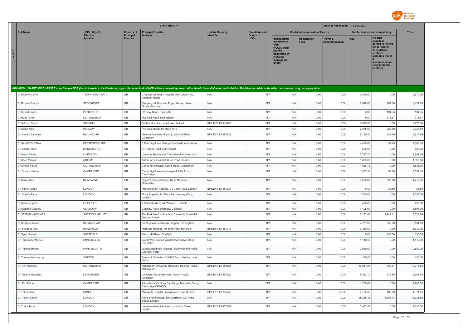

|                                                                                                                                                                                                                                |                                     |                              | <b>EFPIA REPORT</b>                                               |                          |                                 |                                                                                                                      |                                        | Date of Publication : 02/07/2021 |                                 |                                                                                                                                                                   |              |
|--------------------------------------------------------------------------------------------------------------------------------------------------------------------------------------------------------------------------------|-------------------------------------|------------------------------|-------------------------------------------------------------------|--------------------------|---------------------------------|----------------------------------------------------------------------------------------------------------------------|----------------------------------------|----------------------------------|---------------------------------|-------------------------------------------------------------------------------------------------------------------------------------------------------------------|--------------|
| <b>Full Name</b>                                                                                                                                                                                                               | <b>HCPs: City of</b>                | <b>Country of</b>            | <b>Principal Practice</b>                                         | <b>Unique Country</b>    | <b>Donations and</b>            |                                                                                                                      | <b>Contribution to costs of Events</b> |                                  | Fee for service and consultancy |                                                                                                                                                                   | <b>Total</b> |
| н<br>$\mathbf{c}$<br>P                                                                                                                                                                                                         | <b>Principal</b><br><b>Practice</b> | Principal<br><b>Practice</b> | <b>Address</b>                                                    | <b>Identifier</b>        | <b>Grants to</b><br><b>HCOs</b> | Sponsorship<br>agreements<br>with<br>HCOs / third<br>parties<br>appointed by<br><b>HCOs to</b><br>manage an<br>Event | <b>Registration</b><br><b>Fees</b>     | Travel &<br><b>Accommodation</b> | <b>Fees</b>                     | <b>Related</b><br>expenses<br>agreed in the fee<br>for service or<br>consultancy<br>contract.<br>including travel<br>accommodation<br>relevant to the<br>contract |              |
| INDIVIDUAL NAMED DISCLOSURE - one line per HCP (i.e. all transfers of value during a year for an individual HCP will be summed up: itemization should be available for the individual Recipient or public authorities' consult |                                     |                              |                                                                   |                          |                                 |                                                                                                                      |                                        |                                  |                                 |                                                                                                                                                                   |              |
| Dr ROSHAN Siva                                                                                                                                                                                                                 | THORNTON HEATH                      | $\mathbb{G}\mathbb{B}$       | Croydon University Hospital, 530 London Rd,<br>Thornton Heath     | N/A                      | N/A                             | N/A                                                                                                                  | 0.00                                   | 0.00                             | 3,870.00                        | 0.00                                                                                                                                                              | 3,870.00     |
| Dr Roxana Stanciu                                                                                                                                                                                                              | <b>STOCKPORT</b>                    | GB                           | Stepping Hill Hospital, Poplar Grove, Hazel<br>Grove, Stockport   | N/A                      | N/A                             | N/A                                                                                                                  | 0.00                                   | 0.00                             | 2,840.00                        | 587.30                                                                                                                                                            | 3,427.30     |
| Dr Rupert Jones                                                                                                                                                                                                                | PLYMOUTH                            | GB                           | 32 Davy Road, Plymouth                                            | N/A                      | N/A                             | N/A                                                                                                                  | 0.00                                   | 0.00                             | 0.00                            | 194.65                                                                                                                                                            | 194.65       |
| Dr Ruth Taylor                                                                                                                                                                                                                 | NOTTINGHAM                          | GB                           | Hucknall Road, Nottingham                                         | N/A                      | N/A                             | N/A                                                                                                                  | 0.00                                   | 0.00                             | 0.00                            | 316.57                                                                                                                                                            | 316.57       |
| Dr Salman Ghani                                                                                                                                                                                                                | SOLIHULL                            | $\mathbb{G}\mathbb{B}$       | Solihull Hospital, Lode Lane, Solihull                            | BINLEYS ID-845940        | N/A                             | N/A                                                                                                                  | 0.00                                   | 0.00                             | 6,975.00                        | 0.00                                                                                                                                                              | 6,975.00     |
| Dr Samir Naik                                                                                                                                                                                                                  | <b>HARLOW</b>                       | GB                           | Princess Alexandra Hosp NHST                                      | N/A                      | N/A                             | N/A                                                                                                                  | 0.00                                   | 0.00                             | 2,375.00                        | 262.80                                                                                                                                                            | 2,637.80     |
| Dr. Sandip Banerjee                                                                                                                                                                                                            | GILLINGHAM                          | GB                           | Medway Maritime Hospital, Windmill Road,<br>Gillingham            | BINLEYS ID-885226        | N/A                             | N/A                                                                                                                  | 0.00                                   | 0.00                             | 5,175.00                        | 641.99                                                                                                                                                            | 5,816.99     |
| Dr SANJEEV RANA                                                                                                                                                                                                                | <b>HERTFORDSHIRE</b>                | $\mathbb{G}\mathbb{B}$       | 3 Matching Lane Bishops Stortford Hertfordshire                   | N/A                      | N/A                             | N/A                                                                                                                  | 0.00                                   | 0.00                             | 4,468.00                        | 37.43                                                                                                                                                             | 4,505.43     |
| Dr. Sarah Rutter                                                                                                                                                                                                               | <b>MANCHESTER</b>                   | GB                           | 71 Russell Road, Manchester                                       | N/A                      | N/A                             | N/A                                                                                                                  | 0.00                                   | 0.00                             | 800.00                          | 0.00                                                                                                                                                              | 800.00       |
| Dr Sarah Sibley                                                                                                                                                                                                                | LIVERPOOL                           | GB                           | Liverpool Hearth and Chest Hospital, Liverpool                    | N/A                      | N/A                             | N/A                                                                                                                  | 0.00                                   | 0.00                             | 2,797.50                        | 0.00                                                                                                                                                              | 2,797.50     |
| Dr Shea McNeill                                                                                                                                                                                                                | <b>ANTRIM</b>                       | GB                           | Antrim Area Hospital, Bush Road, Antrim                           | N/A                      | N/A                             | N/A                                                                                                                  | 0.00                                   | 0.00                             | 1,890.00                        | 0.00                                                                                                                                                              | 1,890.00     |
| Dr Shoaib Faruqi                                                                                                                                                                                                               | COTTINGHAM                          | GB                           | Castle Hill Hospital, Castle Road, Cottingham                     | N/A                      | N/A                             | N/A                                                                                                                  | 0.00                                   | 0.00                             | 1,836.75                        | 0.00                                                                                                                                                              | 1,836.75     |
| Dr. Shuaib Nasser                                                                                                                                                                                                              | CAMBRIDGE                           | GB                           | Cambridge University Hospital, Hills Road,<br>Cambridge           | N/A                      | N/A                             | N/A                                                                                                                  | 0.00                                   | 0.00                             | 1,562.50                        | 58.60                                                                                                                                                             | 1,621.10     |
| Dr Simon Doe                                                                                                                                                                                                                   | NEWCASTLE                           | GB                           | Royal Victoria Infirmary, Resp Medicine,<br>Newcastle             | N/A                      | N/A                             | N/A                                                                                                                  | 0.00                                   | 0.00                             | 3,885.00                        | 828.86                                                                                                                                                            | 4,713.86     |
| Dr. Simon Gibbs                                                                                                                                                                                                                | LONDON                              | GB                           | Hammersmith Hospital, Du Cane Road, London                        | BINLEYS ID-551231        | N/A                             | N/A                                                                                                                  | 0.00                                   | 0.00                             | 0.00                            | 38.80                                                                                                                                                             | 38.80        |
| Dr. Sophie Papa                                                                                                                                                                                                                | LONDON                              | GB                           | Guy's hospital, 3rd Floor Bermondsey Wing,<br>London              | N/A                      | N/A                             | N/A                                                                                                                  | 0.00                                   | 0.00                             | 1,350.00                        | 0.00                                                                                                                                                              | 1,350.00     |
| Dr Stanley Ejiofor                                                                                                                                                                                                             | LICHFIELD                           | GB                           | 2 Schoolfields Road, Weeford, Lichfield                           | N/A                      | N/A                             | N/A                                                                                                                  | 0.00                                   | 0.00                             | 450.00                          | 0.00                                                                                                                                                              | 450.00       |
| Dr Stephen Crawley                                                                                                                                                                                                             | GLASGOW                             | GB                           | Glasgow Royal Infirmary, Glasgow                                  | N/A                      | N/A                             | N/A                                                                                                                  | 0.00                                   | 9.00                             | 1,498.00                        | 0.00                                                                                                                                                              | 1,507.00     |
| Dr STEPHEN HOLMES                                                                                                                                                                                                              | SHEPTON MALLET                      | GB                           | The Park Medical Practice, Cannards Grave Rd,<br>Shepton Mallet   | N/A                      | N/A                             | N/A                                                                                                                  | 0.00                                   | 0.00                             | 7,282.88                        | 1,241.11                                                                                                                                                          | 8,523.99     |
| Dr Stephen Taylor                                                                                                                                                                                                              | <b>BIRMINGHAM</b>                   | GB                           | Birmingham Heartlands Hospital, Birmingham                        | N/A                      | N/A                             | N/A                                                                                                                  | 0.00                                   | 0.00                             | 4,781.00                        | 350.00                                                                                                                                                            | 5,131.00     |
| Dr. Sundeep Kaul                                                                                                                                                                                                               | <b>HAREFIELD</b>                    | GB                           | Harefield Hospital, Hill End Road, Harefield                      | BINLEYS ID-451073        | N/A                             | N/A                                                                                                                  | 0.00                                   | 0.00                             | 3,330.00                        | 0.00                                                                                                                                                              | 3,330.00     |
| Dr Syed Hussain                                                                                                                                                                                                                | SHEFFIELD                           | GB                           | Beech Hill Road, Sheffield                                        | N/A                      | N/A                             | N/A                                                                                                                  | 0.00                                   | 0.00                             | 0.00                            | 135.00                                                                                                                                                            | 135.00       |
| Dr Terence McManus                                                                                                                                                                                                             | <b>ENNISKILLEN</b>                  | GB                           | South West Acute Hospital, Irvinestown Road,<br>Enniskillen       | N/A                      | N/A                             | N/A                                                                                                                  | 0.00                                   | 0.00                             | 1,110.00                        | 0.00                                                                                                                                                              | 1,110.00     |
| Dr Thomas Brown                                                                                                                                                                                                                | PORTSMOUTH                          | GB                           | Queen Alexandra Hospital, Southwick Hill Road,<br>Cosham, Ports   | N/A                      | N/A                             | N/A                                                                                                                  | 0.00                                   | 0.00                             | 2,580.00                        | 0.00                                                                                                                                                              | 2,580.00     |
| Dr Thomas Medveczky                                                                                                                                                                                                            | <b>SUTTON</b>                       | GB                           | Epsom & St.Helier UH NHS Trust, Wrythe Lane,<br>Sutton            | N/A                      | N/A                             | N/A                                                                                                                  | 0.00                                   | 0.00                             | 450.00                          | 0.00                                                                                                                                                              | 450.00       |
| Dr. Tim Harrison                                                                                                                                                                                                               | <b>NOTTINGHAM</b>                   | GB                           | Nottingham University Hospitals, Hucknall Road,<br>Nottingham     | BINLEYS ID-554855        | N/A                             | N/A                                                                                                                  | 0.00                                   | 0.00                             | 10,011.05                       | 765.81                                                                                                                                                            | 10,776.86    |
| Dr Timothy Gatheral                                                                                                                                                                                                            | LANCASTER                           | GB                           | Lancaster Royal Infirmary, Ashton Road,<br>Lancaster              | BINLEYS ID-891820        | N/A                             | N/A                                                                                                                  | 0.00                                   | 0.00                             | 8,512.10                        | 249.56                                                                                                                                                            | 8,761.66     |
| Dr. Tim Raine                                                                                                                                                                                                                  | CAMBRIDGE                           | $\mathbb{G}\mathbb{B}$       | Addenbrooke's Hosp, Cambridge Biomedic Camp,<br>Cambridge, CB20QQ | N/A                      | N/A                             | N/A                                                                                                                  | 0.00                                   | 0.00                             | 1,200.00                        | 0.00                                                                                                                                                              | 1,200.00     |
| Dr Tom Fardon                                                                                                                                                                                                                  | <b>DUNDEE</b>                       | GB                           | Ninewells Hospital, Invergowrie Drive, Dundee                     | BINLEYS ID-739740        | N/A                             | N/A                                                                                                                  | 0.00                                   | 52.20                            | 4,136.35                        | 183.00                                                                                                                                                            | 4,371.55     |
| Dr Tristan Barber                                                                                                                                                                                                              | LONDON                              | $\mathbb{G}\mathbb{B}$       | Royal Free Hospital, Ian Charleson Ctr, Pond<br>Street, London    | N/A                      | N/A                             | N/A                                                                                                                  | 0.00                                   | 0.00                             | 15,368.36                       | 1,357.14                                                                                                                                                          | 16,725.50    |
| Dr Tudor Toma                                                                                                                                                                                                                  | LONDON                              | GB                           | Lewisham Hospital, Lewisham High Street,<br>London                | <b>BINLEYS ID-857088</b> | N/A                             | N/A                                                                                                                  | 0.00                                   | 0.00                             | 2,833.58                        | 0.00                                                                                                                                                              | 2,833.58     |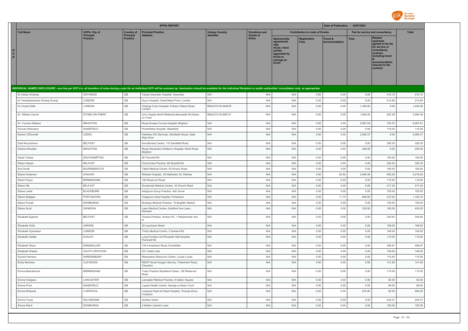

|                        |                                   |                                          |                                       | <b>EFPIA REPORT</b>                                                                                                                                                                                                            |                                            |                                          |                                                                                                                     |                                        | Date of Publication : 02/07/2021 |                                 |                                                                                                                                                                   |                    |
|------------------------|-----------------------------------|------------------------------------------|---------------------------------------|--------------------------------------------------------------------------------------------------------------------------------------------------------------------------------------------------------------------------------|--------------------------------------------|------------------------------------------|---------------------------------------------------------------------------------------------------------------------|----------------------------------------|----------------------------------|---------------------------------|-------------------------------------------------------------------------------------------------------------------------------------------------------------------|--------------------|
|                        | <b>Full Name</b>                  | <b>HCPs: City of</b><br><b>Principal</b> | <b>Country of</b><br><b>Principal</b> | <b>Principal Practice</b><br><b>Address</b>                                                                                                                                                                                    | <b>Unique Country</b><br><b>Identifier</b> | <b>Donations and</b><br><b>Grants to</b> |                                                                                                                     | <b>Contribution to costs of Events</b> |                                  | Fee for service and consultancy |                                                                                                                                                                   | <b>Total</b>       |
| н<br>$\mathbf{c}$<br>P |                                   | <b>Practice</b>                          | <b>Practice</b>                       |                                                                                                                                                                                                                                |                                            | <b>HCOs</b>                              | Sponsorship<br>agreements<br><b>HCOs / third</b><br>parties<br>appointed by<br><b>HCOs to</b><br>manage an<br>Event | <b>Registration</b><br><b>Fees</b>     | Travel &<br><b>Accommodation</b> | <b>Fees</b>                     | <b>Related</b><br>expenses<br>agreed in the fee<br>for service or<br>consultancy<br>contract,<br>including travel<br>accommodation<br>relevant to the<br>contract |                    |
|                        |                                   |                                          |                                       | INDIVIDUAL NAMED DISCLOSURE - one line per HCP (i.e. all transfers of value during a year for an individual HCP will be summed up: itemization should be available for the individual Recipient or public authorities' consult |                                            |                                          |                                                                                                                     |                                        |                                  |                                 |                                                                                                                                                                   |                    |
|                        | Dr Ushan Andrady                  | GWYNEDD                                  | GB                                    | Ysbyty Gwynedo Hospital, Gwynedo                                                                                                                                                                                               | N/A                                        | N/A                                      | N/A                                                                                                                 | 0.00                                   | 0.00                             | 0.00                            | 410.10                                                                                                                                                            | 410.10             |
|                        | Dr Venkateshwaran Sivaraj Sivaraj | LONDON                                   | $\mathbb{G}\mathbb{B}$                | Guy's Hospital, Great Maze Pond, London                                                                                                                                                                                        | N/A                                        | N/A                                      | N/A                                                                                                                 | 0.00                                   | 0.00                             | 0.00                            | 214.80                                                                                                                                                            | 214.80             |
|                        | Dr Vincent Mak                    | LONDON                                   | GB                                    | Charing Cross Hospital, Fulham Palace Road,<br>London                                                                                                                                                                          | BINLEYS ID-504878                          | N/A                                      | N/A                                                                                                                 | 0.00                                   | 0.00                             | 1,440.00                        | 0.00                                                                                                                                                              | 1,440.00           |
|                        | Dr. William Carroll               | STOKE-ON-TRENT                           | $\mathbb{G}\mathbb{B}$                | Univ Hosptls North Midlands, Newcastle Rd, Stoke-<br>on-Trent                                                                                                                                                                  | BINLEYS ID-908137                          | N/A                                      | N/A                                                                                                                 | 0.00                                   | 0.00                             | 1,840.00                        | 652.49                                                                                                                                                            | 2,492.49           |
|                        | Dr. Yvonne Gilleece               | <b>BRIGHTON</b>                          | GB                                    | Royal Sussex County Hospital, Brighton                                                                                                                                                                                         | N/A                                        | N/A                                      | N/A                                                                                                                 | 0.00                                   | 0.00                             | 5,567.05                        | 700.76                                                                                                                                                            | 6,267.81           |
|                        | Duncan Nicholson                  | WAKEFIELD                                | $\mathbb{G}\mathbb{B}$                | Pinderfields Hospital, Wakefield                                                                                                                                                                                               | N/A                                        | N/A                                      | N/A                                                                                                                 | 0.00                                   | 0.00                             | 0.00                            | 115.00                                                                                                                                                            | 115.00             |
|                        | Eamon O'Donnell                   | LEEDS                                    | $\mathbb{G}\mathbb{B}$                | Interface Clin Services, Schofield House, Gate<br>Way Drive                                                                                                                                                                    | N/A                                        | N/A                                      | N/A                                                                                                                 | 0.00                                   | 0.00                             | 2,060.37                        | 0.00                                                                                                                                                              | 2,060.37           |
|                        | Edel Mccutcheon                   | <b>BELFAST</b>                           | GB                                    | Knockbreda Centre, 110 Saintfield Road                                                                                                                                                                                         | N/A                                        | N/A                                      | N/A                                                                                                                 | 0.00                                   | 0.00                             | 0.00                            | 326.30                                                                                                                                                            | 326.30             |
|                        | Edwina Woolder                    | <b>BRIGHTON</b>                          | GB                                    | Royal Alexandra Children's Hospital, North Road,<br>Brighton                                                                                                                                                                   | N/A                                        | N/A                                      | N/A                                                                                                                 | 0.00                                   | 0.00                             | 200.00                          | 0.00                                                                                                                                                              | 200.00             |
|                        | Edyta Tylicka                     | SOUTHAMPTON                              | GB                                    | 90 Thornhill Rd                                                                                                                                                                                                                | N/A                                        | N/A                                      | N/A                                                                                                                 | 0.00                                   | 0.00                             | 0.00                            | 100.00                                                                                                                                                            | 100.00             |
|                        | Eileen Harper                     | <b>BELFAST</b>                           | GB                                    | Churchview Practice, 69 Shankill Rd                                                                                                                                                                                            | N/A                                        | N/A                                      | N/A                                                                                                                 | 0.00                                   | 0.00                             | 0.00                            | 326.30                                                                                                                                                            | 326.30             |
|                        | Eira Small                        | <b>BOURNEMOUTH</b>                       | GB                                    | Talbot Medical Centre, 63 Kinson Road                                                                                                                                                                                          | N/A                                        | N/A                                      | N/A                                                                                                                 | 0.00                                   | 0.00                             | 0.00                            | 100.00                                                                                                                                                            | 100.00             |
|                        | Elaine Anderson                   | WISHAW                                   | $\mathbb{G}\mathbb{B}$                | Wishaw Hospital,, 50 Netherton St, Wishaw                                                                                                                                                                                      | N/A                                        | N/A                                      | N/A                                                                                                                 | 0.00                                   | 82.80                            | 2,480.48                        | 656.26                                                                                                                                                            | 3,219.54           |
|                        | Elaine Facey                      | <b>BIRMINGHAM</b>                        | GB                                    | 192 Reservoir Road                                                                                                                                                                                                             | N/A                                        | N/A                                      | N/A                                                                                                                 | 0.00                                   | 0.00                             | 0.00                            | 115.00                                                                                                                                                            | 115.00             |
|                        | Elaine Hill                       | <b>BELFAST</b>                           | $\mathbb{G}\mathbb{B}$                | Dundonald Medical Centre, 16 Church Road                                                                                                                                                                                       | N/A<br>N/A                                 | N/A                                      | N/A                                                                                                                 | 0.00                                   | 0.00                             | 0.00                            | 417.25                                                                                                                                                            | 417.25             |
|                        | Elaine Leslie<br>Elaine Mulligan  | <b>BLACKBURN</b><br>PORTADOWN            | GB<br>$\mathbb{G}\mathbb{B}$          | Ashgrove Group Practice, Ash Grove<br>Craigavon Area Hospital, Portadown                                                                                                                                                       | N/A                                        | N/A<br>N/A                               | N/A<br>N/A                                                                                                          | 0.00<br>0.00                           | 0.00<br>11.70                    | 0.00<br>900.00                  | 155.00<br>272.04                                                                                                                                                  | 155.00<br>1,183.74 |
|                        | Flaine Powell                     | <b>EDINBURGH</b>                         | GB                                    | Braclays Medical Practice, 10 Bughtlin Market                                                                                                                                                                                  | N/A                                        | N/A                                      | N/A                                                                                                                 | 0.00                                   | 0.00                             | 0.00                            | 155.00                                                                                                                                                            | 155.00             |
|                        | Elaine Scott                      | SWINDON                                  | GB                                    | Lawn Medical Centre, Guildford Ave Lawn,<br>Swindon                                                                                                                                                                            | N/A                                        | N/A                                      | N/A                                                                                                                 | 0.00                                   | 0.00                             | 330.00                          | 100.00                                                                                                                                                            | 430.00             |
|                        | Elizabeth Egerton                 | <b>BELFAST</b>                           | $\mathbb{G}\mathbb{B}$                | Victoria Practice, Arches HC, 1 Westminster Ave<br>N                                                                                                                                                                           | N/A                                        | N/A                                      | N/A                                                                                                                 | 0.00                                   | 0.00                             | 0.00                            | 344.64                                                                                                                                                            | 344.64             |
|                        | Elizabeth Holtz                   | AIRDRIE                                  | GB                                    | 30 Lauchope Street                                                                                                                                                                                                             | N/A                                        | N/A                                      | N/A                                                                                                                 | 0.00                                   | 0.00                             | 0.00                            | 169.00                                                                                                                                                            | 169.00             |
|                        | Elizabeth Oyenekan                | LONDON                                   | GB                                    | Trinity Medical Centre, 2 Garland Rd                                                                                                                                                                                           | N/A                                        | N/A                                      | N/A                                                                                                                 | 0.00                                   | 0.00                             | 0.00                            | 149.00                                                                                                                                                            | 149.00             |
|                        | Elizabeth Sadler                  | DUDLEY                                   | GB                                    | Lung Function Unit Russells Hall Hospital,<br>Pensnett Rd                                                                                                                                                                      | N/A                                        | N/A                                      | N/A                                                                                                                 | 0.00                                   | 0.00                             | 0.00                            | 115.00                                                                                                                                                            | 115.00             |
|                        | Elizabeth Sloan                   | <b>ENNISKILLEN</b>                       | GB                                    | 124 Irvinestown Road, Enniskillen                                                                                                                                                                                              | N/A                                        | N/A                                      | N/A                                                                                                                 | 0.00                                   | 0.00                             | 0.00                            | 409.97                                                                                                                                                            | 409.97             |
|                        | Elizabeth Waters                  | SOUTH CROYDON                            | $\mathbb{G}\mathbb{B}$                | 231 Violet Lane                                                                                                                                                                                                                | N/A                                        | N/A                                      | N/A                                                                                                                 | 0.00                                   | 0.00                             | 0.00                            | 149.00                                                                                                                                                            | 149.00             |
|                        | Eluned Harrison                   | <b>SHREWSBURY</b>                        | $\mathbb{G}\mathbb{B}$                | Respiratory Resource Centre, Louise Louse                                                                                                                                                                                      | N/A                                        | N/A                                      | N/A                                                                                                                 | 0.00                                   | 0.00                             | 0.00                            | 115.00                                                                                                                                                            | 115.00             |
|                        | Emily Morrison                    | CLEVEDON                                 | GB                                    | NSCP Home Oxygen Service, Tickenham Road,<br>Clevedon                                                                                                                                                                          | N/A                                        | N/A                                      | N/A                                                                                                                 | 0.00                                   | 0.00                             | 0.00                            | 141.85                                                                                                                                                            | 141.85             |
|                        | Emma Beardsmore                   | <b>BIRMINGHAM</b>                        | GB                                    | Tudor Practice Stockland Green, 192 Reservoir<br>Road                                                                                                                                                                          | N/A                                        | N/A                                      | N/A                                                                                                                 | 0.00                                   | 0.00                             | 0.00                            | 115.00                                                                                                                                                            | 115.00             |
|                        | Emma Hodgson                      | LANCASTER                                | GB                                    | Lancaster Medical Practice, 8 Dalton Square                                                                                                                                                                                    | N/A                                        | N/A                                      | N/A                                                                                                                 | 0.00                                   | 0.00                             | 0.00                            | 92.00                                                                                                                                                             | 92.00              |
|                        | Emma Price                        | WAKEFIELD                                | GB                                    | Lupset Health Centre, George-a-Green Court                                                                                                                                                                                     | N/A                                        | N/A                                      | N/A                                                                                                                 | 0.00                                   | 0.00                             | 0.00                            | 89.00                                                                                                                                                             | 89.00              |
|                        | Emma Rickards                     | LIVERPOOL                                | GB                                    | Liverpool Heart & Chest Hospital, Thomas Drive,<br>Liverpool                                                                                                                                                                   | N/A                                        | N/A                                      | N/A                                                                                                                 | 0.00                                   | 0.00                             | 810.00                          | 92.00                                                                                                                                                             | 902.00             |
|                        | Emma Tovev                        | <b>GILLINGHAM</b>                        | GB                                    | Amblev Green                                                                                                                                                                                                                   | N/A                                        | N/A                                      | N/A<br>N/A                                                                                                          | 0.00                                   | 0.00                             | 0.00                            | 244.27                                                                                                                                                            | 244.27             |
|                        | Emma Ward                         | EDINBURGH                                | GB                                    | 4 Nether Liberton Lane                                                                                                                                                                                                         | N/A                                        | N/A                                      |                                                                                                                     | 0.00                                   | 0.00                             | 0.00                            | 155.00                                                                                                                                                            | 155.00             |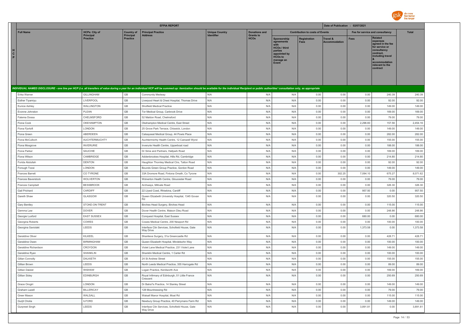

|                         |                      |                                     |                                     | <b>EFPIA REPORT</b>                                                                                                                                                                                                            |                       |                                 |                                                                                                                      |                                        | Date of Publication : 02/07/2021            |                                 |                                                                                                                                                                   |              |
|-------------------------|----------------------|-------------------------------------|-------------------------------------|--------------------------------------------------------------------------------------------------------------------------------------------------------------------------------------------------------------------------------|-----------------------|---------------------------------|----------------------------------------------------------------------------------------------------------------------|----------------------------------------|---------------------------------------------|---------------------------------|-------------------------------------------------------------------------------------------------------------------------------------------------------------------|--------------|
|                         | <b>Full Name</b>     | <b>HCPs: City of</b>                | <b>Country of</b>                   | <b>Principal Practice</b>                                                                                                                                                                                                      | <b>Unique Country</b> | <b>Donations and</b>            |                                                                                                                      | <b>Contribution to costs of Events</b> |                                             | Fee for service and consultancy |                                                                                                                                                                   | <b>Total</b> |
| H<br>$\mathbf{c}$<br>P. |                      | <b>Principal</b><br><b>Practice</b> | <b>Principal</b><br><b>Practice</b> | <b>Address</b>                                                                                                                                                                                                                 | <b>Identifier</b>     | <b>Grants to</b><br><b>HCOs</b> | Sponsorship<br>agreements<br>with<br>HCOs / third<br>parties<br>appointed by<br><b>HCOs to</b><br>manage an<br>Event | Registration<br><b>Fees</b>            | <b>Travel &amp;</b><br><b>Accommodation</b> | <b>Fees</b>                     | <b>Related</b><br>expenses<br>agreed in the fee<br>for service or<br>consultancy<br>contract,<br>including travel<br>accommodation<br>relevant to the<br>contract |              |
|                         |                      |                                     |                                     | INDIVIDUAL NAMED DISCLOSURE - one line per HCP (i.e. all transfers of value during a year for an individual HCP will be summed up: itemization should be available for the individual Recipient or public authorities' consult |                       |                                 |                                                                                                                      |                                        |                                             |                                 |                                                                                                                                                                   |              |
|                         | Erika Warner         | GILLINGHAM                          | GB                                  | <b>Community Medway</b>                                                                                                                                                                                                        | N/A                   | N/A                             | N/A                                                                                                                  | 0.00                                   | 0.00                                        | 0.00                            | 240.39                                                                                                                                                            | 240.39       |
|                         | Esther Tiyamiyu      | LIVERPOOL                           | $\mathbb{G}\mathbb{B}$              | Liverpool Heart & Chest Hospital, Thomas Drive                                                                                                                                                                                 | N/A                   | N/A                             | N/A                                                                                                                  | 0.00                                   | 0.00                                        | 0.00                            | 92.00                                                                                                                                                             | 92.00        |
|                         | Eunice Ashley        | WALLINGTON                          | GB                                  | Shotfield Medical Practice                                                                                                                                                                                                     | N/A                   | N/A                             | N/A                                                                                                                  | 0.00                                   | 0.00                                        | 0.00                            | 149.00                                                                                                                                                            | 149.00       |
|                         | Evonne Johnston      | PLEAN                               | GB                                  | Tor Medical Group, Carbrook Drive                                                                                                                                                                                              | N/A                   | N/A                             | N/A                                                                                                                  | 0.00                                   | 0.00                                        | 0.00                            | 169.00                                                                                                                                                            | 169.00       |
|                         | Fatema Dossa         | CHELMSFORD                          | $\mathbb{G}\mathbb{B}$              | 52 Maldon Road, Chelmsford                                                                                                                                                                                                     | N/A                   | N/A                             | N/A                                                                                                                  | 0.00                                   | 0.00                                        | 0.00                            | 79.00                                                                                                                                                             | 79.00        |
|                         | Fiona Cook           | OKEHAMPTON                          | $\mathbb{G}\mathbb{B}$              | Okehampton Medical Centre, East Street                                                                                                                                                                                         | N/A                   | N/A                             | N/A                                                                                                                  | 0.00                                   | 0.00                                        | 2,296.60                        | 157.56                                                                                                                                                            | 2,454.16     |
|                         | Fiona Fjortoft       | LONDON                              | GB                                  | 25 Grove Park Terrace, Chiswick, London                                                                                                                                                                                        | N/A                   | N/A                             | N/A                                                                                                                  | 0.00                                   | 0.00                                        | 0.00                            | 149.00                                                                                                                                                            | 149.00       |
|                         | Fiona Green          | ABERDEEN                            | $\mathbb{G}\mathbb{B}$              | Calsayseat Medical Group, 44 Powis Place                                                                                                                                                                                       | N/A                   | N/A                             | N/A                                                                                                                  | 0.00                                   | 0.00                                        | 0.00                            | 282.00                                                                                                                                                            | 282.00       |
|                         | Fiona McCulloch      | AUCHTERMUCHTY                       | $\mathbb{G}\mathbb{B}$              | Auchtermichty Health Centre, 12 Carswell Wynd                                                                                                                                                                                  | N/A                   | N/A                             | N/A                                                                                                                  | 0.00                                   | 0.00                                        | 0.00                            | 155.00                                                                                                                                                            | 155.00       |
|                         | Fiona Mosgrove       | <b>INVERURIE</b>                    | GB                                  | Inverurie Health Centre, Upperboat road                                                                                                                                                                                        | N/A                   | N/A                             | N/A                                                                                                                  | 0.00                                   | 0.00                                        | 0.00                            | 188.00                                                                                                                                                            | 188.00       |
|                         | Fiona Parker         | SAUCHIE                             | GB                                  | Dr Sime and Partners, Hallpark Road                                                                                                                                                                                            | N/A                   | N/A                             | N/A                                                                                                                  | 0.00                                   | 0.00                                        | 0.00                            | 169.00                                                                                                                                                            | 169.00       |
|                         | Fiona Wilson         | CAMBRIDGE                           | $\mathbb{G}\mathbb{B}$              | Addenbrookes Hospital, Hills Rd, Cambridge                                                                                                                                                                                     | N/A                   | N/A                             | N/A                                                                                                                  | 0.00                                   | 0.00                                        | 0.00                            | 214.80                                                                                                                                                            | 214.80       |
|                         | Forida Abdullah      | <b>DENTON</b>                       | GB                                  | Haughton Thornley Medical Ctrs, Tatton Road                                                                                                                                                                                    | N/A                   | N/A                             | N/A                                                                                                                  | 0.00                                   | 0.00                                        | 0.00                            | 92.00                                                                                                                                                             | 92.00        |
|                         | Forough Toosi        | LONDON                              | GB                                  | Bounds Green Group Practice, Gordon Road                                                                                                                                                                                       | N/A                   | N/A                             | N/A                                                                                                                  | 0.00                                   | 0.00                                        | 0.00                            | 149.00                                                                                                                                                            | 149.00       |
|                         | Frances Barrett      | CO TYRONE                           | GB                                  | 33A Dromore Road, Fintona Omath, Co Tyrone                                                                                                                                                                                     | N/A                   | N/A                             | N/A                                                                                                                  | 0.00                                   | 302.25                                      | 7,094.10                        | 675.27                                                                                                                                                            | 8,071.62     |
|                         | Frances Baverstock   | WOLVERTON                           | $\mathbb{G}\mathbb{B}$              | Wolverton Health Centre, Gloucester Road                                                                                                                                                                                       | N/A                   | N/A                             | N/A                                                                                                                  | 0.00                                   | 0.00                                        | 0.00                            | 79.00                                                                                                                                                             | 79.00        |
|                         | Frances Campbell     | <b>BESSBROOK</b>                    | GB                                  | Archways, Millvale Road                                                                                                                                                                                                        | N/A                   | N/A                             | N/A                                                                                                                  | 0.00                                   | 0.00                                        | 0.00                            | 326.30                                                                                                                                                            | 326.30       |
|                         | Gail Prichard        | CARDIFF                             | GB                                  | 22 Llywd Coed, Rhiwbina, Cardiff                                                                                                                                                                                               | N/A                   | N/A                             | N/A                                                                                                                  | 0.00                                   | 0.00                                        | 957.50                          | 0.00                                                                                                                                                              | 957.50       |
|                         | Gareth Shaw          | GLASGOW                             | $\mathbb{G}\mathbb{B}$              | Queen Elizabeth University Hospital, 1345 Govan<br>Rd                                                                                                                                                                          | N/A                   | N/A                             | N/A                                                                                                                  | 0.00                                   | 0.00                                        | 0.00                            | 320.50                                                                                                                                                            | 320.50       |
|                         | Gary Bentley         | STOKE-ON-TRENT                      | $\mathbb{G}\mathbb{B}$              | Birches Head Surgery, Birches Head                                                                                                                                                                                             | N/A                   | N/A                             | N/A                                                                                                                  | 0.00                                   | 0.00                                        | 0.00                            | 115.00                                                                                                                                                            | 115.00       |
|                         | Gemma Law            | <b>DOVER</b>                        | GB                                  | Dover Health Centre, Maison Dieu Road                                                                                                                                                                                          | N/A                   | N/A                             | N/A                                                                                                                  | 0.00                                   | 0.00                                        | 0.00                            | 248.86                                                                                                                                                            | 248.86       |
|                         | Georgie Luxford      | <b>EAST SUSSEX</b>                  | GB                                  | Conquest Hospital, East Sussex                                                                                                                                                                                                 | N/A                   | N/A                             | N/A                                                                                                                  | 0.00                                   | 0.00                                        | 680.00                          | 0.00                                                                                                                                                              | 680.00       |
|                         | Georgina Roberts     | COWES                               | GB                                  | Cowes Medical Centre, 200 Newport Rd                                                                                                                                                                                           | N/A                   | N/A                             | N/A                                                                                                                  | 0.00                                   | 0.00                                        | 0.00                            | 100.00                                                                                                                                                            | 100.00       |
|                         | Georgina Saviolaki   | LEEDS                               | $\mathbb{G}\mathbb{B}$              | Interface Clin Services, Schofield House, Gate<br>Way Drive                                                                                                                                                                    | N/A                   | N/A                             | N/A                                                                                                                  | 0.00                                   | 0.00                                        | 1,373.58                        | 0.00                                                                                                                                                              | 1,373.58     |
|                         | Geraldine Oliver     | KILKEEL                             | GB                                  | Shanlieve Surgery, 51a Greencastle Rd                                                                                                                                                                                          | N/A                   | N/A                             | N/A                                                                                                                  | 0.00                                   | 0.00                                        | 0.00                            | 428.71                                                                                                                                                            | 428.71       |
|                         | Geraldine Owen       | <b>BIRMINGHAM</b>                   | $\mathbb{G}\mathbb{B}$              | Queen Elizabeth Hospital, Mindelsohn Way                                                                                                                                                                                       | N/A                   | N/A                             | N/A                                                                                                                  | 0.00                                   | 0.00                                        | 0.00                            | 100.00                                                                                                                                                            | 100.00       |
|                         | Geraldine Richardson | CROYDON                             | $\mathbb{G}\mathbb{B}$              | Violet Lane Medical Practice, 231 Violet Lane                                                                                                                                                                                  | N/A                   | N/A                             | N/A                                                                                                                  | 0.00                                   | 0.00                                        | 0.00                            | 149.00                                                                                                                                                            | 149.00       |
|                         | Geraldine Ryan       | SHANKLIN                            | GB                                  | Shanklin Medical Centre, 1 Carter Rd                                                                                                                                                                                           | N/A                   | N/A                             | N/A                                                                                                                  | 0.00                                   | 0.00                                        | 0.00                            | 100.00                                                                                                                                                            | 100.00       |
|                         | Gillan Connolly      | DALKIETH                            | GB                                  | 24 St Andrew Street                                                                                                                                                                                                            | N/A                   | N/A                             | N/A                                                                                                                  | 0.00                                   | 0.00                                        | 0.00                            | 155.00                                                                                                                                                            | 155.00       |
|                         | Gillian Brown        | LEEDS                               | GB                                  | North Leeds Medical Practice, 355 Harrogate Rd                                                                                                                                                                                 | N/A                   | N/A                             | N/A                                                                                                                  | 0.00                                   | 0.00                                        | 0.00                            | 89.00                                                                                                                                                             | 89.00        |
|                         | Gillian Dalziel      | WISHAW                              | $\mathbb{G}\mathbb{B}$              | Logan Practice, Kenilworth Ave                                                                                                                                                                                                 | N/A                   | N/A                             | N/A                                                                                                                  | 0.00                                   | 0.00                                        | 0.00                            | 169.00                                                                                                                                                            | 169.00       |
|                         | Gillian Sidey        | EDINBURGH                           | $\mathbb{G}\mathbb{B}$              | Royal Infirmary of Edinburgh, 51 Little France<br>Crescent                                                                                                                                                                     | N/A                   | N/A                             | N/A                                                                                                                  | 0.00                                   | 0.00                                        | 0.00                            | 250.69                                                                                                                                                            | 250.69       |
|                         | Grace Orogiri        | LONDON                              | $\mathbb{G}\mathbb{B}$              | Dr Batra?s Practice, 14 Stanley Street                                                                                                                                                                                         | N/A                   | N/A                             | N/A                                                                                                                  | 0.00                                   | 0.00                                        | 0.00                            | 149.00                                                                                                                                                            | 149.00       |
|                         | Graham Lazell        | <b>BILLERICAY</b>                   | $\mathbb{G}\mathbb{B}$              | 128 Mountnessing Rd                                                                                                                                                                                                            | N/A                   | N/A                             | N/A                                                                                                                  | 0.00                                   | 0.00                                        | 0.00                            | 79.00                                                                                                                                                             | 79.00        |
|                         | Greer Mason          | WALSALL                             | $\mathbb{G}\mathbb{B}$              | Walsall Manor Hospital, Moat Rd                                                                                                                                                                                                | N/A                   | N/A                             | N/A                                                                                                                  | 0.00                                   | 0.00                                        | 0.00                            | 115.00                                                                                                                                                            | 115.00       |
|                         | Gurjit Cholia        | <b>ILFORD</b>                       | GB                                  | Newbury Group Practice, 40 Perrymans Farm Rd                                                                                                                                                                                   | N/A                   | N/A                             | N/A                                                                                                                  | 0.00                                   | 0.00                                        | 0.00                            | 149.00                                                                                                                                                            | 149.00       |
|                         | Gurpreet Singh       | LEEDS                               | $\mathbb{G}\mathbb{B}$              | Interface Clin Services, Schofield House, Gate<br>Way Drive                                                                                                                                                                    | N/A                   | N/A                             | N/A                                                                                                                  | 0.00                                   | 0.00                                        | 3,891.81                        | 0.00                                                                                                                                                              | 3,891.81     |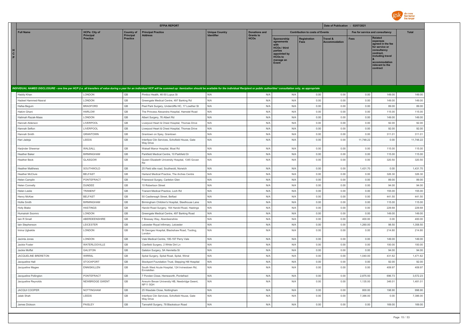

|             |                                       |                                     |                                     | <b>EFPIA REPORT</b>                                                                                                                                                                                                            |                       |                                 |                                                                                                                     |                                        | Date of Publication : 02/07/2021            |                                 |                                                                                                                                                                   |                  |
|-------------|---------------------------------------|-------------------------------------|-------------------------------------|--------------------------------------------------------------------------------------------------------------------------------------------------------------------------------------------------------------------------------|-----------------------|---------------------------------|---------------------------------------------------------------------------------------------------------------------|----------------------------------------|---------------------------------------------|---------------------------------|-------------------------------------------------------------------------------------------------------------------------------------------------------------------|------------------|
|             | <b>Full Name</b>                      | <b>HCPs: City of</b>                | <b>Country of</b>                   | <b>Principal Practice</b>                                                                                                                                                                                                      | <b>Unique Country</b> | <b>Donations and</b>            |                                                                                                                     | <b>Contribution to costs of Events</b> |                                             | Fee for service and consultancy |                                                                                                                                                                   | <b>Total</b>     |
| н<br>C<br>P |                                       | <b>Principal</b><br><b>Practice</b> | <b>Principal</b><br><b>Practice</b> | <b>Address</b>                                                                                                                                                                                                                 | <b>Identifier</b>     | <b>Grants to</b><br><b>HCOs</b> | Sponsorship<br>agreements<br><b>HCOs / third</b><br>parties<br>appointed by<br><b>HCOs to</b><br>manage an<br>Event | <b>Registration</b><br><b>Fees</b>     | <b>Travel &amp;</b><br><b>Accommodation</b> | <b>Fees</b>                     | <b>Related</b><br>expenses<br>agreed in the fee<br>for service or<br>consultancy<br>contract,<br>including travel<br>accommodation<br>relevant to the<br>contract |                  |
|             |                                       |                                     |                                     | INDIVIDUAL NAMED DISCLOSURE - one line per HCP (i.e. all transfers of value during a year for an individual HCP will be summed up: itemization should be available for the individual Recipient or public authorities' consult |                       |                                 |                                                                                                                     |                                        |                                             |                                 |                                                                                                                                                                   |                  |
|             | Haddy Khan                            | LONDON                              | GB                                  | Pimlico Health, 46-50 Lupus St                                                                                                                                                                                                 | N/A                   | N/A                             | N/A                                                                                                                 | 0.00                                   | 0.00                                        | 0.00                            | 149.00                                                                                                                                                            | 149.00           |
|             | Hadeel Hammed-Nasrat                  | LONDON                              | $\mathbb{G}\mathbb{B}$              | Greengate Medical Centre, 497 Barking Rd                                                                                                                                                                                       | N/A                   | N/A                             | N/A                                                                                                                 | 0.00                                   | 0.00                                        | 0.00                            | 149.00                                                                                                                                                            | 149.00           |
|             | Hafsa Begum                           | <b>BRADFORD</b>                     | GB                                  | Peel Park Surgery, Undercliffe HC, 17 Lowther St                                                                                                                                                                               | N/A                   | N/A                             | N/A                                                                                                                 | 0.00                                   | 0.00                                        | 0.00                            | 89.00                                                                                                                                                             | 89.00            |
|             | Hakim Ghani                           | <b>HARLOW</b>                       | GB                                  | The Princess Alexandra Hospital, Hamstel Road                                                                                                                                                                                  | N/A                   | N/A                             | N/A                                                                                                                 | 0.00                                   | 0.00                                        | 0.00                            | 115.00                                                                                                                                                            | 115.00           |
|             | Halimah Razak-Maas                    | LONDON                              | GB                                  | Albert Surgery, 76 Albert Rd                                                                                                                                                                                                   | N/A                   | N/A                             | N/A                                                                                                                 | 0.00                                   | 0.00                                        | 0.00                            | 149.00                                                                                                                                                            | 149.00           |
|             | Hannah Alderson                       | LIVERPOOL                           | $\mathbb{G}\mathbb{B}$              | Liverpool Heart & Chest Hospital, Thomas Drive                                                                                                                                                                                 | N/A                   | N/A                             | N/A                                                                                                                 | 0.00                                   | 0.00                                        | 0.00                            | 92.00                                                                                                                                                             | 92.00            |
|             | Hannah Sefton                         | LIVERPOOL                           | GB                                  | Liverpool Heart & Chest Hospital, Thomas Drive                                                                                                                                                                                 | N/A                   | N/A                             | N/A                                                                                                                 | 0.00                                   | 0.00                                        | 0.00                            | 92.00                                                                                                                                                             | 92.00            |
|             | Hannah Smith                          | <b>GRANTOWN</b>                     | $\mathbb{G}\mathbb{B}$              | Grantown on Spey, Grantown                                                                                                                                                                                                     | N/A                   | N/A                             | N/A                                                                                                                 | 0.00                                   | 0.00                                        | 0.00                            | 311.01                                                                                                                                                            | 311.01           |
|             | Hari Jadeja                           | LEEDS                               | $\mathbb{G}\mathbb{B}$              | Interface Clin Services, Schofield House, Gate<br>Way Drive                                                                                                                                                                    | N/A                   | N/A                             | N/A                                                                                                                 | 0.00                                   | 0.00                                        | 11,748.22                       | 0.00                                                                                                                                                              | 11,748.22        |
|             | Harjinder Sheemar                     | WALSALI                             | $\mathbb{G}\mathbb{B}$              | Walsall Manor Hospital, Moat Rd                                                                                                                                                                                                | N/A                   | N/A                             | N/A                                                                                                                 | 0.00                                   | 0.00                                        | 0.00                            | 115.00                                                                                                                                                            | 115.00           |
|             | <b>Heather Baker</b>                  | <b>BIRMINGHAM</b>                   | $\mathbb{G}\mathbb{B}$              | Parkfield Medical Centre, 10 Parkfield Dr                                                                                                                                                                                      | N/A                   | N/A                             | N/A                                                                                                                 | 0.00                                   | 0.00                                        | 0.00                            | 115.00                                                                                                                                                            | 115.00           |
|             | Heather Beck                          | GLASGOW                             | $\mathbb{G}\mathbb{B}$              | Queen Elizabeth University Hospital, 1345 Govan<br>Rd                                                                                                                                                                          | N/A                   | N/A                             | N/A                                                                                                                 | 0.00                                   | 0.00                                        | 0.00                            | 320.50                                                                                                                                                            | 320.50           |
|             | <b>Heather Matthews</b>               | SOUTHWOLD                           | $\mathbb{G}\mathbb{B}$              | 25 Field stile road, Southwold, Norwich                                                                                                                                                                                        | N/A                   | N/A                             | N/A                                                                                                                 | 0.00                                   | 0.00                                        | 1,431.70                        | 0.00                                                                                                                                                              | 1,431.70         |
|             | <b>Heather McClure</b>                | <b>BELFAST</b>                      | GB                                  | Harland Medical Practice, The Arches Centre                                                                                                                                                                                    | N/A                   | N/A                             | N/A                                                                                                                 | 0.00                                   | 0.00                                        | 0.00                            | 326.30                                                                                                                                                            | 326.30           |
|             | Helen Camplin                         | PONTEFRACT                          | GB                                  | Friarwood Surgey, Carleton Glen                                                                                                                                                                                                | N/A                   | N/A                             | N/A                                                                                                                 | 0.00                                   | 0.00                                        | 0.00                            | 89.00                                                                                                                                                             | 89.00            |
|             | <b>Helen Connelly</b>                 | <b>DUNDEE</b>                       | GB                                  | 10 Robertson Street                                                                                                                                                                                                            | N/A                   | N/A                             | N/A                                                                                                                 | 0.00                                   | 0.00                                        | 0.00                            | 94.00                                                                                                                                                             | 94.00            |
|             | <b>Helen Leslie</b>                   | TRANENT                             | GB                                  | Tranent Medical Practice, Loch Rd                                                                                                                                                                                              | N/A                   | N/A                             | N/A                                                                                                                 | 0.00                                   | 0.00                                        | 0.00                            | 155.00                                                                                                                                                            | 155.00           |
|             | Henry McKee                           | <b>BELFAST</b>                      | GB                                  | 50 Castlereagh Street, Belfast                                                                                                                                                                                                 | N/A                   | N/A                             | N/A                                                                                                                 | 0.00                                   | 0.00                                        | 0.00                            | 441.50                                                                                                                                                            | 441.50           |
|             | Hollie Smith                          | <b>BIRMINGHAM</b>                   | GB<br>GB                            | Birmingham Children's Hospital, Steelhouse Lane                                                                                                                                                                                | N/A                   | N/A                             | N/A                                                                                                                 | 0.00                                   | 0.00                                        | 0.00                            | 115.00                                                                                                                                                            | 115.00           |
|             | <b>Holly Blake</b><br>Humairah Soomro | <b>HASTINGS</b><br>LONDON           | $\mathbb{G}\mathbb{B}$              | Harold Road Surgery, 164 Harold Road, Hastings<br>Greengate Medical Centre, 497 Barking Road                                                                                                                                   | N/A<br>N/A            | N/A<br>N/A                      | N/A<br>N/A                                                                                                          | 0.00<br>0.00                           | 0.00<br>0.00                                | 0.00<br>0.00                    | 229.68<br>149.00                                                                                                                                                  | 229.68<br>149.00 |
|             | lain R Small                          | ABERDEENSHIRE                       | GB                                  | 7 Bressay Way, Aberdeenshire                                                                                                                                                                                                   | N/A                   | N/A                             | N/A                                                                                                                 | 0.00                                   | 0.00                                        | 400.00                          | 0.00                                                                                                                                                              | 400.00           |
|             | lain Stephenson                       | LEICESTER                           | $\mathbb{G}\mathbb{B}$              | Leicester Royal Infirmary, Leicester                                                                                                                                                                                           | N/A                   | N/A                             | N/A                                                                                                                 | 0.00                                   | 0.00                                        | 1,260.00                        | 98.50                                                                                                                                                             | 1,358.50         |
|             | Imina Ugbekile                        | LONDON                              | GB                                  | St Georges Hospital, Blackshaw Road, Tooting,<br>London                                                                                                                                                                        | N/A                   | N/A                             | N/A                                                                                                                 | 0.00                                   | 0.00                                        | 0.00                            | 214.80                                                                                                                                                            | 214.80           |
|             | Jacinta Jones                         | LONDON                              | $\mathbb{G}\mathbb{B}$              | Vale Medical Centre, 195-197 Perry Vale                                                                                                                                                                                        | N/A                   | N/A                             | N/A                                                                                                                 | 0.00                                   | 0.00                                        | 0.00                            | 149.00                                                                                                                                                            | 149.00           |
|             | Jackie Foster                         | WATERLOOVILLE                       | GB                                  | Clanfield Surgery, 2 White Dirt Ln                                                                                                                                                                                             | N/A                   | N/A                             | N/A                                                                                                                 | 0.00                                   | 0.00                                        | 0.00                            | 100.00                                                                                                                                                            | 100.00           |
|             | Jackie Moffat                         | GALSTON                             | GB                                  | Galston Surgery, 5A Henrietta St                                                                                                                                                                                               | N/A                   | N/A                             | N/A                                                                                                                 | 0.00                                   | 0.00                                        | 0.00                            | 94.00                                                                                                                                                             | 94.00            |
|             | <b>JACQUELINE BRERETON</b>            | <b>WIRRAL</b>                       | GB                                  | Spital Surgery, Spital Road, Spital, Wirral                                                                                                                                                                                    | N/A                   | N/A                             | N/A                                                                                                                 | 0.00                                   | 0.00                                        | 1,040.00                        | 431.62                                                                                                                                                            | 1,471.62         |
|             | Jacqueline Hall                       | <b>STOCKPORT</b>                    | GB                                  | Stockport Foundation Trust, Stepping Hill Hospital                                                                                                                                                                             | N/A                   | N/A                             | N/A                                                                                                                 | 0.00                                   | 0.00                                        | 0.00                            | 92.00                                                                                                                                                             | 92.00            |
|             | Jacqueline Magee                      | <b>ENNISKILLEN</b>                  | GB                                  | South West Acute Hospital, 124 Irvinestown Rd,<br>Enniskillen                                                                                                                                                                  | N/A                   | N/A                             | N/A                                                                                                                 | 0.00                                   | 0.00                                        | 0.00                            | 409.97                                                                                                                                                            | 409.97           |
|             | Jacqueline Pollington                 | PONTEFRACT                          | GB                                  | 7 Ponden Close, Hemsworth, Pontefract                                                                                                                                                                                          | N/A                   | N/A                             | N/A                                                                                                                 | 0.00                                   | 0.00                                        | 2,875.50                        | 696.73                                                                                                                                                            | 3,572.23         |
|             | Jacqueline Reynolds                   | <b>NEWBRIDGE GWENT</b>              | $\mathbb{G}\mathbb{B}$              | Aneurin Bevan University HB, Newbridge Gwent,<br>NP115GH                                                                                                                                                                       | N/A                   | N/A                             | N/A                                                                                                                 | 0.00                                   | 0.00                                        | 1,135.00                        | 346.01                                                                                                                                                            | 1,481.01         |
|             | <b>JACQUI COOPER</b>                  | NOTTINGHAM                          | GB                                  | 25 Wasdale Close, Nottingham                                                                                                                                                                                                   | N/A                   | N/A                             | N/A                                                                                                                 | 0.00                                   | 0.00                                        | 800.00                          | 198.90                                                                                                                                                            | 998.90           |
|             | Jalak Shah                            | LEEDS                               | GB                                  | Interface Clin Services, Schofield House, Gate<br>Way Drive                                                                                                                                                                    | N/A                   | N/A                             | N/A                                                                                                                 | 0.00                                   | 0.00                                        | 7,386.00                        | 0.00                                                                                                                                                              | 7,386.00         |
|             | James Dickson                         | PAISLEY                             | GB                                  | Tannahill Surgery, 78 Blackstoun Road                                                                                                                                                                                          | N/A                   | N/A                             | N/A                                                                                                                 | 0.00                                   | 0.00                                        | 0.00                            | 169.00                                                                                                                                                            | 169.00           |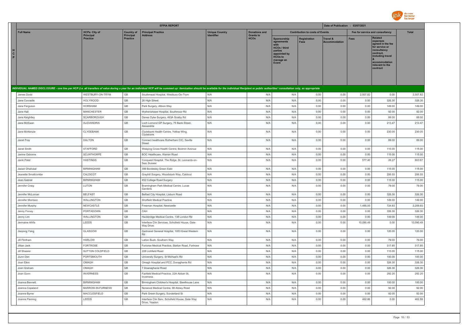

|                        |                     |                                     |                                       | <b>EFPIA REPORT</b>                                                                                                                                                                                                            |                         |                                          |                                                                                                                     |                                        | Date of Publication : 02/07/2021 |                                 |                                                                                                                                                                   |              |
|------------------------|---------------------|-------------------------------------|---------------------------------------|--------------------------------------------------------------------------------------------------------------------------------------------------------------------------------------------------------------------------------|-------------------------|------------------------------------------|---------------------------------------------------------------------------------------------------------------------|----------------------------------------|----------------------------------|---------------------------------|-------------------------------------------------------------------------------------------------------------------------------------------------------------------|--------------|
|                        | <b>Full Name</b>    | <b>HCPs: City of</b>                | <b>Country of</b><br><b>Principal</b> | <b>Principal Practice</b>                                                                                                                                                                                                      | <b>Unique Country</b>   | <b>Donations and</b><br><b>Grants to</b> |                                                                                                                     | <b>Contribution to costs of Events</b> |                                  | Fee for service and consultancy |                                                                                                                                                                   | <b>Total</b> |
| н<br>$\mathbf{C}$<br>P |                     | <b>Principal</b><br><b>Practice</b> | <b>Practice</b>                       | <b>Address</b>                                                                                                                                                                                                                 | <b>Identifier</b>       | <b>HCOs</b>                              | Sponsorship<br>agreements<br><b>HCOs / third</b><br>parties<br>appointed by<br><b>HCOs to</b><br>manage an<br>Event | <b>Registration</b><br><b>Fees</b>     | Travel &<br><b>Accommodation</b> | <b>Fees</b>                     | <b>Related</b><br>expenses<br>agreed in the fee<br>for service or<br>consultancy<br>contract,<br>including travel<br>accommodation<br>relevant to the<br>contract |              |
|                        |                     |                                     |                                       | INDIVIDUAL NAMED DISCLOSURE - one line per HCP (i.e. all transfers of value during a year for an individual HCP will be summed up: itemization should be available for the individual Recipient or public authorities' consult |                         |                                          |                                                                                                                     |                                        |                                  |                                 |                                                                                                                                                                   |              |
|                        | James Dodd          | WESTBURY-ON-TRYM                    | GB                                    | Southmead Hospital, Westbury-On-Trym                                                                                                                                                                                           | N/A                     | N/A                                      | N/A                                                                                                                 | 0.00                                   | 0.00                             | 2,507.82                        | 0.00                                                                                                                                                              | 2,507.82     |
|                        | Jane Conradie       | <b>HOLYWOOD</b>                     | GB                                    | 26 High Street                                                                                                                                                                                                                 | N/A                     | N/A                                      | N/A                                                                                                                 | 0.00                                   | 0.00                             | 0.00                            | 326.30                                                                                                                                                            | 326.30       |
|                        | Jane Ferguson       | <b>HORSHAM</b>                      | GB                                    | Park Surgery, Albion Way                                                                                                                                                                                                       | N/A                     | N/A                                      | N/A                                                                                                                 | 0.00                                   | 0.00                             | 0.00                            | 149.00                                                                                                                                                            | 149.00       |
|                        | Jane Hall           | <b>MANCHESTER</b>                   | $\mathbb{G}\mathbb{B}$                | Wythenshawe Hospital, Southmoor Rd                                                                                                                                                                                             | N/A                     | N/A                                      | N/A                                                                                                                 | 0.00                                   | 0.00                             | 0.00                            | 92.00                                                                                                                                                             | 92.00        |
|                        | Jane Keightley      | SCARBOROUGH                         | GB                                    | Danes Dyke Surgery, 463A Scalby Rd                                                                                                                                                                                             | N/A                     | N/A                                      | N/A                                                                                                                 | 0.00                                   | 0.00                             | 0.00                            | 89.00                                                                                                                                                             | 89.00        |
|                        | Jane McEwan         | ALEXANDRIA                          | $\mathbb{G}\mathbb{B}$                | Loch Lomond GP Surgery, 75 Bank Street,<br>Alexandria                                                                                                                                                                          | N/A                     | N/A                                      | N/A                                                                                                                 | 0.00                                   | 0.00                             | 0.00                            | 213.47                                                                                                                                                            | 213.47       |
|                        | Jane McKenzie       | CLYDEBANK                           | GB                                    | Clydebank Health Centre, Yellow Wing,<br>Clydebank                                                                                                                                                                             | N/A                     | N/A                                      | N/A                                                                                                                 | 0.00                                   | 0.00                             | 0.00                            | 230.05                                                                                                                                                            | 230.05       |
|                        | Janet Fray          | DALTON                              | $\mathbb{G}\mathbb{B}$                | Connect healthcare Rotherham CIC, Saville<br>Street                                                                                                                                                                            | N/A                     | N/A                                      | N/A                                                                                                                 | 0.00                                   | 0.00                             | 0.00                            | 89.00                                                                                                                                                             | 89.00        |
|                        | Janet Smith         | <b>STAFFORD</b>                     | $\mathbb{G}\mathbb{B}$                | Weeping Cross Health Centre, Bodmin Avenue                                                                                                                                                                                     | N/A                     | N/A                                      | N/A                                                                                                                 | 0.00                                   | 0.00                             | 0.00                            | 115.00                                                                                                                                                            | 115.00       |
|                        | Janine Osborne      | SCUNTHORPE                          | $\mathbb{G}\mathbb{B}$                | BOC Healthcare, Warren Road                                                                                                                                                                                                    | N/A                     | N/A                                      | N/A                                                                                                                 | 0.00                                   | 0.00                             | 0.00                            | 115.00                                                                                                                                                            | 115.00       |
|                        | Janki Patel         | <b>HASTINGS</b>                     | $\mathbb{G}\mathbb{B}$                | Conquest Hospital, The Ridge, St. Leonards-on-<br>Sea. Sussex                                                                                                                                                                  | N/A                     | N/A                                      | N/A                                                                                                                 | 0.00                                   | 0.00                             | 577.40                          | 26.27                                                                                                                                                             | 603.67       |
|                        | Jaswir Dhalivaal    | <b>BIRMINGHAM</b>                   | $\mathbb{G}\mathbb{B}$                | 399 Bordesley Green East                                                                                                                                                                                                       | N/A                     | N/A                                      | N/A                                                                                                                 | 0.00                                   | 0.00                             | 0.00                            | 115.00                                                                                                                                                            | 115.00       |
|                        | Jeanette Smallcombe | CALDICOT                            | $\mathbb{G}\mathbb{B}$                | Grayhill Surgery, Woodstock Way, Caldicot                                                                                                                                                                                      | N/A                     | N/A                                      | N/A                                                                                                                 | 0.00                                   | 0.00                             | 0.00                            | 206.55                                                                                                                                                            | 206.55       |
|                        | Jean Gabriel        | <b>BIRMINGHAM</b>                   | $\mathbb{G}\mathbb{B}$                | 452 College Road Surgery                                                                                                                                                                                                       | N/A                     | N/A                                      | N/A                                                                                                                 | 0.00                                   | 0.00                             | 0.00                            | 115.00                                                                                                                                                            | 115.00       |
|                        | Jennifer Craig      | LUTON                               | $\mathbb{G}\mathbb{B}$                | Bramingham Park Medical Centre, Lucas<br>Gardens                                                                                                                                                                               | N/A                     | N/A                                      | N/A                                                                                                                 | 0.00                                   | 0.00                             | 0.00                            | 79.00                                                                                                                                                             | 79.00        |
|                        | Jennifer McLornan   | <b>BELFAST</b>                      | $\mathbb{G}\mathbb{B}$                | Belfast City Hospital, Lisburn Road                                                                                                                                                                                            | $\mathsf{N}/\mathsf{A}$ | N/A                                      | N/A                                                                                                                 | 0.00                                   | 0.00                             | 0.00                            | 326.30                                                                                                                                                            | 326.30       |
|                        | Jennifer Morrison   | WALLINGTON                          | $\mathbb{G}\mathbb{B}$                | Shotfield Medical Practice                                                                                                                                                                                                     | N/A                     | N/A                                      | N/A                                                                                                                 | 0.00                                   | 0.00                             | 0.00                            | 149.00                                                                                                                                                            | 149.00       |
|                        | Jennifer Murphy     | NEWCASTLE                           | $\mathbb{G}\mathbb{B}$                | Freeman Hospital, Newcastle                                                                                                                                                                                                    | N/A                     | N/A                                      | N/A                                                                                                                 | 0.00                                   | 0.00                             | 1,485.00                        | 724.93                                                                                                                                                            | 2,209.93     |
|                        | Jenny Finney        | PORTADOWN                           | GB                                    | CAH                                                                                                                                                                                                                            | N/A                     | N/A                                      | N/A                                                                                                                 | 0.00                                   | 0.00                             | 0.00                            | 326.30                                                                                                                                                            | 326.30       |
|                        | Jenny Lim           | WALLINGTON                          | GB                                    | Hackbridge Medical Centre, 138 London Rd                                                                                                                                                                                       | N/A                     | N/A                                      | N/A                                                                                                                 | 0.00                                   | 0.00                             | 0.00                            | 149.00                                                                                                                                                            | 149.00       |
|                        | Jermaine Afrifa     | LEEDS                               | GB                                    | Interface Clin Services, Schofield House, Gate<br>Way Drive                                                                                                                                                                    | N/A                     | N/A                                      | N/A                                                                                                                 | 0.00                                   | 0.00                             | 10,090.49                       | 0.00                                                                                                                                                              | 10,090.49    |
|                        | Jieqiong Yang       | GLASGOW                             | GB                                    | Gartnavel General Hospital, 1053 Great Western<br>Rd                                                                                                                                                                           | N/A                     | N/A                                      | N/A                                                                                                                 | 0.00                                   | 0.00                             | 0.00                            | 120.00                                                                                                                                                            | 120.00       |
|                        | Jill Flintham       | <b>HARLOW</b>                       | $\mathbb{G}\mathbb{B}$                | Latton Bush, Southern Way                                                                                                                                                                                                      | N/A                     | N/A                                      | N/A                                                                                                                 | 0.00                                   | 0.00                             | 0.00                            | 79.00                                                                                                                                                             | 79.00        |
|                        | Jillian Jack        | <b>FORTROSE</b>                     | $\mathbb{G}\mathbb{B}$                | Fortorse Medical Practice, Station Road, Fortrose                                                                                                                                                                              | N/A                     | N/A                                      | N/A                                                                                                                 | 0.00                                   | 0.00                             | 0.00                            | 317.85                                                                                                                                                            | 317.85       |
|                        | Jill Shearer        | SUTTON COLDFIELD                    | $\mathbb{G}\mathbb{B}$                | 228 Lichfield Road                                                                                                                                                                                                             | N/A                     | N/A                                      | N/A                                                                                                                 | 0.00                                   | 0.00                             | 0.00                            | 115.00                                                                                                                                                            | 115.00       |
|                        | Jiunn Den           | PORTSMOUTH                          | GB                                    | University Surgery, St Michael's Rd                                                                                                                                                                                            | N/A                     | N/A                                      | N/A                                                                                                                 | 0.00                                   | 0.00                             | 0.00                            | 100.00                                                                                                                                                            | 100.00       |
|                        | Joan Elkin          | OMAGH                               | GB                                    | Omagh Hospital and PCC, Donaghanie Rd                                                                                                                                                                                          | N/A                     | N/A                                      | N/A                                                                                                                 | 0.00                                   | 0.00                             | 0.00                            | 326.30                                                                                                                                                            | 326.30       |
|                        | Joan Graham         | OMAGH                               | GB                                    | 7 Doanaghanie Road                                                                                                                                                                                                             | N/A                     | N/A                                      | N/A                                                                                                                 | 0.00                                   | 0.00                             | 0.00                            | 326.30                                                                                                                                                            | 326.30       |
|                        | Joan Gunn           | <b>INVERNESS</b>                    | GB                                    | Fairfield Medical Practice, 22A Abban St,<br>Inverness                                                                                                                                                                         | N/A                     | N/A                                      | N/A                                                                                                                 | 0.00                                   | 0.00                             | 0.00                            | 292.25                                                                                                                                                            | 292.25       |
|                        | Joanna Bennett      | <b>BIRMINGHAM</b>                   | GB                                    | Birmingham Children's Hospital, Steelhouse Lane                                                                                                                                                                                | N/A                     | N/A                                      | N/A                                                                                                                 | 0.00                                   | 0.00                             | 0.00                            | 100.00                                                                                                                                                            | 100.00       |
|                        | Joanna Copeland     | BARROW-IN-FURNESS                   | GB                                    | Norwood Medical Centre, 99 Abbey Road                                                                                                                                                                                          | N/A                     | N/A                                      | N/A                                                                                                                 | 0.00                                   | 0.00                             | 0.00                            | 92.00                                                                                                                                                             | 92.00        |
|                        | Joanne Byrne        | MACCLESFIELD                        | GB<br>GB                              | Park Green Surgery, Sunderland St                                                                                                                                                                                              | N/A                     | N/A                                      | N/A                                                                                                                 | 0.00                                   | 0.00                             | 0.00                            | 92.00                                                                                                                                                             | 92.00        |
|                        | Joanne Fleming      | LEEDS                               |                                       | Interface Clin Serv, Schofield House, Gate Way<br>Drive, Yeadon                                                                                                                                                                | N/A                     | N/A                                      | N/A                                                                                                                 | 0.00                                   | 0.00                             | 462.88                          | 0.00                                                                                                                                                              | 462.88       |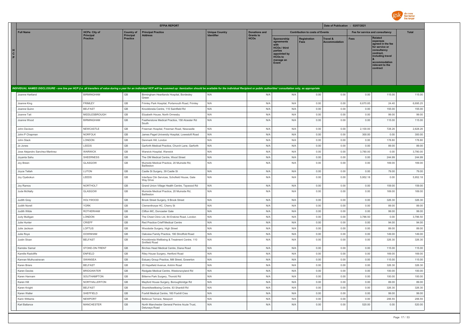

|                                                                                                                                                                                                                                |                                     |                              | <b>EFPIA REPORT</b>                                                |                       |                                 |                                                                                                                     |                                        | Date of Publication : 02/07/2021 |                                 |                                                                                                                                                                   |              |
|--------------------------------------------------------------------------------------------------------------------------------------------------------------------------------------------------------------------------------|-------------------------------------|------------------------------|--------------------------------------------------------------------|-----------------------|---------------------------------|---------------------------------------------------------------------------------------------------------------------|----------------------------------------|----------------------------------|---------------------------------|-------------------------------------------------------------------------------------------------------------------------------------------------------------------|--------------|
| <b>Full Name</b>                                                                                                                                                                                                               | <b>HCPs: City of</b>                | <b>Country of</b>            | <b>Principal Practice</b>                                          | <b>Unique Country</b> | <b>Donations and</b>            |                                                                                                                     | <b>Contribution to costs of Events</b> |                                  | Fee for service and consultancy |                                                                                                                                                                   | <b>Total</b> |
| н<br>$\mathbf{c}$<br>P                                                                                                                                                                                                         | <b>Principal</b><br><b>Practice</b> | Principal<br><b>Practice</b> | Address                                                            | Identifier            | <b>Grants to</b><br><b>HCOs</b> | Sponsorship<br>agreements<br><b>HCOs / third</b><br>parties<br>appointed by<br><b>HCOs to</b><br>manage an<br>Event | Registration<br>Fees                   | Travel &<br><b>Accommodation</b> | Fees                            | <b>Related</b><br>expenses<br>agreed in the fee<br>for service or<br>consultancy<br>contract.<br>including travel<br>accommodation<br>relevant to the<br>contract |              |
| INDIVIDUAL NAMED DISCLOSURE - one line per HCP (i.e. all transfers of value during a year for an individual HCP will be summed up: itemization should be available for the individual Recipient or public authorities' consult |                                     |                              |                                                                    |                       |                                 |                                                                                                                     |                                        |                                  |                                 |                                                                                                                                                                   |              |
| Joanne Hartland                                                                                                                                                                                                                | <b>BIRMINGHAM</b>                   | <b>GB</b>                    | Birmingham Heartlands Hospital, Bordesley<br>Green                 | N/A                   | N/A                             | N/A                                                                                                                 | 0.00                                   | 0.00                             | 0.00                            | 115.00                                                                                                                                                            | 115.00       |
| Joanne King                                                                                                                                                                                                                    | <b>FRIMLEY</b>                      | GB                           | Frimley Park Hospital, Portsmouth Road, Frimley                    | N/A                   | N/A                             | N/A                                                                                                                 | 0.00                                   | 0.00                             | 6,670.85                        | 24.40                                                                                                                                                             | 6,695.25     |
| Joanne Quinr                                                                                                                                                                                                                   | <b>BELFAST</b>                      | GB                           | Knockbreda Centre, 110 Saintfield Rd                               | N/A                   | N/A                             | N/A                                                                                                                 | 0.00                                   | 0.00                             | 0.00                            | 155.00                                                                                                                                                            | 155.00       |
| Joanne Tait                                                                                                                                                                                                                    | MIDDLESBROUGH                       | GB                           | Elizabeth House, North Ormesby                                     | N/A                   | N/A                             | N/A                                                                                                                 | 0.00                                   | 0.00                             | 0.00                            | 99.00                                                                                                                                                             | 99.00        |
| Joanne Wood                                                                                                                                                                                                                    | <b>BIRMINGHAM</b>                   | GB                           | Featherstone Medical Practice, 158 Alcester Rd<br>South            | N/A                   | N/A                             | N/A                                                                                                                 | 0.00                                   | 0.00                             | 0.00                            | 115.00                                                                                                                                                            | 115.00       |
| John Davison                                                                                                                                                                                                                   | NEWCASTLE                           | GB                           | Freeman Hospital, Freeman Road, Newcastle                          | N/A                   | N/A                             | N/A                                                                                                                 | 0.00                                   | 0.00                             | 2,100.00                        | 728.26                                                                                                                                                            | 2,828.26     |
| John P Chapman                                                                                                                                                                                                                 | <b>NORFOLK</b>                      | GB                           | James Paget University Hospital, Lowestoft Road                    | N/A                   | N/A                             | N/A                                                                                                                 | 0.00                                   | 0.00                             | 300.00                          | 0.00                                                                                                                                                              | 300.00       |
| John Stack                                                                                                                                                                                                                     | LONDON                              | GB                           | Denmark Hill, London                                               | N/A                   | N/A                             | N/A                                                                                                                 | 0.00                                   | 0.00                             | 0.00                            | 178.80                                                                                                                                                            | 178.80       |
| Jo Jones                                                                                                                                                                                                                       | LEEDS                               | GB                           | Garforth Medical Practice, Church Lane, Garforth                   | N/A                   | N/A                             | N/A                                                                                                                 | 0.00                                   | 0.00                             | 0.00                            | 89.00                                                                                                                                                             | 89.00        |
| Jose Alejandro Sanchez-Martinez                                                                                                                                                                                                | WARWICK                             | GB                           | Warwick Hospital, Warwick                                          | N/A                   | N/A                             | N/A                                                                                                                 | 0.00                                   | 0.00                             | 3,780.00                        | 0.00                                                                                                                                                              | 3,780.00     |
| Joyanta Sahu                                                                                                                                                                                                                   | <b>SHEERNESS</b>                    | GB                           | The OM Medical Centre, Wood Street                                 | N/A                   | N/A                             | N/A                                                                                                                 | 0.00                                   | 0.00                             | 0.00                            | 244.99                                                                                                                                                            | 244.99       |
| Joy Breen                                                                                                                                                                                                                      | GLASGOW                             | GB                           | Muirside Medical Practice, 20 Muirside Rd,<br>Baillieston          | N/A                   | N/A                             | N/A                                                                                                                 | 0.00                                   | 0.00                             | 0.00                            | 169.00                                                                                                                                                            | 169.00       |
| Joyce Tetteh                                                                                                                                                                                                                   | LUTON                               | GB                           | Castle St Surgery, 39 Castle St                                    | N/A                   | N/A                             | N/A                                                                                                                 | 0.00                                   | 0.00                             | 0.00                            | 79.00                                                                                                                                                             | 79.00        |
| Joy Oyebokun                                                                                                                                                                                                                   | LEEDS                               | GB                           | Interface Clin Services, Schofield House, Gate<br><b>Wav Drive</b> | N/A                   | N/A                             | N/A                                                                                                                 | 0.00                                   | 0.00                             | 5,952.18                        | 0.00                                                                                                                                                              | 5,952.18     |
| Joy Ramos                                                                                                                                                                                                                      | NORTHOLT                            | GB                           | Grand Union Village Health Centre, Taywood Rd                      | N/A                   | N/A                             | N/A                                                                                                                 | 0.00                                   | 0.00                             | 0.00                            | 159.00                                                                                                                                                            | 159.00       |
| Jude McNally                                                                                                                                                                                                                   | GLASGOW                             | GB                           | Muirside Medical Practice, 20 Muirside Rd,<br>Baillieston          | N/A                   | N/A                             | N/A                                                                                                                 | 0.00                                   | 0.00                             | 0.00                            | 169.00                                                                                                                                                            | 169.00       |
| Judith Gray                                                                                                                                                                                                                    | <b>HOLYWOOD</b>                     | GB                           | Brook Street Surgery, 9 Brook Street                               | N/A                   | N/A                             | N/A                                                                                                                 | 0.00                                   | 0.00                             | 0.00                            | 326.30                                                                                                                                                            | 326.30       |
| Judith Norell                                                                                                                                                                                                                  | <b>YORK</b>                         | $\mathbb{G}\mathbb{B}$       | Clementhorpe HC, Cherry St                                         | N/A                   | N/A                             | N/A                                                                                                                 | 0.00                                   | 0.00                             | 0.00                            | 89.00                                                                                                                                                             | 89.00        |
| Judith Wilde                                                                                                                                                                                                                   | <b>ROTHERHAM</b>                    | GB                           | Clifton MC, Doncaster Gate                                         | N/A                   | N/A                             | N/A                                                                                                                 | 0.00                                   | 0.00                             | 0.00                            | 99.00                                                                                                                                                             | 99.00        |
| <b>Judy Mulligan</b>                                                                                                                                                                                                           | LONDON                              | GB                           | The Chest Clinic Ltd, 84 Erskine Road, London                      | N/A                   | N/A                             | N/A                                                                                                                 | 0.00                                   | 0.00                             | 3,786.50                        | 0.00                                                                                                                                                              | 3,786.50     |
| Julie Hunter                                                                                                                                                                                                                   | CRIEFF                              | GB                           | Red Practice Crieff Medical Centre                                 | N/A                   | N/A                             | N/A                                                                                                                 | 0.00                                   | 0.00                             | 0.00                            | 94.00                                                                                                                                                             | 94.00        |
| Julie Jackson                                                                                                                                                                                                                  | LOFTUS                              | GB                           | Woodside Surgery, High Street                                      | N/A                   | N/A                             | N/A                                                                                                                 | 0.00                                   | 0.00                             | 0.00                            | 89.00                                                                                                                                                             | 89.00        |
| Julie Roye                                                                                                                                                                                                                     | <b>DOWNHAM</b>                      | $\mathbb{G}\mathbb{B}$       | Oakview Family Practice, 190 Shroffold Road                        | N/A                   | N/A                             | N/A                                                                                                                 | 0.00                                   | 0.00                             | 0.00                            | 149.00                                                                                                                                                            | 149.00       |
| Justin Sloan                                                                                                                                                                                                                   | <b>BELFAST</b>                      | GB                           | Knockbreda Wellbeing & Treatment Centre, 110<br>Sintfield Road     | N/A                   | N/A                             | N/A                                                                                                                 | 0.00                                   | 0.00                             | 0.00                            | 326.30                                                                                                                                                            | 326.30       |
| Kamdey Samal                                                                                                                                                                                                                   | STOKE-ON-TRENT                      | GB                           | Birches Head Medical Centre, Diana Road                            | N/A                   | N/A                             | N/A                                                                                                                 | 0.00                                   | 0.00                             | 0.00                            | 115.00                                                                                                                                                            | 115.00       |
| Kamille Radcliffe                                                                                                                                                                                                              | <b>ENFIELD</b>                      | GB                           | Riley House Surgery, Hertford Road                                 | N/A                   | N/A                             | N/A                                                                                                                 | 0.00                                   | 0.00                             | 0.00                            | 169.00                                                                                                                                                            | 169.00       |
| Kannan Muthuvairavan                                                                                                                                                                                                           | SWANSEA                             | $\mathbb{G}\mathbb{B}$       | Estuary Group Practice, Mill Street, Gowerton                      | N/A                   | N/A                             | N/A                                                                                                                 | 0.00                                   | 0.00                             | 0.00                            | 115.00                                                                                                                                                            | 115.00       |
| Karen Briers                                                                                                                                                                                                                   | <b>BELFAST</b>                      | GB                           | 20 Hopefield Avenue, Antrim Road                                   | N/A                   | N/A                             | N/A                                                                                                                 | 0.00                                   | 0.00                             | 0.00                            | 326.30                                                                                                                                                            | 326.30       |
| <b>Karen Davies</b>                                                                                                                                                                                                            | <b>BRIDGWATER</b>                   | GB                           | Redgate Medical Centre, Westonzoyland Rd                           | N/A                   | N/A                             | N/A                                                                                                                 | 0.00                                   | 0.00                             | 0.00                            | 100.00                                                                                                                                                            | 100.00       |
| Karen Hannam                                                                                                                                                                                                                   | SOUTHAMPTON                         | GB                           | Bitterne Park Surgery, Thorold Rd                                  | N/A                   | N/A                             | N/A                                                                                                                 | 0.00                                   | 0.00                             | 0.00                            | 100.00                                                                                                                                                            | 100.00       |
| Karen Hill                                                                                                                                                                                                                     | <b>NORTHALLERTON</b>                | GB                           | Mayford House Surgery, Boroughbridge Rd                            | N/A                   | N/A                             | N/A                                                                                                                 | 0.00                                   | 0.00                             | 0.00                            | 89.00                                                                                                                                                             | 89.00        |
| Karen Knight                                                                                                                                                                                                                   | <b>BELFAST</b>                      | GB                           | Shankillwellbeing Centre, 83 Shankill Rd                           | N/A                   | N/A                             | N/A                                                                                                                 | 0.00                                   | 0.00                             | 0.00                            | 326.30                                                                                                                                                            | 326.30       |
| Karen Waller                                                                                                                                                                                                                   | SHEFFIELD                           | GB                           | Foxhill Medical Centre, 160 Foxhill Cres                           | N/A                   | N/A                             | N/A                                                                                                                 | 0.00                                   | 0.00                             | 0.00                            | 99.00                                                                                                                                                             | 99.00        |
| Karin Williams<br>Karl Ballance                                                                                                                                                                                                | NEWPORT<br><b>MANCHESTER</b>        | $\mathbb{G}\mathbb{B}$<br>GB | Bellevue Terrace, Newport                                          | N/A<br>N/A            | N/A<br>N/A                      | N/A<br>N/A                                                                                                          | 0.00                                   | 0.00                             | 0.00<br>520.00                  | 206.55                                                                                                                                                            | 206.55       |
|                                                                                                                                                                                                                                |                                     |                              | North Manchester General Penine Acute Trust,<br>Delunays Road      |                       |                                 |                                                                                                                     | 0.00                                   | 0.00                             |                                 | 0.00                                                                                                                                                              | 520.00       |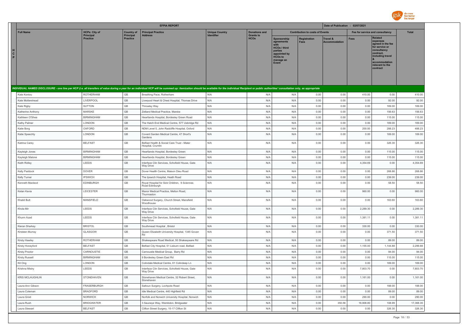

|             |                           |                       |                              | <b>EFPIA REPORT</b>                                                                                                                                                                                                            |                       |                                 |                                                                                                                                 |                                        | Date of Publication : 02/07/2021            |                  |                                                                                                                                                                   |                    |
|-------------|---------------------------|-----------------------|------------------------------|--------------------------------------------------------------------------------------------------------------------------------------------------------------------------------------------------------------------------------|-----------------------|---------------------------------|---------------------------------------------------------------------------------------------------------------------------------|----------------------------------------|---------------------------------------------|------------------|-------------------------------------------------------------------------------------------------------------------------------------------------------------------|--------------------|
|             | <b>Full Name</b>          | <b>HCPs: City of</b>  | <b>Country of</b>            | <b>Principal Practice</b>                                                                                                                                                                                                      | <b>Unique Country</b> | <b>Donations and</b>            |                                                                                                                                 | <b>Contribution to costs of Events</b> |                                             |                  | Fee for service and consultancy                                                                                                                                   | <b>Total</b>       |
| H<br>C<br>P |                           | Principal<br>Practice | Principal<br><b>Practice</b> | Address                                                                                                                                                                                                                        | <b>Identifier</b>     | <b>Grants to</b><br><b>HCOs</b> | <b>Sponsorship</b><br>agreements<br><b>HCOs / third</b><br>parties<br>appointed by<br>HCO <sub>s</sub> to<br>manage an<br>Event | Registration<br><b>Fees</b>            | <b>Travel &amp;</b><br><b>Accommodation</b> | <b>Fees</b>      | <b>Related</b><br>expenses<br>agreed in the fee<br>for service or<br>consultancy<br>contract.<br>including travel<br>accommodation<br>relevant to the<br>contract |                    |
|             |                           |                       |                              | INDIVIDUAL NAMED DISCLOSURE - one line per HCP (i.e. all transfers of value during a year for an individual HCP will be summed up: itemization should be available for the individual Recipient or public authorities' consult |                       |                                 |                                                                                                                                 |                                        |                                             |                  |                                                                                                                                                                   |                    |
|             | Kate Kontou               | <b>ROTHERHAM</b>      | GB                           | Breathing Pace, Rotherham                                                                                                                                                                                                      | N/A                   | N/A                             | N/A                                                                                                                             | 0.00                                   | 0.00                                        | 410.00           | 0.00                                                                                                                                                              | 410.00             |
|             | Kate Mottershead          | LIVERPOOL             | GB                           | Liverpool Heart & Chest Hospital, Thomas Drive                                                                                                                                                                                 | N/A                   | N/A                             | N/A                                                                                                                             | 0.00                                   | 0.00                                        | 0.00             | 92.00                                                                                                                                                             | 92.00              |
|             | Kate Rigby                | <b>SUTTON</b>         | $\mathbb{G}\mathbb{B}$       | Throwley Way                                                                                                                                                                                                                   | N/A                   | N/A                             | N/A                                                                                                                             | 0.00                                   | 0.00                                        | 0.00             | 169.00                                                                                                                                                            | 169.00             |
|             | Katherine Anthony         | <b>MARSKE</b>         | $\mathbb{G}\mathbb{B}$       | Zetland Medical Practice, Marske                                                                                                                                                                                               | N/A                   | N/A                             | N/A                                                                                                                             | 0.00                                   | 0.00                                        | 0.00             | 156.63                                                                                                                                                            | 156.63             |
|             | Kathleen O'Shea           | <b>BIRMINGHAM</b>     | GB                           | Heartlands Hospital, Bordesley Green Road                                                                                                                                                                                      | N/A                   | N/A                             | N/A                                                                                                                             | 0.00                                   | 0.00                                        | 0.00             | 115.00                                                                                                                                                            | 115.00             |
|             | Kathy Palmer              | LONDON                | GB                           | The Hatch End Medical Centre, 577 Uxbridge Rd                                                                                                                                                                                  | N/A                   | N/A                             | N/A                                                                                                                             | 0.00                                   | 0.00                                        | 0.00             | 169.00                                                                                                                                                            | 169.00             |
|             | Katie Borg                | OXFORD                | GB                           | NDM Level 5, John Radcliffe Hospital, Oxford                                                                                                                                                                                   | N/A                   | N/A                             | N/A                                                                                                                             | 0.00                                   | 0.00                                        | 200.00           | 288.23                                                                                                                                                            | 488.23             |
|             | Katie Speechly            | LONDON                | $\mathbb{G}\mathbb{B}$       | Covent Garden Medical Centre, 47 Short's<br>Gardens                                                                                                                                                                            | N/A                   | N/A                             | N/A                                                                                                                             | 0.00                                   | 0.00                                        | 0.00             | 169.00                                                                                                                                                            | 169.00             |
|             | Katrina Carey             | <b>BELFAST</b>        | $\mathbb{G}\mathbb{B}$       | Belfast Health & Social Care Trust - Mater<br>Hospital, Crumlin                                                                                                                                                                | N/A                   | N/A                             | N/A                                                                                                                             | 0.00                                   | 0.00                                        | 0.00             | 326.30                                                                                                                                                            | 326.30             |
|             | Kayleigh Jones            | <b>BIRMINGHAM</b>     | $\mathbb{G}\mathbb{B}$       | Heartlands Hospital, Bordesley Green                                                                                                                                                                                           | N/A                   | N/A                             | N/A                                                                                                                             | 0.00                                   | 0.00                                        | 0.00             | 115.00                                                                                                                                                            | 115.00             |
|             | Kayleigh Malone           | <b>BIRMINGHAM</b>     | GB                           | Heartlands Hospital, Bordesley Green                                                                                                                                                                                           | N/A                   | N/A                             | N/A                                                                                                                             | 0.00                                   | 0.00                                        | 0.00             | 115.00                                                                                                                                                            | 115.00             |
|             | Keith Ridley              | LEEDS                 | GB                           | Interface Clin Services, Schofield House, Gate<br>Way Drive                                                                                                                                                                    | N/A                   | N/A                             | N/A                                                                                                                             | 0.00                                   | 0.00                                        | 4,354.69         | 0.00                                                                                                                                                              | 4,354.69           |
|             | Kelly Paddock             | <b>DOVER</b>          | GB                           | Dover Health Centre, Maison Dieu Road                                                                                                                                                                                          | N/A                   | N/A                             | N/A                                                                                                                             | 0.00                                   | 0.00                                        | 0.00             | 268.86                                                                                                                                                            | 268.86             |
|             | Kelly Turner              | <b>IPSWICH</b>        | GB                           | The Ipswich Hospital, Heath Road                                                                                                                                                                                               | N/A                   | N/A                             | N/A                                                                                                                             | 0.00                                   | 0.00                                        | 0.00             | 239.00                                                                                                                                                            | 239.00             |
|             | Kenneth Macleod           | EDINBURGH             | GB                           | Royal Hospital for Sick Children, 9 Sciennes<br>Road Edinburgh                                                                                                                                                                 | N/A                   | N/A                             | N/A                                                                                                                             | 0.00                                   | 0.00                                        | 0.00             | 58.50                                                                                                                                                             | 58.50              |
|             | Ketan Kavia               | LEICESTER             | $\mathbb{G}\mathbb{B}$       | Manor Medical Practice, Melton Road,<br>Thurmaston                                                                                                                                                                             | N/A                   | N/A                             | N/A                                                                                                                             | 0.00                                   | 0.00                                        | 960.00           | 0.00                                                                                                                                                              | 960.00             |
|             | Khalid Butt               | MANSFIELD             | $\mathbb{G}\mathbb{B}$       | Oakwood Surgery, Church Street, Mansfield<br>Woodhouse                                                                                                                                                                         | N/A                   | N/A                             | N/A                                                                                                                             | 0.00                                   | 0.00                                        | 0.00             | 163.60                                                                                                                                                            | 163.60             |
|             | Khola Mir                 | LEEDS                 | $\mathbb{G}\mathbb{B}$       | Interface Clin Services, Schofield House, Gate<br>Way Drive                                                                                                                                                                    | N/A                   | N/A                             | N/A                                                                                                                             | 0.00                                   | 0.00                                        | 2,289.30         | 0.00                                                                                                                                                              | 2,289.30           |
|             | Khurm Azad                | LEEDS                 | $\mathbb{G}\mathbb{B}$       | Interface Clin Services, Schofield House, Gate<br>Way Drive                                                                                                                                                                    | N/A                   | N/A                             | N/A                                                                                                                             | 0.00                                   | 0.00                                        | 1,381.11         | 0.00                                                                                                                                                              | 1,381.11           |
|             | Kieran Sharkey            | <b>BRISTOL</b>        | $\mathbb{G}\mathbb{B}$<br>GB | Southmead Hospital, Bristol                                                                                                                                                                                                    | N/A                   | N/A                             | N/A                                                                                                                             | 0.00                                   | 0.00                                        | 330.00           | 0.00                                                                                                                                                              | 330.00             |
|             | Kirsteen Murray           | GLASGOW               |                              | Queen Elizabeth University Hospital, 1345 Govan<br>Rd                                                                                                                                                                          | N/A                   | N/A                             | N/A                                                                                                                             | 0.00                                   | 0.00                                        | 0.00             | 371.50                                                                                                                                                            | 371.50             |
|             | Kirsty Hawley             | <b>ROTHERHAM</b>      | GB                           | Shakespeare Road Medical, 50 Shakespeare Rd                                                                                                                                                                                    | N/A                   | N/A                             | N/A                                                                                                                             | 0.00                                   | 0.00                                        | 0.00             | 89.00                                                                                                                                                             | 89.00              |
|             | Kirsty Honeyford          | <b>BELFAST</b>        | GB                           | Belfast City Hospital, 51 Lisburn road, Belfast                                                                                                                                                                                | N/A                   | N/A                             | N/A                                                                                                                             | 0.00                                   | 0.00                                        | 1,155.00         | 1,144.88                                                                                                                                                          | 2,299.88           |
|             | <b>Kirsty Proctor</b>     | CARNOUSTIE            | GB                           | Carnoustie Medical Group, Barry Rd                                                                                                                                                                                             | N/A<br>N/A            | N/A                             | N/A                                                                                                                             | 0.00                                   | 0.00                                        | 0.00             | 94.00                                                                                                                                                             | 94.00              |
|             | <b>Kirsty Russell</b>     | <b>BIRMINGHAM</b>     | $\mathbb{G}\mathbb{B}$<br>GB | 9 Bordesley Green East Rd                                                                                                                                                                                                      | N/A                   | N/A<br>N/A                      | N/A<br>N/A                                                                                                                      | 0.00<br>0.00                           | 0.00<br>0.00                                | 0.00             | 115.00<br>169.00                                                                                                                                                  | 115.00             |
|             | Kit Ong<br>Krishna Mistry | LONDON<br>LEEDS       | GB                           | Colindale Medical Centre, 61 Colindeep Ln<br>Interface Clin Services, Schofield House, Gate                                                                                                                                    | N/A                   | N/A                             | N/A                                                                                                                             | 0.00                                   | 0.00                                        | 0.00<br>7,803,70 | 0.00                                                                                                                                                              | 169.00<br>7,803.70 |
|             | <b>KRIS MCLAUGHLIN</b>    | <b>STONEHAVEN</b>     | GB                           | Way Drive<br>Stonehaven Medical Centre, 32 Robert Street.                                                                                                                                                                      | N/A                   | N/A                             | N/A                                                                                                                             | 0.00                                   | 0.00                                        | 1.161.00         | 0.00                                                                                                                                                              | 1.161.00           |
|             | Laura-Ann Gibson          | FRASERBURGH           | GB                           | Stonehaven                                                                                                                                                                                                                     | N/A                   | N/A                             | N/A                                                                                                                             | 0.00                                   | 0.00                                        | 0.00             | 188.00                                                                                                                                                            | 188.00             |
|             | Laura Coleman             | <b>BRADFORD</b>       | $\mathbb{G}\mathbb{B}$       | Saltoun Surgery, Lochpots Road<br>Idle Medical Centre, 440 Highfield Rd                                                                                                                                                        | N/A                   | N/A                             | N/A                                                                                                                             | 0.00                                   | 0.00                                        | 0.00             | 89.00                                                                                                                                                             | 89.00              |
|             | Laura Grixti              | <b>NORWICH</b>        | GB                           | Norfolk and Norwich University Hospital, Norwich                                                                                                                                                                               | N/A                   | N/A                             | N/A                                                                                                                             | 0.00                                   | 0.00                                        | 290.00           | 0.00                                                                                                                                                              | 290.00             |
|             | Laura Rush                | <b>BRIDGWATER</b>     | $\mathbb{G}\mathbb{B}$       | 3 Sauneye Way, Wembdon, Bridgwater                                                                                                                                                                                             | N/A                   | N/A                             | N/A                                                                                                                             | 0.00                                   | 350.56                                      | 16,908.80        | 108.99                                                                                                                                                            | 17,368.35          |
|             | Laura Stewart             | <b>BELFAST</b>        | GB                           | Clifton Street Surgery, 15-17 Clifton St                                                                                                                                                                                       | N/A                   | N/A                             | N/A                                                                                                                             | 0.00                                   | 0.00                                        | 0.00             | 326.30                                                                                                                                                            | 326.30             |
|             |                           |                       |                              |                                                                                                                                                                                                                                |                       |                                 |                                                                                                                                 |                                        |                                             |                  |                                                                                                                                                                   |                    |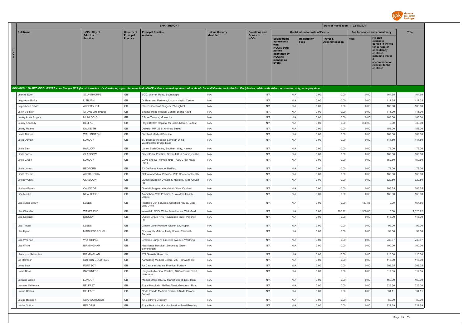

|                                    |                                          |                                | <b>EFPIA REPORT</b>                                                                                                                                                                                                            |                                            |                                          |                                                                                                                     |                                        | Date of Publication : 02/07/2021            |              |                                                                                                                                                            |                  |
|------------------------------------|------------------------------------------|--------------------------------|--------------------------------------------------------------------------------------------------------------------------------------------------------------------------------------------------------------------------------|--------------------------------------------|------------------------------------------|---------------------------------------------------------------------------------------------------------------------|----------------------------------------|---------------------------------------------|--------------|------------------------------------------------------------------------------------------------------------------------------------------------------------|------------------|
| <b>Full Name</b>                   | <b>HCPs: City of</b><br><b>Principal</b> | <b>Country of</b><br>Principal | <b>Principal Practice</b><br><b>Address</b>                                                                                                                                                                                    | <b>Unique Country</b><br><b>Identifier</b> | <b>Donations and</b><br><b>Grants to</b> |                                                                                                                     | <b>Contribution to costs of Events</b> |                                             |              | Fee for service and consultancy                                                                                                                            | <b>Total</b>     |
| $\mathbf{c}$<br>P                  | <b>Practice</b>                          | <b>Practice</b>                |                                                                                                                                                                                                                                |                                            | <b>HCOs</b>                              | Sponsorship<br>agreements<br><b>HCOs / third</b><br>parties<br>appointed by<br><b>HCOs to</b><br>manage an<br>Event | Registration<br><b>Fees</b>            | <b>Travel &amp;</b><br><b>Accommodation</b> | <b>Fees</b>  | Related<br>expenses<br>agreed in the fee<br>for service or<br>consultancy<br>contract,<br>including travel<br>accommodation<br>relevant to the<br>contract |                  |
|                                    |                                          |                                | INDIVIDUAL NAMED DISCLOSURE - one line per HCP (i.e. all transfers of value during a year for an individual HCP will be summed up: itemization should be available for the individual Recipient or public authorities' consult |                                            |                                          |                                                                                                                     |                                        |                                             |              |                                                                                                                                                            |                  |
| Leanne Eden                        | <b>SCUNTHORPE</b>                        | GB                             | BOC, Warren Road, Scunthorpe                                                                                                                                                                                                   | N/A                                        | N/A                                      | N/A                                                                                                                 | 0.00                                   | 0.00                                        | 0.00         | 164.95                                                                                                                                                     | 164.95           |
| Leigh-Ann Burke                    | <b>LISBURN</b>                           | GB                             | Dr Ryan and Partners, Lisburn Health Centre                                                                                                                                                                                    | N/A                                        | N/A                                      | N/A                                                                                                                 | 0.00                                   | 0.00                                        | 0.00         | 417.25                                                                                                                                                     | 417.25           |
| Leigh-Anne David                   | ALDERSHOT                                | GB                             | Princes Gardens Surgery, 2A High St                                                                                                                                                                                            | N/A                                        | N/A                                      | N/A                                                                                                                 | 0.00                                   | 0.00                                        | 0.00         | 100.00                                                                                                                                                     | 100.00           |
| Lenin Vellaturi                    | STOKE-ON-TRENT                           | GB                             | Birches Head Medical Centre, Diana Road                                                                                                                                                                                        | N/A                                        | N/A                                      | N/A                                                                                                                 | 0.00                                   | 0.00                                        | 0.00         | 115.00                                                                                                                                                     | 115.00           |
| Lesley Anne Rogers                 | MUNLOCHY                                 | $\mathbb{G}\mathbb{B}$         | 3 Brae Terrace, Munlochy                                                                                                                                                                                                       | N/A                                        | N/A                                      | N/A                                                                                                                 | 0.00                                   | 0.00                                        | 0.00         | 188.00                                                                                                                                                     | 188.00           |
| Lesley Kennedy                     | <b>BELFAST</b>                           | GB                             | Royal Belfast Hopsital for Sick Children, Belfast                                                                                                                                                                              | N/A                                        | N/A                                      | N/A                                                                                                                 | 0.00                                   | 0.00                                        | 330.00       | 0.00                                                                                                                                                       | 330.00           |
| Lesley Malone                      | <b>DALKEITH</b>                          | GB                             | Dalkeith MP, 26 St Andrew Street                                                                                                                                                                                               | N/A                                        | N/A                                      | N/A                                                                                                                 | 0.00                                   | 0.00                                        | 0.00         | 155.00                                                                                                                                                     | 155.00           |
| Lewis Daines                       | WALLINGTON                               | GB                             | Shotfield Medical Practice                                                                                                                                                                                                     | N/A                                        | N/A                                      | N/A                                                                                                                 | 0.00                                   | 0.00                                        | 0.00         | 169.00                                                                                                                                                     | 169.00           |
| Leyla Osman                        | LONDON                                   | GB                             | St. Thomas' Hospital, Lambeth Wing,<br>Westminster Bridge Road                                                                                                                                                                 | N/A                                        | N/A                                      | N/A                                                                                                                 | 0.00                                   | 0.00                                        | 0.00         | 144.50                                                                                                                                                     | 144.50           |
| Linda Barr                         | <b>HARLOW</b>                            | $\mathbb{G}\mathbb{B}$         | Latton Bush Centre, Southern Way, Harlow                                                                                                                                                                                       | N/A                                        | N/A                                      | N/A                                                                                                                 | 0.00                                   | 0.00                                        | 0.00         | 79.00                                                                                                                                                      | 79.00            |
| Linda Burns                        | GLASGOW                                  | $\mathbb{G}\mathbb{B}$         | David Elder Practice, Govan HC, 5 Drumoyne Rd                                                                                                                                                                                  | N/A                                        | N/A                                      | N/A                                                                                                                 | 0.00                                   | 0.00                                        | 0.00         | 169.00                                                                                                                                                     | 169.00           |
| Linda Green                        | LONDON                                   | GB                             | Guy's and St Thomas' NHS Trust, Great Maze<br>Pond                                                                                                                                                                             | N/A                                        | N/A                                      | N/A                                                                                                                 | 0.00                                   | 0.00                                        | 0.00         | 152.60                                                                                                                                                     | 152.60           |
| Linda Lomax                        | <b>BEDFORD</b>                           | GB                             | 23 De Parys Avenue, Bedford                                                                                                                                                                                                    | N/A                                        | N/A                                      | N/A                                                                                                                 | 0.00                                   | 0.00                                        | 0.00         | 79.00                                                                                                                                                      | 79.00            |
| Linda Rennie                       | ALEXANDRIA                               | $\mathbb{G}\mathbb{B}$         | Oakview Medical Practice, Vale Centre for Health                                                                                                                                                                               | N/A                                        | N/A                                      | N/A                                                                                                                 | 0.00                                   | 0.00                                        | 0.00         | 169.00                                                                                                                                                     | 169.00           |
| Lindsay Clark                      | GLASGOW                                  | GB                             | Queen Elizabeth University Hospital, 1345 Govan<br>Rd                                                                                                                                                                          | N/A                                        | N/A                                      | N/A                                                                                                                 | 0.00                                   | 0.00                                        | 0.00         | 320.50                                                                                                                                                     | 320.50           |
| <b>Lindsay Panes</b>               | CALDICOT                                 | GB                             | Grayhill Surgery, Woodstock Way, Caldicot                                                                                                                                                                                      | N/A                                        | N/A                                      | N/A                                                                                                                 | 0.00                                   | 0.00                                        | 0.00         | 206.55                                                                                                                                                     | 206.55           |
| Line Moulin                        | <b>NEW CROSS</b>                         | GB                             | Amersham Vale Practice, 5, Waldron Health<br>Centre                                                                                                                                                                            | N/A                                        | N/A                                      | N/A                                                                                                                 | 0.00                                   | 0.00                                        | 0.00         | 169.00                                                                                                                                                     | 169.00           |
| Lisa Ayton-Brown                   | LEEDS                                    | GB                             | Interface Clin Services, Schofield House, Gate<br>Way Drive                                                                                                                                                                    | N/A                                        | N/A                                      | N/A                                                                                                                 | 0.00                                   | 0.00                                        | 457.86       | 0.00                                                                                                                                                       | 457.86           |
| Lisa Chandler                      | WAKEFIELD                                | GB                             | Wakefield CCG, White Rose House, Wakefield                                                                                                                                                                                     | N/A                                        | N/A                                      | N/A                                                                                                                 | 0.00                                   | 296.92                                      | 1,530.00     | 0.00                                                                                                                                                       | 1,826.92         |
| Lisa Kendrick                      | DUDLEY                                   | GB                             | Dudley Group NHS Foundation Trust, Pensnett<br>Rd                                                                                                                                                                              | N/A                                        | N/A                                      | N/A                                                                                                                 | 0.00                                   | 0.00                                        | 0.00         | 115.00                                                                                                                                                     | 115.00           |
| Lisa Tindall                       | LEEDS                                    | GB                             | Gibson Lane Practice, Gibson Ln, Kippax                                                                                                                                                                                        | N/A                                        | N/A                                      | N/A                                                                                                                 | 0.00                                   | 0.00                                        | 0.00         | 99.00                                                                                                                                                      | 99.00            |
| Lisa Upton                         | MIDDLESBROUGH                            | GB                             | Community Matron, Unity House, Elizabeth<br>Terrace                                                                                                                                                                            | N/A                                        | N/A                                      | N/A                                                                                                                 | 0.00                                   | 0.00                                        | 0.00         | 99.00                                                                                                                                                      | 99.00            |
| Lisa Wharton                       | <b>WORTHING</b>                          | GB                             | Limetree Surgery, Limetree Avenue, Worthing                                                                                                                                                                                    | N/A                                        | N/A                                      | N/A                                                                                                                 | 0.00                                   | 0.00                                        | 0.00         | 238.67                                                                                                                                                     | 238.67           |
| Lisa White                         | <b>BIRMINGHAM</b>                        | GB                             | Heartlands Hospital, Bordesley Green<br>Birmingham                                                                                                                                                                             | N/A                                        | N/A                                      | N/A                                                                                                                 | 0.00                                   | 0.00                                        | 0.00         | 100.00                                                                                                                                                     | 100.00           |
| Lissamma Sebastian                 | <b>BIRMINGHAM</b>                        | GB                             | 172 Garretts Green Ln                                                                                                                                                                                                          | N/A                                        | N/A                                      | N/A                                                                                                                 | 0.00                                   | 0.00                                        | 0.00         | 115.00                                                                                                                                                     | 115.00           |
| Liz McIntosh                       | SUTTON COLDFIELD                         | GB<br>GB                       | Ashfurlong Medical Centre, 233 Tamworth Rd                                                                                                                                                                                     | N/A                                        | N/A                                      | N/A                                                                                                                 | 0.00                                   | 0.00                                        | 0.00         | 115.00                                                                                                                                                     | 115.00           |
| Lorna Low<br>Lorna Ross            | PORTSOY<br><b>INVERNESS</b>              | $\mathbb{G}\mathbb{B}$         | An Caorann Medical Practice, Portsoy<br>Kingsmills Medical Practice, 18 Southside Road,                                                                                                                                        | N/A<br>N/A                                 | N/A<br>N/A                               | N/A<br>N/A                                                                                                          | 0.00<br>0.00                           | 0.00<br>0.00                                | 0.00<br>0.00 | 208.25<br>317.85                                                                                                                                           | 208.25<br>317.85 |
|                                    |                                          |                                | Inverness                                                                                                                                                                                                                      |                                            |                                          |                                                                                                                     |                                        |                                             |              |                                                                                                                                                            |                  |
| Lorraine Gobin<br>Lorraine McKenna | LONDON<br><b>BELFAST</b>                 | GB<br>GB                       | Market Street HG, 52 Market Street, East Ham<br>Roval Hospitals - Belfast Trust, Grosvenor Road                                                                                                                                | N/A<br>N/A                                 | N/A<br>N/A                               | N/A<br>N/A                                                                                                          | 0.00<br>0.00                           | 0.00<br>0.00                                | 0.00<br>0.00 | 169.00<br>326.30                                                                                                                                           | 169.00<br>326.30 |
| Louise Collins                     | <b>BELFAST</b>                           | $\mathbb{G}\mathbb{B}$         | North Parade Medical Centre, 6 North Parade,                                                                                                                                                                                   | N/A                                        | N/A                                      | N/A                                                                                                                 | 0.00                                   | 0.00                                        | 0.00         | 634.11                                                                                                                                                     | 634.11           |
| Louise Harrison                    | SCARBOROUGH                              | GB                             | <b>Belfast</b><br>1A Belgrave Crescent                                                                                                                                                                                         | N/A                                        | N/A                                      | N/A                                                                                                                 | 0.00                                   | 0.00                                        | 0.00         | 89.00                                                                                                                                                      | 89.00            |
| Louise Sutton                      | <b>READING</b>                           | GB                             | Royal Berkshire Hospital London Road Reading                                                                                                                                                                                   | N/A                                        | N/A                                      | N/A                                                                                                                 | 0.00                                   | 0.00                                        | 0.00         | 227.69                                                                                                                                                     | 227.69           |
|                                    |                                          |                                |                                                                                                                                                                                                                                |                                            |                                          |                                                                                                                     |                                        |                                             |              |                                                                                                                                                            |                  |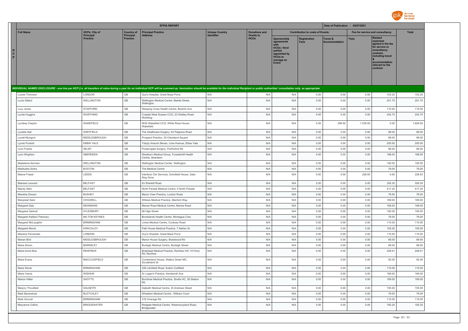

|             |                           |                              |                              | <b>EFPIA REPORT</b>                                                                                                                                                                                                            |                       |                                 |                                                                                                                                 |                                        | Date of Publication : 02/07/2021 |                                 |                                                                                                                                                                   |              |
|-------------|---------------------------|------------------------------|------------------------------|--------------------------------------------------------------------------------------------------------------------------------------------------------------------------------------------------------------------------------|-----------------------|---------------------------------|---------------------------------------------------------------------------------------------------------------------------------|----------------------------------------|----------------------------------|---------------------------------|-------------------------------------------------------------------------------------------------------------------------------------------------------------------|--------------|
|             | <b>Full Name</b>          | <b>HCPs: City of</b>         | <b>Country of</b>            | <b>Principal Practice</b>                                                                                                                                                                                                      | <b>Unique Country</b> | <b>Donations and</b>            |                                                                                                                                 | <b>Contribution to costs of Events</b> |                                  | Fee for service and consultancy |                                                                                                                                                                   | <b>Total</b> |
| H<br>C<br>P |                           | <b>Principal</b><br>Practice | Principal<br><b>Practice</b> | <b>Address</b>                                                                                                                                                                                                                 |                       | <b>Grants to</b><br><b>HCOs</b> | <b>Sponsorship</b><br>agreements<br><b>HCOs / third</b><br>parties<br>appointed by<br>HCO <sub>s</sub> to<br>manage an<br>Event | Registration<br>Fees                   | Travel &<br><b>Accommodation</b> | <b>Fees</b>                     | <b>Related</b><br>expenses<br>agreed in the fee<br>for service or<br>consultancy<br>contract.<br>including travel<br>accommodation<br>relevant to the<br>contract |              |
|             |                           |                              |                              | INDIVIDUAL NAMED DISCLOSURE - one line per HCP (i.e. all transfers of value during a year for an individual HCP will be summed up: itemization should be available for the individual Recipient or public authorities' consult |                       |                                 |                                                                                                                                 |                                        |                                  |                                 |                                                                                                                                                                   |              |
|             | Louise Thomson            | LONDON                       | GB                           | Guy's Hospital, Great Maze Pond                                                                                                                                                                                                | N/A                   | N/A                             | N/A                                                                                                                             | 0.00                                   | 0.00                             | 0.00                            | 153.25                                                                                                                                                            | 153.25       |
|             | Lucie Gillard             | WELLINGTON                   | GB                           | Wellington Medical Centre, Mantle Street,<br>Wellington                                                                                                                                                                        | N/A                   | N/A                             | N/A                                                                                                                             | 0.00                                   | 0.00                             | 0.00                            | 201.70                                                                                                                                                            | 201.70       |
|             | Lucy Jones                | <b>STAFFORD</b>              | GB                           | Weeping Cross Health Centre, Bodmin Ave                                                                                                                                                                                        | N/A                   | N/A                             | N/A                                                                                                                             | 0.00                                   | 0.00                             | 0.00                            | 115.00                                                                                                                                                            | 115.00       |
|             | Lynda Huggins             | <b>WORTHING</b>              | $\mathbb{G}\mathbb{B}$       | Coastal West Sussex CCG, 23 Shelley Road,<br>Worthing                                                                                                                                                                          | N/A                   | N/A                             | N/A                                                                                                                             | 0.00                                   | 0.00                             | 0.00                            | 242.75                                                                                                                                                            | 242.75       |
|             | Lyndsey Clayton           | WAKEFIELD                    | $\mathbb{G}\mathbb{B}$       | NHS Wakefield CCG, White Rose House,<br>Wakefield                                                                                                                                                                              | N/A                   | N/A                             | N/A                                                                                                                             | 0.00                                   | 296.92                           | 1,530.00                        | 0.00                                                                                                                                                              | 1,826.92     |
|             | Lynette Hall              | SHEFFIELD                    | $\mathbb{G}\mathbb{B}$       | The Healthcare Surgery, 63 Palgrave Road                                                                                                                                                                                       | N/A                   | N/A                             | N/A                                                                                                                             | 0.00                                   | 0.00                             | 0.00                            | 89.00                                                                                                                                                             | 89.00        |
|             | Lynett Mungoni            | MIDDLESBROUGH                | GB                           | Prospect Practice, 20 Cleveland Square                                                                                                                                                                                         | N/A                   | N/A                             | N/A                                                                                                                             | 0.00                                   | 0.00                             | 0.00                            | 89.00                                                                                                                                                             | 89.00        |
|             | Lynne Puckett             | EBBW VALE                    | GB                           | Ysbyty Aneurin Bevan, Lime Avenue, Ebbw Vale                                                                                                                                                                                   | N/A                   | N/A                             | N/A                                                                                                                             | 0.00                                   | 0.00                             | 0.00                            | 205.00                                                                                                                                                            | 205.00       |
|             | Lynn Franks               | SELBY                        | $\mathbb{G}\mathbb{B}$       | Posterngate Surgery, Portholme Rd                                                                                                                                                                                              | N/A                   | N/A                             | N/A                                                                                                                             | 0.00                                   | 0.00                             | 0.00                            | 89.00                                                                                                                                                             | 89.00        |
|             | Lynn Wrighton             | ABERDEEN                     | $\mathbb{G}\mathbb{B}$       | Westburn Medical Group, Foresterhill Health<br>Centre, Aberdeen                                                                                                                                                                | N/A                   | N/A                             | N/A                                                                                                                             | 0.00                                   | 0.00                             | 0.00                            | 188.00                                                                                                                                                            | 188.00       |
|             | Madeleine Norman          | WELLINGTON                   | $\mathbb{G}\mathbb{B}$       | Wellington Medical Center, Wellington                                                                                                                                                                                          | N/A                   | N/A                             | N/A                                                                                                                             | 0.00                                   | 0.00                             | 0.00                            | 100.00                                                                                                                                                            | 100.00       |
|             | Madhulika Sinha           | <b>BOSTON</b>                | GB                           | The Medical Centre                                                                                                                                                                                                             | N/A                   | N/A                             | N/A                                                                                                                             | 0.00                                   | 0.00                             | 0.00                            | 79.00                                                                                                                                                             | 79.00        |
|             | Maeve Fraser              | LEEDS                        | $\mathbb{G}\mathbb{B}$       | Interface Clin Services, Schofield House, Gate<br>Way Drive                                                                                                                                                                    | N/A                   | N/A                             | N/A                                                                                                                             | 0.00                                   | 0.00                             | 228.93                          | 0.00                                                                                                                                                              | 228.93       |
|             | Mairead Leonard           | <b>BELFAST</b>               | $\mathbb{G}\mathbb{B}$       | 83 Shankill Road                                                                                                                                                                                                               | N/A                   | N/A                             | N/A                                                                                                                             | 0.00                                   | 0.00                             | 0.00                            | 326.30                                                                                                                                                            | 326.30       |
|             | Mandy Allen               | <b>BELFAST</b>               | GB                           | North Parade Medical Centre, 6 North Parade                                                                                                                                                                                    | N/A                   | N/A                             | N/A                                                                                                                             | 0.00                                   | 0.00                             | 0.00                            | 417.25                                                                                                                                                            | 417.25       |
|             | Manisha Devan             | <b>BUSHEY</b>                | GB                           | Manor View Practice, London Road                                                                                                                                                                                               | N/A                   | N/A                             | N/A                                                                                                                             | 0.00                                   | 0.00                             | 0.00                            | 79.00                                                                                                                                                             | 79.00        |
|             | Manpreet Saini            | CHIGWELL                     | GB                           | Willows Medical Practice, Manford Wav                                                                                                                                                                                          | N/A                   | N/A                             | N/A                                                                                                                             | 0.00                                   | 0.00                             | 0.00                            | 169.00                                                                                                                                                            | 169.00       |
|             | Margaret Daly             | <b>NEWMAINS</b>              | GB                           | Manse Road Medical Centre, Manse Road                                                                                                                                                                                          | N/A                   | N/A                             | N/A                                                                                                                             | 0.00                                   | 0.00                             | 0.00                            | 169.00                                                                                                                                                            | 169.00       |
|             | Margaret Garbutt          | AYLESBURY                    | $\mathbb{G}\mathbb{B}$       | 66 High Street                                                                                                                                                                                                                 | N/A                   | N/A                             | N/A                                                                                                                             | 0.00                                   | 0.00                             | 0.00                            | 100.00                                                                                                                                                            | 100.00       |
|             | Margaret Kalilani-Themuku | <b>MILTON KEYNES</b>         | GB                           | Brooklands Health Centre, Montague Cres                                                                                                                                                                                        | N/A                   | N/A                             | N/A                                                                                                                             | 0.00                                   | 0.00                             | 0.00                            | 79.00                                                                                                                                                             | 79.00        |
|             | Margaret McLaughlin       | <b>BIRMINGHAM</b>            | $\mathbb{G}\mathbb{B}$       | Limes Medical Centre, Cooksey Road                                                                                                                                                                                             | N/A                   | N/A                             | N/A                                                                                                                             | 0.00                                   | 0.00                             | 0.00                            | 115.00                                                                                                                                                            | 115.00       |
|             | Margaret Morris           | KIRKCALDY                    | GB                           | Path House Medical Practice, 7 Nether St                                                                                                                                                                                       | N/A                   | N/A                             | N/A                                                                                                                             | 0.00                                   | 0.00                             | 0.00                            | 155.00                                                                                                                                                            | 155.00       |
|             | Mariana Fernandes         | LONDON                       | GB                           | Guy's Hospital, Great Maze Pond                                                                                                                                                                                                | N/A                   | N/A                             | N/A                                                                                                                             | 0.00                                   | 0.00                             | 0.00                            | 115.00                                                                                                                                                            | 115.00       |
|             | Marian Bird               | MIDDLESBROUGH                | GB                           | Manor House Surgery, Braidwood Rd                                                                                                                                                                                              | N/A                   | N/A                             | N/A                                                                                                                             | 0.00                                   | 0.00                             | 0.00                            | 89.00                                                                                                                                                             | 89.00        |
|             | Maria Simon               | <b>BARNSLEY</b>              | $\mathbb{G}\mathbb{B}$       | Burleigh Medical Centre, Burleigh Street                                                                                                                                                                                       | N/A                   | N/A                             | N/A                                                                                                                             | 0.00                                   | 0.00                             | 0.00                            | 89.00                                                                                                                                                             | 89.00        |
|             | Marie-Anne Muir           | <b>RENFREW</b>               | $\mathbb{G}\mathbb{B}$       | Braehead Medical Practice, Renfrew H/C 10 Ferry<br>Rd, Renfrew                                                                                                                                                                 | N/A                   | N/A                             | N/A                                                                                                                             | 0.00                                   | 0.00                             | 0.00                            | 248.51                                                                                                                                                            | 248.51       |
|             | Marie Evans               | MACCLESFIELD                 | $\mathbb{G}\mathbb{B}$       | Cumberland House, Waters Green MC,<br>Sunderland St                                                                                                                                                                            | N/A                   | N/A                             | N/A                                                                                                                             | 0.00                                   | 0.00                             | 0.00                            | 92.00                                                                                                                                                             | 92.00        |
|             | Marie Storer              | <b>BIRMINGHAM</b>            | $\mathbb{G}\mathbb{B}$       | 228 Litchfield Road, Sutton Coldfield                                                                                                                                                                                          | N/A                   | N/A                             | N/A                                                                                                                             | 0.00                                   | 0.00                             | 0.00                            | 115.00                                                                                                                                                            | 115.00       |
|             | Marie Vance               | WISHAW                       | GB                           | Dr Logan's Practice, Kenilworth Ave                                                                                                                                                                                            | N/A                   | N/A                             | N/A                                                                                                                             | 0.00                                   | 0.00                             | 0.00                            | 169.00                                                                                                                                                            | 169.00       |
|             | Marion Hillier            | <b>SHOTTS</b>                | $\mathbb{G}\mathbb{B}$       | Burnbrae Medical Practice, Shotts HC, 36 Station<br>Rd                                                                                                                                                                         | N/A                   | N/A                             | N/A                                                                                                                             | 0.00                                   | 0.00                             | 0.00                            | 169.00                                                                                                                                                            | 169.00       |
|             | Marjory Thrusfield        | DALKEITH                     | $\mathbb{G}\mathbb{B}$       | Dalkeith Medical Centre, St Andrews Street                                                                                                                                                                                     | N/A                   | N/A                             | N/A                                                                                                                             | 0.00                                   | 0.00                             | 0.00                            | 155.00                                                                                                                                                            | 155.00       |
|             | Mark Baverstock           | <b>BLETCHLEY</b>             | GB                           | Whaddon Medical Centre, Witham Court                                                                                                                                                                                           | N/A                   | N/A                             | N/A                                                                                                                             | 0.00                                   | 0.00                             | 0.00                            | 79.00                                                                                                                                                             | 79.00        |
|             | Mark Grocutt              | <b>BIRMINGHAM</b>            | $\mathbb{G}\mathbb{B}$       | 319 Vicarage Rd                                                                                                                                                                                                                | N/A                   | N/A                             | N/A                                                                                                                             | 0.00                                   | 0.00                             | 0.00                            | 115.00                                                                                                                                                            | 115.00       |
|             | Maryanne Collins          | <b>BRIDGEWATER</b>           | GB                           | Redgate Medical Centre, Westonzoyland Road,<br>Bridgewater                                                                                                                                                                     | N/A                   | N/A                             | N/A                                                                                                                             | 0.00                                   | 0.00                             | 0.00                            | 192.25                                                                                                                                                            | 192.25       |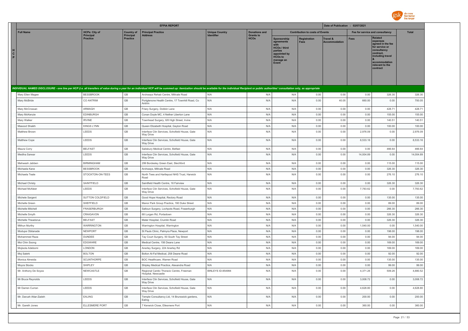

|                                                                                                                                                                                                                                |                                     |                              | <b>EFPIA REPORT</b>                                                  |                       |                                 |                                                                                                              |                                        | Date of Publication : 02/07/2021 |                                 |                                                                                                                                                                   |                 |
|--------------------------------------------------------------------------------------------------------------------------------------------------------------------------------------------------------------------------------|-------------------------------------|------------------------------|----------------------------------------------------------------------|-----------------------|---------------------------------|--------------------------------------------------------------------------------------------------------------|----------------------------------------|----------------------------------|---------------------------------|-------------------------------------------------------------------------------------------------------------------------------------------------------------------|-----------------|
| <b>Full Name</b>                                                                                                                                                                                                               | <b>HCPs: City of</b>                | <b>Country of</b>            | <b>Principal Practice</b>                                            | <b>Unique Country</b> | <b>Donations and</b>            |                                                                                                              | <b>Contribution to costs of Events</b> |                                  | Fee for service and consultancy |                                                                                                                                                                   | <b>Total</b>    |
| н<br>$\mathbf{c}$<br>P.                                                                                                                                                                                                        | <b>Principal</b><br><b>Practice</b> | Principal<br><b>Practice</b> | <b>Address</b>                                                       | Identifier            | <b>Grants to</b><br><b>HCOs</b> | Sponsorship<br>agreements<br>HCOs / third<br>parties<br>appointed by<br><b>HCOs to</b><br>manage an<br>Event | <b>Registration</b><br><b>Fees</b>     | Travel &<br><b>Accommodation</b> | Fees                            | <b>Related</b><br>expenses<br>agreed in the fee<br>for service or<br>consultancy<br>contract,<br>including travel<br>accommodation<br>relevant to the<br>contract |                 |
| INDIVIDUAL NAMED DISCLOSURE - one line per HCP (i.e. all transfers of value during a year for an individual HCP will be summed up: itemization should be available for the individual Recipient or public authorities' consult |                                     |                              |                                                                      |                       |                                 |                                                                                                              |                                        |                                  |                                 |                                                                                                                                                                   |                 |
| Mary Ellen Magee                                                                                                                                                                                                               | <b>BESSBROOK</b>                    | GB                           | Archways Rehab Centre, Millvale Road                                 | N/A                   | N/A                             | N/A                                                                                                          | 0.00                                   | 0.00                             | 0.00                            | 326.30                                                                                                                                                            | 326.30          |
| Mary McBride                                                                                                                                                                                                                   | CO ANTRIM                           | GB                           | Portglenone Health Centre, 17 Townhill Road, Co<br>Antrim            | N/A                   | N/A                             | N/A                                                                                                          | 0.00                                   | 40.05                            | 660.00                          | 0.00                                                                                                                                                              | 700.05          |
| Mary McCrossan                                                                                                                                                                                                                 | ARMAGH                              | GB                           | Friary Surgery, Dobbin Lane                                          | N/A                   | N/A                             | N/A                                                                                                          | 0.00                                   | 0.00                             | 0.00                            | 428.71                                                                                                                                                            | 428.71          |
| Mary McKenzie                                                                                                                                                                                                                  | EDINBURGH                           | GB                           | Conan Doyle MC, 4 Nether Liberton Lane                               | N/A                   | N/A                             | N/A                                                                                                          | 0.00                                   | 0.00                             | 0.00                            | 155.00                                                                                                                                                            | 155.00          |
| Mary Walker                                                                                                                                                                                                                    | <b>IRVINE</b>                       | $\mathbb{G}\mathbb{B}$       | Townhead Surgery, 6/8 High Street, Irvine                            | N/A                   | N/A                             | N/A                                                                                                          | 0.00                                   | 0.00                             | 0.00                            | 140.51                                                                                                                                                            | 140.51          |
| Masood Shaikh                                                                                                                                                                                                                  | <b>KINGS LYNN</b>                   | GB                           | Queen Elizabeth Hospital, Gayton Road                                | N/A                   | N/A                             | N/A                                                                                                          | 0.00                                   | 0.00                             | 0.00                            | 100.00                                                                                                                                                            | 100.00          |
| Matthew Brown                                                                                                                                                                                                                  | LEEDS                               | GB                           | Interface Clin Services, Schofield House, Gate<br>Way Drive          | N/A                   | N/A                             | N/A                                                                                                          | 0.00                                   | 0.00                             | 2,976.09                        | 0.00                                                                                                                                                              | 2,976.09        |
| Matthew Cope                                                                                                                                                                                                                   | LEEDS                               | GB                           | Interface Clin Services, Schofield House, Gate<br>Way Drive          | N/A                   | N/A                             | N/A                                                                                                          | 0.00                                   | 0.00                             | 8,533.16                        | 0.00                                                                                                                                                              | 8,533,16        |
| Maura Corry                                                                                                                                                                                                                    | <b>BELFAST</b>                      | GB                           | Salisbury Medical Centre, Belfast                                    | N/A                   | N/A                             | N/A                                                                                                          | 0.00                                   | 0.00                             | 0.00                            | 466.64                                                                                                                                                            | 466.64          |
| Mediha Sarwar                                                                                                                                                                                                                  | LEEDS                               | GB                           | Interface Clin Services, Schofield House, Gate<br><b>Way Drive</b>   | N/A                   | N/A                             | N/A                                                                                                          | 0.00                                   | 0.00                             | 14,004.89                       | 0.00                                                                                                                                                              | 14,004.89       |
| Mehwesh Jabben                                                                                                                                                                                                                 | <b>BIRMINGHAM</b>                   | GB                           | 299 Bordesley Green East, Stechford                                  | N/A                   | N/A                             | N/A                                                                                                          | 0.00                                   | 0.00                             | 0.00                            | 115.00                                                                                                                                                            | 115.00          |
| Michaela Kane                                                                                                                                                                                                                  | <b>BESSBROOK</b>                    | GB                           | Archways, Millvale Road                                              | N/A                   | N/A                             | N/A                                                                                                          | 0.00                                   | 0.00                             | 0.00                            | 326.30                                                                                                                                                            | 326.30          |
| Michaela Teale                                                                                                                                                                                                                 | STOCKTON-ON-TEES                    | GB                           | North Tees and Hartlepool NHS Trust, Harwick<br>Road                 | N/A                   | N/A                             | N/A                                                                                                          | 0.00                                   | 0.00                             | 0.00                            | 276.10                                                                                                                                                            | 276.10          |
| Michael Christy                                                                                                                                                                                                                | SAINTFIELD                          | GB                           | Saintfield Health Centre, 16 Fairview                                | N/A                   | N/A                             | N/A                                                                                                          | 0.00                                   | 0.00                             | 0.00                            | 326.30                                                                                                                                                            | 326.30          |
| Michael McAleer                                                                                                                                                                                                                | LEEDS                               | GB                           | Interface Clin Services, Schofield House, Gate<br>Wav Drive          | N/A                   | N/A                             | N/A                                                                                                          | 0.00                                   | 0.00                             | 7,783.62                        | 0.00                                                                                                                                                              | 7,783.62        |
| Michele Sargent                                                                                                                                                                                                                | SUTTON COLDFIELD                    | GB                           | Good Hope Hospital, Rectory Road                                     | N/A                   | N/A                             | N/A                                                                                                          | 0.00                                   | 0.00                             | 0.00                            | 135.00                                                                                                                                                            | 135.00          |
| Michelle Green                                                                                                                                                                                                                 | SHEFFIELD                           | GB                           | Manor Park Group Practice, 190 Duke Street                           | N/A                   | N/A                             | N/A                                                                                                          | 0.00                                   | 0.00                             | 0.00                            | 89.00                                                                                                                                                             | 89.00           |
| Michelle Mitchell                                                                                                                                                                                                              | FRASERBURGH                         | $\mathbb{G}\mathbb{B}$       | Saltoun Surgery, Lochpots Road, Fraserburgh                          | N/A                   | N/A                             | N/A                                                                                                          | 0.00                                   | 0.00                             | 0.00                            | 266.30                                                                                                                                                            | 266.30          |
| Michelle Smyth                                                                                                                                                                                                                 | CRAIGAVON                           | GB                           | 68 Lurgan Rd, Portadown                                              | N/A                   | N/A                             | N/A                                                                                                          | 0.00                                   | 0.00                             | 0.00                            | 326.30                                                                                                                                                            | 326.30          |
| Michelle Theadorus                                                                                                                                                                                                             | <b>BELFAST</b>                      | GB                           | Mater Hospital, Crumlin Road                                         | N/A                   | N/A                             | N/A                                                                                                          | 0.00                                   | 0.00                             | 0.00                            | 326.30                                                                                                                                                            | 326.30          |
| Mithun Murthy                                                                                                                                                                                                                  | <b>WARRINGTON</b>                   | GB                           | Warrington Hospital, Warrington                                      | N/A                   | N/A                             | N/A                                                                                                          | 0.00                                   | 0.00                             | 1,540.00                        | 0.00                                                                                                                                                              | 1,540.00        |
| Modupe Obilanade                                                                                                                                                                                                               | NEWPORT                             | GB                           | St Pauls Clinic, Palmyra Place, Newport                              | N/A                   | N/A                             | N/A                                                                                                          | 0.00                                   | 0.00                             | 0.00                            | 198.00                                                                                                                                                            | 198.00          |
| Mohammed Raza                                                                                                                                                                                                                  | <b>DUNDEE</b>                       | GB                           | Tay Court Surgery, 50 South Tay Street                               | N/A                   | N/A                             | N/A                                                                                                          | 0.00                                   | 0.00                             | 0.00                            | 94.00                                                                                                                                                             | 94.00           |
| Moi Chin Soong                                                                                                                                                                                                                 | EDGWARE                             | GB<br>GB                     | Medical Centre, 156 Deans Lane                                       | N/A<br>N/A            | N/A                             | N/A                                                                                                          | 0.00                                   | 0.00                             | 0.00                            | 169.00                                                                                                                                                            | 169.00          |
| Mojisola Adebomi                                                                                                                                                                                                               | LONDON                              | $\mathbb{G}\mathbb{B}$       | Anerley Surgery, 224 Anerley Rd                                      | N/A                   | N/A<br>N/A                      | N/A<br>N/A                                                                                                   | 0.00<br>0.00                           | 0.00<br>0.00                     | 0.00<br>0.00                    | 169.00<br>92.00                                                                                                                                                   | 169.00<br>92.00 |
| Moj Salehi<br>Monica Almeida                                                                                                                                                                                                   | <b>BOLTON</b><br>SCUNTHORPE         | GB                           | Bolton Al-Fal Medical, 258 Deane Road<br>BOC Healthcare, Warren Road | N/A                   | N/A                             | N/A                                                                                                          | 0.00                                   | 0.00                             | 0.00                            | 135.00                                                                                                                                                            | 135.00          |
| Moyra Stocks                                                                                                                                                                                                                   | SHIPLEY                             | GB                           | Shipley Medical Practice, Alexandra Road                             | N/A                   | N/A                             | N/A                                                                                                          | 0.00                                   | 0.00                             | 0.00                            | 99.00                                                                                                                                                             | 99.00           |
| Mr. Anthony De Soyza                                                                                                                                                                                                           | NEWCASTLE                           | GB                           | Regional Cardio Thoracic Centre, Freeman<br>Hospital, Newcastle      | BINLEYS ID-854994     | N/A                             | N/A                                                                                                          | 0.00                                   | 0.00                             | 4,371.26                        | 509.26                                                                                                                                                            | 4,880.52        |
| Mr Bruce Reynolds                                                                                                                                                                                                              | LEEDS                               | GB                           | Interface Clin Services, Schofield House, Gate<br>Way Drive          | N/A                   | N/A                             | N/A                                                                                                          | 0.00                                   | 0.00                             | 3,008.72                        | 0.00                                                                                                                                                              | 3,008.72        |
| Mr Darren Curran                                                                                                                                                                                                               | LEEDS                               | GB                           | Interface Clin Services, Schofield House, Gate<br>Way Drive          | N/A                   | N/A                             | N/A                                                                                                          | 0.00                                   | 0.00                             | 4,628.80                        | 0.00                                                                                                                                                              | 4,628.80        |
| Mr. Darush Attar-Zadeh                                                                                                                                                                                                         | <b>EALING</b>                       | GB                           | Temple Consultancy Ltd, 14 Brunswick gardens,<br>Ealing              | N/A                   | N/A                             | N/A                                                                                                          | 0.00                                   | 0.00                             | 200.00                          | 0.00                                                                                                                                                              | 200.00          |
| Mr. Gareth Jones                                                                                                                                                                                                               | <b>ELLESMERE PORT</b>               | GB                           | 7 Kenwick Close, Ellesmere Port                                      | N/A                   | N/A                             | N/A                                                                                                          | 0.00                                   | 0.00                             | 360.00                          | 0.00                                                                                                                                                              | 360.00          |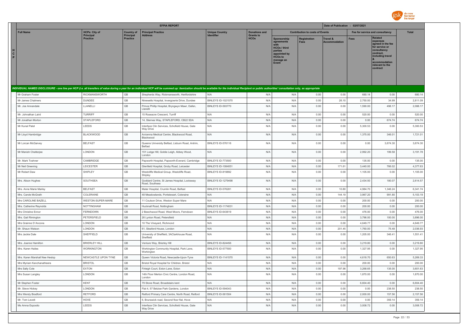

| <b>Full Name</b><br><b>HCPs: City of</b><br><b>Principal Practice</b><br><b>Donations and</b><br><b>Contribution to costs of Events</b><br>Fee for service and consultancy<br><b>Total</b><br><b>Country of</b><br><b>Unique Country</b><br>Principal<br><b>Grants to</b><br>Principal<br><b>Address</b><br><b>Identifier</b><br><b>Related</b><br><b>HCOs</b><br><b>Practice</b><br><b>Practice</b><br><b>Sponsorship</b><br><b>Registration</b><br><b>Travel &amp;</b><br><b>Fees</b><br>expenses<br>Fees<br><b>Accommodation</b><br>agreements<br>agreed in the fee<br>with<br>for service or<br><b>HCOs / third</b><br>consultancy<br>H<br>parties<br>contract.<br>$\mathbf{c}$<br>appointed by<br>including travel<br>P<br><b>HCOs to</b><br>manage an<br>accommodation<br>Event<br>relevant to the<br>contract<br>INDIVIDUAL NAMED DISCLOSURE - one line per HCP (i.e. all transfers of value during a year for an individual HCP will be summed up: itemization should be available for the individual Recipient or public authorities' consult<br>0.00<br>RICKMANSWORTH<br>N/A<br>0.00<br>680.14<br>0.00<br>680.14<br>Mr Graham Foster<br>GB<br>Shepherds Way, Rickmansworth, Hertfordshire<br>N/A<br>N/A<br>$\mathbb{G}\mathbb{B}$<br>N/A<br>N/A<br>0.00<br>26.10<br>34.99<br>Mr James Chalmers<br><b>DUNDEE</b><br>Ninewells Hospital, Invergowrie Drive, Dundee<br><b>BINLEYS ID-1021570</b><br>2,750.00<br>2,811.09<br>GB<br>LLANELLI<br>BINLEYS ID-593770<br>N/A<br>N/A<br>0.00<br>0.00<br>1,590.00<br>498.17<br>2,088.17<br>Mr. Joe Annandale<br>Prince Phillip Hospital, Bryngwyn Mawr, Dafen,<br>Llanelli<br>$\mathbb{G}\mathbb{B}$<br>Mr. Johnathan Laird<br><b>TURRIFF</b><br>15 Roseacre Crescent, Turriff<br>N/A<br>N/A<br>N/A<br>0.00<br>0.00<br>520.00<br>0.00<br>520.00<br>GB<br>STAPLEFORD<br>14, Sternes Way, STAPLEFORD, CB22 5DA<br>N/A<br>N/A<br>N/A<br>0.00<br>0.00<br>0.00<br>674.74<br>674.74<br>Mr Jonathan Morton<br>$\mathbb{G}\mathbb{B}$<br>N/A<br>0.00<br>0.00<br>0.00<br>5,300.53<br>Mr Kunal Patel<br>LEEDS<br>Interface Clin Services, Schofield House, Gate<br>N/A<br>N/A<br>5,300.53<br>Way Drive<br>$\mathbb{G}\mathbb{B}$<br>N/A<br><b>BLACKWOOD</b><br>Avicenna Medical Centre, Blackwood Road,<br>N/A<br>N/A<br>0.00<br>0.00<br>1,375.00<br>346.01<br>1,721.01<br>Mr Lloyd Hambridge<br>Blackwood<br>$\mathbb{G}\mathbb{B}$<br>0.00<br>3,674.30<br><b>BELFAST</b><br>N/A<br>N/A<br>0.00<br>0.00<br>3,674.30<br>Mr Lorcan McGarvey<br>Queens University Belfast, Lisburn Road, Antrim,<br>BINLEYS ID-576116<br>Belfast<br>$\mathbb{G}\mathbb{B}$<br>LONDON<br>151 Lodge Hill, Goldie Leigh, Abbey Wood,<br>N/A<br>N/A<br>N/A<br>0.00<br>0.00<br>2,992.20<br>199.58<br>3,191.78<br>Mr Manish Chatterjee<br>London<br>$\mathbb{G}\mathbb{B}$<br>0.00<br>0.00<br>135.00<br>CAMBRIDGE<br>BINLEYS ID-773500<br>N/A<br>N/A<br>135.00<br>0.00<br>Mr. Mark Toshner<br>Papworth Hospital, Papworth-Everard, Cambridge<br>$\mathbb{G}\mathbb{B}$<br>171.61<br>LEICESTER<br>N/A<br>N/A<br>0.00<br>3,440.00<br>766.02<br>4,377.63<br>Mr Neil Greening<br>Glenfield Hospital, Groby Road, Leicester<br>BINLEYS ID-1084051<br>$\mathbb{G}\mathbb{B}$<br>SHIPLEY<br>N/A<br>N/A<br>0.00<br>0.00<br>1,105.00<br>0.00<br>1,105.00<br>Mr Robert Daw<br>Westcliffe Medical Group, Westcliffe Road,<br>BINLEYS ID-819892<br>Shipley<br>$\mathbb{G}\mathbb{B}$<br>0.00<br>N/A<br>N/A<br>0.00<br>2,434.50<br>180.07<br>2,614.57<br>SOUTHSEA<br>Goddard Centre, St James Hospital, Locksway<br><b>BINLEYS ID-1279498</b><br>Mrs. Alison Hughes<br>Road, Southsea<br>GB<br>Mrs. Anne Marie Marley<br><b>BELFAST</b><br>Mater Hospital, Crumlin Road, Belfast<br>BINLEYS ID-576281<br>N/A<br>N/A<br>0.00<br>10.80<br>4,984.70<br>1,346.24<br>6,341.74<br>$\mathbb{G}\mathbb{B}$<br>N/A<br>5,103.19<br>COLERAINE<br>N/A<br>N/A<br>0.00<br>144.19<br>3,967.20<br>991.80<br>Mrs. Carole McGrath<br>48 Meadowlands, Portstewart, Coleraine<br>$\mathbb{G}\mathbb{B}$<br>Mrs CAROLINE BAZELL<br>WESTON-SUPER-MARE<br>N/A<br>N/A<br>N/A<br>0.00<br>0.00<br>200.00<br>0.00<br>200.00<br>11 Coulson Drive, Weston Super Mare<br>GB<br>NOTTINGHAM<br><b>BINLEYS ID-1174031</b><br>N/A<br>N/A<br>0.00<br>0.00<br>200.00<br>0.00<br>200.00<br>Mrs. Catherine Reynolds<br>Hucknall Road, Nottingham<br>$\mathbb{G}\mathbb{B}$<br>N/A<br>Mrs Christine Ennor<br>FERNDOWN<br>2 Beechwood Road, West Moors, Ferndown<br>BINLEYS ID-643619<br>N/A<br>0.00<br>0.00<br>476.00<br>0.00<br>476.00<br>$\mathbb{G}\mathbb{B}$<br>N/A<br>0.00<br>0.00<br>3,896.00<br>PETERSFIELD<br>N/A<br>N/A<br>3,796.00<br>100.00<br>Mrs. Gail Rimington<br>26 Lynton Road, Petersfield<br>$\mathbb{G}\mathbb{B}$<br>N/A<br>N/A<br>N/A<br>0.00<br>0.00<br>4,649.77<br>0.00<br>4,649.77<br>Mrs Grainne D'Ancona<br>LONDON<br>10 The Vineyard, Richmond<br>GB<br>N/A<br>Mr. Shaun Watson<br>LONDON<br>61, Sleaford House, London<br>N/A<br>N/A<br>0.00<br>201.45<br>1,760.00<br>75.48<br>2,036.93<br>GB<br>SHEFFIELD<br>University of Sheffield, 3AClarkhouse Road,<br>N/A<br>N/A<br>N/A<br>0.00<br>0.00<br>1,205.00<br>346.41<br>1,551.41<br>Mrs Jackie Dale<br>Sheffield<br>$\mathbb{G}\mathbb{B}$<br>Mrs. Joanne Hamilton<br><b>BRIERLEY HILL</b><br>BINLEYS ID-824456<br>N/A<br>N/A<br>0.00<br>0.00<br>3,219.80<br>0.00<br>3,219.80<br>Venture Way, Brierley Hill<br>GB<br>WORKINGTON<br>Workington Community Hospital, Park Lane,<br>BINLEYS ID-577500<br>N/A<br>N/A<br>0.00<br>0.00<br>1,327.95<br>0.00<br>1,327.95<br>Mrs. Karen Hailes<br>Workington<br>$\mathbb{G}\mathbb{B}$<br>N/A<br>N/A<br>0.00<br>0.00<br>4,618.70<br>650.63<br>5,269.33<br>Mrs. Karen Marshall Nee Heslop<br>NEWCASTLE UPON TYNE<br><b>BINLEYS ID-1141570</b><br>Queen Victoria Road, Newcastle-Upon-Tyne<br>$\mathbb{G}\mathbb{B}$<br><b>BRISTOL</b><br>Bristol Royal Hospital for Children, Bristol<br>N/A<br>N/A<br>N/A<br>0.00<br>0.00<br>200.00<br>0.00<br>200.00<br>Mrs Myriam Kanchanatheera<br>GB<br>Mrs Sally Cole<br><b>EXTON</b><br>N/A<br>N/A<br>N/A<br>0.00<br>197.98<br>3,268.65<br>135.00<br>3,601.63<br>Firleigh Court, Exton Lane, Exton<br>1,870.00<br>Mrs Susan Langley<br>LONDON<br>GB<br>14th Floor Merton Civic Centre, London Road,<br>N/A<br>N/A<br>N/A<br>0.00<br>0.00<br>1,870.00<br>0.00<br>London<br>KENT<br>$\mathbb{G}\mathbb{B}$<br>N/A<br>N/A<br>N/A<br>0.00<br>0.00<br>6,604.40<br>0.00<br>6,604.40<br>Mr Stephen Foster<br>79 Stone Road, Broadstairs kent<br>GB<br>BINLEYS ID-594043<br>Mr. Steve Hickey<br>LONDON<br>Flat 4, 57 Belzise Park Gardens, London<br>N/A<br>N/A<br>0.00<br>0.00<br>0.00<br>238.50<br>238.50<br>$\mathbb{G}\mathbb{B}$<br>157.56<br>2,157.56<br><b>RETFORD</b><br>Retford Primary Care Centre, North Road, Retford<br>BINLEYS ID-561504<br>N/A<br>N/A<br>0.00<br>0.00<br>2,000.00<br>Mrs Wendy Bradford |                |      |                        | <b>EFPIA REPORT</b>                        |     |     |     |      | Date of Publication : 02/07/2021 |      |        |        |
|-----------------------------------------------------------------------------------------------------------------------------------------------------------------------------------------------------------------------------------------------------------------------------------------------------------------------------------------------------------------------------------------------------------------------------------------------------------------------------------------------------------------------------------------------------------------------------------------------------------------------------------------------------------------------------------------------------------------------------------------------------------------------------------------------------------------------------------------------------------------------------------------------------------------------------------------------------------------------------------------------------------------------------------------------------------------------------------------------------------------------------------------------------------------------------------------------------------------------------------------------------------------------------------------------------------------------------------------------------------------------------------------------------------------------------------------------------------------------------------------------------------------------------------------------------------------------------------------------------------------------------------------------------------------------------------------------------------------------------------------------------------------------------------------------------------------------------------------------------------------------------------------------------------------------------------------------------------------------------------------------------------------------------------------------------------------------------------------------------------------------------------------------------------------------------------------------------------------------------------------------------------------------------------------------------------------------------------------------------------------------------------------------------------------------------------------------------------------------------------------------------------------------------------------------------------------------------------------------------------------------------------------------------------------------------------------------------------------------------------------------------------------------------------------------------------------------------------------------------------------------------------------------------------------------------------------------------------------------------------------------------------------------------------------------------------------------------------------------------------------------------------------------------------------------------------------------------------------------------------------------------------------------------------------------------------------------------------------------------------------------------------------------------------------------------------------------------------------------------------------------------------------------------------------------------------------------------------------------------------------------------------------------------------------------------------------------------------------------------------------------------------------------------------------------------------------------------------------------------------------------------------------------------------------------------------------------------------------------------------------------------------------------------------------------------------------------------------------------------------------------------------------------------------------------------------------------------------------------------------------------------------------------------------------------------------------------------------------------------------------------------------------------------------------------------------------------------------------------------------------------------------------------------------------------------------------------------------------------------------------------------------------------------------------------------------------------------------------------------------------------------------------------------------------------------------------------------------------------------------------------------------------------------------------------------------------------------------------------------------------------------------------------------------------------------------------------------------------------------------------------------------------------------------------------------------------------------------------------------------------------------------------------------------------------------------------------------------------------------------------------------------------------------------------------------------------------------------------------------------------------------------------------------------------------------------------------------------------------------------------------------------------------------------------------------------------------------------------------------------------------------------------------------------------------------------------------------------------------------------------------------------------------------------------------------------------------------------------------------------------------------------------------------------------------------------------------------------------------------------------------------------------------------------------------------------------------------------------------------------------------------------------------------------------------------------------------------------------------------------------------------------------------------------------------------------------------------------------------------------------------------------------------------------------------------------------------------------------------------------------------------------------------------------------------------------------------------------------------------------------------------------------------------------------------------------------------------------|----------------|------|------------------------|--------------------------------------------|-----|-----|-----|------|----------------------------------|------|--------|--------|
|                                                                                                                                                                                                                                                                                                                                                                                                                                                                                                                                                                                                                                                                                                                                                                                                                                                                                                                                                                                                                                                                                                                                                                                                                                                                                                                                                                                                                                                                                                                                                                                                                                                                                                                                                                                                                                                                                                                                                                                                                                                                                                                                                                                                                                                                                                                                                                                                                                                                                                                                                                                                                                                                                                                                                                                                                                                                                                                                                                                                                                                                                                                                                                                                                                                                                                                                                                                                                                                                                                                                                                                                                                                                                                                                                                                                                                                                                                                                                                                                                                                                                                                                                                                                                                                                                                                                                                                                                                                                                                                                                                                                                                                                                                                                                                                                                                                                                                                                                                                                                                                                                                                                                                                                                                                                                                                                                                                                                                                                                                                                                                                                                                                                                                                                                                                                                                                                                                                                                                                                                                                                                                                                                                                                                                                                                                                                                                                                                                                                                                                                                                                                                                                                                                                                                                                                                                   |                |      |                        |                                            |     |     |     |      |                                  |      |        |        |
|                                                                                                                                                                                                                                                                                                                                                                                                                                                                                                                                                                                                                                                                                                                                                                                                                                                                                                                                                                                                                                                                                                                                                                                                                                                                                                                                                                                                                                                                                                                                                                                                                                                                                                                                                                                                                                                                                                                                                                                                                                                                                                                                                                                                                                                                                                                                                                                                                                                                                                                                                                                                                                                                                                                                                                                                                                                                                                                                                                                                                                                                                                                                                                                                                                                                                                                                                                                                                                                                                                                                                                                                                                                                                                                                                                                                                                                                                                                                                                                                                                                                                                                                                                                                                                                                                                                                                                                                                                                                                                                                                                                                                                                                                                                                                                                                                                                                                                                                                                                                                                                                                                                                                                                                                                                                                                                                                                                                                                                                                                                                                                                                                                                                                                                                                                                                                                                                                                                                                                                                                                                                                                                                                                                                                                                                                                                                                                                                                                                                                                                                                                                                                                                                                                                                                                                                                                   |                |      |                        |                                            |     |     |     |      |                                  |      |        |        |
|                                                                                                                                                                                                                                                                                                                                                                                                                                                                                                                                                                                                                                                                                                                                                                                                                                                                                                                                                                                                                                                                                                                                                                                                                                                                                                                                                                                                                                                                                                                                                                                                                                                                                                                                                                                                                                                                                                                                                                                                                                                                                                                                                                                                                                                                                                                                                                                                                                                                                                                                                                                                                                                                                                                                                                                                                                                                                                                                                                                                                                                                                                                                                                                                                                                                                                                                                                                                                                                                                                                                                                                                                                                                                                                                                                                                                                                                                                                                                                                                                                                                                                                                                                                                                                                                                                                                                                                                                                                                                                                                                                                                                                                                                                                                                                                                                                                                                                                                                                                                                                                                                                                                                                                                                                                                                                                                                                                                                                                                                                                                                                                                                                                                                                                                                                                                                                                                                                                                                                                                                                                                                                                                                                                                                                                                                                                                                                                                                                                                                                                                                                                                                                                                                                                                                                                                                                   |                |      |                        |                                            |     |     |     |      |                                  |      |        |        |
|                                                                                                                                                                                                                                                                                                                                                                                                                                                                                                                                                                                                                                                                                                                                                                                                                                                                                                                                                                                                                                                                                                                                                                                                                                                                                                                                                                                                                                                                                                                                                                                                                                                                                                                                                                                                                                                                                                                                                                                                                                                                                                                                                                                                                                                                                                                                                                                                                                                                                                                                                                                                                                                                                                                                                                                                                                                                                                                                                                                                                                                                                                                                                                                                                                                                                                                                                                                                                                                                                                                                                                                                                                                                                                                                                                                                                                                                                                                                                                                                                                                                                                                                                                                                                                                                                                                                                                                                                                                                                                                                                                                                                                                                                                                                                                                                                                                                                                                                                                                                                                                                                                                                                                                                                                                                                                                                                                                                                                                                                                                                                                                                                                                                                                                                                                                                                                                                                                                                                                                                                                                                                                                                                                                                                                                                                                                                                                                                                                                                                                                                                                                                                                                                                                                                                                                                                                   |                |      |                        |                                            |     |     |     |      |                                  |      |        |        |
|                                                                                                                                                                                                                                                                                                                                                                                                                                                                                                                                                                                                                                                                                                                                                                                                                                                                                                                                                                                                                                                                                                                                                                                                                                                                                                                                                                                                                                                                                                                                                                                                                                                                                                                                                                                                                                                                                                                                                                                                                                                                                                                                                                                                                                                                                                                                                                                                                                                                                                                                                                                                                                                                                                                                                                                                                                                                                                                                                                                                                                                                                                                                                                                                                                                                                                                                                                                                                                                                                                                                                                                                                                                                                                                                                                                                                                                                                                                                                                                                                                                                                                                                                                                                                                                                                                                                                                                                                                                                                                                                                                                                                                                                                                                                                                                                                                                                                                                                                                                                                                                                                                                                                                                                                                                                                                                                                                                                                                                                                                                                                                                                                                                                                                                                                                                                                                                                                                                                                                                                                                                                                                                                                                                                                                                                                                                                                                                                                                                                                                                                                                                                                                                                                                                                                                                                                                   |                |      |                        |                                            |     |     |     |      |                                  |      |        |        |
|                                                                                                                                                                                                                                                                                                                                                                                                                                                                                                                                                                                                                                                                                                                                                                                                                                                                                                                                                                                                                                                                                                                                                                                                                                                                                                                                                                                                                                                                                                                                                                                                                                                                                                                                                                                                                                                                                                                                                                                                                                                                                                                                                                                                                                                                                                                                                                                                                                                                                                                                                                                                                                                                                                                                                                                                                                                                                                                                                                                                                                                                                                                                                                                                                                                                                                                                                                                                                                                                                                                                                                                                                                                                                                                                                                                                                                                                                                                                                                                                                                                                                                                                                                                                                                                                                                                                                                                                                                                                                                                                                                                                                                                                                                                                                                                                                                                                                                                                                                                                                                                                                                                                                                                                                                                                                                                                                                                                                                                                                                                                                                                                                                                                                                                                                                                                                                                                                                                                                                                                                                                                                                                                                                                                                                                                                                                                                                                                                                                                                                                                                                                                                                                                                                                                                                                                                                   |                |      |                        |                                            |     |     |     |      |                                  |      |        |        |
|                                                                                                                                                                                                                                                                                                                                                                                                                                                                                                                                                                                                                                                                                                                                                                                                                                                                                                                                                                                                                                                                                                                                                                                                                                                                                                                                                                                                                                                                                                                                                                                                                                                                                                                                                                                                                                                                                                                                                                                                                                                                                                                                                                                                                                                                                                                                                                                                                                                                                                                                                                                                                                                                                                                                                                                                                                                                                                                                                                                                                                                                                                                                                                                                                                                                                                                                                                                                                                                                                                                                                                                                                                                                                                                                                                                                                                                                                                                                                                                                                                                                                                                                                                                                                                                                                                                                                                                                                                                                                                                                                                                                                                                                                                                                                                                                                                                                                                                                                                                                                                                                                                                                                                                                                                                                                                                                                                                                                                                                                                                                                                                                                                                                                                                                                                                                                                                                                                                                                                                                                                                                                                                                                                                                                                                                                                                                                                                                                                                                                                                                                                                                                                                                                                                                                                                                                                   |                |      |                        |                                            |     |     |     |      |                                  |      |        |        |
|                                                                                                                                                                                                                                                                                                                                                                                                                                                                                                                                                                                                                                                                                                                                                                                                                                                                                                                                                                                                                                                                                                                                                                                                                                                                                                                                                                                                                                                                                                                                                                                                                                                                                                                                                                                                                                                                                                                                                                                                                                                                                                                                                                                                                                                                                                                                                                                                                                                                                                                                                                                                                                                                                                                                                                                                                                                                                                                                                                                                                                                                                                                                                                                                                                                                                                                                                                                                                                                                                                                                                                                                                                                                                                                                                                                                                                                                                                                                                                                                                                                                                                                                                                                                                                                                                                                                                                                                                                                                                                                                                                                                                                                                                                                                                                                                                                                                                                                                                                                                                                                                                                                                                                                                                                                                                                                                                                                                                                                                                                                                                                                                                                                                                                                                                                                                                                                                                                                                                                                                                                                                                                                                                                                                                                                                                                                                                                                                                                                                                                                                                                                                                                                                                                                                                                                                                                   |                |      |                        |                                            |     |     |     |      |                                  |      |        |        |
|                                                                                                                                                                                                                                                                                                                                                                                                                                                                                                                                                                                                                                                                                                                                                                                                                                                                                                                                                                                                                                                                                                                                                                                                                                                                                                                                                                                                                                                                                                                                                                                                                                                                                                                                                                                                                                                                                                                                                                                                                                                                                                                                                                                                                                                                                                                                                                                                                                                                                                                                                                                                                                                                                                                                                                                                                                                                                                                                                                                                                                                                                                                                                                                                                                                                                                                                                                                                                                                                                                                                                                                                                                                                                                                                                                                                                                                                                                                                                                                                                                                                                                                                                                                                                                                                                                                                                                                                                                                                                                                                                                                                                                                                                                                                                                                                                                                                                                                                                                                                                                                                                                                                                                                                                                                                                                                                                                                                                                                                                                                                                                                                                                                                                                                                                                                                                                                                                                                                                                                                                                                                                                                                                                                                                                                                                                                                                                                                                                                                                                                                                                                                                                                                                                                                                                                                                                   |                |      |                        |                                            |     |     |     |      |                                  |      |        |        |
|                                                                                                                                                                                                                                                                                                                                                                                                                                                                                                                                                                                                                                                                                                                                                                                                                                                                                                                                                                                                                                                                                                                                                                                                                                                                                                                                                                                                                                                                                                                                                                                                                                                                                                                                                                                                                                                                                                                                                                                                                                                                                                                                                                                                                                                                                                                                                                                                                                                                                                                                                                                                                                                                                                                                                                                                                                                                                                                                                                                                                                                                                                                                                                                                                                                                                                                                                                                                                                                                                                                                                                                                                                                                                                                                                                                                                                                                                                                                                                                                                                                                                                                                                                                                                                                                                                                                                                                                                                                                                                                                                                                                                                                                                                                                                                                                                                                                                                                                                                                                                                                                                                                                                                                                                                                                                                                                                                                                                                                                                                                                                                                                                                                                                                                                                                                                                                                                                                                                                                                                                                                                                                                                                                                                                                                                                                                                                                                                                                                                                                                                                                                                                                                                                                                                                                                                                                   |                |      |                        |                                            |     |     |     |      |                                  |      |        |        |
|                                                                                                                                                                                                                                                                                                                                                                                                                                                                                                                                                                                                                                                                                                                                                                                                                                                                                                                                                                                                                                                                                                                                                                                                                                                                                                                                                                                                                                                                                                                                                                                                                                                                                                                                                                                                                                                                                                                                                                                                                                                                                                                                                                                                                                                                                                                                                                                                                                                                                                                                                                                                                                                                                                                                                                                                                                                                                                                                                                                                                                                                                                                                                                                                                                                                                                                                                                                                                                                                                                                                                                                                                                                                                                                                                                                                                                                                                                                                                                                                                                                                                                                                                                                                                                                                                                                                                                                                                                                                                                                                                                                                                                                                                                                                                                                                                                                                                                                                                                                                                                                                                                                                                                                                                                                                                                                                                                                                                                                                                                                                                                                                                                                                                                                                                                                                                                                                                                                                                                                                                                                                                                                                                                                                                                                                                                                                                                                                                                                                                                                                                                                                                                                                                                                                                                                                                                   |                |      |                        |                                            |     |     |     |      |                                  |      |        |        |
|                                                                                                                                                                                                                                                                                                                                                                                                                                                                                                                                                                                                                                                                                                                                                                                                                                                                                                                                                                                                                                                                                                                                                                                                                                                                                                                                                                                                                                                                                                                                                                                                                                                                                                                                                                                                                                                                                                                                                                                                                                                                                                                                                                                                                                                                                                                                                                                                                                                                                                                                                                                                                                                                                                                                                                                                                                                                                                                                                                                                                                                                                                                                                                                                                                                                                                                                                                                                                                                                                                                                                                                                                                                                                                                                                                                                                                                                                                                                                                                                                                                                                                                                                                                                                                                                                                                                                                                                                                                                                                                                                                                                                                                                                                                                                                                                                                                                                                                                                                                                                                                                                                                                                                                                                                                                                                                                                                                                                                                                                                                                                                                                                                                                                                                                                                                                                                                                                                                                                                                                                                                                                                                                                                                                                                                                                                                                                                                                                                                                                                                                                                                                                                                                                                                                                                                                                                   |                |      |                        |                                            |     |     |     |      |                                  |      |        |        |
|                                                                                                                                                                                                                                                                                                                                                                                                                                                                                                                                                                                                                                                                                                                                                                                                                                                                                                                                                                                                                                                                                                                                                                                                                                                                                                                                                                                                                                                                                                                                                                                                                                                                                                                                                                                                                                                                                                                                                                                                                                                                                                                                                                                                                                                                                                                                                                                                                                                                                                                                                                                                                                                                                                                                                                                                                                                                                                                                                                                                                                                                                                                                                                                                                                                                                                                                                                                                                                                                                                                                                                                                                                                                                                                                                                                                                                                                                                                                                                                                                                                                                                                                                                                                                                                                                                                                                                                                                                                                                                                                                                                                                                                                                                                                                                                                                                                                                                                                                                                                                                                                                                                                                                                                                                                                                                                                                                                                                                                                                                                                                                                                                                                                                                                                                                                                                                                                                                                                                                                                                                                                                                                                                                                                                                                                                                                                                                                                                                                                                                                                                                                                                                                                                                                                                                                                                                   |                |      |                        |                                            |     |     |     |      |                                  |      |        |        |
|                                                                                                                                                                                                                                                                                                                                                                                                                                                                                                                                                                                                                                                                                                                                                                                                                                                                                                                                                                                                                                                                                                                                                                                                                                                                                                                                                                                                                                                                                                                                                                                                                                                                                                                                                                                                                                                                                                                                                                                                                                                                                                                                                                                                                                                                                                                                                                                                                                                                                                                                                                                                                                                                                                                                                                                                                                                                                                                                                                                                                                                                                                                                                                                                                                                                                                                                                                                                                                                                                                                                                                                                                                                                                                                                                                                                                                                                                                                                                                                                                                                                                                                                                                                                                                                                                                                                                                                                                                                                                                                                                                                                                                                                                                                                                                                                                                                                                                                                                                                                                                                                                                                                                                                                                                                                                                                                                                                                                                                                                                                                                                                                                                                                                                                                                                                                                                                                                                                                                                                                                                                                                                                                                                                                                                                                                                                                                                                                                                                                                                                                                                                                                                                                                                                                                                                                                                   |                |      |                        |                                            |     |     |     |      |                                  |      |        |        |
|                                                                                                                                                                                                                                                                                                                                                                                                                                                                                                                                                                                                                                                                                                                                                                                                                                                                                                                                                                                                                                                                                                                                                                                                                                                                                                                                                                                                                                                                                                                                                                                                                                                                                                                                                                                                                                                                                                                                                                                                                                                                                                                                                                                                                                                                                                                                                                                                                                                                                                                                                                                                                                                                                                                                                                                                                                                                                                                                                                                                                                                                                                                                                                                                                                                                                                                                                                                                                                                                                                                                                                                                                                                                                                                                                                                                                                                                                                                                                                                                                                                                                                                                                                                                                                                                                                                                                                                                                                                                                                                                                                                                                                                                                                                                                                                                                                                                                                                                                                                                                                                                                                                                                                                                                                                                                                                                                                                                                                                                                                                                                                                                                                                                                                                                                                                                                                                                                                                                                                                                                                                                                                                                                                                                                                                                                                                                                                                                                                                                                                                                                                                                                                                                                                                                                                                                                                   |                |      |                        |                                            |     |     |     |      |                                  |      |        |        |
|                                                                                                                                                                                                                                                                                                                                                                                                                                                                                                                                                                                                                                                                                                                                                                                                                                                                                                                                                                                                                                                                                                                                                                                                                                                                                                                                                                                                                                                                                                                                                                                                                                                                                                                                                                                                                                                                                                                                                                                                                                                                                                                                                                                                                                                                                                                                                                                                                                                                                                                                                                                                                                                                                                                                                                                                                                                                                                                                                                                                                                                                                                                                                                                                                                                                                                                                                                                                                                                                                                                                                                                                                                                                                                                                                                                                                                                                                                                                                                                                                                                                                                                                                                                                                                                                                                                                                                                                                                                                                                                                                                                                                                                                                                                                                                                                                                                                                                                                                                                                                                                                                                                                                                                                                                                                                                                                                                                                                                                                                                                                                                                                                                                                                                                                                                                                                                                                                                                                                                                                                                                                                                                                                                                                                                                                                                                                                                                                                                                                                                                                                                                                                                                                                                                                                                                                                                   |                |      |                        |                                            |     |     |     |      |                                  |      |        |        |
|                                                                                                                                                                                                                                                                                                                                                                                                                                                                                                                                                                                                                                                                                                                                                                                                                                                                                                                                                                                                                                                                                                                                                                                                                                                                                                                                                                                                                                                                                                                                                                                                                                                                                                                                                                                                                                                                                                                                                                                                                                                                                                                                                                                                                                                                                                                                                                                                                                                                                                                                                                                                                                                                                                                                                                                                                                                                                                                                                                                                                                                                                                                                                                                                                                                                                                                                                                                                                                                                                                                                                                                                                                                                                                                                                                                                                                                                                                                                                                                                                                                                                                                                                                                                                                                                                                                                                                                                                                                                                                                                                                                                                                                                                                                                                                                                                                                                                                                                                                                                                                                                                                                                                                                                                                                                                                                                                                                                                                                                                                                                                                                                                                                                                                                                                                                                                                                                                                                                                                                                                                                                                                                                                                                                                                                                                                                                                                                                                                                                                                                                                                                                                                                                                                                                                                                                                                   |                |      |                        |                                            |     |     |     |      |                                  |      |        |        |
|                                                                                                                                                                                                                                                                                                                                                                                                                                                                                                                                                                                                                                                                                                                                                                                                                                                                                                                                                                                                                                                                                                                                                                                                                                                                                                                                                                                                                                                                                                                                                                                                                                                                                                                                                                                                                                                                                                                                                                                                                                                                                                                                                                                                                                                                                                                                                                                                                                                                                                                                                                                                                                                                                                                                                                                                                                                                                                                                                                                                                                                                                                                                                                                                                                                                                                                                                                                                                                                                                                                                                                                                                                                                                                                                                                                                                                                                                                                                                                                                                                                                                                                                                                                                                                                                                                                                                                                                                                                                                                                                                                                                                                                                                                                                                                                                                                                                                                                                                                                                                                                                                                                                                                                                                                                                                                                                                                                                                                                                                                                                                                                                                                                                                                                                                                                                                                                                                                                                                                                                                                                                                                                                                                                                                                                                                                                                                                                                                                                                                                                                                                                                                                                                                                                                                                                                                                   |                |      |                        |                                            |     |     |     |      |                                  |      |        |        |
|                                                                                                                                                                                                                                                                                                                                                                                                                                                                                                                                                                                                                                                                                                                                                                                                                                                                                                                                                                                                                                                                                                                                                                                                                                                                                                                                                                                                                                                                                                                                                                                                                                                                                                                                                                                                                                                                                                                                                                                                                                                                                                                                                                                                                                                                                                                                                                                                                                                                                                                                                                                                                                                                                                                                                                                                                                                                                                                                                                                                                                                                                                                                                                                                                                                                                                                                                                                                                                                                                                                                                                                                                                                                                                                                                                                                                                                                                                                                                                                                                                                                                                                                                                                                                                                                                                                                                                                                                                                                                                                                                                                                                                                                                                                                                                                                                                                                                                                                                                                                                                                                                                                                                                                                                                                                                                                                                                                                                                                                                                                                                                                                                                                                                                                                                                                                                                                                                                                                                                                                                                                                                                                                                                                                                                                                                                                                                                                                                                                                                                                                                                                                                                                                                                                                                                                                                                   |                |      |                        |                                            |     |     |     |      |                                  |      |        |        |
|                                                                                                                                                                                                                                                                                                                                                                                                                                                                                                                                                                                                                                                                                                                                                                                                                                                                                                                                                                                                                                                                                                                                                                                                                                                                                                                                                                                                                                                                                                                                                                                                                                                                                                                                                                                                                                                                                                                                                                                                                                                                                                                                                                                                                                                                                                                                                                                                                                                                                                                                                                                                                                                                                                                                                                                                                                                                                                                                                                                                                                                                                                                                                                                                                                                                                                                                                                                                                                                                                                                                                                                                                                                                                                                                                                                                                                                                                                                                                                                                                                                                                                                                                                                                                                                                                                                                                                                                                                                                                                                                                                                                                                                                                                                                                                                                                                                                                                                                                                                                                                                                                                                                                                                                                                                                                                                                                                                                                                                                                                                                                                                                                                                                                                                                                                                                                                                                                                                                                                                                                                                                                                                                                                                                                                                                                                                                                                                                                                                                                                                                                                                                                                                                                                                                                                                                                                   |                |      |                        |                                            |     |     |     |      |                                  |      |        |        |
|                                                                                                                                                                                                                                                                                                                                                                                                                                                                                                                                                                                                                                                                                                                                                                                                                                                                                                                                                                                                                                                                                                                                                                                                                                                                                                                                                                                                                                                                                                                                                                                                                                                                                                                                                                                                                                                                                                                                                                                                                                                                                                                                                                                                                                                                                                                                                                                                                                                                                                                                                                                                                                                                                                                                                                                                                                                                                                                                                                                                                                                                                                                                                                                                                                                                                                                                                                                                                                                                                                                                                                                                                                                                                                                                                                                                                                                                                                                                                                                                                                                                                                                                                                                                                                                                                                                                                                                                                                                                                                                                                                                                                                                                                                                                                                                                                                                                                                                                                                                                                                                                                                                                                                                                                                                                                                                                                                                                                                                                                                                                                                                                                                                                                                                                                                                                                                                                                                                                                                                                                                                                                                                                                                                                                                                                                                                                                                                                                                                                                                                                                                                                                                                                                                                                                                                                                                   |                |      |                        |                                            |     |     |     |      |                                  |      |        |        |
|                                                                                                                                                                                                                                                                                                                                                                                                                                                                                                                                                                                                                                                                                                                                                                                                                                                                                                                                                                                                                                                                                                                                                                                                                                                                                                                                                                                                                                                                                                                                                                                                                                                                                                                                                                                                                                                                                                                                                                                                                                                                                                                                                                                                                                                                                                                                                                                                                                                                                                                                                                                                                                                                                                                                                                                                                                                                                                                                                                                                                                                                                                                                                                                                                                                                                                                                                                                                                                                                                                                                                                                                                                                                                                                                                                                                                                                                                                                                                                                                                                                                                                                                                                                                                                                                                                                                                                                                                                                                                                                                                                                                                                                                                                                                                                                                                                                                                                                                                                                                                                                                                                                                                                                                                                                                                                                                                                                                                                                                                                                                                                                                                                                                                                                                                                                                                                                                                                                                                                                                                                                                                                                                                                                                                                                                                                                                                                                                                                                                                                                                                                                                                                                                                                                                                                                                                                   |                |      |                        |                                            |     |     |     |      |                                  |      |        |        |
|                                                                                                                                                                                                                                                                                                                                                                                                                                                                                                                                                                                                                                                                                                                                                                                                                                                                                                                                                                                                                                                                                                                                                                                                                                                                                                                                                                                                                                                                                                                                                                                                                                                                                                                                                                                                                                                                                                                                                                                                                                                                                                                                                                                                                                                                                                                                                                                                                                                                                                                                                                                                                                                                                                                                                                                                                                                                                                                                                                                                                                                                                                                                                                                                                                                                                                                                                                                                                                                                                                                                                                                                                                                                                                                                                                                                                                                                                                                                                                                                                                                                                                                                                                                                                                                                                                                                                                                                                                                                                                                                                                                                                                                                                                                                                                                                                                                                                                                                                                                                                                                                                                                                                                                                                                                                                                                                                                                                                                                                                                                                                                                                                                                                                                                                                                                                                                                                                                                                                                                                                                                                                                                                                                                                                                                                                                                                                                                                                                                                                                                                                                                                                                                                                                                                                                                                                                   |                |      |                        |                                            |     |     |     |      |                                  |      |        |        |
|                                                                                                                                                                                                                                                                                                                                                                                                                                                                                                                                                                                                                                                                                                                                                                                                                                                                                                                                                                                                                                                                                                                                                                                                                                                                                                                                                                                                                                                                                                                                                                                                                                                                                                                                                                                                                                                                                                                                                                                                                                                                                                                                                                                                                                                                                                                                                                                                                                                                                                                                                                                                                                                                                                                                                                                                                                                                                                                                                                                                                                                                                                                                                                                                                                                                                                                                                                                                                                                                                                                                                                                                                                                                                                                                                                                                                                                                                                                                                                                                                                                                                                                                                                                                                                                                                                                                                                                                                                                                                                                                                                                                                                                                                                                                                                                                                                                                                                                                                                                                                                                                                                                                                                                                                                                                                                                                                                                                                                                                                                                                                                                                                                                                                                                                                                                                                                                                                                                                                                                                                                                                                                                                                                                                                                                                                                                                                                                                                                                                                                                                                                                                                                                                                                                                                                                                                                   |                |      |                        |                                            |     |     |     |      |                                  |      |        |        |
|                                                                                                                                                                                                                                                                                                                                                                                                                                                                                                                                                                                                                                                                                                                                                                                                                                                                                                                                                                                                                                                                                                                                                                                                                                                                                                                                                                                                                                                                                                                                                                                                                                                                                                                                                                                                                                                                                                                                                                                                                                                                                                                                                                                                                                                                                                                                                                                                                                                                                                                                                                                                                                                                                                                                                                                                                                                                                                                                                                                                                                                                                                                                                                                                                                                                                                                                                                                                                                                                                                                                                                                                                                                                                                                                                                                                                                                                                                                                                                                                                                                                                                                                                                                                                                                                                                                                                                                                                                                                                                                                                                                                                                                                                                                                                                                                                                                                                                                                                                                                                                                                                                                                                                                                                                                                                                                                                                                                                                                                                                                                                                                                                                                                                                                                                                                                                                                                                                                                                                                                                                                                                                                                                                                                                                                                                                                                                                                                                                                                                                                                                                                                                                                                                                                                                                                                                                   |                |      |                        |                                            |     |     |     |      |                                  |      |        |        |
|                                                                                                                                                                                                                                                                                                                                                                                                                                                                                                                                                                                                                                                                                                                                                                                                                                                                                                                                                                                                                                                                                                                                                                                                                                                                                                                                                                                                                                                                                                                                                                                                                                                                                                                                                                                                                                                                                                                                                                                                                                                                                                                                                                                                                                                                                                                                                                                                                                                                                                                                                                                                                                                                                                                                                                                                                                                                                                                                                                                                                                                                                                                                                                                                                                                                                                                                                                                                                                                                                                                                                                                                                                                                                                                                                                                                                                                                                                                                                                                                                                                                                                                                                                                                                                                                                                                                                                                                                                                                                                                                                                                                                                                                                                                                                                                                                                                                                                                                                                                                                                                                                                                                                                                                                                                                                                                                                                                                                                                                                                                                                                                                                                                                                                                                                                                                                                                                                                                                                                                                                                                                                                                                                                                                                                                                                                                                                                                                                                                                                                                                                                                                                                                                                                                                                                                                                                   |                |      |                        |                                            |     |     |     |      |                                  |      |        |        |
|                                                                                                                                                                                                                                                                                                                                                                                                                                                                                                                                                                                                                                                                                                                                                                                                                                                                                                                                                                                                                                                                                                                                                                                                                                                                                                                                                                                                                                                                                                                                                                                                                                                                                                                                                                                                                                                                                                                                                                                                                                                                                                                                                                                                                                                                                                                                                                                                                                                                                                                                                                                                                                                                                                                                                                                                                                                                                                                                                                                                                                                                                                                                                                                                                                                                                                                                                                                                                                                                                                                                                                                                                                                                                                                                                                                                                                                                                                                                                                                                                                                                                                                                                                                                                                                                                                                                                                                                                                                                                                                                                                                                                                                                                                                                                                                                                                                                                                                                                                                                                                                                                                                                                                                                                                                                                                                                                                                                                                                                                                                                                                                                                                                                                                                                                                                                                                                                                                                                                                                                                                                                                                                                                                                                                                                                                                                                                                                                                                                                                                                                                                                                                                                                                                                                                                                                                                   |                |      |                        |                                            |     |     |     |      |                                  |      |        |        |
|                                                                                                                                                                                                                                                                                                                                                                                                                                                                                                                                                                                                                                                                                                                                                                                                                                                                                                                                                                                                                                                                                                                                                                                                                                                                                                                                                                                                                                                                                                                                                                                                                                                                                                                                                                                                                                                                                                                                                                                                                                                                                                                                                                                                                                                                                                                                                                                                                                                                                                                                                                                                                                                                                                                                                                                                                                                                                                                                                                                                                                                                                                                                                                                                                                                                                                                                                                                                                                                                                                                                                                                                                                                                                                                                                                                                                                                                                                                                                                                                                                                                                                                                                                                                                                                                                                                                                                                                                                                                                                                                                                                                                                                                                                                                                                                                                                                                                                                                                                                                                                                                                                                                                                                                                                                                                                                                                                                                                                                                                                                                                                                                                                                                                                                                                                                                                                                                                                                                                                                                                                                                                                                                                                                                                                                                                                                                                                                                                                                                                                                                                                                                                                                                                                                                                                                                                                   |                |      |                        |                                            |     |     |     |      |                                  |      |        |        |
|                                                                                                                                                                                                                                                                                                                                                                                                                                                                                                                                                                                                                                                                                                                                                                                                                                                                                                                                                                                                                                                                                                                                                                                                                                                                                                                                                                                                                                                                                                                                                                                                                                                                                                                                                                                                                                                                                                                                                                                                                                                                                                                                                                                                                                                                                                                                                                                                                                                                                                                                                                                                                                                                                                                                                                                                                                                                                                                                                                                                                                                                                                                                                                                                                                                                                                                                                                                                                                                                                                                                                                                                                                                                                                                                                                                                                                                                                                                                                                                                                                                                                                                                                                                                                                                                                                                                                                                                                                                                                                                                                                                                                                                                                                                                                                                                                                                                                                                                                                                                                                                                                                                                                                                                                                                                                                                                                                                                                                                                                                                                                                                                                                                                                                                                                                                                                                                                                                                                                                                                                                                                                                                                                                                                                                                                                                                                                                                                                                                                                                                                                                                                                                                                                                                                                                                                                                   |                |      |                        |                                            |     |     |     |      |                                  |      |        |        |
|                                                                                                                                                                                                                                                                                                                                                                                                                                                                                                                                                                                                                                                                                                                                                                                                                                                                                                                                                                                                                                                                                                                                                                                                                                                                                                                                                                                                                                                                                                                                                                                                                                                                                                                                                                                                                                                                                                                                                                                                                                                                                                                                                                                                                                                                                                                                                                                                                                                                                                                                                                                                                                                                                                                                                                                                                                                                                                                                                                                                                                                                                                                                                                                                                                                                                                                                                                                                                                                                                                                                                                                                                                                                                                                                                                                                                                                                                                                                                                                                                                                                                                                                                                                                                                                                                                                                                                                                                                                                                                                                                                                                                                                                                                                                                                                                                                                                                                                                                                                                                                                                                                                                                                                                                                                                                                                                                                                                                                                                                                                                                                                                                                                                                                                                                                                                                                                                                                                                                                                                                                                                                                                                                                                                                                                                                                                                                                                                                                                                                                                                                                                                                                                                                                                                                                                                                                   |                |      |                        |                                            |     |     |     |      |                                  |      |        |        |
|                                                                                                                                                                                                                                                                                                                                                                                                                                                                                                                                                                                                                                                                                                                                                                                                                                                                                                                                                                                                                                                                                                                                                                                                                                                                                                                                                                                                                                                                                                                                                                                                                                                                                                                                                                                                                                                                                                                                                                                                                                                                                                                                                                                                                                                                                                                                                                                                                                                                                                                                                                                                                                                                                                                                                                                                                                                                                                                                                                                                                                                                                                                                                                                                                                                                                                                                                                                                                                                                                                                                                                                                                                                                                                                                                                                                                                                                                                                                                                                                                                                                                                                                                                                                                                                                                                                                                                                                                                                                                                                                                                                                                                                                                                                                                                                                                                                                                                                                                                                                                                                                                                                                                                                                                                                                                                                                                                                                                                                                                                                                                                                                                                                                                                                                                                                                                                                                                                                                                                                                                                                                                                                                                                                                                                                                                                                                                                                                                                                                                                                                                                                                                                                                                                                                                                                                                                   |                |      |                        |                                            |     |     |     |      |                                  |      |        |        |
|                                                                                                                                                                                                                                                                                                                                                                                                                                                                                                                                                                                                                                                                                                                                                                                                                                                                                                                                                                                                                                                                                                                                                                                                                                                                                                                                                                                                                                                                                                                                                                                                                                                                                                                                                                                                                                                                                                                                                                                                                                                                                                                                                                                                                                                                                                                                                                                                                                                                                                                                                                                                                                                                                                                                                                                                                                                                                                                                                                                                                                                                                                                                                                                                                                                                                                                                                                                                                                                                                                                                                                                                                                                                                                                                                                                                                                                                                                                                                                                                                                                                                                                                                                                                                                                                                                                                                                                                                                                                                                                                                                                                                                                                                                                                                                                                                                                                                                                                                                                                                                                                                                                                                                                                                                                                                                                                                                                                                                                                                                                                                                                                                                                                                                                                                                                                                                                                                                                                                                                                                                                                                                                                                                                                                                                                                                                                                                                                                                                                                                                                                                                                                                                                                                                                                                                                                                   |                |      |                        |                                            |     |     |     |      |                                  |      |        |        |
|                                                                                                                                                                                                                                                                                                                                                                                                                                                                                                                                                                                                                                                                                                                                                                                                                                                                                                                                                                                                                                                                                                                                                                                                                                                                                                                                                                                                                                                                                                                                                                                                                                                                                                                                                                                                                                                                                                                                                                                                                                                                                                                                                                                                                                                                                                                                                                                                                                                                                                                                                                                                                                                                                                                                                                                                                                                                                                                                                                                                                                                                                                                                                                                                                                                                                                                                                                                                                                                                                                                                                                                                                                                                                                                                                                                                                                                                                                                                                                                                                                                                                                                                                                                                                                                                                                                                                                                                                                                                                                                                                                                                                                                                                                                                                                                                                                                                                                                                                                                                                                                                                                                                                                                                                                                                                                                                                                                                                                                                                                                                                                                                                                                                                                                                                                                                                                                                                                                                                                                                                                                                                                                                                                                                                                                                                                                                                                                                                                                                                                                                                                                                                                                                                                                                                                                                                                   |                |      |                        |                                            |     |     |     |      |                                  |      |        |        |
|                                                                                                                                                                                                                                                                                                                                                                                                                                                                                                                                                                                                                                                                                                                                                                                                                                                                                                                                                                                                                                                                                                                                                                                                                                                                                                                                                                                                                                                                                                                                                                                                                                                                                                                                                                                                                                                                                                                                                                                                                                                                                                                                                                                                                                                                                                                                                                                                                                                                                                                                                                                                                                                                                                                                                                                                                                                                                                                                                                                                                                                                                                                                                                                                                                                                                                                                                                                                                                                                                                                                                                                                                                                                                                                                                                                                                                                                                                                                                                                                                                                                                                                                                                                                                                                                                                                                                                                                                                                                                                                                                                                                                                                                                                                                                                                                                                                                                                                                                                                                                                                                                                                                                                                                                                                                                                                                                                                                                                                                                                                                                                                                                                                                                                                                                                                                                                                                                                                                                                                                                                                                                                                                                                                                                                                                                                                                                                                                                                                                                                                                                                                                                                                                                                                                                                                                                                   | Mr. Tom Levett | HOVE | $\mathbb{G}\mathbb{B}$ | 6, Brunswick road, Second floor flat, Hove | N/A | N/A | N/A | 0.00 | 0.00                             | 0.00 | 359.14 | 359.14 |
| LEEDS<br>$\mathbb{G}\mathbb{B}$<br>N/A<br>N/A<br>0.00<br>3,008.72<br>Ms Amna Esposito<br>Interface Clin Services, Schofield House, Gate<br>N/A<br>0.00<br>3,008.72<br>0.00<br>Way Drive                                                                                                                                                                                                                                                                                                                                                                                                                                                                                                                                                                                                                                                                                                                                                                                                                                                                                                                                                                                                                                                                                                                                                                                                                                                                                                                                                                                                                                                                                                                                                                                                                                                                                                                                                                                                                                                                                                                                                                                                                                                                                                                                                                                                                                                                                                                                                                                                                                                                                                                                                                                                                                                                                                                                                                                                                                                                                                                                                                                                                                                                                                                                                                                                                                                                                                                                                                                                                                                                                                                                                                                                                                                                                                                                                                                                                                                                                                                                                                                                                                                                                                                                                                                                                                                                                                                                                                                                                                                                                                                                                                                                                                                                                                                                                                                                                                                                                                                                                                                                                                                                                                                                                                                                                                                                                                                                                                                                                                                                                                                                                                                                                                                                                                                                                                                                                                                                                                                                                                                                                                                                                                                                                                                                                                                                                                                                                                                                                                                                                                                                                                                                                                           |                |      |                        |                                            |     |     |     |      |                                  |      |        |        |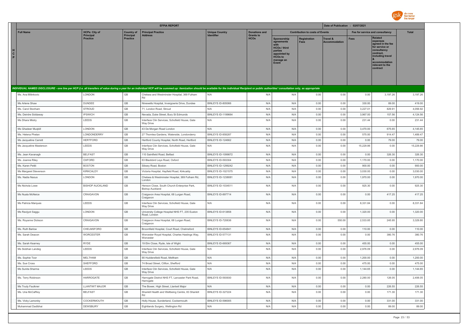

|                         |                                     |                              | <b>EFPIA REPORT</b>                                                                                                                                                                                                            |                           |                                 |                                                                                                                     |                                        | Date of Publication : 02/07/2021            |                                 |                                                                                                                                                                   |              |
|-------------------------|-------------------------------------|------------------------------|--------------------------------------------------------------------------------------------------------------------------------------------------------------------------------------------------------------------------------|---------------------------|---------------------------------|---------------------------------------------------------------------------------------------------------------------|----------------------------------------|---------------------------------------------|---------------------------------|-------------------------------------------------------------------------------------------------------------------------------------------------------------------|--------------|
| <b>Full Name</b>        | <b>HCPs: City of</b>                | <b>Country of</b>            | <b>Principal Practice</b>                                                                                                                                                                                                      | <b>Unique Country</b>     | <b>Donations and</b>            |                                                                                                                     | <b>Contribution to costs of Events</b> |                                             | Fee for service and consultancy |                                                                                                                                                                   | <b>Total</b> |
| $\mathbf{c}$<br>P       | <b>Principal</b><br><b>Practice</b> | Principal<br><b>Practice</b> | Address                                                                                                                                                                                                                        | <b>Identifier</b>         | <b>Grants to</b><br><b>HCOs</b> | Sponsorship<br>agreements<br><b>HCOs / third</b><br>parties<br>appointed by<br><b>HCOs to</b><br>manage an<br>Event | <b>Registration</b><br><b>Fees</b>     | <b>Travel &amp;</b><br><b>Accommodation</b> | Fees                            | <b>Related</b><br>expenses<br>agreed in the fee<br>for service or<br>consultancy<br>contract.<br>including travel<br>accommodation<br>relevant to the<br>contract |              |
|                         |                                     |                              | INDIVIDUAL NAMED DISCLOSURE - one line per HCP (i.e. all transfers of value during a year for an individual HCP will be summed up: itemization should be available for the individual Recipient or public authorities' consult |                           |                                 |                                                                                                                     |                                        |                                             |                                 |                                                                                                                                                                   |              |
| Ms. Ana Milinkovic      | LONDON                              | GB                           | Chelsea and Westminster Hospital, 369 Fulham                                                                                                                                                                                   | N/A                       | N/A                             | N/A                                                                                                                 | 0.00                                   | 0.00                                        | 0.00                            | 3,197.26                                                                                                                                                          | 3,197.26     |
|                         |                                     |                              | Rd                                                                                                                                                                                                                             |                           |                                 |                                                                                                                     |                                        |                                             |                                 |                                                                                                                                                                   |              |
| Ms Arlene Shaw          | DUNDEE                              | $\mathbb{G}\mathbb{B}$       | Ninewells Hospital, Invergowrie Drive, Dundee                                                                                                                                                                                  | BINLEYS ID-805066         | N/A                             | N/A                                                                                                                 | 0.00                                   | 0.00                                        | 330.00                          | 89.00                                                                                                                                                             | 419.00       |
| Ms. Carol Stonham       | <b>STROUD</b>                       | $\mathbb{G}\mathbb{B}$       | 71. London Road, Stroud                                                                                                                                                                                                        | N/A                       | N/A                             | N/A                                                                                                                 | 0.00                                   | 0.00                                        | 3,227.01                        | 829.91                                                                                                                                                            | 4,056.92     |
| Ms. Deirdre Siddaway    | <b>IPSWICH</b>                      | GB<br>GB                     | Nevada, Duke Street, Bury St Edmunds                                                                                                                                                                                           | <b>BINLEYS ID-1199664</b> | N/A                             | N/A                                                                                                                 | 0.00                                   | 0.00                                        | 3,967.00                        | 157.56                                                                                                                                                            | 4,124.56     |
| Ms Dhara Mistry         | LEEDS                               |                              | Interface Clin Services, Schofield House, Gate<br>Way Drive                                                                                                                                                                    | N/A                       | N/A                             | N/A                                                                                                                 | 0.00                                   | 0.00                                        | 231.44                          | 0.00                                                                                                                                                              | 231.44       |
| Ms Ghadeer Mugbill      | LONDON                              | GB                           | 43 De Morgan Road London                                                                                                                                                                                                       | N/A                       | N/A                             | N/A                                                                                                                 | 0.00                                   | 0.00                                        | 3.470.00                        | 675.65                                                                                                                                                            | 4.145.65     |
| Ms. Helena Phelan       | LONDONDERRY                         | GB                           | 27 Thornlea Gardens, Waterside, Londonderry                                                                                                                                                                                    | BINLEYS ID-858287         | N/A                             | N/A                                                                                                                 | 0.00                                   | 0.00                                        | 575.00                          | 914.47                                                                                                                                                            | 1,489.47     |
| Ms Jacqueline Carrett   | <b>HERTFORD</b>                     | GB                           | Hertford County Hospital, North Road, Hertford                                                                                                                                                                                 | BINLEYS ID-124662         | N/A                             | N/A                                                                                                                 | 0.00                                   | 0.00                                        | 0.00                            | 79.00                                                                                                                                                             | 79.00        |
| Ms Jacqueline Masterson | LEEDS                               | GB                           | Interface Clin Services, Schofield House, Gate<br>Way Drive                                                                                                                                                                    | N/A                       | N/A                             | N/A                                                                                                                 | 0.00                                   | 0.00                                        | 15,229.86                       | 0.00                                                                                                                                                              | 15,229.86    |
| Ms. Jean Kavanagh       | <b>BELFAST</b>                      | $\mathbb{G}\mathbb{B}$       | 110 Saintfield Road, Belfast                                                                                                                                                                                                   | <b>BINLEYS ID-1099872</b> | N/A                             | N/A                                                                                                                 | 0.00                                   | 0.00                                        | 0.00                            | 326.30                                                                                                                                                            | 326.30       |
| Ms. Joanne Riley        | OXFORD                              | $\mathbb{G}\mathbb{B}$       | 63 Blackbird Leys Road, Oxford                                                                                                                                                                                                 | <b>BINLEYS ID-593304</b>  | N/A                             | N/A                                                                                                                 | 0.00                                   | 0.00                                        | 1,170.00                        | 0.00                                                                                                                                                              | 1,170.00     |
| Ms. Karen Pettit        | <b>BOSTON</b>                       | $\mathbb{G}\mathbb{B}$       | Sibsey Road, Boston                                                                                                                                                                                                            | <b>BINLEYS ID-1299242</b> | N/A                             | N/A                                                                                                                 | 0.00                                   | 0.00                                        | 900.00                          | 0.00                                                                                                                                                              | 900.00       |
| Ms Margaret Stevenson   | <b>KIRKCALDY</b>                    | GB                           | Victoria Hospital, Hayfield Road, Kirkcaldy                                                                                                                                                                                    | <b>BINLEYS ID-1021575</b> | N/A                             | N/A                                                                                                                 | 0.00                                   | 0.00                                        | 3,030.00                        | 0.00                                                                                                                                                              | 3,030.00     |
| Ms. Nadia Naous         | LONDON                              | GB                           | Chelsea & Westminster Hospital, 369 Fulham Rd,<br>I ondon                                                                                                                                                                      | <b>BINLEYS ID-1238081</b> | N/A                             | N/A                                                                                                                 | 0.00                                   | 0.00                                        | 1,970.00                        | 0.00                                                                                                                                                              | 1,970.00     |
| Ms Nichola Lowe         | <b>BISHOP AUCKLAND</b>              | GB                           | Henson Close, South Church Enterprise Park,<br><b>Bishop Auckland</b>                                                                                                                                                          | BINLEYS ID-1034511        | N/A                             | N/A                                                                                                                 | 0.00                                   | 0.00                                        | 925.30                          | 0.00                                                                                                                                                              | 925.30       |
| Ms Nuala McNeice        | CRAIGAVON                           | GB                           | Craigavon Area Hospital, 68 Lurgan Road,<br>Craigavon                                                                                                                                                                          | BINLEYS ID-897714         | N/A                             | N/A                                                                                                                 | 0.00                                   | 0.00                                        | 0.00                            | 417.25                                                                                                                                                            | 417.25       |
| Ms Patricia Marques     | LEEDS                               | GB                           | Interface Clin Services, Schofield House, Gate<br>Way Drive                                                                                                                                                                    | N/A                       | N/A                             | N/A                                                                                                                 | 0.00                                   | 0.00                                        | 8,331.84                        | 0.00                                                                                                                                                              | 8,331.84     |
| Ms Ravijyot Saggu       | LONDON                              | GB                           | University College Hospital NHS FT, 235 Euston<br>Road, London                                                                                                                                                                 | BINLEYS ID-613858         | N/A                             | N/A                                                                                                                 | 0.00                                   | 0.00                                        | 1,320.00                        | 0.00                                                                                                                                                              | 1,320.00     |
| Ms. Royanne Dickson     | CRAIGAVON                           | GB                           | Craigavon Area Hospital, 68 Lurgan Road,<br>Craigavon                                                                                                                                                                          | BINLEYS ID-720636         | N/A                             | N/A                                                                                                                 | 0.00                                   | 550.00                                      | 2,533.85                        | 245.95                                                                                                                                                            | 3,329.80     |
| Ms. Ruth Barlow         | CHELMSFORD                          | GB                           | Broomfield Hospital, Court Road, Chelmsford                                                                                                                                                                                    | BINLEYS ID-654841         | N/A                             | N/A                                                                                                                 | 0.00                                   | 0.00                                        | 110.00                          | 0.00                                                                                                                                                              | 110.00       |
| Ms. Sarah Deacon        | <b>WORCESTER</b>                    | GB                           | Worcester Royal Hospital, Charles Hastings Way,<br>Worcester                                                                                                                                                                   | BINLEYS ID-577131         | N/A                             | N/A                                                                                                                 | 0.00                                   | 0.00                                        | 0.00                            | 380.76                                                                                                                                                            | 380.76       |
| Ms. Sarah Kearney       | <b>RYDE</b>                         | GB                           | 19 Elm Close, Ryde, Isle of Wight                                                                                                                                                                                              | BINLEYS ID-669367         | N/A                             | N/A                                                                                                                 | 0.00                                   | 0.00                                        | 455.00                          | 0.00                                                                                                                                                              | 455.00       |
| Ms Siobhan Landeg       | LEEDS                               | GB                           | Interface Clin Services, Schofield House, Gate<br>Way Drive                                                                                                                                                                    | N/A                       | N/A                             | N/A                                                                                                                 | 0.00                                   | 0.00                                        | 2,976.09                        | 0.00                                                                                                                                                              | 2,976.09     |
| Ms. Sophie Toor         | <b>MELTHAM</b>                      | GB                           | 90 Huddersfield Road, Meltham                                                                                                                                                                                                  | N/A                       | N/A                             | N/A                                                                                                                 | 0.00                                   | 0.00                                        | 1,200.00                        | 0.00                                                                                                                                                              | 1,200.00     |
| Ms. Sue Cross           | SHEFFORD                            | GB                           | 74 Broad Street, Clifton, Shefford                                                                                                                                                                                             | N/A                       | N/A                             | N/A                                                                                                                 | 0.00                                   | 0.00                                        | 475.00                          | 0.00                                                                                                                                                              | 475.00       |
| Ms Sunita Sharma        | LEEDS                               | $\mathbb{G}\mathbb{B}$       | Interface Clin Services, Schofield House, Gate<br>Way Drive                                                                                                                                                                    | N/A                       | N/A                             | N/A                                                                                                                 | 0.00                                   | 0.00                                        | 1,144.65                        | 0.00                                                                                                                                                              | 1,144.65     |
| Ms. Terry Robinson      | HARROGATE                           | $\mathbb{G}\mathbb{B}$       | Harrogate District NHS FT, Lancaster Park Road,<br>Harrogate                                                                                                                                                                   | <b>BINLEYS ID-593930</b>  | N/A                             | N/A                                                                                                                 | 0.00                                   | 0.00                                        | 2,280.00                        | 126.05                                                                                                                                                            | 2,406.05     |
| Ms Trudy Faulkner       | <b>LLANTWIT MAJOR</b>               | $\mathbb{G}\mathbb{B}$       | The Bower, High Street, Llantwit Major                                                                                                                                                                                         | N/A                       | N/A                             | N/A                                                                                                                 | 0.00                                   | 0.00                                        | 0.00                            | 226.55                                                                                                                                                            | 226.55       |
| Ms. Una McCaffrey       | <b>BELFAST</b>                      | <b>GB</b>                    | Shankill Health and Wellbeing Centre, 83 Shankill<br>Rd                                                                                                                                                                        | <b>BINLEYS ID-327224</b>  | N/A                             | N/A                                                                                                                 | 0.00                                   | 0.00                                        | 0.00                            | 171.30                                                                                                                                                            | 171.30       |
| Ms. Vicky Lamonby       | COCKERMOUTH                         | GB                           | Holly House, Sunderland, Cockermouth                                                                                                                                                                                           | BINLEYS ID-596005         | N/A                             | N/A                                                                                                                 | 0.00                                   | 0.00                                        | 0.00                            | 331.00                                                                                                                                                            | 331.00       |
| Muhammad Dadibhai       | DEWSBURY                            | GB                           | Eightlands Surgery, Wellington Rd                                                                                                                                                                                              | N/A                       | N/A                             | N/A                                                                                                                 | 0.00                                   | 0.00                                        | 0.00                            | 89.00                                                                                                                                                             | 89.00        |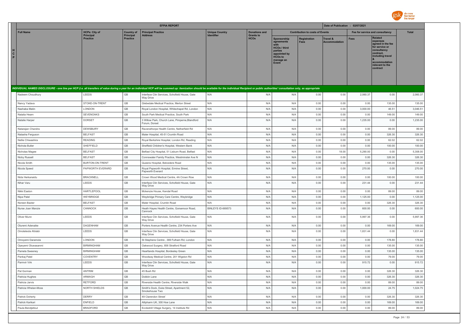

|             |                      |                       |                              | <b>EFPIA REPORT</b>                                                                                                                                                                                                            |                       |                                 |                                                                                                                                        |                                        | Date of Publication : 02/07/2021 |             |                                                                                                                                                                   |              |
|-------------|----------------------|-----------------------|------------------------------|--------------------------------------------------------------------------------------------------------------------------------------------------------------------------------------------------------------------------------|-----------------------|---------------------------------|----------------------------------------------------------------------------------------------------------------------------------------|----------------------------------------|----------------------------------|-------------|-------------------------------------------------------------------------------------------------------------------------------------------------------------------|--------------|
|             | <b>Full Name</b>     | <b>HCPs: City of</b>  | <b>Country of</b>            | <b>Principal Practice</b>                                                                                                                                                                                                      | <b>Unique Country</b> | <b>Donations and</b>            |                                                                                                                                        | <b>Contribution to costs of Events</b> |                                  |             | Fee for service and consultancy                                                                                                                                   | <b>Total</b> |
| H<br>C<br>P |                      | Principal<br>Practice | Principal<br><b>Practice</b> | Address                                                                                                                                                                                                                        | <b>Identifier</b>     | <b>Grants to</b><br><b>HCOs</b> | <b>Sponsorship</b><br>agreements<br><b>HCOs / third</b><br>parties<br>appointed by<br>HCO <sub>s</sub> to<br>manage an<br><b>Event</b> | Registration<br><b>Fees</b>            | Travel &<br><b>Accommodation</b> | <b>Fees</b> | <b>Related</b><br>expenses<br>agreed in the fee<br>for service or<br>consultancy<br>contract.<br>including travel<br>accommodation<br>relevant to the<br>contract |              |
|             |                      |                       |                              | INDIVIDUAL NAMED DISCLOSURE - one line per HCP (i.e. all transfers of value during a year for an individual HCP will be summed up: itemization should be available for the individual Recipient or public authorities' consult |                       |                                 |                                                                                                                                        |                                        |                                  |             |                                                                                                                                                                   |              |
|             | Nadeem Choudhury     | LEEDS                 | GB                           | Interface Clin Services, Schofield House, Gate<br>Way Drive                                                                                                                                                                    | N/A                   | N/A                             | N/A                                                                                                                                    | 0.00                                   | 0.00                             | 2.060.37    | 0.00                                                                                                                                                              | 2.060.37     |
|             | Nancy Yadava         | STOKE-ON-TRENT        | GB                           | Glebedale Medical Practice, Merton Street                                                                                                                                                                                      | N/A                   | N/A                             | N/A                                                                                                                                    | 0.00                                   | 0.00                             | 0.00        | 135.00                                                                                                                                                            | 135.00       |
|             | Nashaba Matin        | LONDON                | $\mathbb{G}\mathbb{B}$       | Royal London Hospital, Whitechapel Rd, London                                                                                                                                                                                  | N/A                   | N/A                             | N/A                                                                                                                                    | 0.00                                   | 0.00                             | 3,000.00    | 46.51                                                                                                                                                             | 3,046.51     |
|             | Natalia Hearn        | SEVENOAKS             | GB                           | South Park Medical Practice, South Park                                                                                                                                                                                        | N/A                   | N/A                             | N/A                                                                                                                                    | 0.00                                   | 0.00                             | 0.00        | 149.00                                                                                                                                                            | 149.00       |
|             | Natalie Harper       | <b>DORSET</b>         | $\mathbb{G}\mathbb{B}$       | 3 Willow Park, Church Lane, Pimperne, Blandford<br>Forum, Dorset                                                                                                                                                               | N/A                   | N/A                             | N/A                                                                                                                                    | 0.00                                   | 0.00                             | 1,235.00    | 0.00                                                                                                                                                              | 1,235.00     |
|             | Natarajan Chandra    | DEWSBURY              | $\mathbb{G}\mathbb{B}$       | Ravensthorpe Health Centre, Netherfield Rd                                                                                                                                                                                     | N/A                   | N/A                             | N/A                                                                                                                                    | 0.00                                   | 0.00                             | 0.00        | 89.00                                                                                                                                                             | 89.00        |
|             | Natasha Ferguson     | <b>BELFAST</b>        | GB                           | Mater Hospital, 45-51 Crumlin Road                                                                                                                                                                                             | N/A                   | N/A                             | N/A                                                                                                                                    | 0.00                                   | 0.00                             | 0.00        | 326.30                                                                                                                                                            | 326.30       |
|             | Nellie Chiwashira    | <b>READING</b>        | GB                           | Royal Berkshire Hospital, London Rd, Reading                                                                                                                                                                                   | N/A                   | N/A                             | N/A                                                                                                                                    | 0.00                                   | 0.00                             | 0.00        | 62.02                                                                                                                                                             | 62.02        |
|             | Nichola Butler       | SHEFFIELD             | $\mathbb{G}\mathbb{B}$       | Sheffield Children's Hospital, Western Bank                                                                                                                                                                                    | N/A                   | N/A                             | N/A                                                                                                                                    | 0.00                                   | 0.00                             | 0.00        | 100.00                                                                                                                                                            | 100.00       |
|             | Nicholas Magee       | <b>BELFAST</b>        | $\mathbb{G}\mathbb{B}$       | Belfast City Hospital, 51 Lisburn Road, Belfast                                                                                                                                                                                | N/A                   | N/A                             | N/A                                                                                                                                    | 0.00                                   | 18.00                            | 5,290.00    | 0.00                                                                                                                                                              | 5,308.00     |
|             | Nicky Russell        | <b>BELFAST</b>        | GB                           | Connswater Family Practice, Westminster Ave N                                                                                                                                                                                  | N/A                   | N/A                             | N/A                                                                                                                                    | 0.00                                   | 0.00                             | 0.00        | 326.30                                                                                                                                                            | 326.30       |
|             | Nicola Smith         | BURTON-ON-TRENT       | GB                           | Queens Hospital, Belvedere Road                                                                                                                                                                                                | N/A                   | N/A                             | N/A                                                                                                                                    | 0.00                                   | 0.00                             | 0.00        | 135.00                                                                                                                                                            | 135.00       |
|             | Nicola Speed         | PAPWORTH EVERARD      | GB                           | Royal Papworth Hospital, Ermine Street,<br>Panworth Everard                                                                                                                                                                    | N/A                   | N/A                             | N/A                                                                                                                                    | 0.00                                   | 0.00                             | 270.00      | 0.00                                                                                                                                                              | 270.00       |
|             | Nida Herkanaidu      | <b>BRACKNELL</b>      | GB                           | Crown Wood Medical Centre, 4A Crown Row                                                                                                                                                                                        | N/A                   | N/A                             | N/A                                                                                                                                    | 0.00                                   | 0.00                             | 0.00        | 100.00                                                                                                                                                            | 100.00       |
|             | Nihar Varu           | LEEDS                 | GB                           | Interface Clin Services, Schofield House, Gate<br>Way Drive                                                                                                                                                                    | N/A                   | N/A                             | N/A                                                                                                                                    | 0.00                                   | 0.00                             | 231.44      | 0.00                                                                                                                                                              | 231.44       |
|             | Nikki Easton         | <b>HARTLEPOOL</b>     | $\mathbb{G}\mathbb{B}$       | Mckenzie House, Kendal Road                                                                                                                                                                                                    | N/A                   | N/A                             | N/A                                                                                                                                    | 0.00                                   | 0.00                             | 0.00        | 89.00                                                                                                                                                             | 89.00        |
|             | Nipa Patel           | WEYBRIDGE             | GB                           | Weybridge Primary Care Centre, Weybridge                                                                                                                                                                                       | N/A                   | N/A                             | N/A                                                                                                                                    | 0.00                                   | 0.00                             | 1,125.00    | 0.00                                                                                                                                                              | 1,125.00     |
|             | Noreen Baxter        | <b>BELFAST</b>        | GB                           | Mater Hospital, Crumlin Road                                                                                                                                                                                                   | N/A                   | N/A                             | N/A                                                                                                                                    | 0.00                                   | 0.00                             | 0.00        | 326.30                                                                                                                                                            | 326.30       |
|             | Nurse Joan Manzie    | CANNOCK               | GB                           | Heath Hayes Health Centre, Gorsemoor Road,<br>Cannock                                                                                                                                                                          | BINLEYS ID-669573     | N/A                             | N/A                                                                                                                                    | 0.00                                   | 0.00                             | 600.00      | 0.00                                                                                                                                                              | 600.00       |
|             | Oliver Munn          | LEEDS                 | GB                           | Interface Clin Services, Schofield House, Gate<br>Way Drive                                                                                                                                                                    | N/A                   | N/A                             | N/A                                                                                                                                    | 0.00                                   | 0.00                             | 5,997.36    | 0.00                                                                                                                                                              | 5,997.36     |
|             | Oluremi Adenaike     | <b>DAGENHAM</b>       | GB                           | Porters Avenue Health Centre, 234 Porters Ave                                                                                                                                                                                  | N/A                   | N/A                             | N/A                                                                                                                                    | 0.00                                   | 0.00                             | 0.00        | 169.00                                                                                                                                                            | 169.00       |
|             | Omoteleola Afolabi   | LEEDS                 | $\mathbb{G}\mathbb{B}$       | Interface Clin Services, Schofield House, Gate<br>Way Drive                                                                                                                                                                    | N/A                   | N/A                             | N/A                                                                                                                                    | 0.00                                   | 0.00                             | 1,831.44    | 0.00                                                                                                                                                              | 1,831.44     |
|             | Omoyemi Daramola     | LONDON                | GB                           | St Stephens Centre, 369 Fulham Rd, London                                                                                                                                                                                      | N/A                   | N/A                             | N/A                                                                                                                                    | 0.00                                   | 0.00                             | 0.00        | 178.80                                                                                                                                                            | 178.80       |
|             | Opeyemi Oluwasanmi   | <b>BIRMINGHAM</b>     | $\mathbb{G}\mathbb{B}$       | Oakwood Surgery, 856 Stratford Road                                                                                                                                                                                            | N/A                   | N/A                             | N/A                                                                                                                                    | 0.00                                   | 0.00                             | 0.00        | 135.00                                                                                                                                                            | 135.00       |
|             | Pamela Sweeney       | <b>BIRMINGHAM</b>     | GB                           | Heartlands Hospital, Bordesley Green                                                                                                                                                                                           | N/A                   | N/A                             | N/A                                                                                                                                    | 0.00                                   | 0.00                             | 0.00        | 135.00                                                                                                                                                            | 135.00       |
|             | Pankaj Patel         | COVENTRY              | GB                           | Woodway Medical Centre, 201 Wigston Rd                                                                                                                                                                                         | N/A                   | N/A                             | N/A                                                                                                                                    | 0.00                                   | 0.00                             | 0.00        | 79.00                                                                                                                                                             | 79.00        |
|             | Parmvir Virk         | LEEDS                 | $\mathbb{G}\mathbb{B}$       | Interface Clin Services, Schofield House, Gate<br>Way Drive                                                                                                                                                                    | N/A                   | N/A                             | N/A                                                                                                                                    | 0.00                                   | 0.00                             | 915.72      | 0.00                                                                                                                                                              | 915.72       |
|             | Pat Gorman           | <b>ANTRIM</b>         | GB                           | 45 Bush Rd                                                                                                                                                                                                                     | N/A                   | N/A                             | N/A                                                                                                                                    | 0.00                                   | 0.00                             | 0.00        | 326.30                                                                                                                                                            | 326.30       |
|             | Patricia Hughes      | ARMAGH                | GB                           | Dobbin Lane                                                                                                                                                                                                                    | N/A                   | N/A                             | N/A                                                                                                                                    | 0.00                                   | 0.00                             | 0.00        | 326.30                                                                                                                                                            | 326.30       |
|             | Patricia Jarvis      | <b>RETFORD</b>        | GB                           | Riverside Health Centre, Riverside Walk                                                                                                                                                                                        | N/A                   | N/A                             | N/A                                                                                                                                    | 0.00                                   | 0.00                             | 0.00        | 89.00                                                                                                                                                             | 89.00        |
|             | Patricia Whelan-Moss | NORTH SHIELDS         | $\mathbb{G}\mathbb{B}$       | Smith's Dock, Duke Street, Apartment 52,<br>Smokehouse Two                                                                                                                                                                     | N/A                   | N/A                             | N/A                                                                                                                                    | 0.00                                   | 0.00                             | 1,000.00    | 24.75                                                                                                                                                             | 1,024.75     |
|             | Patrick Doherty      | <b>DERRY</b>          | GB                           | 49 Clarendon Street`                                                                                                                                                                                                           | N/A                   | N/A                             | N/A                                                                                                                                    | 0.00                                   | 0.00                             | 0.00        | 326.30                                                                                                                                                            | 326.30       |
|             | Patrick Karikari     | <b>ENFIELD</b>        | GB                           | Allipharm UK, 300 Hoe Lane                                                                                                                                                                                                     | N/A                   | N/A                             | N/A                                                                                                                                    | 0.00                                   | 0.00                             | 0.00        | 169.00                                                                                                                                                            | 169.00       |
|             | Paula Bendjelloul    | <b>BRADFORD</b>       | GB                           | Eccleshill Village Surgery, 14 Institute Rd                                                                                                                                                                                    | N/A                   | N/A                             | N/A                                                                                                                                    | 0.00                                   | 0.00                             | 0.00        | 89.00                                                                                                                                                             | 89.00        |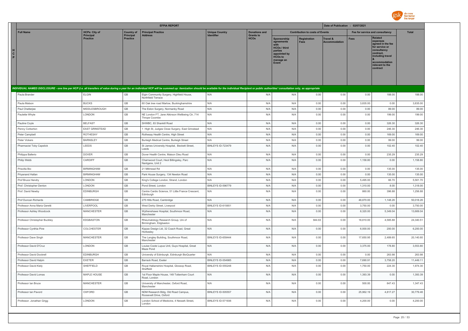

|                                                                                                                                                                                                                                |                                     |                                     | <b>EFPIA REPORT</b>                                             |                           |                                 |                                                                                                                             |                                        | Date of Publication : 02/07/2021            |                                 |                                                                                                                                                                   |              |
|--------------------------------------------------------------------------------------------------------------------------------------------------------------------------------------------------------------------------------|-------------------------------------|-------------------------------------|-----------------------------------------------------------------|---------------------------|---------------------------------|-----------------------------------------------------------------------------------------------------------------------------|----------------------------------------|---------------------------------------------|---------------------------------|-------------------------------------------------------------------------------------------------------------------------------------------------------------------|--------------|
| <b>Full Name</b>                                                                                                                                                                                                               | <b>HCPs: City of</b>                | <b>Country of</b>                   | <b>Principal Practice</b>                                       | <b>Unique Country</b>     | <b>Donations and</b>            |                                                                                                                             | <b>Contribution to costs of Events</b> |                                             | Fee for service and consultancy |                                                                                                                                                                   | <b>Total</b> |
| $\frac{H}{C}$<br>P                                                                                                                                                                                                             | <b>Principal</b><br><b>Practice</b> | <b>Principal</b><br><b>Practice</b> | <b>Address</b>                                                  | <b>Identifier</b>         | <b>Grants to</b><br><b>HCOs</b> | Sponsorship<br>agreements<br>with<br><b>HCOs / third</b><br>parties<br>appointed by<br><b>HCOs to</b><br>manage an<br>Event | <b>Registration</b><br><b>Fees</b>     | <b>Travel &amp;</b><br><b>Accommodation</b> | <b>Fees</b>                     | <b>Related</b><br>expenses<br>agreed in the fee<br>for service or<br>consultancy<br>contract,<br>including travel<br>accommodation<br>relevant to the<br>contract |              |
|                                                                                                                                                                                                                                |                                     |                                     |                                                                 |                           |                                 |                                                                                                                             |                                        |                                             |                                 |                                                                                                                                                                   |              |
| INDIVIDUAL NAMED DISCLOSURE - one line per HCP (i.e. all transfers of value during a year for an individual HCP will be summed up: itemization should be available for the individual Recipient or public authorities' consult |                                     |                                     |                                                                 |                           |                                 |                                                                                                                             |                                        |                                             |                                 |                                                                                                                                                                   |              |
| Paula Brander                                                                                                                                                                                                                  | ELGIN                               | GB                                  | Elgin Community Surgery, Highfield House,<br>Northfield Terrace | N/A                       | N/A                             | N/A                                                                                                                         | 0.00                                   | 0.00                                        | 0.00                            | 188.00                                                                                                                                                            | 188.00       |
| Paula Matson                                                                                                                                                                                                                   | <b>BUCKS</b>                        | GB                                  | 60 Oak tree road Marlow, Buckinghamshire                        | N/A                       | N/A                             | N/A                                                                                                                         | 0.00                                   | 0.00                                        | 3,835.00                        | 0.00                                                                                                                                                              | 3,835.00     |
| Paul Chatterjee                                                                                                                                                                                                                | MIDDLESBROUGH                       | GB                                  | The Eston Surgery, Normanby Road                                | N/A                       | N/A                             | N/A                                                                                                                         | 0.00                                   | 0.00                                        | 0.00                            | 89.00                                                                                                                                                             | 89.00        |
| Paulette Whyte                                                                                                                                                                                                                 | LONDON                              | GB                                  | NE London FT, Jane Atkinson Wellbeing Ctr, 714<br>Thrope Coombe | N/A                       | N/A                             | N/A                                                                                                                         | 0.00                                   | 0.00                                        | 0.00                            | 199.00                                                                                                                                                            | 199.00       |
| Pauline Coyle                                                                                                                                                                                                                  | <b>BELFAST</b>                      | GB                                  | SHWBC, 83 Shankill Road                                         | N/A                       | N/A                             | N/A                                                                                                                         | 0.00                                   | 0.00                                        | 0.00                            | 326.30                                                                                                                                                            | 326.30       |
| Penny Corkerton                                                                                                                                                                                                                | EAST GRINSTEAD                      | $\mathbb{G}\mathbb{B}$              | 1 High St, Judges Close Surgery, East Grinstead                 | N/A                       | N/A                             | N/A                                                                                                                         | 0.00                                   | 0.00                                        | 0.00                            | 246.30                                                                                                                                                            | 246.30       |
| Peter Campbell                                                                                                                                                                                                                 | ROTHESAY                            | GB                                  | Rothesay Health Centre, High Street                             | N/A                       | N/A                             | N/A                                                                                                                         | 0.00                                   | 0.00                                        | 0.00                            | 169.00                                                                                                                                                            | 169.00       |
| Peter Vickers                                                                                                                                                                                                                  | <b>BARNSLEY</b>                     | GB                                  | Burleigh Medical Centre, Burleigh Street                        | N/A                       | N/A                             | N/A                                                                                                                         | 0.00                                   | 0.00                                        | 0.00                            | 99.00                                                                                                                                                             | 99.00        |
| Pharmacist Toby Capstick                                                                                                                                                                                                       | LEEDS                               | GB                                  | St James University Hospital, Beckett Street,<br>Leeds          | BINLEYS ID-723479         | N/A                             | N/A                                                                                                                         | 0.00                                   | 0.00                                        | 0.00                            | 102.40                                                                                                                                                            | 102.40       |
| Philippa Ballerio                                                                                                                                                                                                              | <b>DOVER</b>                        | GB                                  | Dover Health Centre, Maison Dieu Road                           | N/A                       | N/A                             | N/A                                                                                                                         | 0.00                                   | 0.00                                        | 0.00                            | 235.29                                                                                                                                                            | 235.29       |
| Philip Webb                                                                                                                                                                                                                    | CARDIFF                             | GB                                  | Charnwood Court, Heol Billingsley, Parc<br>Nantgarw, Unit 2     | N/A                       | N/A                             | N/A                                                                                                                         | 0.00                                   | 0.00                                        | 1,158.80                        | 0.00                                                                                                                                                              | 1,158.80     |
| Priscilla Bio                                                                                                                                                                                                                  | <b>BIRMINGHAM</b>                   | GB                                  | 21 Millmead Rd                                                  | N/A                       | N/A                             | N/A                                                                                                                         | 0.00                                   | 0.00                                        | 0.00                            | 135.00                                                                                                                                                            | 135.00       |
| Priyanand Hallan                                                                                                                                                                                                               | <b>BIRMINGHAM</b>                   | GB                                  | Park House Surgery, 134 Newton Road                             | N/A                       | N/A                             | N/A                                                                                                                         | 0.00                                   | 0.00                                        | 0.00                            | 135.00                                                                                                                                                            | 135.00       |
| Prof Bruce Hendry                                                                                                                                                                                                              | LONDON                              | GB                                  | King's College London, Strand, London                           | N/A                       | N/A                             | N/A                                                                                                                         | 0.00                                   | 0.00                                        | 5,495.00                        | 66.70                                                                                                                                                             | 5,561.70     |
| Prof. Christopher Denton                                                                                                                                                                                                       | LONDON                              | GB                                  | Pond Street, London                                             | BINLEYS ID-596779         | N/A                             | N/A                                                                                                                         | 0.00                                   | 0.00                                        | 1,310.00                        | 8.00                                                                                                                                                              | 1,318.00     |
| Prof. David Newby                                                                                                                                                                                                              | EDINBURGH                           | GB                                  | Centre Cardio Science, 51 Little France Crescent,<br>Edinburgh  | N/A                       | N/A                             | N/A                                                                                                                         | 0.00                                   | 0.00                                        | 860.00                          | 396.88                                                                                                                                                            | 1,256.88     |
| Prof Duncan Richards                                                                                                                                                                                                           | CAMBRIDGE                           | $\mathbb{G}\mathbb{B}$              | 275 Hills Road, Cambridge                                       | N/A                       | N/A                             | N/A                                                                                                                         | 0.00                                   | 0.00                                        | 48,870.00                       | 1,148.26                                                                                                                                                          | 50,018.26    |
| Professor Anna Maria Geretti                                                                                                                                                                                                   | LIVERPOOL                           | GB                                  | West Derby Street, Liverpool                                    | BINLEYS ID-615651         | N/A                             | N/A                                                                                                                         | 0.00                                   | 0.00                                        | 3,750.00                        | 0.00                                                                                                                                                              | 3,750.00     |
| Professor Ashley Woodcock                                                                                                                                                                                                      | <b>MANCHESTER</b>                   | GB                                  | Wythenshawe Hospital, Southmoor Road,<br>Manchester             | N/A                       | N/A                             | N/A                                                                                                                         | 0.00                                   | 0.00                                        | 8,320.00                        | 5,349.04                                                                                                                                                          | 13,669.04    |
| Professor Christopher Buckley                                                                                                                                                                                                  | EDGBASTON                           | GB                                  | Rheumatology Research Group, Uni of<br>Birmingham, Edgbaston    | N/A                       | N/A                             | N/A                                                                                                                         | 944.63                                 | 0.00                                        | 18,810.00                       | 4,585.88                                                                                                                                                          | 24,340.51    |
| Professor Cynthia Pine                                                                                                                                                                                                         | <b>COLCHESTER</b>                   | GB                                  | Kippax Design Ltd, 32 Coach Road, Great<br>Horkeslev            | N/A                       | N/A                             | N/A                                                                                                                         | 0.00                                   | 0.00                                        | 6,000.00                        | 200.00                                                                                                                                                            | 6,200.00     |
| Professor Dave Singh                                                                                                                                                                                                           | MANCHESTER                          | $\mathbb{G}\mathbb{B}$              | The Langley Building, Southmoor Road,<br>Manchester             | BINLEYS ID-659444         | N/A                             | N/A                                                                                                                         | 0.00                                   | 0.00                                        | 17,650.95                       | 2,489.65                                                                                                                                                          | 20,140.60    |
| Professor David D'Cruz                                                                                                                                                                                                         | LONDON                              | GB                                  | Louise Coote Lupus Unit, Guys Hospital, Great<br>Maze Pond      | N/A                       | N/A                             | N/A                                                                                                                         | 0.00                                   | 0.00                                        | 3,375.00                        | 178.80                                                                                                                                                            | 3,553.80     |
| Professor David Dockrell                                                                                                                                                                                                       | <b>EDINBURGH</b>                    | GB                                  | University of Edinburgh, Edinburgh BioQuarter                   | N/A                       | N/A                             | N/A                                                                                                                         | 0.00                                   | 0.00                                        | 0.00                            | 263.98                                                                                                                                                            | 263.98       |
| Professor David Halpin                                                                                                                                                                                                         | <b>EXETER</b>                       | GB                                  | Barrack Road, Exeter                                            | BINLEYS ID-554985         | N/A                             | N/A                                                                                                                         | 0.00                                   | 0.00                                        | 7,690.91                        | 3,758.20                                                                                                                                                          | 11,449.11    |
| Professor David Kiely                                                                                                                                                                                                          | SHEFFIELD                           | GB                                  | Royal Hallamshire Hospital, Glossop Road,<br>Sheffield          | BINLEYS ID-555248         | N/A                             | N/A                                                                                                                         | 0.00                                   | 0.00                                        | 1,750.00                        | 224.30                                                                                                                                                            | 1,974.30     |
| Professor David Lomas                                                                                                                                                                                                          | MAPLE HOUSE                         | GB                                  | 1st Floor Maple House, 149 Tottenham Court<br>Road, London      | N/A                       | N/A                             | N/A                                                                                                                         | 0.00                                   | 0.00                                        | 1,393.39                        | 0.00                                                                                                                                                              | 1,393.39     |
| Professor Ian Bruce                                                                                                                                                                                                            | <b>MANCHESTER</b>                   | GB                                  | University of Manchester, Oxford Road,<br>Manchester            | N/A                       | N/A                             | N/A                                                                                                                         | 0.00                                   | 0.00                                        | 500.00                          | 847.43                                                                                                                                                            | 1,347.43     |
| Professor Ian Pavord                                                                                                                                                                                                           | OXFORD                              | GB                                  | NDM Research Bldg, Old Road Campus,<br>Roosevelt Drive, Oxford  | BINLEYS ID-505557         | N/A                             | N/A                                                                                                                         | 0.00                                   | 0.00                                        | 25,962.19                       | 4,817.27                                                                                                                                                          | 30,779.46    |
| Professor. Jonathan Grigg                                                                                                                                                                                                      | LONDON                              | GB                                  | London School of Medicine, 4 Newark Street,<br>London           | <b>BINI FYS ID-571936</b> | N/A                             | N/A                                                                                                                         | 0.00                                   | 0.00                                        | 4,200.00                        | 0.00                                                                                                                                                              | 4,200.00     |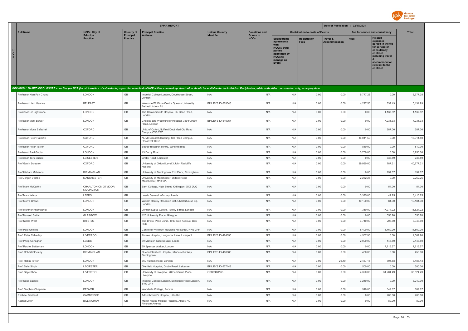

|                           |                                     |                              | <b>EFPIA REPORT</b>                                                                                                                                                                                                            |                          |                                 |                                                                                                                            |                                        | Date of Publication : 02/07/2021 |             |                                                                                                                                                                   |              |
|---------------------------|-------------------------------------|------------------------------|--------------------------------------------------------------------------------------------------------------------------------------------------------------------------------------------------------------------------------|--------------------------|---------------------------------|----------------------------------------------------------------------------------------------------------------------------|----------------------------------------|----------------------------------|-------------|-------------------------------------------------------------------------------------------------------------------------------------------------------------------|--------------|
| <b>Full Name</b>          | <b>HCPs: City of</b>                | <b>Country of</b>            | <b>Principal Practice</b>                                                                                                                                                                                                      | <b>Unique Country</b>    | <b>Donations and</b>            |                                                                                                                            | <b>Contribution to costs of Events</b> |                                  |             | Fee for service and consultancy                                                                                                                                   | <b>Total</b> |
| $\mathbf{c}$<br>P         | <b>Principal</b><br><b>Practice</b> | Principal<br><b>Practice</b> | <b>Address</b>                                                                                                                                                                                                                 | Identifier               | <b>Grants to</b><br><b>HCOs</b> | <b>Sponsorship</b><br>agreements<br><b>HCOs / third</b><br>parties<br>appointed by<br><b>HCOs to</b><br>manage an<br>Event | <b>Registration</b><br><b>Fees</b>     | Travel &<br><b>Accommodation</b> | <b>Fees</b> | <b>Related</b><br>expenses<br>agreed in the fee<br>for service or<br>consultancy<br>contract.<br>including travel<br>accommodation<br>relevant to the<br>contract |              |
|                           |                                     |                              |                                                                                                                                                                                                                                |                          |                                 |                                                                                                                            |                                        |                                  |             |                                                                                                                                                                   |              |
|                           |                                     |                              | INDIVIDUAL NAMED DISCLOSURE - one line per HCP (i.e. all transfers of value during a year for an individual HCP will be summed up: itemization should be available for the individual Recipient or public authorities' consult |                          |                                 |                                                                                                                            |                                        |                                  |             |                                                                                                                                                                   |              |
| Professor Kian Fan Chung  | LONDON                              | $\mathbb{G}\mathbb{B}$       | Imperial College London, Dovehouse Street,<br>London                                                                                                                                                                           | N/A                      | N/A                             | N/A                                                                                                                        | 0.00                                   | 0.00                             | 5,777.25    | 0.00                                                                                                                                                              | 5,777.25     |
| Professor Liam Heaney     | <b>BELFAST</b>                      | GB                           | Welcome Wolffson Centre Queens University<br>Belfast Lisburn Rd                                                                                                                                                                | BINLEYS ID-503543        | N/A                             | N/A                                                                                                                        | 0.00                                   | 0.00                             | 4,297.50    | 837.43                                                                                                                                                            | 5,134.93     |
| Professor Liz Lightstone  | LONDON                              | $\mathbb{G}\mathbb{B}$       | The Hammersmith Hospital, Du Cane Road,<br>London                                                                                                                                                                              | N/A                      | N/A                             | N/A                                                                                                                        | 0.00                                   | 0.00                             | 0.00        | 1,137.52                                                                                                                                                          | 1,137.52     |
| Professor Mark Bower      | LONDON                              | $\mathbb{G}\mathbb{B}$       | Chelsea and Westminster Hospital, 369 Fulham<br>Road, London                                                                                                                                                                   | BINLEYS ID-510054        | N/A                             | N/A                                                                                                                        | 0.00                                   | 0.00                             | 0.00        | 7,231.33                                                                                                                                                          | 7,231.33     |
| Professor Mona Bafadhel   | OXFORD                              | $\mathbb{G}\mathbb{B}$       | Univ. of Oxford, Nuffield Dept Med, Old Road<br>Campus, OX3 7FZ                                                                                                                                                                | N/A                      | N/A                             | N/A                                                                                                                        | 0.00                                   | 0.00                             | 0.00        | 287.00                                                                                                                                                            | 287.00       |
| Professor Peter Ratcliffe | OXFORD                              | GB                           | NDM Research Building, Old Road Campus,<br>Roosevelt Drive                                                                                                                                                                     | N/A                      | N/A                             | N/A                                                                                                                        | 0.00                                   | 0.00                             | 16,011.50   | 0.00                                                                                                                                                              | 16,011.50    |
| Professor Peter Taylor    | OXFORD                              | $\mathbb{G}\mathbb{B}$       | Botnar research centre, Windmill road                                                                                                                                                                                          | N/A                      | N/A                             | N/A                                                                                                                        | 0.00                                   | 0.00                             | 810.00      | 0.00                                                                                                                                                              | 810.00       |
| Professor Ravi Gupta      | LONDON                              | GB                           | 43 Derby Road                                                                                                                                                                                                                  | N/A                      | N/A                             | N/A                                                                                                                        | 0.00                                   | 0.00                             | 3,750.00    | 0.00                                                                                                                                                              | 3,750.00     |
| Professor Toru Suzuki     | LEICESTER                           | $\mathbb{G}\mathbb{B}$       | Groby Road, Leicester                                                                                                                                                                                                          | N/A                      | N/A                             | N/A                                                                                                                        | 0.00                                   | 0.00                             | 0.00        | 736.59                                                                                                                                                            | 736.59       |
| Prof Gavin Screaton       | OXFORD                              | GB                           | University of Oxford, Level 3, John Radcliffe<br>Hospital                                                                                                                                                                      | N/A                      | N/A                             | N/A                                                                                                                        | 0.00                                   | 0.00                             | 39,990.00   | 787.21                                                                                                                                                            | 40,777.21    |
| Prof Hisham Mehanna       | <b>BIRMINGHAM</b>                   | $\mathbb{G}\mathbb{B}$       | University of Birmingham, 2nd Floor, Birmingham                                                                                                                                                                                | N/A                      | N/A                             | N/A                                                                                                                        | 0.00                                   | 0.00                             | 0.00        | 194.07                                                                                                                                                            | 194.07       |
| Prof Jorgen Vestbo        | MANCHESTER                          | $\mathbb{G}\mathbb{B}$       | University of Manchester, Oxford Road,<br>Manchester, M13 9PL                                                                                                                                                                  | N/A                      | N/A                             | N/A                                                                                                                        | 0.00                                   | 0.00                             | 2,252.25    | 0.00                                                                                                                                                              | 2,252.25     |
| Prof Mark McCarthy        | CHARLTON ON OTMOOR,<br>KIDLINGTON   | GB                           | Barn Cottage, High Street, Kidlington, OX5 2UQ                                                                                                                                                                                 | N/A                      | N/A                             | N/A                                                                                                                        | 0.00                                   | 0.00                             | 0.00        | 54.00                                                                                                                                                             | 54.00        |
| Prof Mark Wilcox          | LEEDS                               | GB                           | Leeds General Infirmary, Leeds                                                                                                                                                                                                 | N/A                      | N/A                             | N/A                                                                                                                        | 0.00                                   | 0.00                             | 3,375.00    | 41.75                                                                                                                                                             | 3,416.75     |
| Prof Morris Brown         | LONDON                              | $\mathbb{G}\mathbb{B}$       | William Harvey Research Inst, Charterhouse Sq,<br>London                                                                                                                                                                       | N/A                      | N/A                             | N/A                                                                                                                        | 0.00                                   | 0.00                             | 10,100.00   | 81.30                                                                                                                                                             | 10,181.30    |
| Prof Munther Khamashta    | LONDON                              | $\mathbb{G}\mathbb{B}$       | London Lupus Centre, Tooley Street, London                                                                                                                                                                                     | N/A                      | N/A                             | N/A                                                                                                                        | 0.00                                   | 0.00                             | 1,350.00    | 17,274.22                                                                                                                                                         | 18,624.22    |
| <b>Prof Naveed Satta</b>  | GLASGOW                             | $\mathbb{G}\mathbb{B}$       | 126 University Place, Glasgow                                                                                                                                                                                                  | N/A                      | N/A                             | N/A                                                                                                                        | 0.00                                   | 0.00                             | 0.00        | 556.70                                                                                                                                                            | 556.70       |
| Prof Nicola West          | <b>BRISTOL</b>                      | $\mathbb{G}\mathbb{B}$       | The Bristol Perio Clinic, 19 Elmlea Avenue, BS9<br>3UU                                                                                                                                                                         | N/A                      | N/A                             | N/A                                                                                                                        | 0.00                                   | 0.00                             | 3,740.00    | 203.60                                                                                                                                                            | 3,943.60     |
| Prof Paul Griffiths       | LONDON                              | $\mathbb{G}\mathbb{B}$       | Centre for Virology, Rowland Hill Street, NW3 2PF                                                                                                                                                                              | N/A                      | N/A                             | N/A                                                                                                                        | 0.00                                   | 0.00                             | 5,400.00    | 6,460.20                                                                                                                                                          | 11,860.20    |
| Prof. Peter Calverley     | LIVERPOOL                           | GB                           | Aintree Hospital, Longmoor Lane, Liverpool                                                                                                                                                                                     | BINLEYS ID-484096        | N/A                             | N/A                                                                                                                        | 0.00                                   | 0.00                             | 4,567.90    | 0.00                                                                                                                                                              | 4,567.90     |
| Prof Philip Conaghan      | LEEDS                               | $\mathbb{G}\mathbb{B}$       | 39 Mansion Gate Square, Leeds                                                                                                                                                                                                  | N/A                      | N/A                             | N/A                                                                                                                        | 0.00                                   | 0.00                             | 2,000.00    | 143.80                                                                                                                                                            | 2,143.80     |
| Prof Rachel Batterham     | LONDON                              | GB                           | 29 Spencer Walker, London                                                                                                                                                                                                      | N/A                      | N/A                             | N/A                                                                                                                        | 0.00                                   | 0.00                             | 0.00        | 7,715.57                                                                                                                                                          | 7,715.57     |
| Prof. Robert Stockley     | <b>BIRMINGHAM</b>                   | GB                           | Queen Elizabeth Hospital, Mindelsohn Way,<br>Birmingham                                                                                                                                                                        | <b>BINLEYS ID-488085</b> | N/A                             | N/A                                                                                                                        | 0.00                                   | 0.00                             | 450.00      | 0.00                                                                                                                                                              | 450.00       |
| Prof. Robin Taylor        | LONDON                              | GB                           | 369 Fulham Road, London                                                                                                                                                                                                        | N/A                      | N/A                             | N/A                                                                                                                        | 0.00                                   | 26.10                            | 2,457.15    | 704.88                                                                                                                                                            | 3,188.13     |
| Prof. Sally Singh         | <b>LECIESTER</b>                    | <b>GB</b>                    | Glenfield Hospital, Groby Road, Leicester                                                                                                                                                                                      | BINLEYS ID-577148        | N/A                             | N/A                                                                                                                        | 0.00                                   | 0.00                             | 500.00      | 0.00                                                                                                                                                              | 500.00       |
| Prof. Saye Khoo           | LIVERPOOL                           | GB                           | University of Liverpool, 70 Pembroke Place,<br>Liverpool                                                                                                                                                                       | GBBP483168               | N/A                             | N/A                                                                                                                        | 0.00                                   | 0.00                             | 4,320.00    | 31,204.49                                                                                                                                                         | 35,524.49    |
| Prof Sejal Saglani        | LONDON                              | GB                           | Imperial College London, Exhibition Road, London,<br>SW7 2AY                                                                                                                                                                   | N/A                      | N/A                             | N/A                                                                                                                        | 0.00                                   | 0.00                             | 3,240.00    | 0.00                                                                                                                                                              | 3,240.00     |
| Prof. Stephen Chapman     | PFOVER                              | GB                           | Woodside Cottage, Peover                                                                                                                                                                                                       | N/A                      | N/A                             | N/A                                                                                                                        | 0.00                                   | 0.00                             | 540.00      | 349.67                                                                                                                                                            | 889.67       |
| Rachael Beddard           | CAMBRIDGE                           | $\mathbb{G}\mathbb{B}$       | Addenbrooke's Hospital, Hills Rd                                                                                                                                                                                               | N/A                      | N/A                             | N/A                                                                                                                        | 0.00                                   | 0.00                             | 0.00        | 206.00                                                                                                                                                            | 206.00       |
| Rachel Dixon              | <b>BILLINGHAM</b>                   | GB                           | Marsh House Medical Practice, Abbey HC,<br>Finchale Avenue                                                                                                                                                                     | N/A                      | N/A                             | N/A                                                                                                                        | 0.00                                   | 0.00                             | 0.00        | 89.00                                                                                                                                                             | 89.00        |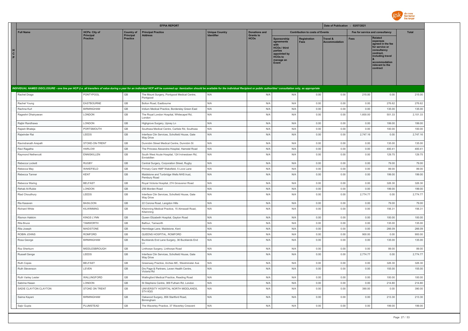

|                                                                                                                                                                                                                                |                                          | <b>EFPIA REPORT</b>            |                                                                    |                                            |                                          |                                                                                                                     |                                        |                                             |              | Date of Publication : 02/07/2021                                                                                                                                  |                  |  |  |
|--------------------------------------------------------------------------------------------------------------------------------------------------------------------------------------------------------------------------------|------------------------------------------|--------------------------------|--------------------------------------------------------------------|--------------------------------------------|------------------------------------------|---------------------------------------------------------------------------------------------------------------------|----------------------------------------|---------------------------------------------|--------------|-------------------------------------------------------------------------------------------------------------------------------------------------------------------|------------------|--|--|
| <b>Full Name</b>                                                                                                                                                                                                               | <b>HCPs: City of</b><br><b>Principal</b> | <b>Country of</b><br>Principal | <b>Principal Practice</b><br><b>Address</b>                        | <b>Unique Country</b><br><b>Identifier</b> | <b>Donations and</b><br><b>Grants to</b> |                                                                                                                     | <b>Contribution to costs of Events</b> |                                             |              | Fee for service and consultancy                                                                                                                                   | <b>Total</b>     |  |  |
| н<br>$\mathbf{c}$<br>P.                                                                                                                                                                                                        | <b>Practice</b>                          | <b>Practice</b>                |                                                                    |                                            | <b>HCOs</b>                              | Sponsorship<br>agreements<br><b>HCOs / third</b><br>parties<br>appointed by<br><b>HCOs to</b><br>manage an<br>Event | <b>Registration</b><br><b>Fees</b>     | <b>Travel &amp;</b><br><b>Accommodation</b> | <b>Fees</b>  | <b>Related</b><br>expenses<br>agreed in the fee<br>for service or<br>consultancy<br>contract,<br>including travel<br>accommodation<br>relevant to the<br>contract |                  |  |  |
| INDIVIDUAL NAMED DISCLOSURE - one line per HCP (i.e. all transfers of value during a year for an individual HCP will be summed up: itemization should be available for the individual Recipient or public authorities' consult |                                          |                                |                                                                    |                                            |                                          |                                                                                                                     |                                        |                                             |              |                                                                                                                                                                   |                  |  |  |
| Rachel Drago                                                                                                                                                                                                                   | PONTYPOOL                                | GB                             | The Mount Surgery, Pontypool Medical Centre<br>Pontypool           | N/A                                        | N/A                                      | N/A                                                                                                                 | 0.00                                   | 0.00                                        | 215.00       | 0.00                                                                                                                                                              | 215.00           |  |  |
| Rachel Young                                                                                                                                                                                                                   | EASTBOURNE                               | GB                             | Bolton Road, Eastbourne                                            | N/A                                        | N/A                                      | N/A                                                                                                                 | 0.00                                   | 0.00                                        | 0.00         | 276.62                                                                                                                                                            | 276.62           |  |  |
| Rachna Kurl                                                                                                                                                                                                                    | <b>BIRMINGHAM</b>                        | GB                             | Iridium Medical Practice, Bordersley Green East                    | N/A                                        | N/A                                      | N/A                                                                                                                 | 0.00                                   | 0.00                                        | 0.00         | 135.00                                                                                                                                                            | 135.00           |  |  |
| Rageshri Dhairyawan                                                                                                                                                                                                            | LONDON                                   | GB                             | The Royal London Hospital, Whitecapel Rd,<br>London                | N/A                                        | N/A                                      | N/A                                                                                                                 | 0.00                                   | 0.00                                        | 1,600.00     | 501.33                                                                                                                                                            | 2,101.33         |  |  |
| Rajbir Randhawa                                                                                                                                                                                                                | LONDON                                   | GB                             | Highgrove Surgery, Upney Ln                                        | N/A                                        | N/A                                      | N/A                                                                                                                 | 0.00                                   | 0.00                                        | 0.00         | 199.00                                                                                                                                                            | 199.00           |  |  |
| Rajesh Bhateja                                                                                                                                                                                                                 | PORTSMOUTH                               | $\mathbb{G}\mathbb{B}$         | Southsea Medical Centre, Carlisle Rd, Southsea                     | N/A                                        | N/A                                      | N/A                                                                                                                 | 0.00                                   | 0.00                                        | 0.00         | 100.00                                                                                                                                                            | 100.00           |  |  |
| Rajwinder Rai                                                                                                                                                                                                                  | LEEDS                                    | GB                             | Interface Clin Services, Schofield House, Gate<br><b>Way Drive</b> | N/A                                        | N/A                                      | N/A                                                                                                                 | 0.00                                   | 0.00                                        | 2,747.16     | 0.00                                                                                                                                                              | 2,747.16         |  |  |
| Ravindranath Arepalli                                                                                                                                                                                                          | STOKE-ON-TRENT                           | $\mathbb{G}\mathbb{B}$         | Dunrobin Street Medical Centre, Dunrobin St                        | N/A                                        | N/A                                      | N/A                                                                                                                 | 0.00                                   | 0.00                                        | 0.00         | 135.00                                                                                                                                                            | 135.00           |  |  |
| Ravi Ragatha                                                                                                                                                                                                                   | <b>HARLOW</b>                            | GB                             | The Princess Alexandra Hospital, Hamstel Road                      | N/A                                        | N/A                                      | N/A                                                                                                                 | 0.00                                   | 0.00                                        | 0.00         | 400.41                                                                                                                                                            | 400.41           |  |  |
| Raymond Nethercott                                                                                                                                                                                                             | <b>ENNISKILLEN</b>                       | GB                             | South West Acute Hospital, 124 Irvinestown Rd,<br>Fnniskillen      | N/A                                        | N/A                                      | N/A                                                                                                                 | 0.00                                   | 0.00                                        | 0.00         | 129.75                                                                                                                                                            | 129.75           |  |  |
| Rebecca Lockett                                                                                                                                                                                                                | <b>RUGBY</b>                             | GB                             | Central Surgery, Corporation Street, Rugby                         | N/A                                        | N/A                                      | N/A                                                                                                                 | 0.00                                   | 0.00                                        | 0.00         | 79.00                                                                                                                                                             | 79.00            |  |  |
| Rebecca May                                                                                                                                                                                                                    | WAKEFIELD                                | GB                             | Primary Care HMP Wakefield, 5 Love Lane                            | N/A                                        | N/A                                      | N/A                                                                                                                 | 0.00                                   | 0.00                                        | 0.00         | 89.00                                                                                                                                                             | 89.00            |  |  |
| Rebecca Tanner                                                                                                                                                                                                                 | KENT                                     | GB                             | Maidstone and Tunbridge Wells NHS trust,<br>Pembury Road           | N/A                                        | N/A                                      | N/A                                                                                                                 | 0.00                                   | 0.00                                        | 0.00         | 199.00                                                                                                                                                            | 199.00           |  |  |
| Rebecca Waring                                                                                                                                                                                                                 | <b>BELFAST</b>                           | GB                             | Royal Victoria Hospital, 274 Grosvenor Road                        | N/A                                        | N/A                                      | N/A                                                                                                                 | 0.00                                   | 0.00                                        | 0.00         | 326.30                                                                                                                                                            | 326.30           |  |  |
| Rehab Al-Rubie                                                                                                                                                                                                                 | LONDON                                   | GB                             | 256 Morden Road                                                    | N/A                                        | N/A                                      | N/A                                                                                                                 | 0.00                                   | 0.00                                        | 0.00         | 199.00                                                                                                                                                            | 199.00           |  |  |
| Riad Choudhury                                                                                                                                                                                                                 | LEEDS                                    | GB                             | Interface Clin Services, Schofield House, Gate<br>Way Drive        | N/A                                        | N/A                                      | N/A                                                                                                                 | 0.00                                   | 0.00                                        | 2,774.77     | 0.00                                                                                                                                                              | 2,774.77         |  |  |
| Ria Kasaven                                                                                                                                                                                                                    | <b>BASILDON</b>                          | GB                             | 22 Corona Road, Langdon Hills                                      | N/A                                        | N/A                                      | N/A                                                                                                                 | 0.00                                   | 0.00                                        | 0.00         | 79.00                                                                                                                                                             | 79.00            |  |  |
| Richard White                                                                                                                                                                                                                  | KILWINNING                               | GB                             | Kilwinning Medical Practice, 15 Almswall Road,<br>Kilwinning       | N/A                                        | N/A                                      | N/A                                                                                                                 | 0.00                                   | 0.00                                        | 0.00         | 156.31                                                                                                                                                            | 156.31           |  |  |
| Rismon Hakkim                                                                                                                                                                                                                  | <b>KINGS LYNN</b>                        | $\mathbb{G}\mathbb{B}$         | Queen Elizabeth Hospital, Gayton Road                              | N/A                                        | N/A                                      | N/A                                                                                                                 | 0.00                                   | 0.00                                        | 0.00         | 100.00                                                                                                                                                            | 100.00           |  |  |
| <b>Rita Bruce</b>                                                                                                                                                                                                              | <b>TAMWORTH</b><br><b>MAIDSTONE</b>      | $\mathbb{G}\mathbb{B}$<br>GB   | Balfour, Tamworth                                                  | N/A<br>N/A                                 | N/A<br>N/A                               | N/A<br>N/A                                                                                                          | 0.00<br>0.00                           | 0.00<br>0.00                                | 0.00<br>0.00 | 135.00<br>266.09                                                                                                                                                  | 135.00<br>266.09 |  |  |
| Rita Joseph<br>ROBIN JOHNS                                                                                                                                                                                                     | <b>ROMFORD</b>                           | GB                             | Hermitage Lane, Maidstone, Kent<br>QUEENS HOSPITAL, ROMFORD        | N/A                                        | N/A                                      | N/A                                                                                                                 | 0.00                                   | 0.00                                        | 900.00       | 0.00                                                                                                                                                              | 900.00           |  |  |
| Rosa George                                                                                                                                                                                                                    | <b>BIRMINGHAM</b>                        | GB                             | Bucklands End Lane Surgery, 36 Bucklands End<br>In.                | N/A                                        | N/A                                      | N/A                                                                                                                 | 0.00                                   | 0.00                                        | 0.00         | 135.00                                                                                                                                                            | 135.00           |  |  |
| Roz Sherburn                                                                                                                                                                                                                   | MIDDLESBROUGH                            | GB                             | Linthorpe Surgery, Linthorpe Road                                  | N/A                                        | N/A                                      | N/A                                                                                                                 | 0.00                                   | 0.00                                        | 0.00         | 89.00                                                                                                                                                             | 89.00            |  |  |
| Russell Genge                                                                                                                                                                                                                  | LEEDS                                    | GB                             | Interface Clin Services, Schofield House, Gate<br><b>Way Drive</b> | N/A                                        | N/A                                      | N/A                                                                                                                 | 0.00                                   | 0.00                                        | 2,774.77     | 0.00                                                                                                                                                              | 2,774.77         |  |  |
| Ruth Copes                                                                                                                                                                                                                     | <b>BELFAST</b>                           | GB                             | Greenway Practice, Arches MC, Westminster Ave                      | N/A                                        | N/A                                      | N/A                                                                                                                 | 0.00                                   | 0.00                                        | 0.00         | 326.30                                                                                                                                                            | 326.30           |  |  |
| Ruth Stevenson                                                                                                                                                                                                                 | LEVEN                                    | GB                             | Drs Page & Partners, Leven Health Centre,<br>Victoria Rd           | N/A                                        | N/A                                      | N/A                                                                                                                 | 0.00                                   | 0.00                                        | 0.00         | 155.00                                                                                                                                                            | 155.00           |  |  |
| Ruth Varley Lester                                                                                                                                                                                                             | WALLINGFORD                              | GB                             | Wallingford Medical Practice, Reading Road                         | N/A                                        | N/A                                      | N/A                                                                                                                 | 0.00                                   | 0.00                                        | 0.00         | 100.00                                                                                                                                                            | 100.00           |  |  |
| Sabrina Hasan                                                                                                                                                                                                                  | LONDON                                   | GB                             | St Stephens Centre, 369 Fulham Rd, London                          | N/A                                        | N/A                                      | N/A                                                                                                                 | 0.00                                   | 0.00                                        | 0.00         | 214.80                                                                                                                                                            | 214.80           |  |  |
| SADIE CLAYTON CLAYTON                                                                                                                                                                                                          | STOKE ON TRENT                           | GB                             | UNIVERSITY HOSPITAL NORTH MIDDLANDS,<br>ST4 6QG                    | N/A                                        | N/A                                      | N/A                                                                                                                 | 0.00                                   | 0.00                                        | 390.00       | 0.00                                                                                                                                                              | 390.00           |  |  |
| Saima Kayani                                                                                                                                                                                                                   | <b>BIRMINGHAM</b>                        | $\mathsf{GB}$                  | Oakwood Surgery, 856 Startford Road,<br>Birmingham                 | N/A                                        | N/A                                      | N/A                                                                                                                 | 0.00                                   | 0.00                                        | 0.00         | 213.30                                                                                                                                                            | 213.30           |  |  |
| Sajiv Gupta                                                                                                                                                                                                                    | PLUMSTEAD                                | $\mathbb{G}\mathbb{B}$         | The Waverley Practice, 37 Waverley Crescent                        | N/A                                        | N/A                                      | N/A                                                                                                                 | 0.00                                   | 0.00                                        | 0.00         | 199.00                                                                                                                                                            | 199.00           |  |  |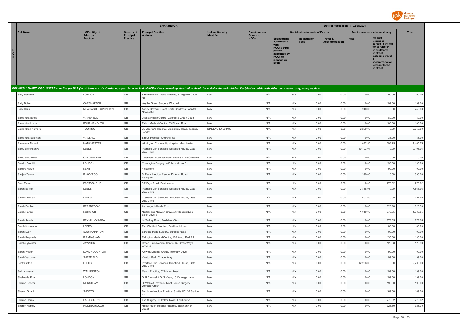

|                        |                              |                              |                                | <b>EFPIA REPORT</b>                                                                                                                                                                                                            |                                            | Date of Publication : 02/07/2021         |                                                                                                                      |                                        |                                  |                                 |                                                                                                                                                            |                 |
|------------------------|------------------------------|------------------------------|--------------------------------|--------------------------------------------------------------------------------------------------------------------------------------------------------------------------------------------------------------------------------|--------------------------------------------|------------------------------------------|----------------------------------------------------------------------------------------------------------------------|----------------------------------------|----------------------------------|---------------------------------|------------------------------------------------------------------------------------------------------------------------------------------------------------|-----------------|
|                        | <b>Full Name</b>             | <b>HCPs: City of</b>         | <b>Country of</b><br>Principal | <b>Principal Practice</b><br><b>Address</b>                                                                                                                                                                                    | <b>Unique Country</b><br><b>Identifier</b> | <b>Donations and</b><br><b>Grants to</b> |                                                                                                                      | <b>Contribution to costs of Events</b> |                                  | Fee for service and consultancy |                                                                                                                                                            | <b>Total</b>    |
| H<br>$\mathbf{C}$<br>P |                              | Principal<br><b>Practice</b> | <b>Practice</b>                |                                                                                                                                                                                                                                |                                            | <b>HCOs</b>                              | Sponsorship<br>agreements<br>with<br>HCOs / third<br>parties<br>appointed by<br><b>HCOs to</b><br>manage an<br>Event | Registration<br><b>Fees</b>            | Travel &<br><b>Accommodation</b> | Fees                            | Related<br>expenses<br>agreed in the fee<br>for service or<br>consultancy<br>contract,<br>including travel<br>accommodation<br>relevant to the<br>contract |                 |
|                        |                              |                              |                                | INDIVIDUAL NAMED DISCLOSURE - one line per HCP (i.e. all transfers of value during a year for an individual HCP will be summed up: itemization should be available for the individual Recipient or public authorities' consult |                                            |                                          |                                                                                                                      |                                        |                                  |                                 |                                                                                                                                                            |                 |
|                        | Sally Bangura                | LONDON                       | GB                             | Streatham Hill Group Practice, 6 Leigham Court<br><b>Rd</b>                                                                                                                                                                    | N/A                                        | N/A                                      | N/A                                                                                                                  | 0.00                                   | 0.00                             | 0.00                            | 199.00                                                                                                                                                     | 199.00          |
|                        | Sally Bullen                 | CARSHALTON                   | GB                             | Wrythe Green Surgery, Wrythe Ln                                                                                                                                                                                                | N/A                                        | N/A                                      | N/A                                                                                                                  | 0.00                                   | 0.00                             | 0.00                            | 199.00                                                                                                                                                     | 199.00          |
|                        | Sally Hails                  | NEWCASTLE UPON TYNE          | GB                             | Abbey Cottage, Great North Childrens Hospital<br>Newcastle                                                                                                                                                                     | N/A                                        | N/A                                      | N/A                                                                                                                  | 0.00                                   | 0.00                             | 240.00                          | 0.00                                                                                                                                                       | 240.00          |
|                        | Samantha Bates               | WAKEFIELD                    | GB                             | Lupset Health Centre, George-a-Green Court                                                                                                                                                                                     | N/A                                        | N/A                                      | N/A                                                                                                                  | 0.00                                   | 0.00                             | 0.00                            | 89.00                                                                                                                                                      | 89.00           |
|                        | Samantha Locke               | <b>BOURNEMOUTH</b>           | GB                             | Talbot Medical Centre, 63 Kinson Road                                                                                                                                                                                          | N/A                                        | N/A                                      | N/A                                                                                                                  | 0.00                                   | 0.00                             | 0.00                            | 100.00                                                                                                                                                     | 100.00          |
|                        | Samantha Prigmore            | <b>TOOTING</b>               | GB                             | St. George's Hospital, Blackshaw Road, Tooting,<br>London                                                                                                                                                                      | BINLEYS ID-594486                          | N/A                                      | N/A                                                                                                                  | 0.00                                   | 0.00                             | 2,250.00                        | 0.00                                                                                                                                                       | 2,250.00        |
|                        | Samantha Solomon             | WALSALL                      | GB                             | Stroud Practice, Churchill Rd                                                                                                                                                                                                  | N/A                                        | N/A                                      | N/A                                                                                                                  | 0.00                                   | 0.00                             | 0.00                            | 135.00                                                                                                                                                     | 135.00          |
|                        | Sameena Ahmad                | <b>MANCHESTER</b>            | GB                             | Withington Community Hospital, Manchester                                                                                                                                                                                      | N/A                                        | N/A                                      | N/A                                                                                                                  | 0.00                                   | 0.00                             | 1,072.50                        | 393.25                                                                                                                                                     | 1,465.75        |
|                        | Samuel Akinsanya             | LEEDS                        | GB                             | Interface Clin Services, Schofield House, Gate<br>Way Drive                                                                                                                                                                    | N/A                                        | N/A                                      | N/A                                                                                                                  | 0.00                                   | 0.00                             | 10,103.04                       | 0.00                                                                                                                                                       | 10,103.04       |
|                        | Samuel Austwick              | COLCHESTER                   | GB                             | Colchester Business Park, 659-662 The Crescent                                                                                                                                                                                 | N/A                                        | N/A                                      | N/A                                                                                                                  | 0.00                                   | 0.00                             | 0.00                            | 79.00                                                                                                                                                      | 79.00           |
|                        | Sandra Franklin              | LONDON                       | $\mathbb{G}\mathbb{B}$         | Mornington Surgery, 433 New Cross Rd                                                                                                                                                                                           | N/A                                        | N/A                                      | N/A                                                                                                                  | 0.00                                   | 0.00                             | 0.00                            | 199.00                                                                                                                                                     | 199.00          |
|                        | Sandra Hewitt                | <b>KENT</b>                  | GB                             | Folkestone                                                                                                                                                                                                                     | N/A                                        | N/A                                      | N/A                                                                                                                  | 0.00                                   | 0.00                             | 0.00                            | 199.00                                                                                                                                                     | 199.00          |
|                        | Sanjay Tanna                 | <b>BLACKPOOL</b>             | GB                             | St Pauls Medical Centre, Dickson Road,<br>Blackpool                                                                                                                                                                            | N/A                                        | N/A                                      | N/A                                                                                                                  | 0.00                                   | 0.00                             | 390.00                          | 0.00                                                                                                                                                       | 390.00          |
|                        | Sara Evans                   | EASTBOURNE                   | GB                             | 5-7 Enys Road, Eastbourne                                                                                                                                                                                                      | N/A                                        | N/A                                      | N/A                                                                                                                  | 0.00                                   | 0.00                             | 0.00                            | 276.62                                                                                                                                                     | 276.62          |
|                        | Sarah Barrett                | LEEDS                        | GB                             | Interface Clin Services, Schofield House, Gate<br>Way Drive                                                                                                                                                                    | N/A                                        | N/A                                      | N/A                                                                                                                  | 0.00                                   | 0.00                             | 7,868.96                        | 0.00                                                                                                                                                       | 7,868.96        |
|                        | Sarah Dekmak                 | LEEDS                        | GB                             | Interface Clin Services, Schofield House, Gate<br>Way Drive                                                                                                                                                                    | N/A                                        | N/A                                      | N/A                                                                                                                  | 0.00                                   | 0.00                             | 457.86                          | 0.00                                                                                                                                                       | 457.86          |
|                        | Sarah Dunbar                 | <b>BESSBROOK</b>             | $\mathsf{GB}$                  | Archways, Millvale Road                                                                                                                                                                                                        | N/A                                        | N/A                                      | N/A                                                                                                                  | 0.00                                   | 0.00                             | 0.00                            | 326.30                                                                                                                                                     | 326.30          |
|                        | Sarah Harper                 | <b>NORWICH</b>               | GB                             | Norfolk and Norwich University Hospital East<br>Block Level 3                                                                                                                                                                  | N/A                                        | N/A                                      | N/A                                                                                                                  | 0.00                                   | 0.00                             | 1,010.00                        | 370.85                                                                                                                                                     | 1,380.85        |
|                        | Sarah Jacobs                 | BEXHILL-ON-SEA<br>LEEDS      | GB<br>GB                       | 44 Turkey Road, Bexhill-on-Sea                                                                                                                                                                                                 | N/A<br>N/A                                 | N/A<br>N/A                               | N/A                                                                                                                  | 0.00                                   | 0.00                             | 0.00                            | 278.05                                                                                                                                                     | 278.05          |
|                        | Sarah Knowlson<br>Sarah Lyon | SOUTHAMPTON                  | GB                             | The Whitfield Practice, 24 Church Lane                                                                                                                                                                                         | N/A                                        | N/A                                      | N/A<br>N/A                                                                                                           | 0.00<br>0.00                           | 0.00<br>0.00                     | 0.00<br>0.00                    | 89.00<br>100.00                                                                                                                                            | 89.00<br>100.00 |
|                        | Sarah Reynolds               | <b>BIRMINGHAM</b>            | GB                             | Burgess Road Surgery, Burgess Road<br>Erdington Medical Centre, 103 Wood End Rd                                                                                                                                                | N/A                                        | N/A                                      | N/A                                                                                                                  | 0.00                                   | 0.00                             | 0.00                            | 135.00                                                                                                                                                     | 135.00          |
|                        | Sarah Sylvester              | <b>JAYWICK</b>               | GB                             | Green Elms Medical Centre, 32 Cross Ways,<br>Jaywick                                                                                                                                                                           | N/A                                        | N/A                                      | N/A                                                                                                                  | 0.00                                   | 0.00                             | 0.00                            | 120.98                                                                                                                                                     | 120.98          |
|                        | Sarah Wilson                 | LONGHOUGHTON                 | GB                             | Alnwick Medical Group, Infirmary Drive                                                                                                                                                                                         | N/A                                        | N/A                                      | N/A                                                                                                                  | 0.00                                   | 0.00                             | 0.00                            | 99.00                                                                                                                                                      | 99.00           |
|                        | Sarah Yacomeni               | SHEFFIELD                    | GB                             | Kiveton Park, Chapel Way                                                                                                                                                                                                       | N/A                                        | N/A                                      | N/A                                                                                                                  | 0.00                                   | 0.00                             | 0.00                            | 99.00                                                                                                                                                      | 99.00           |
|                        | Scott Sutton                 | LEEDS                        | GB                             | Interface Clin Services, Schofield House, Gate<br>Way Drive                                                                                                                                                                    | N/A                                        | N/A                                      | N/A                                                                                                                  | 0.00                                   | 0.00                             | 12,206.08                       | 0.00                                                                                                                                                       | 12,206.08       |
|                        | Selina Hussain               | WAI LINGTON                  | <b>GB</b>                      | Manor Practice, 57 Manor Road                                                                                                                                                                                                  | N/A                                        | N/A                                      | N/A                                                                                                                  | 0.00                                   | 0.00                             | 0.00                            | 199.00                                                                                                                                                     | 199.00          |
|                        | Shahzada Khan                | LONDON                       | GB                             | Dr R Samuel & Dr S Khan, 10 Vicarage Lane                                                                                                                                                                                      | N/A                                        | N/A                                      | N/A                                                                                                                  | 0.00                                   | 0.00                             | 0.00                            | 199.00                                                                                                                                                     | 199.00          |
|                        | Sharon Booker                | <b>MERSTHAM</b>              | $\mathbb{G}\mathbb{B}$         | Dr Wells & Partners, Moat House Surgery,<br>Worsted Green                                                                                                                                                                      | N/A                                        | N/A                                      | N/A                                                                                                                  | 0.00                                   | 0.00                             | 0.00                            | 199.00                                                                                                                                                     | 199.00          |
|                        | Sharon Ghani                 | <b>SHOTTS</b>                | $\mathbb{G}\mathbb{B}$         | Burnbrae Medical Practice, Shotts HC, 36 Station<br><b>Rd</b>                                                                                                                                                                  | N/A                                        | N/A                                      | N/A                                                                                                                  | 0.00                                   | 0.00                             | 0.00                            | 169.00                                                                                                                                                     | 169.00          |
|                        | Sharon Harris                | EASTBOURNE                   | GB                             | The Surgery, 10 Bolton Road, Eastbourne                                                                                                                                                                                        | N/A                                        | N/A                                      | N/A                                                                                                                  | 0.00                                   | 0.00                             | 0.00                            | 276.62                                                                                                                                                     | 276.62          |
|                        | Sharon Harvey                | HILLSBOROUGH                 | GB                             | Hillsborough Medical Practice, Ballynahinch<br>Street                                                                                                                                                                          | N/A                                        | N/A                                      | N/A                                                                                                                  | 0.00                                   | 0.00                             | 0.00                            | 326.30                                                                                                                                                     | 326.30          |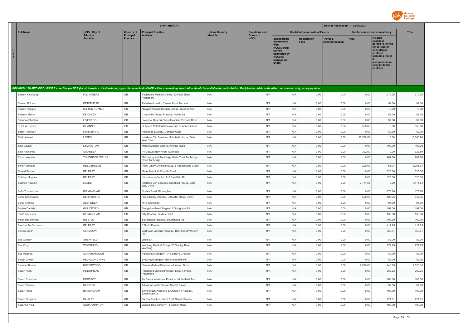

|                   |                   |                                     |                              | <b>EFPIA REPORT</b>                                                                                                                                                                                                            |                       |                                 | Date of Publication : 02/07/2021                                                                                    |                                        |                                             |                                 |                                                                                                                                                                   |              |
|-------------------|-------------------|-------------------------------------|------------------------------|--------------------------------------------------------------------------------------------------------------------------------------------------------------------------------------------------------------------------------|-----------------------|---------------------------------|---------------------------------------------------------------------------------------------------------------------|----------------------------------------|---------------------------------------------|---------------------------------|-------------------------------------------------------------------------------------------------------------------------------------------------------------------|--------------|
| <b>Full Name</b>  |                   | <b>HCPs: City of</b>                | <b>Country of</b>            | <b>Principal Practice</b>                                                                                                                                                                                                      | <b>Unique Country</b> | <b>Donations and</b>            |                                                                                                                     | <b>Contribution to costs of Events</b> |                                             | Fee for service and consultancy |                                                                                                                                                                   | <b>Total</b> |
| $\mathbf{c}$<br>P |                   | <b>Principal</b><br><b>Practice</b> | Principal<br><b>Practice</b> | <b>Address</b>                                                                                                                                                                                                                 | <b>Identifier</b>     | <b>Grants to</b><br><b>HCOs</b> | Sponsorship<br>agreements<br><b>HCOs / third</b><br>parties<br>appointed by<br><b>HCOs to</b><br>manage an<br>Event | <b>Registration</b><br><b>Fees</b>     | <b>Travel &amp;</b><br><b>Accommodation</b> | <b>Fees</b>                     | <b>Related</b><br>expenses<br>agreed in the fee<br>for service or<br>consultancy<br>contract,<br>including travel<br>accommodation<br>relevant to the<br>contract |              |
|                   |                   |                                     |                              | INDIVIDUAL NAMED DISCLOSURE - one line per HCP (i.e. all transfers of value during a year for an individual HCP will be summed up: itemization should be available for the individual Recipient or public authorities' consult |                       |                                 |                                                                                                                     |                                        |                                             |                                 |                                                                                                                                                                   |              |
|                   | Sharon Kinniburgh | <b>FOCHABERS</b>                    | GB                           | Fochabers Medical Centre, 12 High Street,<br>Fochabers                                                                                                                                                                         | N/A                   | N/A                             | N/A                                                                                                                 | 0.00                                   | 0.00                                        | 0.00                            | 270.35                                                                                                                                                            | 270.35       |
|                   | Sharon McLean     | PETERHEAD                           | GB                           | Peterhead Health Centre, Links Terrace                                                                                                                                                                                         | N/A                   | N/A                             | N/A                                                                                                                 | 0.00                                   | 0.00                                        | 0.00                            | 94.00                                                                                                                                                             | 94.00        |
|                   | Sharon Rocque     | <b>MILTON KEYNES</b>                | GB                           | Newport Parnell Medical Centre, Queens Ave                                                                                                                                                                                     | N/A                   | N/A                             | N/A                                                                                                                 | 0.00                                   | 0.00                                        | 0.00                            | 79.00                                                                                                                                                             | 79.00        |
|                   | Sharron Mason     | <b>KEIGHLEY</b>                     | GB                           | Cross Hills Group Practice, Holme Ln                                                                                                                                                                                           | N/A                   | N/A                             | N/A                                                                                                                 | 0.00                                   | 0.00                                        | 0.00                            | 89.00                                                                                                                                                             | 89.00        |
|                   | Shauna Johnston   | LIVERPOOL                           | GB                           | Liverpool Heart & Chest Hospital, Thomas Drive                                                                                                                                                                                 | N/A                   | N/A                             | N/A                                                                                                                 | 0.00                                   | 0.00                                        | 0.00                            | 92.00                                                                                                                                                             | 92.00        |
|                   | SHEILA Dryden     | <b>ST ANNES</b>                     | GB                           | St Annes PCC Durham Avenue St Annes Lancs                                                                                                                                                                                      | N/A                   | N/A                             | N/A                                                                                                                 | 0.00                                   | 0.00                                        | 550.00                          | 0.00                                                                                                                                                              | 550.00       |
|                   | Sheryl Priestley  | PONTEFRACT                          | $\mathbb{G}\mathbb{B}$       | Friarwood Surgery, Carleton Glen                                                                                                                                                                                               | N/A                   | N/A                             | N/A                                                                                                                 | 0.00                                   | 0.00                                        | 0.00                            | 89.00                                                                                                                                                             | 89.00        |
| Shirin Alwash     |                   | LEEDS                               | $\mathbb{G}\mathbb{B}$       | Interface Clin Services, Schofield House, Gate<br>Way Drive                                                                                                                                                                    | N/A                   | N/A                             | N/A                                                                                                                 | 0.00                                   | 0.00                                        | 10,560.90                       | 0.00                                                                                                                                                              | 10,560.90    |
| Sian Davies       |                   | LYMINGTON                           | $\mathbb{G}\mathbb{B}$       | Milford Medical Centre, Avenue Road                                                                                                                                                                                            | N/A                   | N/A                             | N/A                                                                                                                 | 0.00                                   | 0.00                                        | 0.00                            | 100.00                                                                                                                                                            | 100.00       |
|                   | Sian Rowlands     | SWANSEA                             | GB                           | 14 Caswell Bay Road, Swansea                                                                                                                                                                                                   | N/A                   | N/A                             | N/A                                                                                                                 | 0.00                                   | 0.00                                        | 322.50                          | 0.00                                                                                                                                                              | 322.50       |
|                   | Simon Webster     | <b>TUNBRIDGE WELLS</b>              | GB                           | Maidstone and Tunbridge Wells Trust Tonbridge<br>Road Tunbridge                                                                                                                                                                | N/A                   | N/A                             | N/A                                                                                                                 | 0.00                                   | 0.00                                        | 0.00                            | 262.80                                                                                                                                                            | 262.80       |
|                   | Simon Wootton     | REEDSHOLME                          | GB                           | Irwell Valley Consulting Ltd, 4 Reedsholme Close                                                                                                                                                                               | N/A                   | N/A                             | N/A                                                                                                                 | 0.00                                   | 0.00                                        | 1,200.00                        | 51.94                                                                                                                                                             | 1,251.94     |
|                   | Sinead Fennell    | <b>BELFAST</b>                      | GB                           | Mater Hospital, Crumlin Road                                                                                                                                                                                                   | N/A                   | N/A                             | N/A                                                                                                                 | 0.00                                   | 0.00                                        | 0.00                            | 326.30                                                                                                                                                            | 326.30       |
|                   | Siobhan Hughes    | <b>BELFAST</b>                      | GB                           | Knockbreda Centre, 110 Saintfield Rd                                                                                                                                                                                           | N/A                   | N/A                             | N/A                                                                                                                 | 0.00                                   | 0.00                                        | 0.00                            | 326.30                                                                                                                                                            | 326.30       |
|                   | Smarah Hussain    | <b>LEEDS</b>                        | GB                           | Interface Clin Services, Schofield House, Gate<br>Way Drive                                                                                                                                                                    | N/A                   | N/A                             | N/A                                                                                                                 | 0.00                                   | 0.00                                        | 7,174.64                        | 0.00                                                                                                                                                              | 7,174.64     |
|                   | Sofia Tosounidou  | <b>BIRMINGHAM</b>                   | GB                           | Dudley Road, Birmingham                                                                                                                                                                                                        | N/A                   | N/A                             | N/A                                                                                                                 | 0.00                                   | 0.00                                        | 0.00                            | 178.80                                                                                                                                                            | 178.80       |
|                   | Sonia Greenwood   | DERBYSHIRE                          | GB                           | Royal Derby Hospital, Uttoxeter Road, Derby                                                                                                                                                                                    | N/A                   | N/A                             | N/A                                                                                                                 | 0.00                                   | 0.00                                        | 520.00                          | 126.05                                                                                                                                                            | 646.05       |
|                   | Sonni Andrew      | ABERDEEN                            | GB                           | NHS Grampian                                                                                                                                                                                                                   | N/A                   | N/A                             | N/A                                                                                                                 | 0.00                                   | 0.00                                        | 0.00                            | 94.00                                                                                                                                                             | 94.00        |
|                   | Sophie Daniels    | GUILDFORD                           | $\mathbb{G}\mathbb{B}$       | Stoughton Road Surgery, 2 Stoughton Rd                                                                                                                                                                                         | N/A                   | N/A                             | N/A                                                                                                                 | 0.00                                   | 0.00                                        | 0.00                            | 199.00                                                                                                                                                            | 199.00       |
|                   | Stella Kanyuchi   | <b>BIRMINGHAM</b>                   | $\mathbb{G}\mathbb{B}$       | City Hospital, Dudley Road                                                                                                                                                                                                     | N/A                   | N/A                             | N/A                                                                                                                 | 0.00                                   | 0.00                                        | 0.00                            | 135.00                                                                                                                                                            | 135.00       |
|                   | Stephanie Merrick | <b>BRISTOL</b>                      | $\mathbb{G}\mathbb{B}$       | Southmead Hospital, Southmead Rd                                                                                                                                                                                               | N/A                   | N/A                             | N/A                                                                                                                 | 0.00                                   | 0.00                                        | 0.00                            | 100.00                                                                                                                                                            | 100.00       |
|                   | Stephen McCormack | <b>BELFAST</b>                      | GB                           | 6 North Parade                                                                                                                                                                                                                 | N/A                   | N/A                             | N/A                                                                                                                 | 0.00                                   | 0.00                                        | 0.00                            | 417.25                                                                                                                                                            | 417.25       |
| Steven Smith      |                   | GLASGOW                             | GB                           | Gartnavel General Hospital, 1053 Great Western<br><b>Rd</b>                                                                                                                                                                    | N/A                   | N/A                             | N/A                                                                                                                 | 0.00                                   | 0.00                                        | 0.00                            | 659.81                                                                                                                                                            | 659.81       |
| Sue Cowley        |                   | SHEFFIELD                           | GB                           | White I n                                                                                                                                                                                                                      | N/A                   | N/A                             | N/A                                                                                                                 | 0.00                                   | 0.00                                        | 0.00                            | 89.00                                                                                                                                                             | 89.00        |
| Sue Kronf         |                   | <b>WORTHING</b>                     | GB                           | Worthing Medical Group, 23 Shelley Road,<br>Worthing                                                                                                                                                                           | N/A                   | N/A                             | N/A                                                                                                                 | 0.00                                   | 0.00                                        | 0.00                            | 272.75                                                                                                                                                            | 272.75       |
| Sue Mabbott       |                   | SCARBOROUGH                         | GB                           | Falsagrave Surgery, 1A Belgrave Crescent                                                                                                                                                                                       | N/A                   | N/A                             | N/A                                                                                                                 | 0.00                                   | 0.00                                        | 0.00                            | 89.00                                                                                                                                                             | 89.00        |
| Surajit Ghosh     |                   | <b>HECKMONDWIKE</b>                 | GB                           | Brookroyd Surgery, Heckmondwike HC                                                                                                                                                                                             | N/A                   | N/A                             | N/A                                                                                                                 | 0.00                                   | 0.00                                        | 0.00                            | 89.00                                                                                                                                                             | 89.00        |
|                   | Surinder Kumar    | <b>BURNTWOOD</b>                    | $\mathbb{G}\mathbb{B}$       | Darwin Medical Practice, 4 Hudson Drive                                                                                                                                                                                        | N/A                   | N/A                             | N/A                                                                                                                 | 0.00                                   | 0.00                                        | 2,080.00                        | 446.15                                                                                                                                                            | 2,526.15     |
| Susan Allan       |                   | PETERHEAD                           | GB                           | Peterhead Medical Practice, Links Terrace,<br>Peterhead                                                                                                                                                                        | N/A                   | N/A                             | N/A                                                                                                                 | 0.00                                   | 0.00                                        | 0.00                            | 262.25                                                                                                                                                            | 262.25       |
|                   | Susan Chapman     | PORTSOY                             | $\mathbb{G}\mathbb{B}$       | An Caorann Medical Practice, 16 Seafield Tce                                                                                                                                                                                   | N/A                   | N/A                             | N/A                                                                                                                 | 0.00                                   | 0.00                                        | 0.00                            | 188.00                                                                                                                                                            | 188.00       |
| Susan Davies      |                   | <b>BARROW</b>                       | GB                           | Atkinson Health Centre, Market Street                                                                                                                                                                                          | N/A                   | N/A                             | N/A                                                                                                                 | 0.00                                   | 0.00                                        | 0.00                            | 92.00                                                                                                                                                             | 92.00        |
| Susan Frost       |                   | <b>BIRMINGHAM</b>                   | $\mathbb{G}\mathbb{B}$       | Birmingham Women's & Children's Hospital,<br>Steelhouse Ln                                                                                                                                                                     | N/A                   | N/A                             | N/A                                                                                                                 | 0.00                                   | 0.00                                        | 0.00                            | 100.00                                                                                                                                                            | 100.00       |
|                   | Susan Simpkins    | PAISLEY                             | $\mathbb{G}\mathbb{B}$       | Barony Practice, North Croft Street, Paisley                                                                                                                                                                                   | N/A                   | N/A                             | N/A                                                                                                                 | 0.00                                   | 0.00                                        | 0.00                            | 227.01                                                                                                                                                            | 227.01       |
| Suzanne King      |                   | SOUTHAMPTON                         | GB                           | Walnut Tree Surgery, 14 Carlton Road                                                                                                                                                                                           | N/A                   | N/A                             | N/A                                                                                                                 | 0.00                                   | 0.00                                        | 0.00                            | 100.00                                                                                                                                                            | 100.00       |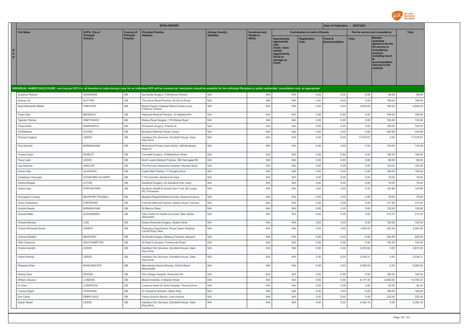

|                                                                                                                                                                                                                                |                                     |                                       | <b>EFPIA REPORT</b>                                                |                       |                                          |                                                                                                                     | Date of Publication : 02/07/2021       |                                  |             |                                                                                                                                                                   |           |
|--------------------------------------------------------------------------------------------------------------------------------------------------------------------------------------------------------------------------------|-------------------------------------|---------------------------------------|--------------------------------------------------------------------|-----------------------|------------------------------------------|---------------------------------------------------------------------------------------------------------------------|----------------------------------------|----------------------------------|-------------|-------------------------------------------------------------------------------------------------------------------------------------------------------------------|-----------|
| <b>Full Name</b>                                                                                                                                                                                                               | <b>HCPs: City of</b>                | <b>Country of</b><br><b>Principal</b> | <b>Principal Practice</b>                                          | <b>Unique Country</b> | <b>Donations and</b><br><b>Grants to</b> |                                                                                                                     | <b>Contribution to costs of Events</b> |                                  |             | Fee for service and consultancy                                                                                                                                   | Total     |
| н<br>$\mathbf{c}$<br>P                                                                                                                                                                                                         | <b>Principal</b><br><b>Practice</b> | <b>Practice</b>                       | <b>Address</b>                                                     | <b>Identifier</b>     | <b>HCOs</b>                              | Sponsorship<br>agreements<br><b>HCOs / third</b><br>parties<br>appointed by<br><b>HCOs to</b><br>manage an<br>Event | <b>Registration</b><br><b>Fees</b>     | Travel &<br><b>Accommodation</b> | <b>Fees</b> | <b>Related</b><br>expenses<br>agreed in the fee<br>for service or<br>consultancy<br>contract,<br>including travel<br>accommodation<br>relevant to the<br>contract |           |
| INDIVIDUAL NAMED DISCLOSURE - one line per HCP (i.e. all transfers of value during a year for an individual HCP will be summed up: itemization should be available for the individual Recipient or public authorities' consult |                                     |                                       |                                                                    |                       |                                          |                                                                                                                     |                                        |                                  |             |                                                                                                                                                                   |           |
| Suzanne Robson                                                                                                                                                                                                                 | SUNNISIDE                           | GB                                    | Sunniside Surgery, 8 Dewhurst Terrace                              | N/A                   | N/A                                      | N/A                                                                                                                 | 0.00                                   | 0.00                             | 0.00        | 89.00                                                                                                                                                             | 89.00     |
| Sydney Ho                                                                                                                                                                                                                      | <b>SUTTON</b>                       | GB                                    | The Grove Road Practice, 83 Grove Road                             | N/A                   | N/A                                      | N/A                                                                                                                 | 0.00                                   | 0.00                             | 0.00        | 199.00                                                                                                                                                            | 199.00    |
| Syed Basharath Mehdi                                                                                                                                                                                                           | <b>PRESTON</b>                      | GB                                    | Royal Preston Hospital Sharoe Green Lane<br>Fulwood, Preston       | N/A                   | N/A                                      | N/A                                                                                                                 | 0.00                                   | 0.00                             | 3,870.00    | 756.23                                                                                                                                                            | 4,626.23  |
| Taiwo Oke                                                                                                                                                                                                                      | <b>BROMLEY</b>                      | GB                                    | Highland Medical Practice, 10 Highland Rd                          | N/A                   | N/A                                      | N/A                                                                                                                 | 0.00                                   | 0.00                             | 0.00        | 199.00                                                                                                                                                            | 199.00    |
| Tajinder Parmar                                                                                                                                                                                                                | <b>SMETHWICK</b>                    | GB                                    | Warley Road Surgery, 118 Warley Road                               | N/A                   | N/A                                      | N/A                                                                                                                 | 0.00                                   | 0.00                             | 0.00        | 135.00                                                                                                                                                            | 135.00    |
| Tanya Rose                                                                                                                                                                                                                     | <b>EMSWORTH</b>                     | GB                                    | Emsworth Surgery, 6 North St                                       | N/A                   | N/A                                      | N/A                                                                                                                 | 0.00                                   | 0.00                             | 0.00        | 100.00                                                                                                                                                            | 100.00    |
| Tej Bahadur                                                                                                                                                                                                                    | <b>DOVER</b>                        | GB                                    | Buckland Medical Centre, Dover                                     | N/A                   | N/A                                      | N/A                                                                                                                 | 0.00                                   | 0.00                             | 0.00        | 420.66                                                                                                                                                            | 420.66    |
| Thomas Hughes                                                                                                                                                                                                                  | LEEDS                               | GB                                    | Interface Clin Services, Schofield House, Gate<br>Way Drive        | N/A                   | N/A                                      | N/A                                                                                                                 | 0.00                                   | 0.00                             | 17,078.87   | 0.00                                                                                                                                                              | 17,078.87 |
| <b>Tina Doherty</b>                                                                                                                                                                                                            | <b>BIRMINGHAM</b>                   | GB                                    | Richmond Primary Care Centre, 299 Bordesley<br>Green F             | N/A                   | N/A                                      | N/A                                                                                                                 | 0.00                                   | 0.00                             | 0.00        | 135.00                                                                                                                                                            | 135.00    |
| <b>Tracey Coyle</b>                                                                                                                                                                                                            | PAISLEY                             | GB                                    | Tannahill Surgery, 78 Blackstoun Road                              | N/A                   | N/A                                      | N/A                                                                                                                 | 0.00                                   | 0.00                             | 0.00        | 169.00                                                                                                                                                            | 169.00    |
| Tracy Lake                                                                                                                                                                                                                     | LEEDS                               | GB                                    | North Leeds Medical Practice, 355 Harrogate Rd                     | N/A                   | N/A                                      | N/A                                                                                                                 | 0.00                                   | 0.00                             | 0.00        | 89.00                                                                                                                                                             | 89.00     |
| Ugo Ekeowa                                                                                                                                                                                                                     | <b>HARLOW</b>                       | GB                                    | The Princess Alexandra Hospital, Hamstel Road                      | N/A                   | N/A                                      | N/A                                                                                                                 | 0.00                                   | 0.00                             | 0.00        | 100.00                                                                                                                                                            | 100.00    |
| Urman Haq                                                                                                                                                                                                                      | GLASGOW                             | $\mathbb{G}\mathbb{B}$                | Castle Milk Practice, 71 Dougrie Drive                             | N/A                   | N/A                                      | N/A                                                                                                                 | 0.00                                   | 0.00                             | 0.00        | 169.00                                                                                                                                                            | 169.00    |
| Vadakkalur Devaraja                                                                                                                                                                                                            | STANFORD-LE-HOPE                    | GB                                    | 7 The Sorrells, Stanford-le-Hope                                   | N/A                   | N/A                                      | N/A                                                                                                                 | 0.00                                   | 0.00                             | 0.00        | 79.00                                                                                                                                                             | 79.00     |
| Varsha Bhagat                                                                                                                                                                                                                  | LUTON                               | GB                                    | Gardenia Surgery, 2A Gardenia Ave, Luton                           | N/A                   | N/A                                      | N/A                                                                                                                 | 0.00                                   | 0.00                             | 0.00        | 79.00                                                                                                                                                             | 79.00     |
| Veena Vasi                                                                                                                                                                                                                     | PORTADOWN                           | GB                                    | Southern Health & Social Care Trust, 68 Lurgan<br>Rd. Portadown    | N/A                   | N/A                                      | N/A                                                                                                                 | 0.00                                   | 0.00                             | 0.00        | 140.86                                                                                                                                                            | 140.86    |
| Venugopal Yuvaraj                                                                                                                                                                                                              | NEWPORT PAGNELL                     | GB                                    | Newport Pagnell Medical Centre, Queens Avenue                      | N/A                   | N/A                                      | N/A                                                                                                                 | 0.00                                   | 0.00                             | 0.00        | 79.00                                                                                                                                                             | 79.00     |
| Vhairi Sutherland                                                                                                                                                                                                              | <b>FORTROSE</b>                     | GB                                    | Fortorse Medical Practice, Station Road, Fortrose                  | N/A                   | N/A                                      | N/A                                                                                                                 | 0.00                                   | 0.00                             | 0.00        | 317.85                                                                                                                                                            | 317.85    |
| Victoria Ikwele                                                                                                                                                                                                                | <b>BIRMINGHAM</b>                   | GB                                    | 58 Benton Road                                                     | N/A                   | N/A                                      | N/A                                                                                                                 | 0.00                                   | 0.00                             | 0.00        | 135.00                                                                                                                                                            | 135.00    |
| Victoria Millar                                                                                                                                                                                                                | ALEXANDRIA                          | GB                                    | Vale Centre for Health and Care, Main Street,<br>Alexandria        | N/A                   | N/A                                      | N/A                                                                                                                 | 0.00                                   | 0.00                             | 0.00        | 213.47                                                                                                                                                            | 213.47    |
| Victoria Newing                                                                                                                                                                                                                | LISS                                | $\mathbb{G}\mathbb{B}$                | Kelsey Riverside Surgery, Station Road                             | N/A                   | N/A                                      | N/A                                                                                                                 | 0.00                                   | 0.00                             | 0.00        | 100.00                                                                                                                                                            | 100.00    |
| Victoria Richards-Green                                                                                                                                                                                                        | <b>GWENT</b>                        | GB                                    | Pharmacy Department, Royal Gwent Hospital,<br>Cardiff Road, New    | N/A                   | N/A                                      | N/A                                                                                                                 | 0.00                                   | 0.00                             | 1,800.00    | 292.56                                                                                                                                                            | 2,092.56  |
| Victoria Stratton                                                                                                                                                                                                              | NEWPORT                             | GB                                    | St Davids Surgery, Bellevue Terrace, Newport                       | N/A                   | N/A                                      | N/A                                                                                                                 | 0.00                                   | 0.00                             | 0.00        | 226.55                                                                                                                                                            | 226.55    |
| Vikki Chanman                                                                                                                                                                                                                  | SOUTHAMPTON                         | GB                                    | St Peter?s Surgery, Portsmouth Road                                | N/A                   | N/A                                      | N/A                                                                                                                 | 0.00                                   | 0.00                             | 0.00        | 100.00                                                                                                                                                            | 100.00    |
| Vinisha Gandhi                                                                                                                                                                                                                 | LEEDS                               | GB                                    | Interface Clin Services, Schofield House, Gate<br><b>Way Drive</b> | N/A                   | N/A                                      | N/A                                                                                                                 | 0.00                                   | 0.00                             | 3,672.92    | 0.00                                                                                                                                                              | 3,672.92  |
| Vishal Hemrai                                                                                                                                                                                                                  | LEEDS                               | GB                                    | Interface Clin Services, Schofield House, Gate<br>Way Drive        | N/A                   | N/A                                      | N/A                                                                                                                 | 0.00                                   | 0.00                             | 2,538.31    | 0.00                                                                                                                                                              | 2,538.31  |
| Waseem Khan                                                                                                                                                                                                                    | <b>MANCHESTER</b>                   | GB                                    | Manchester Royal Infirmary, Oxford Road,<br>Manchester             | N/A                   | N/A                                      | N/A                                                                                                                 | 0.00                                   | 0.00                             | 5,095.00    | 0.00                                                                                                                                                              | 5,095.00  |
| Wendy Dyer                                                                                                                                                                                                                     | EPSOM                               | GB                                    | Old Cottage Hospital, Alexandra Rd                                 | N/A                   | N/A                                      | N/A                                                                                                                 | 0.00                                   | 0.00                             | 0.00        | 199.00                                                                                                                                                            | 199.00    |
| William Alazawi                                                                                                                                                                                                                | LONDON                              | GB                                    | Blizard Institute, 4 Newark Street                                 | N/A                   | N/A                                      | N/A                                                                                                                 | 0.00                                   | 0.00                             | 8,177.35    | 6,605.92                                                                                                                                                          | 14,783.27 |
| Xi Chen                                                                                                                                                                                                                        | LIVERPOOL                           | $\mathbb{G}\mathbb{B}$                | Liverpool Heart & Chest Hospital, Thomas Drive                     | N/A                   | N/A                                      | N/A                                                                                                                 | 0.00                                   | 0.00                             | 0.00        | 92.00                                                                                                                                                             | 92.00     |
| Yvonne Pigott                                                                                                                                                                                                                  | <b>HORSHAM</b>                      | $\mathbb{G}\mathbb{B}$                | Dr Holwell & Partners, Albion Way                                  | N/A                   | N/A                                      | N/A                                                                                                                 | 0.00                                   | 0.00                             | 0.00        | 199.00                                                                                                                                                            | 199.00    |
| Zoe Carter                                                                                                                                                                                                                     | EBBW VALE                           | $\mathbb{G}\mathbb{B}$                | Ysbyty Aneurin Bevan, Lime Avenue                                  | N/A                   | N/A                                      | N/A                                                                                                                 | 0.00                                   | 0.00                             | 0.00        | 225.00                                                                                                                                                            | 225.00    |
| Zubair Sharif                                                                                                                                                                                                                  | LEEDS                               | GB                                    | Interface Clin Services, Schofield House, Gate<br>Way Drive        | N/A                   | N/A                                      | N/A                                                                                                                 | 0.00                                   | 0.00                             | 4.352.18    | 0.00                                                                                                                                                              | 4,352.18  |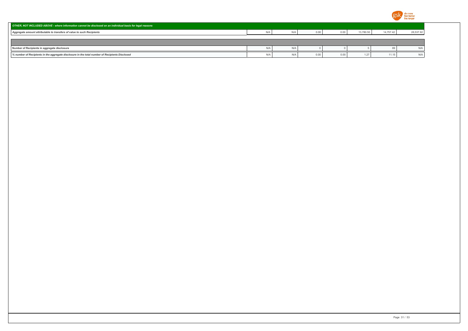

| OTHER, NOT INCLUDED ABOVE - where information cannot be disclosed on an individual basis for legal reasons |       |      |      |           |           |           |
|------------------------------------------------------------------------------------------------------------|-------|------|------|-----------|-----------|-----------|
| Aggregate amount attributable to transfers of value to such Recipients                                     | N/A   | 0.00 | 0.00 | 13,780.50 | 14,757.42 | 28,537.92 |
|                                                                                                            |       |      |      |           |           |           |
|                                                                                                            |       |      |      |           |           |           |
| Number of Recipients in aggregate disclosure                                                               | $N$ / |      |      |           |           | N/A       |
| % number of Recipients in the aggregate disclosure in the total number of Recipients Disclosed             | N/f   | 0.00 | 0.00 | 1.27      | 11.15     | N/A       |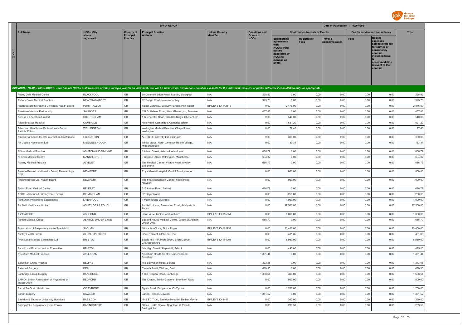

|                                                                                                                                                                                                                                |                     |                              | <b>EFPIA REPORT</b>                                             |                          |                                 |                                                                                                                            |                                        | Date of Publication : 02/07/2021 |                                 |                                                                                                                                                                   |              |
|--------------------------------------------------------------------------------------------------------------------------------------------------------------------------------------------------------------------------------|---------------------|------------------------------|-----------------------------------------------------------------|--------------------------|---------------------------------|----------------------------------------------------------------------------------------------------------------------------|----------------------------------------|----------------------------------|---------------------------------|-------------------------------------------------------------------------------------------------------------------------------------------------------------------|--------------|
| <b>Full Name</b>                                                                                                                                                                                                               | <b>HCOs: City</b>   | <b>Country of</b>            | <b>Principal Practice</b><br><b>Address</b>                     | <b>Unique Country</b>    | <b>Donations and</b>            |                                                                                                                            | <b>Contribution to costs of Events</b> |                                  | Fee for service and consultancy |                                                                                                                                                                   | <b>Total</b> |
| H<br>C<br>$\circ$                                                                                                                                                                                                              | where<br>reaistered | Principal<br><b>Practice</b> |                                                                 |                          | <b>Grants to</b><br><b>HCOs</b> | <b>Sponsorship</b><br>agreements<br><b>HCOs / third</b><br>parties<br>appointed by<br><b>HCOs to</b><br>manage an<br>Event | Registration<br><b>Fees</b>            | Travel &<br>Accommodation        | <b>Fees</b>                     | <b>Related</b><br>expenses<br>agreed in the fee<br>for service or<br>consultancy<br>contract.<br>including travel<br>accommodation<br>relevant to the<br>contract |              |
| INDIVIDUAL NAMED DISCLOSURE - one line per HCO (i.e. all transfers of value during a year for an individual HCO will be summed up: itemization should be available for the individual Recipient or public authorities' consult |                     |                              |                                                                 |                          |                                 |                                                                                                                            |                                        |                                  |                                 |                                                                                                                                                                   |              |
| Abbey Dale Medical Centre                                                                                                                                                                                                      | <b>BLACKPOOL</b>    | GB                           | 50 Common Edge Road, Marton, Blackpool                          | N/A                      | 228.93                          | 0.00                                                                                                                       | 0.00                                   | 0.00                             | 0.00                            | 0.00                                                                                                                                                              | 228.93       |
| <b>Abbots Cross Medical Practice</b>                                                                                                                                                                                           | NEWTOWNABBEY        | GB                           | 92 Doagh Road, Newtownabbey                                     | N/A                      | 925.76                          | 0.00                                                                                                                       | 0.00                                   | 0.00                             | 0.00                            | 0.00                                                                                                                                                              | 925.76       |
| Abertawe Bro Morganng University Health Board                                                                                                                                                                                  | PORT TALBOT         | GB                           | Talbot Gateway, Seaway Parade, Port Talbot                      | BINLEYS ID-142513        | 0.00                            | 2,476.00                                                                                                                   | 0.00                                   | 0.00                             | 0.00                            | 0.00                                                                                                                                                              | 2,476.00     |
| Abertawe Medical Partnership                                                                                                                                                                                                   | SWANSEA             | GB                           | 151 St Helens Road, West Glamorgan, Swansea                     | N/A                      | 457.86                          | 0.00                                                                                                                       | 0.00                                   | 0.00                             | 0.00                            | 0.00                                                                                                                                                              | 457.86       |
| Access 2 Education Limited                                                                                                                                                                                                     | CHELTENHAM          | GB                           | 1 Cirencester Road, Charlton Kings, Cheltenham                  | N/A                      | 0.00                            | 540.00                                                                                                                     | 0.00                                   | 0.00                             | 0.00                            | 0.00                                                                                                                                                              | 540.00       |
| Addenbrookes Hospital                                                                                                                                                                                                          | CAMBRIDE            | GB                           | Hills Road, Cambridge, Cambridgeshire                           | N/A                      | 0.00                            | 1,621.20                                                                                                                   | 0.00                                   | 0.00                             | 0.00                            | 0.00                                                                                                                                                              | 1,621.20     |
| Advanced Healthcare Professionals Forum<br>Patricia Clifton                                                                                                                                                                    | WELLINGTON          | $\mathbb{G}\mathbb{B}$       | Wellington Medical Practice, Chapel Lane<br>Wellington          | N/A                      | 0.00                            | 77.40                                                                                                                      | 0.00                                   | 0.00                             | 0.00                            | 0.00                                                                                                                                                              | 77.40        |
| African Caribbean Health Information Conference                                                                                                                                                                                | ERDINGTON           | $\mathbb{G}\mathbb{B}$       | ACHIC, 38 Gravelly Hill, Erdington                              | N/A                      | 0.00                            | 300.00                                                                                                                     | 0.00                                   | 0.00                             | 0.00                            | 0.00                                                                                                                                                              | 300.00       |
| Air Liquide Homecare, Ltd                                                                                                                                                                                                      | MIDDLESBROUGH       | GB                           | Trinity Mews, North Ormesby Health Village,<br>Middlesbrough    | N/A                      | 0.00                            | 133.34                                                                                                                     | 0.00                                   | 0.00                             | 0.00                            | 0.00                                                                                                                                                              | 133.34       |
| Albion Medical Practice                                                                                                                                                                                                        | ASHTON-UNDER-LYNE   | GB                           | 1 Albion Street, Ashton-Under-Lyne                              | N/A                      | 686.79                          | 0.00                                                                                                                       | 0.00                                   | 0.00                             | 0.00                            | 0.00                                                                                                                                                              | 686.79       |
| Al-Shifa Medical Centre                                                                                                                                                                                                        | <b>MANCHESTER</b>   | GB                           | 6 Copson Street, Withington, Manchester                         | N/A                      | 694.32                          | 0.00                                                                                                                       | 0.00                                   | 0.00                             | 0.00                            | 0.00                                                                                                                                                              | 694.32       |
| Alveley Medical Practice                                                                                                                                                                                                       | ALVELEY             | GB                           | The Medical Centre, Village Road, Alveley,<br>Bridgnorth        | N/A                      | 686.79                          | 0.00                                                                                                                       | 0.00                                   | 0.00                             | 0.00                            | 0.00                                                                                                                                                              | 686.79       |
| Aneurin Bevan Local Health Board, Dermatology<br>Dept,                                                                                                                                                                         | <b>NEWPORT</b>      | GB                           | Royal Gwent Hospital, Cardiff Road, Newport                     | N/A                      | 0.00                            | 800.00                                                                                                                     | 0.00                                   | 0.00                             | 0.00                            | 0.00                                                                                                                                                              | 800.00       |
| Aneurin Bevan Uni. Health Board                                                                                                                                                                                                | NEWPORT             | $\mathbb{G}\mathbb{B}$       | The Friars Education Centre, Friars Road,<br>Newport            | N/A                      | 0.00                            | 900.00                                                                                                                     | 0.00                                   | 0.00                             | 0.00                            | 0.00                                                                                                                                                              | 900.00       |
| Antrim Road Medical Centre                                                                                                                                                                                                     | <b>BELEAST</b>      | GB                           | 515 Antrim Road, Belfast                                        | N/A                      | 686.79                          | 0.00                                                                                                                       | 0.00                                   | 0.00                             | 0.00                            | 0.00                                                                                                                                                              | 686.79       |
| APCG - Advanced Primary Care Group                                                                                                                                                                                             | <b>BIRMINGHAM</b>   | GB                           | 92 Floyer Road                                                  | N/A                      | 0.00                            | 250.00                                                                                                                     | 0.00                                   | 0.00                             | 0.00                            | 0.00                                                                                                                                                              | 250.00       |
| <b>Ashburton Prescribing Consultants</b>                                                                                                                                                                                       | LIVERPOOL           | GB                           | 1 Mann Island Liverpool                                         | N/A                      | 0.00                            | 1,000.00                                                                                                                   | 0.00                                   | 0.00                             | 0.00                            | 0.00                                                                                                                                                              | 1,000.00     |
| Ashfield Healthcare Limited                                                                                                                                                                                                    | ASHBY DE LA ZOUCH   | GB                           | Ashfield House, Resolution Road, Ashby de la<br>Zouch           | N/A                      | 0.00                            | 97,500.00                                                                                                                  | 0.00                                   | 0.00                             | 0.00                            | 0.00                                                                                                                                                              | 97,500.00    |
| Ashford CCG                                                                                                                                                                                                                    | <b>ASHFORD</b>      | GB                           | Inca House, Trinity Road, Ashford                               | <b>BINLEYS ID-155354</b> | 0.00                            | 1,000.00                                                                                                                   | 0.00                                   | 0.00                             | 0.00                            | 0.00                                                                                                                                                              | 1,000.00     |
| <b>Ashton Medical Group</b>                                                                                                                                                                                                    | ASHTON-UNDER-LYNE   | GB                           | Bedford House Medical Centre, Glebe St, Ashton-<br>Under-Lyne   | N/A                      | 686.79                          | 0.00                                                                                                                       | 0.00                                   | 0.00                             | 0.00                            | 0.00                                                                                                                                                              | 686.79       |
| Association of Respiratory Nurse Specialists                                                                                                                                                                                   | <b>SLOUGH</b>       | GB                           | 10 Hartley Close, Stoke Poges                                   | <b>BINLEYS ID-162932</b> | 0.00                            | 23,400.00                                                                                                                  | 0.00                                   | 0.00                             | 0.00                            | 0.00                                                                                                                                                              | 23,400.00    |
| Audley Health Centre                                                                                                                                                                                                           | STOKE ON TRENT      | GB                           | Church Street, Stoke on Trent                                   | N/A                      | 0.00                            | 481.85                                                                                                                     | 0.00                                   | 0.00                             | 0.00                            | 0.00                                                                                                                                                              | 481.85       |
| Avon Local Medical Committee Ltd                                                                                                                                                                                               | <b>BRISTOL</b>      | GB                           | Staple Hill, 14A High Street, Bristol, South<br>Gloucestershire | BINI FYS ID-164056       | 0.00                            | 6,950.00                                                                                                                   | 0.00                                   | 0.00                             | 0.00                            | 0.00                                                                                                                                                              | 6,950.00     |
| Avon Local Pharmaceutical Committee                                                                                                                                                                                            | <b>BRISTOL</b>      | GB                           | 14a High Street, Staple Hill, Bristol                           | N/A                      | 0.00                            | 495.00                                                                                                                     | 0.00                                   | 0.00                             | 0.00                            | 0.00                                                                                                                                                              | 495.00       |
| <b>Aylesham Medical Practice</b>                                                                                                                                                                                               | AYLESHAM            | GB                           | Aylesham Health Centre, Queens Road,<br>Avlesham                | N/A                      | 1,831.44                        | 0.00                                                                                                                       | 0.00                                   | 0.00                             | 0.00                            | 0.00                                                                                                                                                              | 1,831.44     |
| <b>Ballysillan Group Practice</b>                                                                                                                                                                                              | <b>BELFAST</b>      | GB                           | 156 Ballysillan Road, Belfast                                   | N/A                      | 1,373.58                        | 0.00                                                                                                                       | 0.00                                   | 0.00                             | 0.00                            | 0.00                                                                                                                                                              | 1,373.58     |
| <b>Balmoral Surgery</b>                                                                                                                                                                                                        | DEAL                | GB                           | Canada Road, Walmer, Deal                                       | N/A                      | 689.30                          | 0.00                                                                                                                       | 0.00                                   | 0.00                             | 0.00                            | 0.00                                                                                                                                                              | 689.30       |
| Banbridge Group Surgery                                                                                                                                                                                                        | <b>BANBRIDGE</b>    | GB                           | 1 Old Hospital Road, Banbridge                                  | N/A                      | 1,388.64                        | 300.00                                                                                                                     | 0.00                                   | 0.00                             | 0.00                            | 0.00                                                                                                                                                              | 1,688.64     |
| BAPIO - British Association of Physicians of<br>Indian Origin                                                                                                                                                                  | <b>BEDFORD</b>      | GB                           | The Chapel, Trinity Gradens, Bromham Road                       | N/A                      | 0.00                            | 500.00                                                                                                                     | 0.00                                   | 0.00                             | 0.00                            | 0.00                                                                                                                                                              | 500.00       |
| Barrett McGrath Healthcare                                                                                                                                                                                                     | CO TYRONE           | GB                           | Eglish Road, Dungannon, Co Tyrone                               | N/A                      | 0.00                            | 1,700.00                                                                                                                   | 0.00                                   | 0.00                             | 0.00                            | 0.00                                                                                                                                                              | 1,700.00     |
| Barton Surgery                                                                                                                                                                                                                 | <b>DAWLISH</b>      | GB                           | Barton Terrace, Dawlish                                         | N/A                      | 1,851.52                        | 0.00                                                                                                                       | 0.00                                   | 0.00                             | 0.00                            | 0.00                                                                                                                                                              | 1,851.52     |
| Basildon & Thurrock University Hospitals                                                                                                                                                                                       | BASILDON            | GB                           | NHS FD Trust, Basildon Hospital, Nether Mayne                   | BINLEYS ID-34471         | 0.00                            | 360.00                                                                                                                     | 0.00                                   | 0.00                             | 0.00                            | 0.00                                                                                                                                                              | 360.00       |
| Basingstoke Respiratory Nurse Forum                                                                                                                                                                                            | <b>BASINGSTOKE</b>  | GB                           | Gillies Health Centre, Brighton Hill Parade<br>Basingstoke      | N/A                      | 0.00                            | 209.50                                                                                                                     | 0.00                                   | 0.00                             | 0.00                            | 0.00                                                                                                                                                              | 209.50       |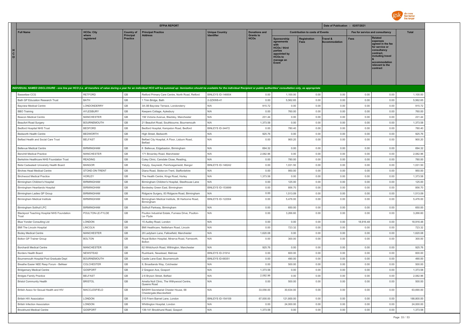

|                                                                                                                                                                                                                                |                     |                              | <b>EFPIA REPORT</b>                                              |                          |                                 |                                                                                                                                    |                                        | Date of Publication : 02/07/2021 |                                 |                                                                                                                                                                   |              |
|--------------------------------------------------------------------------------------------------------------------------------------------------------------------------------------------------------------------------------|---------------------|------------------------------|------------------------------------------------------------------|--------------------------|---------------------------------|------------------------------------------------------------------------------------------------------------------------------------|----------------------------------------|----------------------------------|---------------------------------|-------------------------------------------------------------------------------------------------------------------------------------------------------------------|--------------|
| <b>Full Name</b>                                                                                                                                                                                                               | <b>HCOs: City</b>   | <b>Country of</b>            | <b>Principal Practice</b>                                        | <b>Unique Country</b>    | <b>Donations and</b>            |                                                                                                                                    | <b>Contribution to costs of Events</b> |                                  | Fee for service and consultancy |                                                                                                                                                                   | <b>Total</b> |
| H<br>C<br>$\circ$                                                                                                                                                                                                              | where<br>registered | Principal<br><b>Practice</b> | <b>Address</b>                                                   |                          | <b>Grants to</b><br><b>HCOs</b> | <b>Sponsorship</b><br>agreements<br>with<br><b>HCOs / third</b><br>parties<br>appointed by<br><b>HCOs to</b><br>manage an<br>Event | <b>Registration</b><br><b>Fees</b>     | Travel &<br><b>Accommodation</b> | <b>Fees</b>                     | <b>Related</b><br>expenses<br>agreed in the fee<br>for service or<br>consultancy<br>contract,<br>including travel<br>accommodation<br>relevant to the<br>contract |              |
| INDIVIDUAL NAMED DISCLOSURE - one line per HCO (i.e. all transfers of value during a year for an individual HCO will be summed up: itemization should be available for the individual Recipient or public authorities' consult |                     |                              |                                                                  |                          |                                 |                                                                                                                                    |                                        |                                  |                                 |                                                                                                                                                                   |              |
| <b>Bassetlaw CCG</b>                                                                                                                                                                                                           | <b>RETEORD</b>      | GB                           | Retford Primary Care Centre, North Road, Retford                 | BINLEYS ID-146654        | 0.00                            | 1.100.00                                                                                                                           | 0.00                                   | 0.00                             | 0.00                            | 0.00                                                                                                                                                              | 1,100.00     |
| Bath GP Education Research Trust                                                                                                                                                                                               | <b>BATH</b>         | GB                           | 1 Trim Bridge, Bath                                              | 2-27XW8-41               | 0.00                            | 5,562.65                                                                                                                           | 0.00                                   | 0.00                             | 0.00                            | 0.00                                                                                                                                                              | 5,562.65     |
| <b>Bavview Medical Centre</b>                                                                                                                                                                                                  | LONDONDERRY         | GB                           | 3A-3B Bayview Terrace, Londonderry                               | N/A                      | 915.72                          | 0.00                                                                                                                               | 0.00                                   | 0.00                             | 0.00                            | 0.00                                                                                                                                                              | 915.72       |
| <b>BBO</b> Training                                                                                                                                                                                                            | AYLESBURY           | GB                           | Keepers Cottage, Aylesbury                                       | N/A                      | 0.00                            | 760.00                                                                                                                             | 0.00                                   | 0.00                             | 0.00                            | 0.00                                                                                                                                                              | 760.00       |
| Beacon Medical Centre                                                                                                                                                                                                          | <b>MANCHESTER</b>   | GB                           | 156 Victoria Avenue, Blackley, Manchester                        | N/A                      | 231.44                          | 0.00                                                                                                                               | 0.00                                   | 0.00                             | 0.00                            | 0.00                                                                                                                                                              | 231.44       |
| <b>Beaufort Road Surgery</b>                                                                                                                                                                                                   | <b>BOURNEMOUTH</b>  | $\mathbb{G}\mathbb{B}$       | 21 Beaufort Road, Southbourne, Bournemouth                       | N/A                      | 1,373.58                        | 0.00                                                                                                                               | 0.00                                   | 0.00                             | 0.00                            | 0.00                                                                                                                                                              | 1,373.58     |
| <b>Bedford Hospital NHS Trust</b>                                                                                                                                                                                              | <b>BEDFORD</b>      | GB                           | Bedford Hospital, Kempston Road, Bedford                         | BINLEYS ID-34472         | 0.00                            | 780.40                                                                                                                             | 0.00                                   | 0.00                             | 0.00                            | 0.00                                                                                                                                                              | 780.40       |
| <b>Bedworth Health Centre</b>                                                                                                                                                                                                  | <b>BEDWORTH</b>     | GB                           | High Street, Bedworth                                            | N/A                      | 925.76                          | 0.00                                                                                                                               | 0.00                                   | 0.00                             | 0.00                            | 0.00                                                                                                                                                              | 925.76       |
| Belfast Health and Social Care Trust                                                                                                                                                                                           | <b>BELFAST</b>      | GB                           | Belfast City Hospital, A Floor, Lisburn Road,<br><b>Belfast</b>  | N/A                      | 0.00                            | 900.20                                                                                                                             | 0.00                                   | 0.00                             | 0.00                            | 0.00                                                                                                                                                              | 900.20       |
| <b>Bellevue Medical Centre</b>                                                                                                                                                                                                 | <b>BIRMINGHAM</b>   | GB                           | 6 Bellevue, Edgebaston, Birmingham                               | N/A                      | 694.32                          | 0.00                                                                                                                               | 0.00                                   | 0.00                             | 0.00                            | 0.00                                                                                                                                                              | 694.32       |
| <b>Benchill Medical Practice</b>                                                                                                                                                                                               | <b>MANCHESTER</b>   | GB                           | 171 Brownley Road, Manchester                                    | N/A                      | 2,082.96                        | 0.00                                                                                                                               | 0.00                                   | 0.00                             | 0.00                            | 0.00                                                                                                                                                              | 2,082.96     |
| Berkshire Healthcare NHS Foundation Trust                                                                                                                                                                                      | <b>READING</b>      | $\mathbb{G}\mathbb{B}$       | Coley Clinic, Carsdale Close, Reading                            | N/A                      | 0.00                            | 780.00                                                                                                                             | 0.00                                   | 0.00                             | 0.00                            | 0.00                                                                                                                                                              | 780.00       |
| Betsi Cadwaladr University Health Board                                                                                                                                                                                        | <b>BANGOR</b>       | GB                           | Ysbyty, Gwynedd, Penrhosgarnedd, Bangor                          | BINLEYS ID-148242        | 0.00                            | 1,031.50                                                                                                                           | 0.00                                   | 0.00                             | 0.00                            | 0.00                                                                                                                                                              | 1,031.50     |
| <b>Birches Head Medical Centre</b>                                                                                                                                                                                             | STOKE-ON-TRENT      | GB                           | Diana Road, Stoke-on-Trent, Staffordshire                        | N/A                      | 0.00                            | 950.00                                                                                                                             | 0.00                                   | 0.00                             | 0.00                            | 0.00                                                                                                                                                              | 950.00       |
| <b>Birchwood Medical Practice</b>                                                                                                                                                                                              | <b>HORLEY</b>       | GB                           | The Health Centre, Kings Road, Horley                            | N/A                      | 1,373.58                        | 0.00                                                                                                                               | 0.00                                   | 0.00                             | 0.00                            | 0.00                                                                                                                                                              | 1,373.58     |
| Birmingham Children's Hospital                                                                                                                                                                                                 | <b>BIRMINGHAM</b>   | GB                           | Birmingham Children's Hospital, Steelhouse Lane                  | N/A                      | 0.00                            | 125.00                                                                                                                             | 0.00                                   | 0.00                             | 0.00                            | 0.00                                                                                                                                                              | 125.00       |
| Birmingham Heartlands Hospital                                                                                                                                                                                                 | <b>BIRMINGHAM</b>   | $\mathbb{G}\mathbb{B}$       | Bordesley Green East, Birmingham                                 | <b>BINLEYS ID-153699</b> | 0.00                            | 856.70                                                                                                                             | 0.00                                   | 0.00                             | 0.00                            | 0.00                                                                                                                                                              | 856.70       |
| Birmingham Ladies GP Group                                                                                                                                                                                                     | <b>BIRMINGHAM</b>   | GB                           | Ridgacre Surgery, 83 Ridgacre Road, Birmingham                   | N/A                      | 0.00                            | 1,513.09                                                                                                                           | 0.00                                   | 0.00                             | 0.00                            | 0.00                                                                                                                                                              | 1,513.09     |
| Birmingham Medical Institute                                                                                                                                                                                                   | <b>BIRMINGHAM</b>   | GB                           | Birmingham Medical Institute, 36 Harborne Road,<br>Birmingham    | <b>BINLEYS ID-122004</b> | 0.00                            | 5,476.00                                                                                                                           | 0.00                                   | 0.00                             | 0.00                            | 0.00                                                                                                                                                              | 5,476.00     |
| Birmingham Solihull LPC                                                                                                                                                                                                        | <b>BIRMINGHAM</b>   | GB                           | Solihull Parkway, Birmingham                                     | N/A                      | 0.00                            | 650.00                                                                                                                             | 0.00                                   | 0.00                             | 0.00                            | 0.00                                                                                                                                                              | 650.00       |
| <b>Blackpool Teaching Hospital NHS Foundation</b><br>Trust                                                                                                                                                                     | POULTON-LE-FYLDE    | GB                           | Poulton Industrial Estate, Furness Drive, Poulton-<br>Le-Flyde   | N/A                      | 0.00                            | 3,266.60                                                                                                                           | 0.00                                   | 0.00                             | 0.00                            | 0.00                                                                                                                                                              | 3,266.60     |
| Blue Yonder Consulting Ltd                                                                                                                                                                                                     | LONDON              | $\mathbb{G}\mathbb{B}$       | 15 Audley Road, London                                           | N/A                      | 0.00                            | 0.00                                                                                                                               | 0.00                                   | 0.00                             | 18,916.48                       | 0.00                                                                                                                                                              | 18,916.48    |
| <b>BMI The Lincoln Hospital</b>                                                                                                                                                                                                | LINCOLN             | GB                           | BMI Healthcare, Nettleham Road, Lincoln                          | N/A                      | 0.00                            | 723.32                                                                                                                             | 0.00                                   | 0.00                             | 0.00                            | 0.00                                                                                                                                                              | 723.32       |
| <b>Bodey Medical Centre</b>                                                                                                                                                                                                    | <b>MANCHESTER</b>   | GB                           | 28 Ladybarn Lane, Fallowfield, Manchester                        | N/A                      | 1,620.08                        | 0.00                                                                                                                               | 0.00                                   | 0.00                             | 0.00                            | 0.00                                                                                                                                                              | 1,620.08     |
| <b>Bolton GP Trainer Group</b>                                                                                                                                                                                                 | <b>BOLTON</b>       | GB                           | Royal Bolton Hospital, Minerva Road, Farnworth,<br><b>Bolton</b> | N/A                      | 0.00                            | 300.00                                                                                                                             | 0.00                                   | 0.00                             | 0.00                            | 0.00                                                                                                                                                              | 300.00       |
| <b>Borchardt Medical Centre</b>                                                                                                                                                                                                | <b>MANCHESTER</b>   | $\mathbb{G}\mathbb{B}$       | 62 Whitchurch Road, Withington, Manchester                       | N/A                      | 925.76                          | 0.00                                                                                                                               | 0.00                                   | 0.00                             | 0.00                            | 0.00                                                                                                                                                              | 925.76       |
| Borders Health Board                                                                                                                                                                                                           | NEWSTEAD            | GB                           | Rushbank, Newstead, Melrose                                      | BINLEYS ID-31914         | 0.00                            | 600.00                                                                                                                             | 0.00                                   | 0.00                             | 0.00                            | 0.00                                                                                                                                                              | 600.00       |
| Bournemouth Hospital Post Graduate Dept                                                                                                                                                                                        | <b>BOURNEMOUTH</b>  | $\mathbb{G}\mathbb{B}$       | Castle Lane East, Bournemouth                                    | BINLEYS ID-68351         | 0.00                            | 490.00                                                                                                                             | 0.00                                   | 0.00                             | 0.00                            | 0.00                                                                                                                                                              | 490.00       |
| Breathe Easier NEE Resp Forum - BeNeer                                                                                                                                                                                         | COLCHESTER          | GB                           | 9, Broadlands Way, Colchester                                    | N/A                      | 0.00                            | 500.00                                                                                                                             | 0.00                                   | 0.00                             | 0.00                            | 0.00                                                                                                                                                              | 500.00       |
| <b>Bridgemary Medical Centre</b>                                                                                                                                                                                               | GOSPORT             | GB                           | 2 Gregson Ave, Gosport                                           | N/A                      | 1,373.58                        | 0.00                                                                                                                               | 0.00                                   | 0.00                             | 0.00                            | 0.00                                                                                                                                                              | 1,373.58     |
| <b>Bridges Family Practice</b>                                                                                                                                                                                                 | <b>BELFAST</b>      | GB                           | 2-6 Bryson Street, Belfast                                       | N/A                      | 2,082.96                        | 0.00                                                                                                                               | 0.00                                   | 0.00                             | 0.00                            | 0.00                                                                                                                                                              | 2,082.96     |
| <b>Bristol Community Health</b>                                                                                                                                                                                                | <b>BRISTOL</b>      | GB                           | Amelia Nutt Clinic, The Withywood Centre,<br>Queens Road         | N/A                      | 0.00                            | 500.00                                                                                                                             | 0.00                                   | 0.00                             | 0.00                            | 0.00                                                                                                                                                              | 500.00       |
| British Assoc for Sexual Health and HIV                                                                                                                                                                                        | MACCLESFIELD        | $\mathbb{G}\mathbb{B}$       | BASHH Secretariat Chester House, 68<br>Chestergate, Macclesfield | N/A                      | 33,056.00                       | 30,634.00                                                                                                                          | 0.00                                   | 0.00                             | 0.00                            | 0.00                                                                                                                                                              | 63,690.00    |
| <b>British HIV Association</b>                                                                                                                                                                                                 | LONDON              | GB                           | 310 Friern Barnet Lane, London                                   | BINLEYS ID-154109        | 67,000.00                       | 121,800.00                                                                                                                         | 0.00                                   | 0.00                             | 0.00                            | 0.00                                                                                                                                                              | 188,800.00   |
| <b>British Infection Association</b>                                                                                                                                                                                           | <b>LONDON</b>       | GB                           | Whittington Hospital, London                                     | N/A                      | 0.00                            | 24,000.00                                                                                                                          | 0.00                                   | 0.00                             | 0.00                            | 0.00                                                                                                                                                              | 24,000.00    |
| <b>Brockhurst Medical Centre</b>                                                                                                                                                                                               | GOSPORT             | <b>GB</b>                    | 139-141 Brockhurst Road, Gosport                                 | N/A                      | 1,373.58                        | 0.00                                                                                                                               | 0.00                                   | 0.00                             | 0.00                            | 0.00                                                                                                                                                              | 1.373.58     |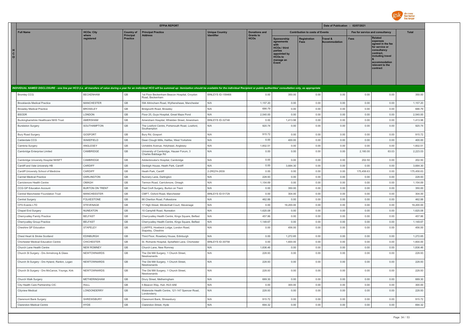

|                                                                                                                                                                                                                                | <b>EFPIA REPORT</b>    |                                     |                                                                 |                       |                                 | Date of Publication : 02/07/2021                                                                                    |                                        |                                  |            |                                                                                                                                                                   |              |
|--------------------------------------------------------------------------------------------------------------------------------------------------------------------------------------------------------------------------------|------------------------|-------------------------------------|-----------------------------------------------------------------|-----------------------|---------------------------------|---------------------------------------------------------------------------------------------------------------------|----------------------------------------|----------------------------------|------------|-------------------------------------------------------------------------------------------------------------------------------------------------------------------|--------------|
| <b>Full Name</b>                                                                                                                                                                                                               | <b>HCOs: City</b>      | <b>Country of</b>                   | <b>Principal Practice</b>                                       | <b>Unique Country</b> | <b>Donations and</b>            |                                                                                                                     | <b>Contribution to costs of Events</b> |                                  |            | Fee for service and consultancy                                                                                                                                   | <b>Total</b> |
| $\mathtt{C}$<br>$\circ$                                                                                                                                                                                                        | where<br>registered    | <b>Principal</b><br><b>Practice</b> | <b>Address</b>                                                  | <b>Identifier</b>     | <b>Grants to</b><br><b>HCOs</b> | Sponsorship<br>agreements<br><b>HCOs / third</b><br>parties<br>appointed by<br><b>HCOs to</b><br>manage an<br>Event | Registration<br>Fees                   | Travel &<br><b>Accommodation</b> | Fees       | <b>Related</b><br>expenses<br>agreed in the fee<br>for service or<br>consultancy<br>contract.<br>including travel<br>accommodation<br>relevant to the<br>contract |              |
| INDIVIDUAL NAMED DISCLOSURE - one line per HCO (i.e. all transfers of value during a year for an individual HCO will be summed up: itemization should be available for the individual Recipient or public authorities' consult |                        |                                     |                                                                 |                       |                                 |                                                                                                                     |                                        |                                  |            |                                                                                                                                                                   |              |
| <b>Bromley CCG</b>                                                                                                                                                                                                             | <b>BECKENHAM</b>       | GB                                  | 1st Floor Beckenham Beacon Hospital, Croydon<br>Road, Beckenham | BINLEYS ID-159468     | 0.00                            | 350.00                                                                                                              | 0.00                                   | 0.00                             | 0.00       | 0.00                                                                                                                                                              | 350.00       |
| <b>Brooklands Medical Practice</b>                                                                                                                                                                                             | <b>MANCHESTER</b>      | GB                                  | 594 Altrincham Road, Wythenshawe, Manchester                    | N/A                   | 1,157.20                        | 0.00                                                                                                                | 0.00                                   | 0.00                             | 0.00       | 0.00                                                                                                                                                              | 1,157.20     |
| <b>Broseley Medical Practice</b>                                                                                                                                                                                               | <b>BROSELEY</b>        | GB                                  | Bridgnorth Road, Broseley                                       | N/A                   | 686.79                          | 0.00                                                                                                                | 0.00                                   | 0.00                             | 0.00       | 0.00                                                                                                                                                              | 686.79       |
| <b>BSODR</b>                                                                                                                                                                                                                   | LONDON                 | GB                                  | Floor 25, Guys Hospital, Great Maze Pond                        | N/A                   | 2,540.00                        | 0.00                                                                                                                | 0.00                                   | 0.00                             | 0.00       | 0.00                                                                                                                                                              | 2,540.00     |
| Buckinghamshire Healthcare NHS Trust                                                                                                                                                                                           | AMERSHAM               | GB                                  | Amersham Hospital, Whielden Street, Amersham                    | BINLEYS ID-32748      | 0.00                            | 1,413.98                                                                                                            | 0.00                                   | 0.00                             | 0.00       | 0.00                                                                                                                                                              | 1,413.98     |
| <b>Bursledon Surgery</b>                                                                                                                                                                                                       | SOUTHAMPTON            | GB                                  | The Lowford Centre, Portsmouth Road, Lowford<br>Southampton     | N/A                   | 920.74                          | 0.00                                                                                                                | 0.00                                   | 0.00                             | 0.00       | 0.00                                                                                                                                                              | 920.74       |
| Bury Road Surgery                                                                                                                                                                                                              | GOSPORT                | GB                                  | Bury Rd, Gosport                                                | N/A                   | 915.72                          | 0.00                                                                                                                | 0.00                                   | 0.00                             | 0.00       | 0.00                                                                                                                                                              | 915.72       |
| Calderdale CCG                                                                                                                                                                                                                 | WAKEFIELD              | GB                                  | Dean Clough Mills, Halifax, West Yorkshire                      | N/A                   | 0.00                            | 400.00                                                                                                              | 0.00                                   | 0.00                             | 0.00       | 0.00                                                                                                                                                              | 400.00       |
| Cambria Surgery                                                                                                                                                                                                                | ANGLESEY               | GB                                  | Ucheldre Avenue, Holyhead, Anglesey                             | N/A                   | 1.602.51                        | 0.00                                                                                                                | 0.00                                   | 0.00                             | 0.00       | 0.00                                                                                                                                                              | 1.602.51     |
| Cambridge Enterprise Limited                                                                                                                                                                                                   | CAMBRIDGE              | GB                                  | University of Cambridge, Hauser Forum, 3<br>Charles Babbage Rd  | N/A                   | 0.00                            | 0.00                                                                                                                | 0.00                                   | 0.00                             | 2,160.00   | 63.03                                                                                                                                                             | 2,223.03     |
| Cambridge University Hospital NHSFT                                                                                                                                                                                            | CAMBRIDGE              | GB                                  | Addenbrooke's Hospital, Cambridge                               | N/A                   | 0.00                            | 0.00                                                                                                                | 0.00                                   | 0.00                             | 202.50     | 0.00                                                                                                                                                              | 202.50       |
| Cardiff and Vale University HB                                                                                                                                                                                                 | CARDIFF                | GB                                  | Denbigh House, Heath Park, Cardiff                              | N/A                   | 0.00                            | 3,684.30                                                                                                            | 0.00                                   | 0.00                             | 0.00       | 0.00                                                                                                                                                              | 3,684.30     |
| Cardiff University School of Medicine                                                                                                                                                                                          | CARDIFF                | GB                                  | Heath Park, Cardiff                                             | 2-2RQ74-2839          | 0.00                            | 0.00                                                                                                                | 0.00                                   | 0.00                             | 175,458.63 | 0.00                                                                                                                                                              | 175,458.63   |
| <b>Carmel Medical Practice</b>                                                                                                                                                                                                 | <b>DARLINGTON</b>      | GB                                  | Nunnery Lane, Darlington                                        | N/A                   | 228.93                          | 0.00                                                                                                                | 0.00                                   | 0.00                             | 0.00       | 0.00                                                                                                                                                              | 228.93       |
| Carrickmore Health Centre                                                                                                                                                                                                      | OMAGH                  | GB                                  | Termon Road, Carrickmore, Omagh                                 | N/A                   | 1,154.69                        | 0.00                                                                                                                | 0.00                                   | 0.00                             | 0.00       | 0.00                                                                                                                                                              | 1,154.69     |
| CCG GP Education Account                                                                                                                                                                                                       | <b>BURTON ON TRENT</b> | GB                                  | Peel Croft Surgery, Burton on Trent                             | N/A                   | 0.00                            | 350.00                                                                                                              | 0.00                                   | 0.00                             | 0.00       | 0.00                                                                                                                                                              | 350.00       |
| Central Manchester Foundation Trust                                                                                                                                                                                            | <b>MANCHEESTER</b>     | GB                                  | CMFT, Oxford Road, Manchester                                   | BINLEYS ID-51729      | 0.00                            | 304.00                                                                                                              | 0.00                                   | 0.00                             | 0.00       | 0.00                                                                                                                                                              | 304.00       |
| Central Surgery                                                                                                                                                                                                                | <b>FOLKESTONE</b>      | GB                                  | 86 Cheriton Road, Folkestone                                    | N/A                   | 462.88                          | 0.00                                                                                                                | 0.00                                   | 0.00                             | 0.00       | 0.00                                                                                                                                                              | 462.88       |
| CFS Events LTD                                                                                                                                                                                                                 | <b>STEVENAGE</b>       | GB                                  | 17 High Street, Mindenhall Court, Stevenage                     | N/A                   | 0.00                            | 19,200.00                                                                                                           | 0.00                                   | 0.00                             | 0.00       | 0.00                                                                                                                                                              | 19,200.00    |
| Chapel End Surgery                                                                                                                                                                                                             | <b>NUNEATON</b>        | GB                                  | 10 Camphill Road, Nuneaton                                      | N/A                   | 1,620.08                        | 0.00                                                                                                                | 0.00                                   | 0.00                             | 0.00       | 0.00                                                                                                                                                              | 1,620.08     |
| Cherryvalley Family Practice                                                                                                                                                                                                   | <b>BELFAST</b>         | GB                                  | Cherryvalley Health Centre, Kings Square, Belfast               | N/A                   | 457.86                          | 0.00                                                                                                                | 0.00                                   | 0.00                             | 0.00       | 0.00                                                                                                                                                              | 457.86       |
| Cherryvalley Group Practice                                                                                                                                                                                                    | <b>BELFAST</b>         | GB                                  | Cherryvalley Health Centre, Kings Square, Belfast               | N/A                   | 1,149.67                        | 0.00                                                                                                                | 0.00                                   | 0.00                             | 0.00       | 0.00                                                                                                                                                              | 1,149.67     |
| Cheshire GP Education                                                                                                                                                                                                          | STAPELEY               | GB                                  | LUAPPS, Howbeck Lodge, London Road,<br>Stapeley, Cheshire       | N/A                   | 0.00                            | 456.00                                                                                                              | 0.00                                   | 0.00                             | 0.00       | 0.00                                                                                                                                                              | 456.00       |
| Chest Heart & Stroke Scotland                                                                                                                                                                                                  | EDINBURGH              | GB                                  | Third Floor, Rosebery House, Edinburgh                          | N/A                   | 0.00                            | 1,272.65                                                                                                            | 0.00                                   | 0.00                             | 0.00       | 0.00                                                                                                                                                              | 1,272.65     |
| Chichester Medical Education Centre                                                                                                                                                                                            | <b>CHICHESTER</b>      | GB                                  | St. Richards Hospital, Spitalfield Lane, Chichester             | BINLEYS ID-30758      | 0.00                            | 1,600.00                                                                                                            | 0.00                                   | 0.00                             | 0.00       | 0.00                                                                                                                                                              | 1,600.00     |
| Church Lane Health Centre                                                                                                                                                                                                      | <b>NEW ROMNEY</b>      | GB                                  | Church Lane, New Romney                                         | N/A                   | 1.836.46                        | 0.00                                                                                                                | 0.00                                   | 0.00                             | 0.00       | 0.00                                                                                                                                                              | 1,836.46     |
| Church St Surgery - Drs Armstrong & Glass                                                                                                                                                                                      | NEWTOWNARDS            | GB                                  | The Old Mill Surgery, 1 Church Street,<br>Newtownards           | N/A                   | 228.93                          | 0.00                                                                                                                | 0.00                                   | 0.00                             | 0.00       | 0.00                                                                                                                                                              | 228.93       |
| Church St Surgery - Drs Hyland, Rankin, Logan                                                                                                                                                                                  | NEWTOWNARDS            | GB                                  | The Old Mill Surgery, 1 Church Street,<br>Newtownards           | N/A                   | 228.93                          | 0.00                                                                                                                | 0.00                                   | 0.00                             | 0.00       | 0.00                                                                                                                                                              | 228.93       |
| Church St Surgery - Drs McCance, Youngs, Kirk                                                                                                                                                                                  | NEWTOWNARDS            | GB                                  | The Old Mill Surgery, 1 Church Street,<br>Newtownards           | N/A                   | 228.93                          | 0.00                                                                                                                | 0.00                                   | 0.00                             | 0.00       | 0.00                                                                                                                                                              | 228.93       |
| Church Walk Surgery                                                                                                                                                                                                            | METHERINGHAM           | GB                                  | Drury Street, Metheringham                                      | N/A                   | 689.30                          | 0.00                                                                                                                | 0.00                                   | 0.00                             | 0.00       | 0.00                                                                                                                                                              | 689.30       |
| City Health Care Partnership CIC                                                                                                                                                                                               | HULL                   | GB                                  | 5 Beacon Way, Hull, HU3 4AE                                     | N/A                   | 0.00                            | 300.00                                                                                                              | 0.00                                   | 0.00                             | 0.00       | 0.00                                                                                                                                                              | 300.00       |
| Cityview Medical                                                                                                                                                                                                               | LONDONDERRY            | GB                                  | Waterside Health Centre, 121-147 Spencer Road,<br>Londonderry   | N/A                   | 228.93                          | 0.00                                                                                                                | 0.00                                   | 0.00                             | 0.00       | 0.00                                                                                                                                                              | 228.93       |
| Claremont Bank Surgery                                                                                                                                                                                                         | SHRFWSBURY             | GB                                  | Claremont Bank, Shrewsbury                                      | N/A                   | 915.72                          | 0.00                                                                                                                | 0.00                                   | 0.00                             | 0.00       | 0.00                                                                                                                                                              | 915.72       |
| Clarendon Medical Centre                                                                                                                                                                                                       | <b>HYDE</b>            | GB                                  | Clarendon Street, Hyde                                          | N/A                   | 694.32                          | 0.00                                                                                                                | 0.00                                   | 0.00                             | 0.00       | 0.00                                                                                                                                                              | 694.32       |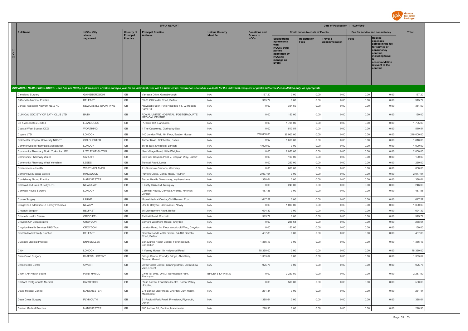

|                     |                                          |                      |                                | <b>EFPIA REPORT</b>                                                                                                                                                                                                            |                                     |                                          |                                                                                                              | Date of Publication : 02/07/2021       |                          |             |                                                                                                                                                                   |              |
|---------------------|------------------------------------------|----------------------|--------------------------------|--------------------------------------------------------------------------------------------------------------------------------------------------------------------------------------------------------------------------------|-------------------------------------|------------------------------------------|--------------------------------------------------------------------------------------------------------------|----------------------------------------|--------------------------|-------------|-------------------------------------------------------------------------------------------------------------------------------------------------------------------|--------------|
|                     | <b>Full Name</b>                         | <b>HCOs: City</b>    | <b>Country of</b><br>Principal | <b>Principal Practice</b>                                                                                                                                                                                                      | <b>Unique Country</b><br>Identifier | <b>Donations and</b><br><b>Grants to</b> |                                                                                                              | <b>Contribution to costs of Events</b> |                          |             | Fee for service and consultancy                                                                                                                                   | <b>Total</b> |
| н.<br>$\frac{c}{0}$ |                                          | where<br>registered  | <b>Practice</b>                | <b>Address</b>                                                                                                                                                                                                                 |                                     | <b>HCO<sub>s</sub></b>                   | Sponsorship<br>agreements<br>HCOs / third<br>parties<br>appointed by<br><b>HCOs to</b><br>manage an<br>Event | Registration<br>Fees                   | Travel &<br>ccommodation | <b>Fees</b> | <b>Related</b><br>expenses<br>agreed in the fee<br>for service or<br>consultancy<br>contract.<br>including travel<br>accommodation<br>relevant to the<br>contract |              |
|                     |                                          |                      |                                | INDIVIDUAL NAMED DISCLOSURE - one line per HCO (i.e. all transfers of value during a year for an individual HCO will be summed up: itemization should be available for the individual Recipient or public authorities' consult |                                     |                                          |                                                                                                              |                                        |                          |             |                                                                                                                                                                   |              |
|                     | Cleveland Surgery                        | GAINSBOROUGH         | GB                             | Vanessa Drive, Gainsborough                                                                                                                                                                                                    | N/A                                 | 1,157.20                                 | 0.00                                                                                                         | 0.00                                   | 0.00                     | 0.00        | 0.00                                                                                                                                                              | 1,157.20     |
|                     | Cliftonville Medical Practice            | <b>BELFAST</b>       | GB                             | 59-61 Cliftonville Road, Belfast                                                                                                                                                                                               | N/A                                 | 915.72                                   | 0.00                                                                                                         | 0.00                                   | 0.00                     | 0.00        | 0.00                                                                                                                                                              | 915.72       |
|                     | Clinical Research Network NE & NC        | NEWCASTLE UPON TYNE  | GB                             | Newcastle upon Tyne Hospitals FT, L2 Regent<br>Farm Rd                                                                                                                                                                         | N/A                                 | 0.00                                     | 354.59                                                                                                       | 0.00                                   | 0.00                     | 0.00        | 0.00                                                                                                                                                              | 354.59       |
|                     | CLINICAL SOCIETY OF BATH CLUB LTD        | <b>BATH</b>          | GB                             | ROYAL UNITED HOSPITAL, POSTGRADUATE<br>MEDICAL CENTRE                                                                                                                                                                          | N/A                                 | 0.00                                     | 150.00                                                                                                       | 0.00                                   | 0.00                     | 0.00        | 0.00                                                                                                                                                              | 150.00       |
|                     | Co & Associates Limited                  | LLANDUDNO            | $\mathbb{G}\mathbb{B}$         | PO Box 142, Llandudno                                                                                                                                                                                                          | N/A                                 | 0.00                                     | 1,705.00                                                                                                     | 0.00                                   | 0.00                     | 0.00        | 0.00                                                                                                                                                              | 1,705.00     |
|                     | Coastal West Sussex CCG                  | WORTHING             | $\mathbb{G}\mathbb{B}$         | 1 The Causeway, Goring-by-Sea                                                                                                                                                                                                  | N/A                                 | 0.00                                     | 510.54                                                                                                       | 0.00                                   | 0.00                     | 0.00        | 0.00                                                                                                                                                              | 510.54       |
|                     | Cogora LTD                               | LONDON               | GB                             | 140 London Wall, 4th Floor, Bastion House                                                                                                                                                                                      | N/A                                 | 210,000.00                               | 36,000.00                                                                                                    | 0.00                                   | 0.00                     | 0.00        | 0.00                                                                                                                                                              | 246,000.00   |
|                     | Colchester Hospital University NHSFT     | <b>COLCHESTER</b>    | GB                             | Turner Road, Colchester, Essex                                                                                                                                                                                                 | N/A                                 | 0.00                                     | 1,810.00                                                                                                     | 0.00                                   | 0.00                     | 0.00        | 0.00                                                                                                                                                              | 1,810.00     |
|                     | Commonwealth Pharmacist Association      | LONDON               | GB                             | 66-68 East Smithfield, London                                                                                                                                                                                                  | N/A                                 | 4,000.00                                 | 0.00                                                                                                         | 0.00                                   | 0.00                     | 0.00        | 0.00                                                                                                                                                              | 4,000.00     |
|                     | Community Pharmacy North Yorkshire LPC   | LITTLE WEIGHTON      | $\mathbb{G}\mathbb{B}$         | New Village Road, Little Weighton                                                                                                                                                                                              | N/A                                 | 0.00                                     | 2,050.00                                                                                                     | 0.00                                   | 0.00                     | 0.00        | 0.00                                                                                                                                                              | 2,050.00     |
|                     | Community Pharmacy Wales                 | CARDIER              | GB                             | 3rd Floor Caspian Point 2, Caspian Way, Cardiff                                                                                                                                                                                | N/A                                 | 0.00                                     | 100.00                                                                                                       | 0.00                                   | 0.00                     | 0.00        | 0.00                                                                                                                                                              | 100.00       |
|                     | Community Pharmacy West Yorkshire        | LEEDS                | GB                             | Tunstall Road, Leeds                                                                                                                                                                                                           | N/A                                 | 0.00                                     | 250.00                                                                                                       | 0.00                                   | 0.00                     | 0.00        | 0.00                                                                                                                                                              | 250.00       |
|                     | Conferences 4 Health                     | <b>WEST MIDLANDS</b> | GB                             | 41 Silverdale Gardens, Wordsley                                                                                                                                                                                                | N/A                                 | 0.00                                     | 800.00                                                                                                       | 0.00                                   | 0.00                     | 0.00        | 0.00                                                                                                                                                              | 800.00       |
|                     | Cornerways Medical Centre                | <b>RINGWOOD</b>      | GB                             | Parkers Close, Gorley Road, Poulner                                                                                                                                                                                            | N/A                                 | 2,077.94                                 | 0.00                                                                                                         | 0.00                                   | 0.00                     | 0.00        | 0.00                                                                                                                                                              | 2,077.94     |
|                     | Cornishway Group Practice                | <b>MANCHESTER</b>    | $\mathbb{G}\mathbb{B}$         | Forum Health, Simonsway, Wythenshawe                                                                                                                                                                                           | N/A                                 | 1,388.64                                 | 0.00                                                                                                         | 0.00                                   | 0.00                     | 0.00        | 0.00                                                                                                                                                              | 1,388.64     |
|                     | Cornwall and Isles of Scilly LPC         | NEWQUAY              | GB                             | 5 Lusty Glaze Rd, Newquay                                                                                                                                                                                                      | N/A                                 | 0.00                                     | 246.00                                                                                                       | 0.00                                   | 0.00                     | 0.00        | 0.00                                                                                                                                                              | 246.00       |
|                     | Cornwall House Surgery                   | LONDON               | GB                             | Cornwall House, Cornwall Avenue, Finchley,<br>I ondon                                                                                                                                                                          | N/A                                 | 457.86                                   | 0.00                                                                                                         | 0.00                                   | 0.00                     | 0.00        | 0.00                                                                                                                                                              | 457.86       |
|                     | Corran Surgery                           | LARNE                | GB                             | Moyle Medical Centre, Old Glenarm Road                                                                                                                                                                                         | N/A                                 | 1,617.57                                 | 0.00                                                                                                         | 0.00                                   | 0.00                     | 0.00        | 0.00                                                                                                                                                              | 1,617.57     |
|                     | Craigavon Federation Of Family Practices | <b>NEWRY</b>         | GB                             | Unit 6, Ballybot, Cornmarket, Newry                                                                                                                                                                                            | N/A                                 | 0.00                                     | 1,000.00                                                                                                     | 0.00                                   | 0.00                     | 0.00        | 0.00                                                                                                                                                              | 1,000.00     |
|                     | Cregagh Surgery                          | <b>BELFAST</b>       | GB                             | 36 Montgomery Road, Belfast                                                                                                                                                                                                    | N/A                                 | 694.32                                   | 0.00                                                                                                         | 0.00                                   | 0.00                     | 0.00        | 0.00                                                                                                                                                              | 694.32       |
|                     | Criccieth Health Centre                  | CRICCIETH            | GB                             | Pwllheli Road, Criccieth                                                                                                                                                                                                       | N/A                                 | 915.72                                   | 0.00                                                                                                         | 0.00                                   | 0.00                     | 0.00        | 0.00                                                                                                                                                              | 915.72       |
|                     | Crovdon GP Collaborative                 | CROYDON              | GB                             | Bernard Weatherill House, Croydon                                                                                                                                                                                              | N/A                                 | 0.00                                     | 288.64                                                                                                       | 0.00                                   | 0.00                     | 0.00        | 0.00                                                                                                                                                              | 288.64       |
|                     | Croydon Health Services NHS Trust        | CROYDON              | GB                             | London Road, 1st Floor Woodcroft Wing, Croydon                                                                                                                                                                                 | N/A                                 | 0.00                                     | 150.00                                                                                                       | 0.00                                   | 0.00                     | 0.00        | 0.00                                                                                                                                                              | 150.00       |
|                     | Crumlin Road Family Practice             | <b>BELFAST</b>       | GB                             | Crumlin Road Health Centre, 94-100 Crumlin<br>Road, Belfast                                                                                                                                                                    | N/A                                 | 457.86                                   | 0.00                                                                                                         | 0.00                                   | 0.00                     | 0.00        | 0.00                                                                                                                                                              | 457.86       |
|                     | Cuilcagh Medical Practice                | <b>ENNISKILLEN</b>   | GB                             | Benaughlin Health Centre, Florencecourt,<br>Enniskillen                                                                                                                                                                        | N/A                                 | 1,386.13                                 | 0.00                                                                                                         | 0.00                                   | 0.00                     | 0.00        | 0.00                                                                                                                                                              | 1,386.13     |
|                     | $CW+$                                    | LONDON               | GB                             | 4 Verney House, 1b Hollywood Road                                                                                                                                                                                              | N/A                                 | 78,350.00                                | 0.00                                                                                                         | 0.00                                   | 0.00                     | 0.00        | 0.00                                                                                                                                                              | 78,350.00    |
|                     | Cwm Calon Surgery                        | <b>BLAENAU GWENT</b> | GB                             | Bridge Centre, Foundry Bridge, Abertillery,<br>Blaenau Gwent                                                                                                                                                                   | N/A                                 | 1,383.62                                 | 0.00                                                                                                         | 0.00                                   | 0.00                     | 0.00        | 0.00                                                                                                                                                              | 1,383.62     |
|                     | Cwm Health Centre                        | <b>GWENT</b>         | $\mathbb{G}\mathbb{B}$         | Cwm Health Centre, Canning Street, Cwm Ebbw<br>Vale, Gwent                                                                                                                                                                     | N/A                                 | 925.76                                   | 0.00                                                                                                         | 0.00                                   | 0.00                     | 0.00        | 0.00                                                                                                                                                              | 925.76       |
|                     | CWM TAF Health Board                     | PONTYPRIDD           | $\mathbb{G}\mathbb{B}$         | Cwm Taf UHB, Unit 3, Navingation Park,<br>Abercynon                                                                                                                                                                            | <b>BINLEYS ID-148139</b>            | 0.00                                     | 2,287.50                                                                                                     | 0.00                                   | 0.00                     | 0.00        | 0.00                                                                                                                                                              | 2.287.50     |
|                     | Dartford Postgraduate Medical            | DARTFORD             | GB                             | Philip Farrant Education Centre, Darent Valley<br>Hospital,                                                                                                                                                                    | N/A                                 | 0.00                                     | 500.00                                                                                                       | 0.00                                   | 0.00                     | 0.00        | 0.00                                                                                                                                                              | 500.00       |
|                     | David Medical Centre                     | <b>MANCHESTER</b>    | GB                             | 274 Barlow Moor Road, Chorlton-Cum-Hardy,<br>Manchester                                                                                                                                                                        | N/A                                 | 231.44                                   | 0.00                                                                                                         | 0.00                                   | 0.00                     | 0.00        | 0.00                                                                                                                                                              | 231.44       |
|                     | Dean Cross Surgery                       | PLYMOUTH             | GB                             | 21 Radford Park Road, Plymstock, Plymouth,<br>Devon                                                                                                                                                                            | N/A                                 | 1,388.64                                 | 0.00                                                                                                         | 0.00                                   | 0.00                     | 0.00        | 0.00                                                                                                                                                              | 1,388.64     |
|                     | Denton Medical Practice                  | <b>MANCHESTER</b>    | GB                             | 100 Ashton Rd, Denton, Manchester                                                                                                                                                                                              | N/A                                 | 228.93                                   | 0.00                                                                                                         | 0.00                                   | 0.00                     | 0.00        | 0.00                                                                                                                                                              | 228.93       |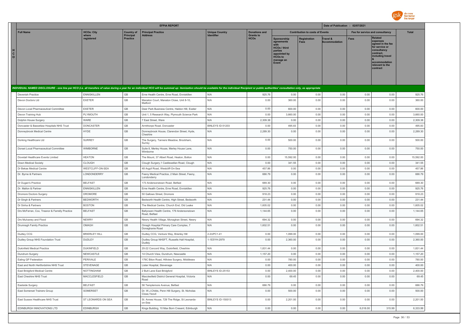

|                                     |                                                                                                                                                                                                                                |                                 |                              | <b>EFPIA REPORT</b>                                                                                       |                       |                                 |                                                                                                                            |                                        | Date of Publication : 02/07/2021 |              |                                                                                                                                                                   |                      |
|-------------------------------------|--------------------------------------------------------------------------------------------------------------------------------------------------------------------------------------------------------------------------------|---------------------------------|------------------------------|-----------------------------------------------------------------------------------------------------------|-----------------------|---------------------------------|----------------------------------------------------------------------------------------------------------------------------|----------------------------------------|----------------------------------|--------------|-------------------------------------------------------------------------------------------------------------------------------------------------------------------|----------------------|
|                                     | <b>Full Name</b>                                                                                                                                                                                                               | <b>HCOs: City</b>               | <b>Country of</b>            | <b>Principal Practice</b>                                                                                 | <b>Unique Country</b> | <b>Donations and</b>            |                                                                                                                            | <b>Contribution to costs of Events</b> |                                  |              | Fee for service and consultancy                                                                                                                                   | <b>Total</b>         |
| H<br>$\mathbf{C}$<br>$\mathsf{o}\,$ |                                                                                                                                                                                                                                | where<br>registered             | Principal<br><b>Practice</b> | Address                                                                                                   | Identifier            | <b>Grants to</b><br><b>HCOs</b> | <b>Sponsorship</b><br>agreements<br><b>HCOs / third</b><br>parties<br>appointed by<br><b>HCOs to</b><br>manage an<br>Event | Registration<br><b>Fees</b>            | Travel &<br>ccommodation         | Fees         | <b>Related</b><br>expenses<br>agreed in the fee<br>for service or<br>consultancy<br>contract.<br>including travel<br>accommodation<br>relevant to the<br>contract |                      |
|                                     | INDIVIDUAL NAMED DISCLOSURE - one line per HCO (i.e. all transfers of value during a year for an individual HCO will be summed up: itemization should be available for the individual Recipient or public authorities' consult |                                 |                              |                                                                                                           |                       |                                 |                                                                                                                            |                                        |                                  |              |                                                                                                                                                                   |                      |
|                                     | Devenish Practice                                                                                                                                                                                                              | <b>ENNISKILLEN</b>              | GB                           | Erne Health Centre, Erne Road, Enniskillen                                                                | N/A                   | 925.76                          | 0.00                                                                                                                       | 0.00                                   | 0.00                             | 0.00         | 0.00                                                                                                                                                              | 925.76               |
|                                     | Devon Doctors Ltd                                                                                                                                                                                                              | <b>EXETER</b>                   | GB                           | Manaton Court, Manaton Close, Unit 8-10,<br>Matford                                                       | N/A                   | 0.00                            | 360.00                                                                                                                     | 0.00                                   | 0.00                             | 0.00         | 0.00                                                                                                                                                              | 360.00               |
|                                     | Devon Local Pharmaceutical Committee                                                                                                                                                                                           | <b>EXETER</b>                   | GB                           | Deer Park Business Centre, Haldon Hill, Exeter                                                            | N/A                   | 0.00                            | 600.00                                                                                                                     | 0.00                                   | 0.00                             | 0.00         | 0.00                                                                                                                                                              | 600.00               |
|                                     | Devon Training Hub                                                                                                                                                                                                             | PLYMOUTH                        | GB                           | Unit 1, 5 Research Way, Plymouth Science Park                                                             | N/A                   | 0.00                            | 3,660.00                                                                                                                   | 0.00                                   | 0.00                             | 0.00         | 0.00                                                                                                                                                              | 3,660.00             |
|                                     | Dolphin House Surgery                                                                                                                                                                                                          | WARE                            | $\mathbb{G}\mathbb{B}$       | 7 East Street, Ware                                                                                       | N/A                   | 2,309.38                        | 0.00                                                                                                                       | 0.00                                   | 0.00                             | 0.00         | 0.00                                                                                                                                                              | 2,309.38             |
|                                     | Doncaster & Bassetlaw Hospitals NHS Trust                                                                                                                                                                                      | <b>DONCASTER</b>                | GB                           | Armthorpe Road, Doncaster                                                                                 | BINLEYS ID-51203      | 0.00                            | 495.83                                                                                                                     | 0.00                                   | 0.00                             | 0.00         | 0.00                                                                                                                                                              | 495.83               |
|                                     | Donneybrook Medical Centre                                                                                                                                                                                                     | <b>HYDE</b>                     | GB                           | Donneybrook House, Clarendon Street, Hyde,<br>Cheshire                                                    | N/A                   | 2,289.30                        | 0.00                                                                                                                       | 0.00                                   | 0.00                             | 0.00         | 0.00                                                                                                                                                              | 2,289.30             |
|                                     | Dorking Healthcare Ltd                                                                                                                                                                                                         | <b>SURREY</b>                   | GB                           | The Surgery, Tanners Meadow, Brockham,<br>Surrey                                                          | N/A                   | 0.00                            | 500.00                                                                                                                     | 0.00                                   | 0.00                             | 0.00         | 0.00                                                                                                                                                              | 500.00               |
|                                     | Dorset Local Pharmaceutical Committee                                                                                                                                                                                          | WIMBORNE                        | GB                           | Suite 8, Merley House, Merley House Lane,<br>Wimborne                                                     | N/A                   | 0.00                            | 750.00                                                                                                                     | 0.00                                   | 0.00                             | 0.00         | 0.00                                                                                                                                                              | 750.00               |
|                                     | Dovetail Healthcare Events Limited                                                                                                                                                                                             | <b>HEATON</b>                   | GB                           | The Mount, 37 Albert Road, Heaton, Bolton                                                                 | N/A                   | 0.00                            | 15,592.00                                                                                                                  | 0.00                                   | 0.00                             | 0.00         | 0.00                                                                                                                                                              | 15,592.00            |
|                                     | Down Medical Society                                                                                                                                                                                                           | <b>CLOUGH</b>                   | GB                           | Clough Surgery, 1 Castlewellan Road, Clough                                                               | N/A                   | 0.00                            | 341.55                                                                                                                     | 0.00                                   | 0.00                             | 0.00         | 0.00                                                                                                                                                              | 341.55               |
|                                     | Dr Bekas Medical Centre                                                                                                                                                                                                        | WESTCLIFF-ON-SEA                | GB                           | 48 Argyll Road, Westcliff-On-Sea                                                                          | N/A                   | 457.86                          | 0.00                                                                                                                       | 0.00                                   | 0.00                             | 0.00         | 0.00                                                                                                                                                              | 457.86               |
|                                     | Dr. Byrne & Partners                                                                                                                                                                                                           | LONDONDERRY                     | GB                           | Feeny Medical Practice, 2 Main Street, Feeny,<br>Londonderry                                              | N/A                   | 686.79                          | 0.00                                                                                                                       | 0.00                                   | 0.00                             | 0.00         | 0.00                                                                                                                                                              | 686.79               |
|                                     | Dr Dugan's Practice                                                                                                                                                                                                            | <b>BELFAST</b>                  | $\mathbb{G}\mathbb{B}$       | 173 Andersonstown Road, Belfast                                                                           | N/A                   | 689.30                          | 0.00                                                                                                                       | 0.00                                   | 0.00                             | 0.00         | 0.00                                                                                                                                                              | 689.30               |
|                                     | Dr. Mallon & Partner                                                                                                                                                                                                           | <b>ENNISKILLEN</b>              | GB                           | Erne Health Centre, Erne Road, Enniskillen                                                                | N/A                   | 925.76                          | 0.00                                                                                                                       | 0.00                                   | 0.00                             | 0.00         | 0.00                                                                                                                                                              | 925.76               |
|                                     | <b>Dromore Doctors Surgery</b>                                                                                                                                                                                                 | DROMORE                         | GB                           | 50 Gallows Street, Dromore                                                                                | N/A                   | 918.23                          | 0.00                                                                                                                       | 0.00                                   | 0.00                             | 0.00         | 0.00                                                                                                                                                              | 918.23               |
|                                     | Dr Singh & Partners                                                                                                                                                                                                            | <b>BEDWORTH</b>                 | GB                           | Bedworth Health Centre, High Street, Bedworth                                                             | N/A                   | 231.44                          | 0.00                                                                                                                       | 0.00                                   | 0.00                             | 0.00         | 0.00                                                                                                                                                              | 231.44               |
|                                     | Dr Sinha & Partners<br>Drs McFerran, Cox, Treanor & Farrelly Practice                                                                                                                                                          | <b>BOSTON</b><br><b>BELFAST</b> | $\mathbb{G}\mathbb{B}$<br>GB | The Medical Centre, Church End, Old Leake<br>Ballyowen Health Centre, 179 Andersonstown                   | N/A<br>N/A            | 1,605.02<br>1,144.65            | 0.00<br>0.00                                                                                                               | 0.00<br>0.00                           | 0.00<br>0.00                     | 0.00<br>0.00 | 0.00<br>0.00                                                                                                                                                      | 1,605.02<br>1,144.65 |
|                                     | Drs Mulvaney and Flood                                                                                                                                                                                                         | <b>NEWRY</b>                    | $\mathbb{G}\mathbb{B}$       | Road, Belfast                                                                                             | N/A                   | 694.32                          | 0.00                                                                                                                       | 0.00                                   | 0.00                             | 0.00         | 0.00                                                                                                                                                              | 694.32               |
|                                     | Drumragh Family Practice                                                                                                                                                                                                       | OMAGH                           | GB                           | Newry Health Village, Monaghan Street, Newry<br>Omagh Hospital Primary Care Complex, 7<br>Donaghanie Road | N/A                   | 1,602.51                        | 0.00                                                                                                                       | 0.00                                   | 0.00                             | 0.00         | 0.00                                                                                                                                                              | 1,602.51             |
|                                     | Dudley CCG                                                                                                                                                                                                                     | <b>BRIERLEY HILL</b>            | GB                           | Dudley CCG, Venture Way, Brierley Hill                                                                    | 2-2UPC1-41            | 0.00                            | 1,099.00                                                                                                                   | 0.00                                   | 0.00                             | 0.00         | 0.00                                                                                                                                                              | 1,099.00             |
|                                     | Dudley Group NHS Foundation Trust                                                                                                                                                                                              | DUDLEY                          | GB                           | Dudley Group NHSFT, Russells Hall Hospital,<br>Dudley                                                     | 1-1E5YH-2979          | 0.00                            | 2,360.00                                                                                                                   | 0.00                                   | 0.00                             | 0.00         | 0.00                                                                                                                                                              | 2,360.00             |
|                                     | Dukinfield Medical Practice                                                                                                                                                                                                    | <b>DUKINFIELD</b>               | GB                           | 20-22 Concord Way, Dukinfield, Cheshire                                                                   | N/A                   | 1,831.44                        | 0.00                                                                                                                       | 0.00                                   | 0.00                             | 0.00         | 0.00                                                                                                                                                              | 1,831.44             |
|                                     | Dundrum Surgery                                                                                                                                                                                                                | NEWCASTLE                       | GB                           | 14 Church View, Dundrum, Newcastle                                                                        | N/A                   | 1,157.20                        | 0.00                                                                                                                       | 0.00                                   | 0.00                             | 0.00         | 0.00                                                                                                                                                              | 1,157.20             |
|                                     | Ealing GP Federation                                                                                                                                                                                                           | PERIVALE                        | GB                           | 179C Biton Road, Hillview Surgery, Middlesex                                                              | N/A                   | 0.00                            | 780.00                                                                                                                     | 0.00                                   | 0.00                             | 0.00         | 0.00                                                                                                                                                              | 780.00               |
|                                     | East and North Hertfordshire NHS Trust                                                                                                                                                                                         | STEVENAGE                       | GB                           | Lister Hospital, Stevenage                                                                                | N/A                   | 0.00                            | 400.00                                                                                                                     | 0.00                                   | 0.00                             | 0.00         | 0.00                                                                                                                                                              | 400.00               |
|                                     | East Bridgford Medical Centre                                                                                                                                                                                                  | <b>NOTTINGHAM</b>               | GB                           | 2 Butt Lane East Bridgford                                                                                | BINLEYS ID-25153      | 0.00                            | 2,400.00                                                                                                                   | 0.00                                   | 0.00                             | 0.00         | 0.00                                                                                                                                                              | 2,400.00             |
|                                     | East Cheshire NHS Trust                                                                                                                                                                                                        | MACCLESFIELD                    | GB                           | Macclesfield District General Hospital, Victoria<br>Road                                                  | N/A                   | 0.00                            | 69.45                                                                                                                      | 0.00                                   | 0.00                             | 0.00         | 0.00                                                                                                                                                              | 69.45                |
|                                     | Eastside Surgery                                                                                                                                                                                                               | <b>BELFAST</b>                  | GB                           | 56 Templemore Avenue, Belfast                                                                             | N/A                   | 686.79                          | 0.00                                                                                                                       | 0.00                                   | 0.00                             | 0.00         | 0.00                                                                                                                                                              | 686.79               |
|                                     | East Somerset Trainers Group                                                                                                                                                                                                   | SOMERSET                        | GB                           | Dr. W.J.Childs, Penn Hill Surgery, St. Nicholas<br>Close.Yeovil                                           | N/A                   | 0.00                            | 500.00                                                                                                                     | 0.00                                   | 0.00                             | 0.00         | 0.00                                                                                                                                                              | 500.00               |
|                                     | East Sussex Healthcare NHS Trust                                                                                                                                                                                               | ST LEONARDS ON SEA              | GB                           | St. Annes House, 729 The Ridge, St Leonards-<br>on-Sea                                                    | BINLEYS ID-150013     | 0.00                            | 2,201.00                                                                                                                   | 0.00                                   | 0.00                             | 0.00         | 0.00                                                                                                                                                              | 2,201.00             |
|                                     | EDINBURGH INNOVATIONS LTD                                                                                                                                                                                                      | <b>EDINBURGH</b>                | $\mathbb{G}\mathbb{B}$       | Kings Building, 10 Max Born Cresent, Edinburgh                                                            | N/A                   | 0.00                            | 0.00                                                                                                                       | 0.00                                   | 0.00                             | 6,018.00     | 315.99                                                                                                                                                            | 6,333.99             |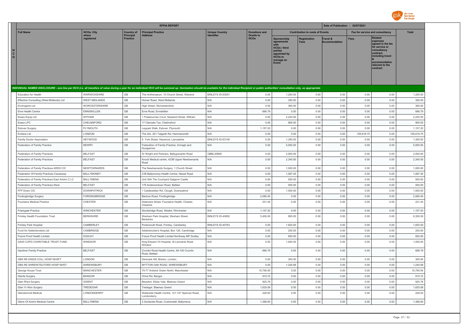

|                                                                                                                                                                                                                                |                      |                                     | <b>EFPIA REPORT</b>                                           |                       |                                 |                                                                                                                             | Date of Publication : 02/07/2021       |                           |                                 |                                                                                                                                                  |              |
|--------------------------------------------------------------------------------------------------------------------------------------------------------------------------------------------------------------------------------|----------------------|-------------------------------------|---------------------------------------------------------------|-----------------------|---------------------------------|-----------------------------------------------------------------------------------------------------------------------------|----------------------------------------|---------------------------|---------------------------------|--------------------------------------------------------------------------------------------------------------------------------------------------|--------------|
| <b>Full Name</b>                                                                                                                                                                                                               | <b>HCOs: City</b>    | <b>Country of</b>                   | <b>Principal Practice</b>                                     | <b>Unique Country</b> | <b>Donations and</b>            |                                                                                                                             | <b>Contribution to costs of Events</b> |                           | Fee for service and consultancy |                                                                                                                                                  | <b>Total</b> |
| H<br>C<br>$\circ$                                                                                                                                                                                                              | where<br>registered  | <b>Principal</b><br><b>Practice</b> | <b>Address</b>                                                | Identifier            | <b>Grants to</b><br><b>HCOs</b> | Sponsorship<br>agreements<br>with<br><b>HCOs / third</b><br>parties<br>appointed by<br><b>HCOs to</b><br>manage an<br>Event | Registration<br><b>Fees</b>            | Travel &<br>Accommodation | <b>Fees</b>                     | <b>Related</b><br>expenses<br>agreed in the fee<br>for service or<br>consultancy<br>contract.<br>including travel<br>relevant to the<br>contract |              |
| INDIVIDUAL NAMED DISCLOSURE - one line per HCO (i.e. all transfers of value during a year for an individual HCO will be summed up: itemization should be available for the individual Recipient or public authorities' consult |                      |                                     |                                                               |                       |                                 |                                                                                                                             |                                        |                           |                                 |                                                                                                                                                  |              |
| <b>Education for Health</b>                                                                                                                                                                                                    | WARWICKSHIRE         | GB                                  | The Anthenaeum, 10 Church Street, Warwick                     | BINLEYS ID-63051      | 0.00                            | 1,200.00                                                                                                                    | 0.00                                   | 0.00                      | 0.00                            | 0.00                                                                                                                                             | 1,200.00     |
| Effective Consulting (West Midlands) Ltd                                                                                                                                                                                       | <b>WEST MIDLANDS</b> | GB                                  | Homer Road, West Midlands                                     | N/A                   | 0.00                            | 350.00                                                                                                                      | 0.00                                   | 0.00                      | 0.00                            | 0.00                                                                                                                                             | 350.00       |
| Envirogene Ltd                                                                                                                                                                                                                 | WORCESTERSHIRE       | GB                                  | High Street, Worcestershire                                   | N/A                   | 0.00                            | 360.00                                                                                                                      | 0.00                                   | 0.00                      | 0.00                            | 0.00                                                                                                                                             | 360.00       |
| Erne Health Centre                                                                                                                                                                                                             | <b>ENNISKILLEN</b>   | GB                                  | Erne Road, Enniskillen                                        | N/A                   | 686.79                          | 0.00                                                                                                                        | 0.00                                   | 0.00                      | 0.00                            | 0.00                                                                                                                                             | 686.79       |
| Essex Equip Ltd                                                                                                                                                                                                                | WITHAM               | GB                                  | Freebournes Court, Newland Street, Witham                     | N/A                   | 0.00                            | 2,220.00                                                                                                                    | 0.00                                   | 0.00                      | 0.00                            | 0.00                                                                                                                                             | 2,220.00     |
| Essex LPC                                                                                                                                                                                                                      | CHELMSFORD           | GB                                  | 17 Clematis Tye, Chelmsford                                   | N/A                   | 0.00                            | 900.00                                                                                                                      | 0.00                                   | 0.00                      | 0.00                            | 0.00                                                                                                                                             | 900.00       |
| Estover Surgery                                                                                                                                                                                                                | PLYMOUTH             | GB                                  | Leypark Walk, Estover, Plymouth                               | N/A                   | 1,157.20                        | 0.00                                                                                                                        | 0.00                                   | 0.00                      | 0.00                            | 0.00                                                                                                                                             | 1,157.20     |
| Evidera Ltd                                                                                                                                                                                                                    | LONDON               | GB                                  | The Ark, 201 Talgarth Rd, Hammersmith                         | N/A                   | 0.00                            | 0.00                                                                                                                        | 0.00                                   | 0.00                      | 155,618.75                      | 0.00                                                                                                                                             | 155,618.75   |
| Family Doctor Association                                                                                                                                                                                                      | <b>HEYWOOD</b>       | GB                                  | 9 York Street, Heywood, Lancashire                            | BINLEYS ID-63140      | 0.00                            | 1,350.00                                                                                                                    | 0.00                                   | 0.00                      | 0.00                            | 0.00                                                                                                                                             | 1,350.00     |
| Federation of Family Practice                                                                                                                                                                                                  | <b>NEWRY</b>         | $\mathbb{G}\mathbb{B}$              | Federation of Family Practice, Armagh and<br>Dungannon        | N/A                   | 0.00                            | 5,000.00                                                                                                                    | 0.00                                   | 0.00                      | 0.00                            | 0.00                                                                                                                                             | 5,000.00     |
| Federation of Family Practices                                                                                                                                                                                                 | <b>BELFAST</b>       | GB                                  | Dr Wright and Partners, Ballygomartin Road                    | GBBL20669             | 0.00                            | 2,000.00                                                                                                                    | 0.00                                   | 0.00                      | 0.00                            | 0.00                                                                                                                                             | 2,000.00     |
| Federation of Family Practices                                                                                                                                                                                                 | <b>BELFAST</b>       | $\mathbb{G}\mathbb{B}$              | Knock Medical centre, 423B Upper Newtownards<br>Road          | N/A                   | 0.00                            | 2,345.00                                                                                                                    | 0.00                                   | 0.00                      | 0.00                            | 0.00                                                                                                                                             | 2,345.00     |
| Federation of Family Practices ARDS CIC                                                                                                                                                                                        | <b>NEWTOWNARDS</b>   | GB                                  | The Newtownards Surgery, 1 Church Street                      | N/A                   | 0.00                            | 1,000.00                                                                                                                    | 0.00                                   | 0.00                      | 0.00                            | 0.00                                                                                                                                             | 1,000.00     |
| Federation Of Family Practices Causeway                                                                                                                                                                                        | <b>BALLYMONEY</b>    | GB                                  | 21B Ballymoney Health Centre, Newal Road                      | N/A                   | 0.00                            | 1,087.45                                                                                                                    | 0.00                                   | 0.00                      | 0.00                            | 0.00                                                                                                                                             | 1,087.45     |
| Federation of Family Practices East Antrim C.I.C                                                                                                                                                                               | BALLYMENA            | GB                                  | Unit 30A The Courtyard Galgorm Castle                         | N/A                   | 0.00                            | 500.00                                                                                                                      | 0.00                                   | 0.00                      | 0.00                            | 0.00                                                                                                                                             | 500.00       |
| Federation of Family Practices West                                                                                                                                                                                            | <b>BELFAST</b>       | GB                                  | 179 Andersontown Road, Belfast                                | N/A                   | 0.00                            | 500.00                                                                                                                      | 0.00                                   | 0.00                      | 0.00                            | 0.00                                                                                                                                             | 500.00       |
| FFP Down CIC                                                                                                                                                                                                                   | <b>DOWNPATRICK</b>   | GB                                  | Castlewellan Rd, Clough, Downpatrick                          | N/A                   | 0.00                            | 1,500.00                                                                                                                    | 0.00                                   | 0.00                      | 0.00                            | 0.00                                                                                                                                             | 1,500.00     |
| Fordingbridge Surgery                                                                                                                                                                                                          | FORDINGBRIDGE        | GB                                  | Bartons Road, Fordingbridge                                   | N/A                   | 2,080.45                        | 0.00                                                                                                                        | 0.00                                   | 0.00                      | 0.00                            | 0.00                                                                                                                                             | 2,080.45     |
| Fountains Medical Practice                                                                                                                                                                                                     | CHESTER              | GB                                  | Delamere Street, Fountains Health, Chester,<br>Cheshire       | N/A                   | 231.44                          | 0.00                                                                                                                        | 0.00                                   | 0.00                      | 0.00                            | 0.00                                                                                                                                             | 231.44       |
| Friarsgate Practice                                                                                                                                                                                                            | <b>WINCHESTER</b>    | GB                                  | Stockbridge Road, Weeke, Winchester                           | N/A                   | 1,157.20                        | 0.00                                                                                                                        | 0.00                                   | 0.00                      | 0.00                            | 0.00                                                                                                                                             | 1,157.20     |
| Frimley Health Foundation Trust                                                                                                                                                                                                | <b>BERKSHIRE</b>     | GB                                  | Wexham Park Hospital, Wexham Street,<br><b>Berkshire</b>      | BINLEYS ID-40902      | 5,400.00                        | 950.00                                                                                                                      | 0.00                                   | 0.00                      | 0.00                            | 0.00                                                                                                                                             | 6,350.00     |
| Frimley Park Hospital                                                                                                                                                                                                          | CAMBERLEY            | GB                                  | Portsmouth Road, Frimley, Camberley                           | BINLEYS ID-40763      | 0.00                            | 1.825.00                                                                                                                    | 0.00                                   | 0.00                      | 0.00                            | 0.00                                                                                                                                             | 1,825.00     |
| Fund for Addenbrookes Ltd                                                                                                                                                                                                      | CAMBRIDGE            | GB                                  | Addenbrooke's Hospital, Box 126, Cambridge                    | N/A                   | 0.00                            | 250.00                                                                                                                      | 0.00                                   | 0.00                      | 0.00                            | 0.00                                                                                                                                             | 250.00       |
| Future Proof Health Limited                                                                                                                                                                                                    | DUDLEY               | GB                                  | Future Proof Health Limited Northway MP Dudley                | N/A                   | 0.00                            | 600.00                                                                                                                      | 0.00                                   | 0.00                      | 0.00                            | 0.00                                                                                                                                             | 600.00       |
| GA45 COPD CHARITABLE TRUST FUND                                                                                                                                                                                                | WINDSOR              | GB                                  | King Edward VII Hospital, St Leonards Road,<br>Windsor        | N/A                   | 0.00                            | 1,000.00                                                                                                                    | 0.00                                   | 0.00                      | 0.00                            | 0.00                                                                                                                                             | 1,000.00     |
| <b>Gardiner Family Practice</b>                                                                                                                                                                                                | <b>BELFAST</b>       | GB                                  | Crumlin Road Health Centre, 94-100 Crumlin<br>Road, Belfast   | N/A                   | 686.79                          | 0.00                                                                                                                        | 0.00                                   | 0.00                      | 0.00                            | 0.00                                                                                                                                             | 686.79       |
| GBS RE KINGS COLL HOSP NHSFT                                                                                                                                                                                                   | LONDON               | $\mathbb{G}\mathbb{B}$              | Denmark Hill, Brixton, London                                 | N/A                   | 0.00                            | 300.00                                                                                                                      | 0.00                                   | 0.00                      | 0.00                            | 0.00                                                                                                                                             | 300.00       |
| GBS RE SHREW/TELFORD HOSP NHST                                                                                                                                                                                                 | SHREWSBURY           | GB                                  | MYTTON OAK ROAD, SHREWSBURY                                   | N/A                   | 0.00                            | 1,244.68                                                                                                                    | 0.00                                   | 0.00                      | 0.00                            | 0.00                                                                                                                                             | 1,244.68     |
| George House Trust                                                                                                                                                                                                             | <b>MANCHESTER</b>    | GB                                  | 75-77 Ardwick Green North, Manchester                         | N/A                   | 15,795.00                       | 0.00                                                                                                                        | 0.00                                   | 0.00                      | 0.00                            | 0.00                                                                                                                                             | 15,795.00    |
| Glanfa Surgery                                                                                                                                                                                                                 | <b>BANGOR</b>        | GB                                  | Orme Rd, Bangor                                               | N/A                   | 915.72                          | 0.00                                                                                                                        | 0.00                                   | 0.00                      | 0.00                            | 0.00                                                                                                                                             | 915.72       |
| Glan Rhyd Surgery                                                                                                                                                                                                              | <b>GWENT</b>         | GB                                  | Beaufort, Ebbw Vale, Blaenau Gwent                            | N/A                   | 925.76                          | 0.00                                                                                                                        | 0.00                                   | 0.00                      | 0.00                            | 0.00                                                                                                                                             | 925.76       |
| Glan Yr Afon Surgery                                                                                                                                                                                                           | TREDEGAR             | GB                                  | Tredegar, Blaenau Gwent                                       | N/A                   | 1,620.08                        | 0.00                                                                                                                        | 0.00                                   | 0.00                      | 0.00                            | 0.00                                                                                                                                             | 1,620.08     |
| Glendermott Medical                                                                                                                                                                                                            | LONDONDERRY          | GB                                  | Waterside Health Centre, 121-147 Spencer Road,<br>Londonderry | N/A                   | 228.93                          | 0.00                                                                                                                        | 0.00                                   | 0.00                      | 0.00                            | 0.00                                                                                                                                             | 228.93       |
| Glens Of Antrim Medical Centre                                                                                                                                                                                                 | <b>BALLYMENA</b>     | $\mathbb{G}\mathbb{B}$              | 2 Gortaclee Road, Cushendall, Ballymena                       | N/A                   | 1,388.64                        | 0.00                                                                                                                        | 0.00                                   | 0.00                      | 0.00                            | 0.00                                                                                                                                             | 1,388.64     |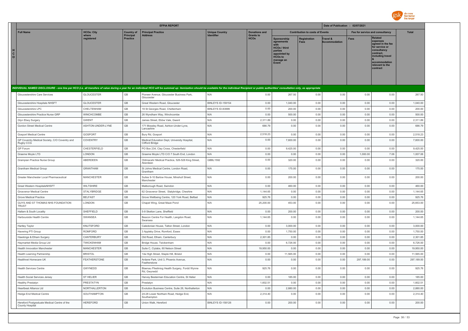

|                                                                                                                                                                                                                                | <b>EFPIA REPORT</b>  |                              |                                                                 |                       |                                            | Date of Publication : 02/07/2021                                                                             |                                        |                                  |                                 |                                                                                                                                                                   |              |
|--------------------------------------------------------------------------------------------------------------------------------------------------------------------------------------------------------------------------------|----------------------|------------------------------|-----------------------------------------------------------------|-----------------------|--------------------------------------------|--------------------------------------------------------------------------------------------------------------|----------------------------------------|----------------------------------|---------------------------------|-------------------------------------------------------------------------------------------------------------------------------------------------------------------|--------------|
| <b>Full Name</b>                                                                                                                                                                                                               | <b>HCOs: City</b>    | <b>Country of</b>            | <b>Principal Practice</b>                                       | <b>Unique Country</b> | <b>Donations and</b>                       |                                                                                                              | <b>Contribution to costs of Events</b> |                                  | Fee for service and consultancy |                                                                                                                                                                   | <b>Total</b> |
| н<br>$\mathbf{c}$<br>$\circ$                                                                                                                                                                                                   | where<br>registered  | Principal<br><b>Practice</b> | <b>Address</b>                                                  | <b>Identifier</b>     | <b>Grants to</b><br><b>HCO<sub>s</sub></b> | Sponsorship<br>agreements<br>HCOs / third<br>parties<br>appointed by<br><b>HCOs to</b><br>manage an<br>Event | Registration<br><b>Fees</b>            | Travel &<br><b>Accommodation</b> | <b>Fees</b>                     | <b>Related</b><br>expenses<br>agreed in the fee<br>for service or<br>consultancy<br>contract.<br>including travel<br>accommodation<br>relevant to the<br>contract |              |
| INDIVIDUAL NAMED DISCLOSURE - one line per HCO (i.e. all transfers of value during a year for an individual HCO will be summed up: itemization should be available for the individual Recipient or public authorities' consult |                      |                              |                                                                 |                       |                                            |                                                                                                              |                                        |                                  |                                 |                                                                                                                                                                   |              |
| Gloucestershire Care Services                                                                                                                                                                                                  | <b>GLOUCESTER</b>    | GB                           | Pioneer Avenue, Gloucester Business Park,<br>Gloucester         | N/A                   | 0.00                                       | 267.50                                                                                                       | 0.00                                   | 0.00                             | 0.00                            | 0.00                                                                                                                                                              | 267.50       |
| Gloucestershire Hospitals NHSFT                                                                                                                                                                                                | <b>GLOUCESTER</b>    | GB                           | Great Western Road, Gloucester                                  | BINLEYS ID-159154     | 0.00                                       | 1,040.00                                                                                                     | 0.00                                   | 0.00                             | 0.00                            | 0.00                                                                                                                                                              | 1,040.00     |
| Gloucestershire LPC                                                                                                                                                                                                            | CHELTENHAM           | GB                           | 19 St Georges Road, Cheltenham                                  | BINLEYS ID-83999      | 0.00                                       | 200.00                                                                                                       | 0.00                                   | 0.00                             | 0.00                            | 0.00                                                                                                                                                              | 200.00       |
| Gloucestershire Practice Nurse GRP                                                                                                                                                                                             | <b>WINCHCOMBE</b>    | GB                           | 26 Wyndham Way, Winchcombe                                      | N/A                   | 0.00                                       | 500.00                                                                                                       | 0.00                                   | 0.00                             | 0.00                            | 0.00                                                                                                                                                              | 500.00       |
| Glyn Ebwy Surgery                                                                                                                                                                                                              | <b>GWENT</b>         | GB                           | James Street, Ebbw Vale, Gwent                                  | N/A                   | 2,311.89                                   | 0.00                                                                                                         | 0.00                                   | 0.00                             | 0.00                            | 0.00                                                                                                                                                              | 2,311.89     |
| Gordon Street Medical Centre                                                                                                                                                                                                   | ASHTON-UNDER-LYNE    | GB                           | 171 Mossley Road, Ashton-Under-Lyne,<br>Lancashire              | N/A                   | 686.79                                     | 0.00                                                                                                         | 0.00                                   | 0.00                             | 0.00                            | 0.00                                                                                                                                                              | 686.79       |
| <b>Gosport Medical Centre</b>                                                                                                                                                                                                  | GOSPORT              | GB                           | Bury Rd, Gosport                                                | N/A                   | 2,518.23                                   | 0.00                                                                                                         | 0.00                                   | 0.00                             | 0.00                            | 0.00                                                                                                                                                              | 2,518.23     |
| GP Coventry Medical Society, C/O Coventry and<br>Rugby CCG                                                                                                                                                                     | COVENTRY             | GB                           | Medical Education Dept, University Hospital,<br>Clifford Bridge | N/A                   | 0.00                                       | 7,600.00                                                                                                     | 0.00                                   | 0.00                             | 0.00                            | 0.00                                                                                                                                                              | 7,600.00     |
| GP Forum                                                                                                                                                                                                                       | CHESTERFIELD         | GB                           | PO Box 234, Clay Cross, Chesterfield                            | N/A                   | 0.00                                       | 9,425.00                                                                                                     | 0.00                                   | 0.00                             | 0.00                            | 0.00                                                                                                                                                              | 9,425.00     |
| Graeme Moyle LTD                                                                                                                                                                                                               | LONDON               | GB                           | Graeme Moyle LTD C/O 7 South End, London                        | N/A                   | 0.00                                       | 0.00                                                                                                         | 0.00                                   | 0.00                             | 1,000.00                        | 7.06                                                                                                                                                              | 1,007.06     |
| Grampian Practice Nurse Group                                                                                                                                                                                                  | ABERDEEN             | GB                           | Oldmacahr Medical Practice, 526-528 King Street,<br>Aberdeen    | <b>GBBL1592</b>       | 0.00                                       | 320.00                                                                                                       | 0.00                                   | 0.00                             | 0.00                            | 0.00                                                                                                                                                              | 320.00       |
| Grantham Medical Group                                                                                                                                                                                                         | <b>GRANTHAM</b>      | GB                           | St Johns Medical Centre, London Road,<br>Grantham               | N/A                   | 0.00                                       | 175.00                                                                                                       | 0.00                                   | 0.00                             | 0.00                            | 0.00                                                                                                                                                              | 175.00       |
| Greater Manchester Local Pharmaceutical                                                                                                                                                                                        | <b>MANCHESTER</b>    | GB                           | Suites 9-10 Barlow House, Minshull Street,<br>Manchester        | N/A                   | 0.00                                       | 200.00                                                                                                       | 0.00                                   | 0.00                             | 0.00                            | 0.00                                                                                                                                                              | 200.00       |
| Great Western HospitalsNHSFT                                                                                                                                                                                                   | WILTSHIRE            | GB                           | Malborough Road, Swindon                                        | N/A                   | 0.00                                       | 460.00                                                                                                       | 0.00                                   | 0.00                             | 0.00                            | 0.00                                                                                                                                                              | 460.00       |
| Grosvenor Medical Centre                                                                                                                                                                                                       | STALYBRIDGE          | GB                           | 62 Grosvenor Street, Stalybridge, Cheshire                      | N/A                   | 1,144.65                                   | 0.00                                                                                                         | 0.00                                   | 0.00                             | 0.00                            | 0.00                                                                                                                                                              | 1,144.65     |
| Grove Medical Practice                                                                                                                                                                                                         | <b>BELFAST</b>       | GB                           | Grove Wellbeing Centre, 120 York Road, Belfast                  | N/A                   | 925.76                                     | 0.00                                                                                                         | 0.00                                   | 0.00                             | 0.00                            | 0.00                                                                                                                                                              | 925.76       |
| GUYS AND ST THOMAS NHS FOUNDATION<br><b>TRUST</b>                                                                                                                                                                              | <b>LONDON</b>        | GB                           | Chapel Wing, Great Maze Pond                                    | N/A                   | 25,200.00                                  | 453.00                                                                                                       | 0.00                                   | 0.00                             | 0.00                            | 0.00                                                                                                                                                              | 25,653.00    |
| Hallam & South Locality                                                                                                                                                                                                        | SHEFFIELD            | $\mathbb{G}\mathbb{B}$       | 5-9 Skelton Lane, Sheffield                                     | N/A                   | 0.00                                       | 200.00                                                                                                       | 0.00                                   | 0.00                             | 0.00                            | 0.00                                                                                                                                                              | 200.00       |
| Harbourside Health Centre                                                                                                                                                                                                      | SWANSEA              | GB                           | Beacon Centre For Health, Langdon Road,<br>Swansea              | N/A                   | 1,144.65                                   | 0.00                                                                                                         | 0.00                                   | 0.00                             | 0.00                            | 0.00                                                                                                                                                              | 1,144.65     |
| Hartley Taylor                                                                                                                                                                                                                 | KNUTSFORD            | GB                           | Caledonian House, Tatton Street, London                         | N/A                   | 0.00                                       | 3,000.00                                                                                                     | 0.00                                   | 0.00                             | 0.00                            | 0.00                                                                                                                                                              | 3,000.00     |
| Havering PTI Group                                                                                                                                                                                                             | ROMFORD              | GB                           | 3 Appleby Drive, Romford, Essex                                 | N/A                   | 0.00                                       | 1,750.00                                                                                                     | 0.00                                   | 0.00                             | 0.00                            | 0.00                                                                                                                                                              | 1,750.00     |
| Hawkinge & Elham Surgery                                                                                                                                                                                                       | CANTERBURY           | GB                           | Old Road, Elham, Canterbury                                     | N/A                   | 2,301.85                                   | 0.00                                                                                                         | 0.00                                   | 0.00                             | 0.00                            | 0.00                                                                                                                                                              | 2,301.85     |
| Haymarket Media Group Ltd                                                                                                                                                                                                      | TWICKENHAM           | GB                           | Bridge House, Twickenham                                        | N/A                   | 0.00                                       | 6,726.00                                                                                                     | 0.00                                   | 0.00                             | 0.00                            | 0.00                                                                                                                                                              | 6,726.00     |
| Health Innovation Manchester                                                                                                                                                                                                   | <b>MANCHESTER</b>    | GB                           | Suite C, Ciylabs, 60 Nelson Street                              | N/A                   | 19,950.00                                  | 0.00                                                                                                         | 0.00                                   | 0.00                             | 0.00                            | 0.00                                                                                                                                                              | 19,950.00    |
| Health Learning Partnership                                                                                                                                                                                                    | <b>BRISTOL</b>       | GB                           | 14a High Street, Staple Hill, Bristol                           | N/A                   | 0.00                                       | 11,565.00                                                                                                    | 0.00                                   | 0.00                             | 0.00                            | 0.00                                                                                                                                                              | 11,565.00    |
| <b>Healthnet Homecare UK</b>                                                                                                                                                                                                   | <b>FEATHERSTONE</b>  | GB                           | Ardane Park, Unit 3, Phoenix Avenue,<br>Featherstone            | N/A                   | 0.00                                       | 0.00                                                                                                         | 0.00                                   | 0.00                             | 297,189.00                      | 0.00                                                                                                                                                              | 297,189.00   |
| <b>Health Services Centre</b>                                                                                                                                                                                                  | GWYNEDD              | GB                           | Blaenau Ffestiniog Health Surgery, Fordd Wynne<br>Rd, Gwynedd   | N/A                   | 925.76                                     | 0.00                                                                                                         | 0.00                                   | 0.00                             | 0.00                            | 0.00                                                                                                                                                              | 925.76       |
| Health Social Services Jersey                                                                                                                                                                                                  | ST HELIER            | $\mathbb{G}\mathbb{B}$       | Harvey Besterman Education Centre, St Helier                    | N/A                   | 0.00                                       | 185.00                                                                                                       | 0.00                                   | 0.00                             | 0.00                            | 0.00                                                                                                                                                              | 185.00       |
| Healthy Prestatyn                                                                                                                                                                                                              | PRESTATYN            | GB                           | Prestatyn                                                       | N/A                   | 1,602.51                                   | 0.00                                                                                                         | 0.00                                   | 0.00                             | 0.00                            | 0.00                                                                                                                                                              | 1,602.51     |
| Heartbeat Alliance Ltd                                                                                                                                                                                                         | <b>NORTHALLERTON</b> | GB                           | Evolution Business Centre, Suite 26, Northallerton              | N/A                   | 0.00                                       | 2,880.00                                                                                                     | 0.00                                   | 0.00                             | 0.00                            | 0.00                                                                                                                                                              | 2,880.00     |
| Hedge End Medical Centre                                                                                                                                                                                                       | SOUTHAMPTON          | GB                           | 24-28 Lower Northam Road, Hedge End,<br>Southampton             | N/A                   | 2,314.40                                   | 0.00                                                                                                         | 0.00                                   | 0.00                             | 0.00                            | 0.00                                                                                                                                                              | 2.314.40     |
| Hereford Postgraduate Medical Centre of the<br>County Hospital                                                                                                                                                                 | <b>HEREFORD</b>      | GB                           | Union Walk, Hereford                                            | BINLEYS ID-158126     | 0.00                                       | 200.00                                                                                                       | 0.00                                   | 0.00                             | 0.00                            | 0.00                                                                                                                                                              | 200.00       |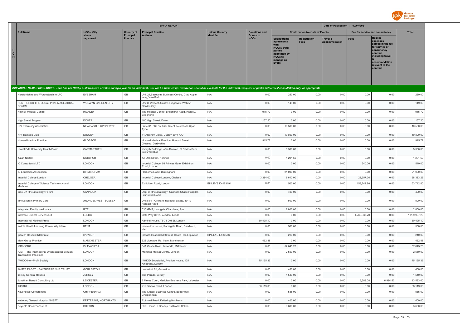

|                                                                            |                      |                              | <b>EFPIA REPORT</b>                                                                                                                                                                                                            |                                            |                                 |                                                                                                                     |                                        | Date of Publication : 02/07/2021 |                                 |                                                                                                                                                                   |              |
|----------------------------------------------------------------------------|----------------------|------------------------------|--------------------------------------------------------------------------------------------------------------------------------------------------------------------------------------------------------------------------------|--------------------------------------------|---------------------------------|---------------------------------------------------------------------------------------------------------------------|----------------------------------------|----------------------------------|---------------------------------|-------------------------------------------------------------------------------------------------------------------------------------------------------------------|--------------|
| <b>Full Name</b>                                                           | <b>HCOs: City</b>    | <b>Country of</b>            | <b>Principal Practice</b>                                                                                                                                                                                                      | <b>Unique Country</b><br><b>Identifier</b> | <b>Donations and</b>            |                                                                                                                     | <b>Contribution to costs of Events</b> |                                  | Fee for service and consultancy |                                                                                                                                                                   | <b>Total</b> |
| н<br>$\mathbf{c}$<br>$\circ$                                               | where<br>registered  | Principal<br><b>Practice</b> | <b>Address</b>                                                                                                                                                                                                                 |                                            | <b>Grants to</b><br><b>HCOs</b> | <b>Sponsorship</b><br>agreements<br>HCOs / third<br>parties<br>appointed by<br><b>HCOs to</b><br>manage an<br>Event | Registration<br><b>Fees</b>            | Travel &<br><b>Accommodation</b> | <b>Fees</b>                     | <b>Related</b><br>expenses<br>agreed in the fee<br>for service or<br>consultancy<br>contract.<br>including travel<br>accommodation<br>relevant to the<br>contract |              |
|                                                                            |                      |                              | INDIVIDUAL NAMED DISCLOSURE - one line per HCO (i.e. all transfers of value during a year for an individual HCO will be summed up: itemization should be available for the individual Recipient or public authorities' consult |                                            |                                 |                                                                                                                     |                                        |                                  |                                 |                                                                                                                                                                   |              |
| Herefordshire and Worcestershire LPC                                       | <b>EVESHAM</b>       | GB                           | Unit 24, Basepoint Business Centre, Crab Apple<br>Way, Vale Park                                                                                                                                                               | N/A                                        | 0.00                            | 250.00                                                                                                              | 0.00                                   | 0.00                             | 0.00                            | 0.00                                                                                                                                                              | 250.00       |
| HERTFORDSHIRE LOCAL PHARMACEUTICAL<br>COMM                                 | WELWYN GARDEN CITY   | GB                           | Unit 8, Weltech Centre, Ridgeway, Welwyn<br>Garden City                                                                                                                                                                        | N/A                                        | 0.00                            | 149.00                                                                                                              | 0.00                                   | 0.00                             | 0.00                            | 0.00                                                                                                                                                              | 149.00       |
| <b>Highley Medical Centre</b>                                              | <b>HIGHLEY</b>       | GB                           | The Medical Centre, Bridgnorth Road, Highley,<br>Bridgnorth                                                                                                                                                                    | N/A                                        | 915.72                          | 0.00                                                                                                                | 0.00                                   | 0.00                             | 0.00                            | 0.00                                                                                                                                                              | 915.72       |
| <b>High Street Surgery</b>                                                 | <b>DOVER</b>         | GB                           | 100 High Street, Dover                                                                                                                                                                                                         | N/A                                        | 1,157.20                        | 0.00                                                                                                                | 0.00                                   | 0.00                             | 0.00                            | 0.00                                                                                                                                                              | 1,157.20     |
| HIV Pharmacy Association                                                   | NEWCASTLE UPON TYNE  | GB                           | Suite 31, 58 Low Friar Street, Newcastle Upon<br>Tyne                                                                                                                                                                          | N/A                                        | 0.00                            | 10,500.00                                                                                                           | 0.00                                   | 0.00                             | 0.00                            | 0.00                                                                                                                                                              | 10,500.00    |
| <b>HIV Trainees Club</b>                                                   | DUDLEY               | GB                           | 11 Aldeney Close, Dudley, DY1 4AJ                                                                                                                                                                                              | N/A                                        | 0.00                            | 10,800.00                                                                                                           | 0.00                                   | 0.00                             | 0.00                            | 0.00                                                                                                                                                              | 10,800.00    |
| <b>Howard Medical Practice</b>                                             | GLOSSOP              | GB                           | Howard Medical Practice, Howard Street,<br>Glossop, Derbyshire                                                                                                                                                                 | N/A                                        | 915.72                          | 0.00                                                                                                                | 0.00                                   | 0.00                             | 0.00                            | 0.00                                                                                                                                                              | 915.72       |
| Hywel Dda University Health Board                                          | CARMARTHEN           | GB                           | Yslwyth Building Hafan Derwen, St Davids Park,<br>Job's Well Rd                                                                                                                                                                | N/A                                        | 0.00                            | 5,300.00                                                                                                            | 0.00                                   | 0.00                             | 0.00                            | 0.00                                                                                                                                                              | 5,300.00     |
| iCash Norfolk                                                              | NORWICH              | GB                           | 1A Oak Street, Norwich                                                                                                                                                                                                         | N/A                                        | 0.00                            | 1,291.50                                                                                                            | 0.00                                   | 0.00                             | 0.00                            | 0.00                                                                                                                                                              | 1,291.50     |
| IC Consultants LTD                                                         | LONDON               | GB                           | Imperial College, 58 Princes Gate, Exhibition<br>Road, London                                                                                                                                                                  | N/A                                        | 0.00                            | 0.00                                                                                                                | 0.00                                   | 0.00                             | 540.00                          | 0.00                                                                                                                                                              | 540.00       |
| ID Education Association                                                   | <b>BIRMINGHAM</b>    | GB                           | Harborne Road, Birmingham                                                                                                                                                                                                      | N/A                                        | 0.00                            | 21,000.00                                                                                                           | 0.00                                   | 0.00                             | 0.00                            | 0.00                                                                                                                                                              | 21,000.00    |
| Imperial College London                                                    | CHELSEA              | GB                           | Imperial College London, Chelsea                                                                                                                                                                                               | N/A                                        | 3.384.00                        | 6.642.00                                                                                                            | 0.00                                   | 0.00                             | 28,357.26                       | 0.00                                                                                                                                                              | 38,383.26    |
| Imperial College of Science Technology and<br>Medicine                     | LONDON               | GB                           | Exhibition Road, London                                                                                                                                                                                                        | BINLEYS ID-163194                          | 0.00                            | 500.00                                                                                                              | 0.00                                   | 0.00                             | 153,242.80                      | 0.00                                                                                                                                                              | 153,742.80   |
| Indo-UK Rheumatology Forum                                                 | CANNOCK              | $\mathbb{G}\mathbb{B}$       | Dept of Rheumatology, Cannock Chase Hospital,<br><b>Brunswick Road</b>                                                                                                                                                         | N/A                                        | 0.00                            | 400.00                                                                                                              | 0.00                                   | 0.00                             | 0.00                            | 0.00                                                                                                                                                              | 400.00       |
| Innovation in Primary Care                                                 | ARUNDEL WEST SUSSEX  | GB                           | Units 8-11 Orchard Industrial Estate, 10-12<br>Fitzalan Road                                                                                                                                                                   | N/A                                        | 0.00                            | 500.00                                                                                                              | 0.00                                   | 0.00                             | 0.00                            | 0.00                                                                                                                                                              | 500.00       |
| Integrated Family Healthcare                                               | <b>RYE</b>           | GB                           | C/O GMP, Landgate Chambers, Rye                                                                                                                                                                                                | N/A                                        | 0.00                            | 2.800.00                                                                                                            | 0.00                                   | 0.00                             | 0.00                            | 0.00                                                                                                                                                              | 2,800.00     |
| Interface Clinical Services Ltd                                            | LEEDS                | GB                           | Gate Way Drive, Yeadon, Leeds                                                                                                                                                                                                  | N/A                                        | 0.00                            | 0.00                                                                                                                | 0.00                                   | 0.00                             | 1,289,937.20                    | 0.00                                                                                                                                                              | 1,289,937.20 |
| International Medical Press                                                | LONDON               | GB                           | Admiral House, 76-78 Old St, London                                                                                                                                                                                            | N/A                                        | 60,495.10                       | 0.00                                                                                                                | 0.00                                   | 0.00                             | 0.00                            | 0.00                                                                                                                                                              | 60,495.10    |
| Invicta Health Learning Community Intere                                   | <b>KENT</b>          | GB                           | Innovation House, Ramsgate Road, Sandwich,<br>Kent                                                                                                                                                                             | N/A                                        | 0.00                            | 500.00                                                                                                              | 0.00                                   | 0.00                             | 0.00                            | 0.00                                                                                                                                                              | 500.00       |
| Ipswich Hospital NHS trust                                                 | <b>IPSWICH</b>       | GB                           | Ipswich Hospital NHS trust, Heath Road, Ipswich                                                                                                                                                                                | BINLEYS ID-30556                           | 0.00                            | 210.00                                                                                                              | 0.00                                   | 0.00                             | 0.00                            | 0.00                                                                                                                                                              | 210.00       |
| Irlam Group Practice                                                       | <b>MANCHESTER</b>    | GB                           | 523 Liverpool Rd, Irlam, Manchester                                                                                                                                                                                            | N/A                                        | 462.88                          | 0.00                                                                                                                | 0.00                                   | 0.00                             | 0.00                            | 0.00                                                                                                                                                              | 462.88       |
| <b>ISIRV ORG</b>                                                           | <b>ISLEWORTH</b>     | GB                           | 54A Castle Road, Isleworth, Middlesex                                                                                                                                                                                          | N/A                                        | 0.00                            | 57,645.28                                                                                                           | 0.00                                   | 0.00                             | 0.00                            | 0.00                                                                                                                                                              | 57,645.28    |
| IUSTI - The International Union against Sexually<br>Transmitted Infections | LONDON               | GB                           | Mortimer Market Centre, London                                                                                                                                                                                                 | N/A                                        | 0.00                            | 2,550.00                                                                                                            | 0.00                                   | 0.00                             | 0.00                            | 0.00                                                                                                                                                              | 2,550.00     |
| <b>IWHOD Non-Profit Society</b>                                            | LONDON               | GB                           | IWHOD Secretariat, Aviation House, 125<br>Kingsway, London                                                                                                                                                                     | N/A                                        | 75,165.36                       | 0.00                                                                                                                | 0.00                                   | 0.00                             | 0.00                            | 0.00                                                                                                                                                              | 75,165.36    |
| JAMES PAGET HEALTHCARE NHS TRUST                                           | <b>GORLESTON</b>     | $\mathbb{G}\mathbb{B}$       | Lowestoft Rd, Gorleston                                                                                                                                                                                                        | N/A                                        | 0.00                            | 460.00                                                                                                              | 0.00                                   | 0.00                             | 0.00                            | 0.00                                                                                                                                                              | 460.00       |
| Jersey General Hospital                                                    | <b>JERSEY</b>        | GB                           | The Parade, Jersey                                                                                                                                                                                                             | N/A                                        | 0.00                            | 1,540.00                                                                                                            | 0.00                                   | 0.00                             | 0.00                            | 0.00                                                                                                                                                              | 1,540.00     |
| Jonathan Barratt Consulting Ltd                                            | LEICESTER            | GB                           | 2 Merus Court, Meridian Business Park, Leicester                                                                                                                                                                               | N/A                                        | 0.00                            | 0.00                                                                                                                | 0.00                                   | 0.00                             | 6,589.08                        | 6,994.52                                                                                                                                                          | 13,583.60    |
| <b>JUSTRI</b>                                                              | LONDON               | GB                           | 212 Brixton Road, London                                                                                                                                                                                                       | N/A                                        | 88,119.00                       | 0.00                                                                                                                | 0.00                                   | 0.00                             | 0.00                            | 0.00                                                                                                                                                              | 88,119.00    |
| Kayonesse Conferences                                                      | CHIPPENHAM           | GB                           | The Citadel Business Centre, Bath Road,<br>Chippenham                                                                                                                                                                          | N/A                                        | 0.00                            | 535.00                                                                                                              | 0.00                                   | 0.00                             | 0.00                            | 0.00                                                                                                                                                              | 535.00       |
| Kettering General Hospital NHSFT                                           | KETTERING, NORTHANTS | GB                           | Rothwell Road, Kettering Northants                                                                                                                                                                                             | N/A                                        | 0.00                            | 400.00                                                                                                              | 0.00                                   | 0.00                             | 0.00                            | 0.00                                                                                                                                                              | 400.00       |
| Keynote Conferences Ltd                                                    | <b>BOLTON</b>        | GB                           | Peel House, 2 Chorley Old Road, Bolton                                                                                                                                                                                         | N/A                                        | 0.00                            | 3,600.00                                                                                                            | 0.00                                   | 0.00                             | 0.00                            | 0.00                                                                                                                                                              | 3,600.00     |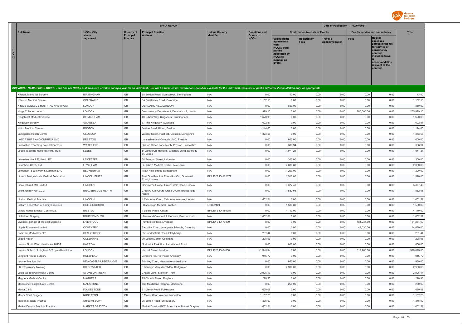

| <b>HCOs: City</b><br><b>Full Name</b><br><b>Principal Practice</b><br><b>Unique Country</b><br><b>Donations and</b><br><b>Contribution to costs of Events</b><br>Fee for service and consultancy<br><b>Total</b><br><b>Country of</b><br>Principal<br>Identifier<br><b>Grants to</b><br>where<br><b>Address</b><br><b>Related</b><br><b>HCOs</b><br>reaistered<br><b>Practice</b><br>Sponsorship<br>Registration<br>Travel &<br>Fees<br>expenses<br><b>Fees</b><br>ccommodation<br>agreements<br>agreed in the fee<br>for service or<br><b>HCOs / third</b><br>consultancy<br>parties<br>contract.<br>appointed by<br>including travel<br><b>HCOs to</b><br>manage an<br>accommodation<br>Event<br>relevant to the<br>contract<br>INDIVIDUAL NAMED DISCLOSURE - one line per HCO (i.e. all transfers of value during a year for an individual HCO will be summed up: itemization should be available for the individual Recipient or public authorities' consult<br>GB<br>N/A<br><b>BIRMINGHAM</b><br>0.00<br>43.00<br>0.00<br>0.00<br>0.00<br>58 Benton Road, Sparkbrook, Birmingham<br>0.00<br>43.00<br>Khattak Memorial Surgery<br>GB<br>N/A<br>COLERAINE<br>5A Castlerock Road, Coleraine<br>1,152.18<br>0.00<br>0.00<br>0.00<br>0.00<br>0.00<br>1,152.18<br>Killowen Medical Centre<br>GB<br>N/A<br>KING'S COLLEGE HOSPITAL NHS TRUST<br>LONDON<br>DENMARK HILL, LONDON<br>0.00<br>850.00<br>0.00<br>0.00<br>0.00<br>0.00<br>850.00<br>GB<br>999.10<br>LONDON<br>Dermatology Department, Denmark Hill, London<br>N/A<br>0.00<br>0.00<br>0.00<br>265,000.00<br>0.00<br>265,999.10<br>Kinas College London<br><b>BIRMINGHAM</b><br>GB<br>N/A<br>1,620.08<br>Kingshurst Medical Practice<br>40 Gilson Way, Kingshurst, Birmingham<br>0.00<br>0.00<br>0.00<br>0.00<br>0.00<br>1,620.08<br>GB<br>SWANSEA<br>N/A<br>1,602.51<br>0.00<br>0.00<br>0.00<br>0.00<br>0.00<br>1,602.51<br>Kingsway Surgery<br>37 The Kingsway, Swansea<br>$\mathbb{G}\mathbb{B}$<br>N/A<br>1,144.65<br>Kirton Medical Centre<br><b>BOSTON</b><br>Boston Road, Kirton, Boston<br>1,144.65<br>0.00<br>0.00<br>0.00<br>0.00<br>0.00<br>$\mathbb{G}\mathbb{B}$<br>GLOSSOP<br>1,373.58<br>0.00<br>1,373.58<br>N/A<br>0.00<br>0.00<br>0.00<br>0.00<br>Lambgates Health Centre<br>Wesley Street, Hadfield, Glossop, Derbyshire<br>LANCASHIRE AND CUMBRIA LMC<br>GB<br>N/A<br>600.00<br>0.00<br>0.00<br>600.00<br><b>PRESTON</b><br>Lancashire and Cumbria LMC, Preston<br>0.00<br>0.00<br>0.00<br>GB<br>Lancashire Teaching Foundation Trust<br>WAKEFIELD<br>Sharoe Green Lane North, Preston, Lancashire<br>N/A<br>0.00<br>386.94<br>0.00<br>0.00<br>0.00<br>0.00<br>386.94<br>LEEDS<br>$\mathbb{G}\mathbb{B}$<br>N/A<br>0.00<br>1,071.24<br>0.00<br>Leeds Teaching Hospitals NHS Trust<br>St James Uni Hospital, Gladhow Wing, Becketts<br>0.00<br>0.00<br>0.00<br>1,071.24<br>St. Leeds<br>GB<br>0.00<br>Leicestershire & Rutland LPC<br>LEICESTER<br>54 Brandon Street, Leicester<br>N/A<br>300.00<br>0.00<br>0.00<br>0.00<br>0.00<br>300.00<br>GB<br>Lewisham CEPN Ltd<br>LEWISHAM<br>St. John's Medical Centre, Lewisham<br>N/A<br>0.00<br>2,000.00<br>0.00<br>0.00<br>0.00<br>0.00<br>2,000.00<br>GB<br>0.00<br>Lewisham, Southwark & Lambeth LPC<br><b>BECKENHAM</b><br>183A High Street, Beckenham<br>N/A<br>1,200.00<br>0.00<br>0.00<br>0.00<br>0.00<br>1,200.00<br>$\mathbb{G}\mathbb{B}$<br>1,510.00<br>0.00<br>0.00<br>1,510.00<br>Lincoln Postgraduate Medical Federation<br>LINCOLNSHIRE<br>Post Grad Medical Education Cnt, Greetwell<br><b>BINLEYS ID-162679</b><br>0.00<br>0.00<br>0.00<br>Road, Lincoln<br>GB<br>Lincolnshire LMC Limited<br>LINCOLN<br>N/A<br>0.00<br>3,377.40<br>0.00<br>0.00<br>0.00<br>3,377.40<br>Commerce House, Outer Circle Road, Lincoln<br>0.00<br>GB<br>N/A<br>Lincolnshire West CCG<br><b>BRACEBRIDGE HEATH</b><br>0.00<br>1.532.08<br>0.00<br>0.00<br>0.00<br>0.00<br>1.532.08<br>Cross O Cliff Court, Cross O Cliff, Bracebridge<br>Heath<br>GB<br>1,602.51<br>1,602.51<br>Lindum Medical Practice<br>LINCOLN<br>1 Cabourne Court, Cabourne Avenue, Lincoln<br>N/A<br>0.00<br>0.00<br>0.00<br>0.00<br>0.00<br>GB<br><b>HILLSBOROUGH</b><br>GBBL2424<br>0.00<br>1,500.00<br>0.00<br>0.00<br>0.00<br>0.00<br>1,500.00<br>Lisburn Federation of Family Practices<br>Hillsborough Medical Practice<br>GB<br>0.00<br>4,140.00<br>4,140.00<br>Litfield House Medical Centre Ltd.<br><b>BRISTOL</b><br>1 Litfield Place, Clifton<br>BINLEYS ID-150357<br>0.00<br>0.00<br>0.00<br>0.00<br><b>BOURNEMOUTH</b><br>GB<br>Harewood Crescent, Littledown, Bournemouth<br>1,602.51<br>0.00<br>0.00<br>0.00<br>0.00<br>1,602.51<br>Littledown Surgery<br>N/A<br>0.00<br>$\mathbb{G}\mathbb{B}$<br>LIVERPOOL<br>BINLEYS ID-70409<br>181,234.69<br>181,234.69<br>Liverpool School of Tropical Medicine<br>Pembroke Place, Liverpool<br>0.00<br>0.00<br>0.00<br>0.00<br>0.00<br>$\mathbb{G}\mathbb{B}$<br>44,030.00<br>COVENTRY<br>N/A<br>0.00<br>0.00<br>0.00<br>0.00<br>44,030.00<br>0.00<br>Lloyds Pharmacy Limited<br>Sapphire Court, Walsgrave Triangle, Coventry<br>GB<br>N/A<br>STALYBRIDGE<br>231.44<br>0.00<br>0.00<br>0.00<br>0.00<br>231.44<br>Lockside Medical Centre<br>85 Huddersfield Road, Stalybridge<br>0.00<br>GB<br>COLERAINE<br>20 Lodge Manor, Coleraine<br>N/A<br>228.93<br>0.00<br>0.00<br>0.00<br>0.00<br>0.00<br>228.93<br>Lodge Health<br>London North West Healthcare NHST<br><b>HARROW</b><br>GB<br>N/A<br>806.00<br>0.00<br>806.00<br>Northwick Park Hospital, Watford Road<br>0.00<br>0.00<br>0.00<br>0.00<br>London School of Hygiene & Tropical Medicine<br>LONDON<br>GB<br>BINLEYS ID-64658<br>51,063.00<br>0.00<br>0.00<br>0.00<br>319,766.00<br>0.00<br>370,829.00<br>Keppel Street, London<br>GB<br>HOLYHEAD<br>Longford Rd, Holyhead, Anglesey<br>N/A<br>915.72<br>0.00<br>0.00<br>0.00<br>0.00<br>0.00<br>915.72<br>Longford House Surgery<br>GB<br>N/A<br>950.00<br>0.00<br>0.00<br>950.00<br>NEWCASTLE-UNDER-LYME<br>0.00<br>0.00<br>0.00<br>Loomer Medical Ltd<br>Brindley Court, Newcastle-under-Lyme<br>GB<br>0.00<br>N/A<br>2,900.00<br>0.00<br>2,900.00<br><b>LR Respiratory Training</b><br><b>BRIDGWATER</b><br>3 Sauneye Way, Wembdon, Bridgwater<br>0.00<br>0.00<br>0.00<br>GB<br>N/A<br>2,996.17<br>0.00<br>2,996.17<br>STOKE ON TRENT<br>0.00<br>0.00<br>0.00<br>0.00<br>Lucie Wedgewod Health Centre<br>Chapel Lane, Stoke on Trent<br>GB<br><b>MAGHERA</b><br>N/A<br>228.93<br>0.00<br>0.00<br>0.00<br>0.00<br>0.00<br>228.93<br>Maghera Medical Centre<br>25 Church Street, Maghera<br>GB<br>N/A<br>Maidstone Postgraduate Centre<br><b>MAIDSTONE</b><br>The Maidstone Hospital, Maidstone<br>0.00<br>250.00<br>0.00<br>0.00<br>0.00<br>0.00<br>250.00<br><b>FOLKESTONE</b><br>GB<br>N/A<br>0.00<br>0.00<br>0.00<br>1,620.08<br>Manor Clinic<br>31 Manor Road, Folkestone<br>1,620.08<br>0.00<br>0.00<br>$\mathbb{G}\mathbb{B}$<br>N/A<br>NUNEATON<br>5 Manor Court Avenue, Nuneaton<br>1,157.20<br>0.00<br>0.00<br>0.00<br>0.00<br>0.00<br>1,157.20<br>Manor Court Surgery<br>GB<br>N/A<br>1,376.09<br>Marden Medical Practice<br>SHREWSBURY<br>25 Sutton Road, Shrewsbury<br>1,376.09<br>0.00<br>0.00<br>0.00<br>0.00<br>0.00<br>GB<br><b>MARKET DRAYTON</b><br>N/A<br>1,602.51<br>0.00<br>1,602.51<br>Market Drayton Medical Practice<br>Market Drayton PCC, Maer Lane, Market Drayton<br>0.00<br>0.00<br>0.00<br>0.00 |                              |  | <b>EFPIA REPORT</b> |  |  | Date of Publication : 02/07/2021 |  |  |
|-----------------------------------------------------------------------------------------------------------------------------------------------------------------------------------------------------------------------------------------------------------------------------------------------------------------------------------------------------------------------------------------------------------------------------------------------------------------------------------------------------------------------------------------------------------------------------------------------------------------------------------------------------------------------------------------------------------------------------------------------------------------------------------------------------------------------------------------------------------------------------------------------------------------------------------------------------------------------------------------------------------------------------------------------------------------------------------------------------------------------------------------------------------------------------------------------------------------------------------------------------------------------------------------------------------------------------------------------------------------------------------------------------------------------------------------------------------------------------------------------------------------------------------------------------------------------------------------------------------------------------------------------------------------------------------------------------------------------------------------------------------------------------------------------------------------------------------------------------------------------------------------------------------------------------------------------------------------------------------------------------------------------------------------------------------------------------------------------------------------------------------------------------------------------------------------------------------------------------------------------------------------------------------------------------------------------------------------------------------------------------------------------------------------------------------------------------------------------------------------------------------------------------------------------------------------------------------------------------------------------------------------------------------------------------------------------------------------------------------------------------------------------------------------------------------------------------------------------------------------------------------------------------------------------------------------------------------------------------------------------------------------------------------------------------------------------------------------------------------------------------------------------------------------------------------------------------------------------------------------------------------------------------------------------------------------------------------------------------------------------------------------------------------------------------------------------------------------------------------------------------------------------------------------------------------------------------------------------------------------------------------------------------------------------------------------------------------------------------------------------------------------------------------------------------------------------------------------------------------------------------------------------------------------------------------------------------------------------------------------------------------------------------------------------------------------------------------------------------------------------------------------------------------------------------------------------------------------------------------------------------------------------------------------------------------------------------------------------------------------------------------------------------------------------------------------------------------------------------------------------------------------------------------------------------------------------------------------------------------------------------------------------------------------------------------------------------------------------------------------------------------------------------------------------------------------------------------------------------------------------------------------------------------------------------------------------------------------------------------------------------------------------------------------------------------------------------------------------------------------------------------------------------------------------------------------------------------------------------------------------------------------------------------------------------------------------------------------------------------------------------------------------------------------------------------------------------------------------------------------------------------------------------------------------------------------------------------------------------------------------------------------------------------------------------------------------------------------------------------------------------------------------------------------------------------------------------------------------------------------------------------------------------------------------------------------------------------------------------------------------------------------------------------------------------------------------------------------------------------------------------------------------------------------------------------------------------------------------------------------------------------------------------------------------------------------------------------------------------------------------------------------------------------------------------------------------------------------------------------------------------------------------------------------------------------------------------------------------------------------------------------------------------------------------------------------------------------------------------------------------------------------------------------------------------------------------------------------------------------------------------------------------------------------------------------------------------------------------------------------------------------------------------------------------------------------------------------------------------------------------------------------------------------------------------------------------------------------------------------------------------------------------------------------------------------------------------------------------------------------------------------|------------------------------|--|---------------------|--|--|----------------------------------|--|--|
|                                                                                                                                                                                                                                                                                                                                                                                                                                                                                                                                                                                                                                                                                                                                                                                                                                                                                                                                                                                                                                                                                                                                                                                                                                                                                                                                                                                                                                                                                                                                                                                                                                                                                                                                                                                                                                                                                                                                                                                                                                                                                                                                                                                                                                                                                                                                                                                                                                                                                                                                                                                                                                                                                                                                                                                                                                                                                                                                                                                                                                                                                                                                                                                                                                                                                                                                                                                                                                                                                                                                                                                                                                                                                                                                                                                                                                                                                                                                                                                                                                                                                                                                                                                                                                                                                                                                                                                                                                                                                                                                                                                                                                                                                                                                                                                                                                                                                                                                                                                                                                                                                                                                                                                                                                                                                                                                                                                                                                                                                                                                                                                                                                                                                                                                                                                                                                                                                                                                                                                                                                                                                                                                                                                                                                                                                                                                                                                                                                                                                                                                                                                                                                                                                                                                                                                                                                                                                                                                                                                                                                                                                                                                                                                                                                                                                                                                                                                   |                              |  |                     |  |  |                                  |  |  |
|                                                                                                                                                                                                                                                                                                                                                                                                                                                                                                                                                                                                                                                                                                                                                                                                                                                                                                                                                                                                                                                                                                                                                                                                                                                                                                                                                                                                                                                                                                                                                                                                                                                                                                                                                                                                                                                                                                                                                                                                                                                                                                                                                                                                                                                                                                                                                                                                                                                                                                                                                                                                                                                                                                                                                                                                                                                                                                                                                                                                                                                                                                                                                                                                                                                                                                                                                                                                                                                                                                                                                                                                                                                                                                                                                                                                                                                                                                                                                                                                                                                                                                                                                                                                                                                                                                                                                                                                                                                                                                                                                                                                                                                                                                                                                                                                                                                                                                                                                                                                                                                                                                                                                                                                                                                                                                                                                                                                                                                                                                                                                                                                                                                                                                                                                                                                                                                                                                                                                                                                                                                                                                                                                                                                                                                                                                                                                                                                                                                                                                                                                                                                                                                                                                                                                                                                                                                                                                                                                                                                                                                                                                                                                                                                                                                                                                                                                                                   | н<br>$\mathbf{c}$<br>$\circ$ |  |                     |  |  |                                  |  |  |
|                                                                                                                                                                                                                                                                                                                                                                                                                                                                                                                                                                                                                                                                                                                                                                                                                                                                                                                                                                                                                                                                                                                                                                                                                                                                                                                                                                                                                                                                                                                                                                                                                                                                                                                                                                                                                                                                                                                                                                                                                                                                                                                                                                                                                                                                                                                                                                                                                                                                                                                                                                                                                                                                                                                                                                                                                                                                                                                                                                                                                                                                                                                                                                                                                                                                                                                                                                                                                                                                                                                                                                                                                                                                                                                                                                                                                                                                                                                                                                                                                                                                                                                                                                                                                                                                                                                                                                                                                                                                                                                                                                                                                                                                                                                                                                                                                                                                                                                                                                                                                                                                                                                                                                                                                                                                                                                                                                                                                                                                                                                                                                                                                                                                                                                                                                                                                                                                                                                                                                                                                                                                                                                                                                                                                                                                                                                                                                                                                                                                                                                                                                                                                                                                                                                                                                                                                                                                                                                                                                                                                                                                                                                                                                                                                                                                                                                                                                                   |                              |  |                     |  |  |                                  |  |  |
|                                                                                                                                                                                                                                                                                                                                                                                                                                                                                                                                                                                                                                                                                                                                                                                                                                                                                                                                                                                                                                                                                                                                                                                                                                                                                                                                                                                                                                                                                                                                                                                                                                                                                                                                                                                                                                                                                                                                                                                                                                                                                                                                                                                                                                                                                                                                                                                                                                                                                                                                                                                                                                                                                                                                                                                                                                                                                                                                                                                                                                                                                                                                                                                                                                                                                                                                                                                                                                                                                                                                                                                                                                                                                                                                                                                                                                                                                                                                                                                                                                                                                                                                                                                                                                                                                                                                                                                                                                                                                                                                                                                                                                                                                                                                                                                                                                                                                                                                                                                                                                                                                                                                                                                                                                                                                                                                                                                                                                                                                                                                                                                                                                                                                                                                                                                                                                                                                                                                                                                                                                                                                                                                                                                                                                                                                                                                                                                                                                                                                                                                                                                                                                                                                                                                                                                                                                                                                                                                                                                                                                                                                                                                                                                                                                                                                                                                                                                   |                              |  |                     |  |  |                                  |  |  |
|                                                                                                                                                                                                                                                                                                                                                                                                                                                                                                                                                                                                                                                                                                                                                                                                                                                                                                                                                                                                                                                                                                                                                                                                                                                                                                                                                                                                                                                                                                                                                                                                                                                                                                                                                                                                                                                                                                                                                                                                                                                                                                                                                                                                                                                                                                                                                                                                                                                                                                                                                                                                                                                                                                                                                                                                                                                                                                                                                                                                                                                                                                                                                                                                                                                                                                                                                                                                                                                                                                                                                                                                                                                                                                                                                                                                                                                                                                                                                                                                                                                                                                                                                                                                                                                                                                                                                                                                                                                                                                                                                                                                                                                                                                                                                                                                                                                                                                                                                                                                                                                                                                                                                                                                                                                                                                                                                                                                                                                                                                                                                                                                                                                                                                                                                                                                                                                                                                                                                                                                                                                                                                                                                                                                                                                                                                                                                                                                                                                                                                                                                                                                                                                                                                                                                                                                                                                                                                                                                                                                                                                                                                                                                                                                                                                                                                                                                                                   |                              |  |                     |  |  |                                  |  |  |
|                                                                                                                                                                                                                                                                                                                                                                                                                                                                                                                                                                                                                                                                                                                                                                                                                                                                                                                                                                                                                                                                                                                                                                                                                                                                                                                                                                                                                                                                                                                                                                                                                                                                                                                                                                                                                                                                                                                                                                                                                                                                                                                                                                                                                                                                                                                                                                                                                                                                                                                                                                                                                                                                                                                                                                                                                                                                                                                                                                                                                                                                                                                                                                                                                                                                                                                                                                                                                                                                                                                                                                                                                                                                                                                                                                                                                                                                                                                                                                                                                                                                                                                                                                                                                                                                                                                                                                                                                                                                                                                                                                                                                                                                                                                                                                                                                                                                                                                                                                                                                                                                                                                                                                                                                                                                                                                                                                                                                                                                                                                                                                                                                                                                                                                                                                                                                                                                                                                                                                                                                                                                                                                                                                                                                                                                                                                                                                                                                                                                                                                                                                                                                                                                                                                                                                                                                                                                                                                                                                                                                                                                                                                                                                                                                                                                                                                                                                                   |                              |  |                     |  |  |                                  |  |  |
|                                                                                                                                                                                                                                                                                                                                                                                                                                                                                                                                                                                                                                                                                                                                                                                                                                                                                                                                                                                                                                                                                                                                                                                                                                                                                                                                                                                                                                                                                                                                                                                                                                                                                                                                                                                                                                                                                                                                                                                                                                                                                                                                                                                                                                                                                                                                                                                                                                                                                                                                                                                                                                                                                                                                                                                                                                                                                                                                                                                                                                                                                                                                                                                                                                                                                                                                                                                                                                                                                                                                                                                                                                                                                                                                                                                                                                                                                                                                                                                                                                                                                                                                                                                                                                                                                                                                                                                                                                                                                                                                                                                                                                                                                                                                                                                                                                                                                                                                                                                                                                                                                                                                                                                                                                                                                                                                                                                                                                                                                                                                                                                                                                                                                                                                                                                                                                                                                                                                                                                                                                                                                                                                                                                                                                                                                                                                                                                                                                                                                                                                                                                                                                                                                                                                                                                                                                                                                                                                                                                                                                                                                                                                                                                                                                                                                                                                                                                   |                              |  |                     |  |  |                                  |  |  |
|                                                                                                                                                                                                                                                                                                                                                                                                                                                                                                                                                                                                                                                                                                                                                                                                                                                                                                                                                                                                                                                                                                                                                                                                                                                                                                                                                                                                                                                                                                                                                                                                                                                                                                                                                                                                                                                                                                                                                                                                                                                                                                                                                                                                                                                                                                                                                                                                                                                                                                                                                                                                                                                                                                                                                                                                                                                                                                                                                                                                                                                                                                                                                                                                                                                                                                                                                                                                                                                                                                                                                                                                                                                                                                                                                                                                                                                                                                                                                                                                                                                                                                                                                                                                                                                                                                                                                                                                                                                                                                                                                                                                                                                                                                                                                                                                                                                                                                                                                                                                                                                                                                                                                                                                                                                                                                                                                                                                                                                                                                                                                                                                                                                                                                                                                                                                                                                                                                                                                                                                                                                                                                                                                                                                                                                                                                                                                                                                                                                                                                                                                                                                                                                                                                                                                                                                                                                                                                                                                                                                                                                                                                                                                                                                                                                                                                                                                                                   |                              |  |                     |  |  |                                  |  |  |
|                                                                                                                                                                                                                                                                                                                                                                                                                                                                                                                                                                                                                                                                                                                                                                                                                                                                                                                                                                                                                                                                                                                                                                                                                                                                                                                                                                                                                                                                                                                                                                                                                                                                                                                                                                                                                                                                                                                                                                                                                                                                                                                                                                                                                                                                                                                                                                                                                                                                                                                                                                                                                                                                                                                                                                                                                                                                                                                                                                                                                                                                                                                                                                                                                                                                                                                                                                                                                                                                                                                                                                                                                                                                                                                                                                                                                                                                                                                                                                                                                                                                                                                                                                                                                                                                                                                                                                                                                                                                                                                                                                                                                                                                                                                                                                                                                                                                                                                                                                                                                                                                                                                                                                                                                                                                                                                                                                                                                                                                                                                                                                                                                                                                                                                                                                                                                                                                                                                                                                                                                                                                                                                                                                                                                                                                                                                                                                                                                                                                                                                                                                                                                                                                                                                                                                                                                                                                                                                                                                                                                                                                                                                                                                                                                                                                                                                                                                                   |                              |  |                     |  |  |                                  |  |  |
|                                                                                                                                                                                                                                                                                                                                                                                                                                                                                                                                                                                                                                                                                                                                                                                                                                                                                                                                                                                                                                                                                                                                                                                                                                                                                                                                                                                                                                                                                                                                                                                                                                                                                                                                                                                                                                                                                                                                                                                                                                                                                                                                                                                                                                                                                                                                                                                                                                                                                                                                                                                                                                                                                                                                                                                                                                                                                                                                                                                                                                                                                                                                                                                                                                                                                                                                                                                                                                                                                                                                                                                                                                                                                                                                                                                                                                                                                                                                                                                                                                                                                                                                                                                                                                                                                                                                                                                                                                                                                                                                                                                                                                                                                                                                                                                                                                                                                                                                                                                                                                                                                                                                                                                                                                                                                                                                                                                                                                                                                                                                                                                                                                                                                                                                                                                                                                                                                                                                                                                                                                                                                                                                                                                                                                                                                                                                                                                                                                                                                                                                                                                                                                                                                                                                                                                                                                                                                                                                                                                                                                                                                                                                                                                                                                                                                                                                                                                   |                              |  |                     |  |  |                                  |  |  |
|                                                                                                                                                                                                                                                                                                                                                                                                                                                                                                                                                                                                                                                                                                                                                                                                                                                                                                                                                                                                                                                                                                                                                                                                                                                                                                                                                                                                                                                                                                                                                                                                                                                                                                                                                                                                                                                                                                                                                                                                                                                                                                                                                                                                                                                                                                                                                                                                                                                                                                                                                                                                                                                                                                                                                                                                                                                                                                                                                                                                                                                                                                                                                                                                                                                                                                                                                                                                                                                                                                                                                                                                                                                                                                                                                                                                                                                                                                                                                                                                                                                                                                                                                                                                                                                                                                                                                                                                                                                                                                                                                                                                                                                                                                                                                                                                                                                                                                                                                                                                                                                                                                                                                                                                                                                                                                                                                                                                                                                                                                                                                                                                                                                                                                                                                                                                                                                                                                                                                                                                                                                                                                                                                                                                                                                                                                                                                                                                                                                                                                                                                                                                                                                                                                                                                                                                                                                                                                                                                                                                                                                                                                                                                                                                                                                                                                                                                                                   |                              |  |                     |  |  |                                  |  |  |
|                                                                                                                                                                                                                                                                                                                                                                                                                                                                                                                                                                                                                                                                                                                                                                                                                                                                                                                                                                                                                                                                                                                                                                                                                                                                                                                                                                                                                                                                                                                                                                                                                                                                                                                                                                                                                                                                                                                                                                                                                                                                                                                                                                                                                                                                                                                                                                                                                                                                                                                                                                                                                                                                                                                                                                                                                                                                                                                                                                                                                                                                                                                                                                                                                                                                                                                                                                                                                                                                                                                                                                                                                                                                                                                                                                                                                                                                                                                                                                                                                                                                                                                                                                                                                                                                                                                                                                                                                                                                                                                                                                                                                                                                                                                                                                                                                                                                                                                                                                                                                                                                                                                                                                                                                                                                                                                                                                                                                                                                                                                                                                                                                                                                                                                                                                                                                                                                                                                                                                                                                                                                                                                                                                                                                                                                                                                                                                                                                                                                                                                                                                                                                                                                                                                                                                                                                                                                                                                                                                                                                                                                                                                                                                                                                                                                                                                                                                                   |                              |  |                     |  |  |                                  |  |  |
|                                                                                                                                                                                                                                                                                                                                                                                                                                                                                                                                                                                                                                                                                                                                                                                                                                                                                                                                                                                                                                                                                                                                                                                                                                                                                                                                                                                                                                                                                                                                                                                                                                                                                                                                                                                                                                                                                                                                                                                                                                                                                                                                                                                                                                                                                                                                                                                                                                                                                                                                                                                                                                                                                                                                                                                                                                                                                                                                                                                                                                                                                                                                                                                                                                                                                                                                                                                                                                                                                                                                                                                                                                                                                                                                                                                                                                                                                                                                                                                                                                                                                                                                                                                                                                                                                                                                                                                                                                                                                                                                                                                                                                                                                                                                                                                                                                                                                                                                                                                                                                                                                                                                                                                                                                                                                                                                                                                                                                                                                                                                                                                                                                                                                                                                                                                                                                                                                                                                                                                                                                                                                                                                                                                                                                                                                                                                                                                                                                                                                                                                                                                                                                                                                                                                                                                                                                                                                                                                                                                                                                                                                                                                                                                                                                                                                                                                                                                   |                              |  |                     |  |  |                                  |  |  |
|                                                                                                                                                                                                                                                                                                                                                                                                                                                                                                                                                                                                                                                                                                                                                                                                                                                                                                                                                                                                                                                                                                                                                                                                                                                                                                                                                                                                                                                                                                                                                                                                                                                                                                                                                                                                                                                                                                                                                                                                                                                                                                                                                                                                                                                                                                                                                                                                                                                                                                                                                                                                                                                                                                                                                                                                                                                                                                                                                                                                                                                                                                                                                                                                                                                                                                                                                                                                                                                                                                                                                                                                                                                                                                                                                                                                                                                                                                                                                                                                                                                                                                                                                                                                                                                                                                                                                                                                                                                                                                                                                                                                                                                                                                                                                                                                                                                                                                                                                                                                                                                                                                                                                                                                                                                                                                                                                                                                                                                                                                                                                                                                                                                                                                                                                                                                                                                                                                                                                                                                                                                                                                                                                                                                                                                                                                                                                                                                                                                                                                                                                                                                                                                                                                                                                                                                                                                                                                                                                                                                                                                                                                                                                                                                                                                                                                                                                                                   |                              |  |                     |  |  |                                  |  |  |
|                                                                                                                                                                                                                                                                                                                                                                                                                                                                                                                                                                                                                                                                                                                                                                                                                                                                                                                                                                                                                                                                                                                                                                                                                                                                                                                                                                                                                                                                                                                                                                                                                                                                                                                                                                                                                                                                                                                                                                                                                                                                                                                                                                                                                                                                                                                                                                                                                                                                                                                                                                                                                                                                                                                                                                                                                                                                                                                                                                                                                                                                                                                                                                                                                                                                                                                                                                                                                                                                                                                                                                                                                                                                                                                                                                                                                                                                                                                                                                                                                                                                                                                                                                                                                                                                                                                                                                                                                                                                                                                                                                                                                                                                                                                                                                                                                                                                                                                                                                                                                                                                                                                                                                                                                                                                                                                                                                                                                                                                                                                                                                                                                                                                                                                                                                                                                                                                                                                                                                                                                                                                                                                                                                                                                                                                                                                                                                                                                                                                                                                                                                                                                                                                                                                                                                                                                                                                                                                                                                                                                                                                                                                                                                                                                                                                                                                                                                                   |                              |  |                     |  |  |                                  |  |  |
|                                                                                                                                                                                                                                                                                                                                                                                                                                                                                                                                                                                                                                                                                                                                                                                                                                                                                                                                                                                                                                                                                                                                                                                                                                                                                                                                                                                                                                                                                                                                                                                                                                                                                                                                                                                                                                                                                                                                                                                                                                                                                                                                                                                                                                                                                                                                                                                                                                                                                                                                                                                                                                                                                                                                                                                                                                                                                                                                                                                                                                                                                                                                                                                                                                                                                                                                                                                                                                                                                                                                                                                                                                                                                                                                                                                                                                                                                                                                                                                                                                                                                                                                                                                                                                                                                                                                                                                                                                                                                                                                                                                                                                                                                                                                                                                                                                                                                                                                                                                                                                                                                                                                                                                                                                                                                                                                                                                                                                                                                                                                                                                                                                                                                                                                                                                                                                                                                                                                                                                                                                                                                                                                                                                                                                                                                                                                                                                                                                                                                                                                                                                                                                                                                                                                                                                                                                                                                                                                                                                                                                                                                                                                                                                                                                                                                                                                                                                   |                              |  |                     |  |  |                                  |  |  |
|                                                                                                                                                                                                                                                                                                                                                                                                                                                                                                                                                                                                                                                                                                                                                                                                                                                                                                                                                                                                                                                                                                                                                                                                                                                                                                                                                                                                                                                                                                                                                                                                                                                                                                                                                                                                                                                                                                                                                                                                                                                                                                                                                                                                                                                                                                                                                                                                                                                                                                                                                                                                                                                                                                                                                                                                                                                                                                                                                                                                                                                                                                                                                                                                                                                                                                                                                                                                                                                                                                                                                                                                                                                                                                                                                                                                                                                                                                                                                                                                                                                                                                                                                                                                                                                                                                                                                                                                                                                                                                                                                                                                                                                                                                                                                                                                                                                                                                                                                                                                                                                                                                                                                                                                                                                                                                                                                                                                                                                                                                                                                                                                                                                                                                                                                                                                                                                                                                                                                                                                                                                                                                                                                                                                                                                                                                                                                                                                                                                                                                                                                                                                                                                                                                                                                                                                                                                                                                                                                                                                                                                                                                                                                                                                                                                                                                                                                                                   |                              |  |                     |  |  |                                  |  |  |
|                                                                                                                                                                                                                                                                                                                                                                                                                                                                                                                                                                                                                                                                                                                                                                                                                                                                                                                                                                                                                                                                                                                                                                                                                                                                                                                                                                                                                                                                                                                                                                                                                                                                                                                                                                                                                                                                                                                                                                                                                                                                                                                                                                                                                                                                                                                                                                                                                                                                                                                                                                                                                                                                                                                                                                                                                                                                                                                                                                                                                                                                                                                                                                                                                                                                                                                                                                                                                                                                                                                                                                                                                                                                                                                                                                                                                                                                                                                                                                                                                                                                                                                                                                                                                                                                                                                                                                                                                                                                                                                                                                                                                                                                                                                                                                                                                                                                                                                                                                                                                                                                                                                                                                                                                                                                                                                                                                                                                                                                                                                                                                                                                                                                                                                                                                                                                                                                                                                                                                                                                                                                                                                                                                                                                                                                                                                                                                                                                                                                                                                                                                                                                                                                                                                                                                                                                                                                                                                                                                                                                                                                                                                                                                                                                                                                                                                                                                                   |                              |  |                     |  |  |                                  |  |  |
|                                                                                                                                                                                                                                                                                                                                                                                                                                                                                                                                                                                                                                                                                                                                                                                                                                                                                                                                                                                                                                                                                                                                                                                                                                                                                                                                                                                                                                                                                                                                                                                                                                                                                                                                                                                                                                                                                                                                                                                                                                                                                                                                                                                                                                                                                                                                                                                                                                                                                                                                                                                                                                                                                                                                                                                                                                                                                                                                                                                                                                                                                                                                                                                                                                                                                                                                                                                                                                                                                                                                                                                                                                                                                                                                                                                                                                                                                                                                                                                                                                                                                                                                                                                                                                                                                                                                                                                                                                                                                                                                                                                                                                                                                                                                                                                                                                                                                                                                                                                                                                                                                                                                                                                                                                                                                                                                                                                                                                                                                                                                                                                                                                                                                                                                                                                                                                                                                                                                                                                                                                                                                                                                                                                                                                                                                                                                                                                                                                                                                                                                                                                                                                                                                                                                                                                                                                                                                                                                                                                                                                                                                                                                                                                                                                                                                                                                                                                   |                              |  |                     |  |  |                                  |  |  |
|                                                                                                                                                                                                                                                                                                                                                                                                                                                                                                                                                                                                                                                                                                                                                                                                                                                                                                                                                                                                                                                                                                                                                                                                                                                                                                                                                                                                                                                                                                                                                                                                                                                                                                                                                                                                                                                                                                                                                                                                                                                                                                                                                                                                                                                                                                                                                                                                                                                                                                                                                                                                                                                                                                                                                                                                                                                                                                                                                                                                                                                                                                                                                                                                                                                                                                                                                                                                                                                                                                                                                                                                                                                                                                                                                                                                                                                                                                                                                                                                                                                                                                                                                                                                                                                                                                                                                                                                                                                                                                                                                                                                                                                                                                                                                                                                                                                                                                                                                                                                                                                                                                                                                                                                                                                                                                                                                                                                                                                                                                                                                                                                                                                                                                                                                                                                                                                                                                                                                                                                                                                                                                                                                                                                                                                                                                                                                                                                                                                                                                                                                                                                                                                                                                                                                                                                                                                                                                                                                                                                                                                                                                                                                                                                                                                                                                                                                                                   |                              |  |                     |  |  |                                  |  |  |
|                                                                                                                                                                                                                                                                                                                                                                                                                                                                                                                                                                                                                                                                                                                                                                                                                                                                                                                                                                                                                                                                                                                                                                                                                                                                                                                                                                                                                                                                                                                                                                                                                                                                                                                                                                                                                                                                                                                                                                                                                                                                                                                                                                                                                                                                                                                                                                                                                                                                                                                                                                                                                                                                                                                                                                                                                                                                                                                                                                                                                                                                                                                                                                                                                                                                                                                                                                                                                                                                                                                                                                                                                                                                                                                                                                                                                                                                                                                                                                                                                                                                                                                                                                                                                                                                                                                                                                                                                                                                                                                                                                                                                                                                                                                                                                                                                                                                                                                                                                                                                                                                                                                                                                                                                                                                                                                                                                                                                                                                                                                                                                                                                                                                                                                                                                                                                                                                                                                                                                                                                                                                                                                                                                                                                                                                                                                                                                                                                                                                                                                                                                                                                                                                                                                                                                                                                                                                                                                                                                                                                                                                                                                                                                                                                                                                                                                                                                                   |                              |  |                     |  |  |                                  |  |  |
|                                                                                                                                                                                                                                                                                                                                                                                                                                                                                                                                                                                                                                                                                                                                                                                                                                                                                                                                                                                                                                                                                                                                                                                                                                                                                                                                                                                                                                                                                                                                                                                                                                                                                                                                                                                                                                                                                                                                                                                                                                                                                                                                                                                                                                                                                                                                                                                                                                                                                                                                                                                                                                                                                                                                                                                                                                                                                                                                                                                                                                                                                                                                                                                                                                                                                                                                                                                                                                                                                                                                                                                                                                                                                                                                                                                                                                                                                                                                                                                                                                                                                                                                                                                                                                                                                                                                                                                                                                                                                                                                                                                                                                                                                                                                                                                                                                                                                                                                                                                                                                                                                                                                                                                                                                                                                                                                                                                                                                                                                                                                                                                                                                                                                                                                                                                                                                                                                                                                                                                                                                                                                                                                                                                                                                                                                                                                                                                                                                                                                                                                                                                                                                                                                                                                                                                                                                                                                                                                                                                                                                                                                                                                                                                                                                                                                                                                                                                   |                              |  |                     |  |  |                                  |  |  |
|                                                                                                                                                                                                                                                                                                                                                                                                                                                                                                                                                                                                                                                                                                                                                                                                                                                                                                                                                                                                                                                                                                                                                                                                                                                                                                                                                                                                                                                                                                                                                                                                                                                                                                                                                                                                                                                                                                                                                                                                                                                                                                                                                                                                                                                                                                                                                                                                                                                                                                                                                                                                                                                                                                                                                                                                                                                                                                                                                                                                                                                                                                                                                                                                                                                                                                                                                                                                                                                                                                                                                                                                                                                                                                                                                                                                                                                                                                                                                                                                                                                                                                                                                                                                                                                                                                                                                                                                                                                                                                                                                                                                                                                                                                                                                                                                                                                                                                                                                                                                                                                                                                                                                                                                                                                                                                                                                                                                                                                                                                                                                                                                                                                                                                                                                                                                                                                                                                                                                                                                                                                                                                                                                                                                                                                                                                                                                                                                                                                                                                                                                                                                                                                                                                                                                                                                                                                                                                                                                                                                                                                                                                                                                                                                                                                                                                                                                                                   |                              |  |                     |  |  |                                  |  |  |
|                                                                                                                                                                                                                                                                                                                                                                                                                                                                                                                                                                                                                                                                                                                                                                                                                                                                                                                                                                                                                                                                                                                                                                                                                                                                                                                                                                                                                                                                                                                                                                                                                                                                                                                                                                                                                                                                                                                                                                                                                                                                                                                                                                                                                                                                                                                                                                                                                                                                                                                                                                                                                                                                                                                                                                                                                                                                                                                                                                                                                                                                                                                                                                                                                                                                                                                                                                                                                                                                                                                                                                                                                                                                                                                                                                                                                                                                                                                                                                                                                                                                                                                                                                                                                                                                                                                                                                                                                                                                                                                                                                                                                                                                                                                                                                                                                                                                                                                                                                                                                                                                                                                                                                                                                                                                                                                                                                                                                                                                                                                                                                                                                                                                                                                                                                                                                                                                                                                                                                                                                                                                                                                                                                                                                                                                                                                                                                                                                                                                                                                                                                                                                                                                                                                                                                                                                                                                                                                                                                                                                                                                                                                                                                                                                                                                                                                                                                                   |                              |  |                     |  |  |                                  |  |  |
|                                                                                                                                                                                                                                                                                                                                                                                                                                                                                                                                                                                                                                                                                                                                                                                                                                                                                                                                                                                                                                                                                                                                                                                                                                                                                                                                                                                                                                                                                                                                                                                                                                                                                                                                                                                                                                                                                                                                                                                                                                                                                                                                                                                                                                                                                                                                                                                                                                                                                                                                                                                                                                                                                                                                                                                                                                                                                                                                                                                                                                                                                                                                                                                                                                                                                                                                                                                                                                                                                                                                                                                                                                                                                                                                                                                                                                                                                                                                                                                                                                                                                                                                                                                                                                                                                                                                                                                                                                                                                                                                                                                                                                                                                                                                                                                                                                                                                                                                                                                                                                                                                                                                                                                                                                                                                                                                                                                                                                                                                                                                                                                                                                                                                                                                                                                                                                                                                                                                                                                                                                                                                                                                                                                                                                                                                                                                                                                                                                                                                                                                                                                                                                                                                                                                                                                                                                                                                                                                                                                                                                                                                                                                                                                                                                                                                                                                                                                   |                              |  |                     |  |  |                                  |  |  |
|                                                                                                                                                                                                                                                                                                                                                                                                                                                                                                                                                                                                                                                                                                                                                                                                                                                                                                                                                                                                                                                                                                                                                                                                                                                                                                                                                                                                                                                                                                                                                                                                                                                                                                                                                                                                                                                                                                                                                                                                                                                                                                                                                                                                                                                                                                                                                                                                                                                                                                                                                                                                                                                                                                                                                                                                                                                                                                                                                                                                                                                                                                                                                                                                                                                                                                                                                                                                                                                                                                                                                                                                                                                                                                                                                                                                                                                                                                                                                                                                                                                                                                                                                                                                                                                                                                                                                                                                                                                                                                                                                                                                                                                                                                                                                                                                                                                                                                                                                                                                                                                                                                                                                                                                                                                                                                                                                                                                                                                                                                                                                                                                                                                                                                                                                                                                                                                                                                                                                                                                                                                                                                                                                                                                                                                                                                                                                                                                                                                                                                                                                                                                                                                                                                                                                                                                                                                                                                                                                                                                                                                                                                                                                                                                                                                                                                                                                                                   |                              |  |                     |  |  |                                  |  |  |
|                                                                                                                                                                                                                                                                                                                                                                                                                                                                                                                                                                                                                                                                                                                                                                                                                                                                                                                                                                                                                                                                                                                                                                                                                                                                                                                                                                                                                                                                                                                                                                                                                                                                                                                                                                                                                                                                                                                                                                                                                                                                                                                                                                                                                                                                                                                                                                                                                                                                                                                                                                                                                                                                                                                                                                                                                                                                                                                                                                                                                                                                                                                                                                                                                                                                                                                                                                                                                                                                                                                                                                                                                                                                                                                                                                                                                                                                                                                                                                                                                                                                                                                                                                                                                                                                                                                                                                                                                                                                                                                                                                                                                                                                                                                                                                                                                                                                                                                                                                                                                                                                                                                                                                                                                                                                                                                                                                                                                                                                                                                                                                                                                                                                                                                                                                                                                                                                                                                                                                                                                                                                                                                                                                                                                                                                                                                                                                                                                                                                                                                                                                                                                                                                                                                                                                                                                                                                                                                                                                                                                                                                                                                                                                                                                                                                                                                                                                                   |                              |  |                     |  |  |                                  |  |  |
|                                                                                                                                                                                                                                                                                                                                                                                                                                                                                                                                                                                                                                                                                                                                                                                                                                                                                                                                                                                                                                                                                                                                                                                                                                                                                                                                                                                                                                                                                                                                                                                                                                                                                                                                                                                                                                                                                                                                                                                                                                                                                                                                                                                                                                                                                                                                                                                                                                                                                                                                                                                                                                                                                                                                                                                                                                                                                                                                                                                                                                                                                                                                                                                                                                                                                                                                                                                                                                                                                                                                                                                                                                                                                                                                                                                                                                                                                                                                                                                                                                                                                                                                                                                                                                                                                                                                                                                                                                                                                                                                                                                                                                                                                                                                                                                                                                                                                                                                                                                                                                                                                                                                                                                                                                                                                                                                                                                                                                                                                                                                                                                                                                                                                                                                                                                                                                                                                                                                                                                                                                                                                                                                                                                                                                                                                                                                                                                                                                                                                                                                                                                                                                                                                                                                                                                                                                                                                                                                                                                                                                                                                                                                                                                                                                                                                                                                                                                   |                              |  |                     |  |  |                                  |  |  |
|                                                                                                                                                                                                                                                                                                                                                                                                                                                                                                                                                                                                                                                                                                                                                                                                                                                                                                                                                                                                                                                                                                                                                                                                                                                                                                                                                                                                                                                                                                                                                                                                                                                                                                                                                                                                                                                                                                                                                                                                                                                                                                                                                                                                                                                                                                                                                                                                                                                                                                                                                                                                                                                                                                                                                                                                                                                                                                                                                                                                                                                                                                                                                                                                                                                                                                                                                                                                                                                                                                                                                                                                                                                                                                                                                                                                                                                                                                                                                                                                                                                                                                                                                                                                                                                                                                                                                                                                                                                                                                                                                                                                                                                                                                                                                                                                                                                                                                                                                                                                                                                                                                                                                                                                                                                                                                                                                                                                                                                                                                                                                                                                                                                                                                                                                                                                                                                                                                                                                                                                                                                                                                                                                                                                                                                                                                                                                                                                                                                                                                                                                                                                                                                                                                                                                                                                                                                                                                                                                                                                                                                                                                                                                                                                                                                                                                                                                                                   |                              |  |                     |  |  |                                  |  |  |
|                                                                                                                                                                                                                                                                                                                                                                                                                                                                                                                                                                                                                                                                                                                                                                                                                                                                                                                                                                                                                                                                                                                                                                                                                                                                                                                                                                                                                                                                                                                                                                                                                                                                                                                                                                                                                                                                                                                                                                                                                                                                                                                                                                                                                                                                                                                                                                                                                                                                                                                                                                                                                                                                                                                                                                                                                                                                                                                                                                                                                                                                                                                                                                                                                                                                                                                                                                                                                                                                                                                                                                                                                                                                                                                                                                                                                                                                                                                                                                                                                                                                                                                                                                                                                                                                                                                                                                                                                                                                                                                                                                                                                                                                                                                                                                                                                                                                                                                                                                                                                                                                                                                                                                                                                                                                                                                                                                                                                                                                                                                                                                                                                                                                                                                                                                                                                                                                                                                                                                                                                                                                                                                                                                                                                                                                                                                                                                                                                                                                                                                                                                                                                                                                                                                                                                                                                                                                                                                                                                                                                                                                                                                                                                                                                                                                                                                                                                                   |                              |  |                     |  |  |                                  |  |  |
|                                                                                                                                                                                                                                                                                                                                                                                                                                                                                                                                                                                                                                                                                                                                                                                                                                                                                                                                                                                                                                                                                                                                                                                                                                                                                                                                                                                                                                                                                                                                                                                                                                                                                                                                                                                                                                                                                                                                                                                                                                                                                                                                                                                                                                                                                                                                                                                                                                                                                                                                                                                                                                                                                                                                                                                                                                                                                                                                                                                                                                                                                                                                                                                                                                                                                                                                                                                                                                                                                                                                                                                                                                                                                                                                                                                                                                                                                                                                                                                                                                                                                                                                                                                                                                                                                                                                                                                                                                                                                                                                                                                                                                                                                                                                                                                                                                                                                                                                                                                                                                                                                                                                                                                                                                                                                                                                                                                                                                                                                                                                                                                                                                                                                                                                                                                                                                                                                                                                                                                                                                                                                                                                                                                                                                                                                                                                                                                                                                                                                                                                                                                                                                                                                                                                                                                                                                                                                                                                                                                                                                                                                                                                                                                                                                                                                                                                                                                   |                              |  |                     |  |  |                                  |  |  |
|                                                                                                                                                                                                                                                                                                                                                                                                                                                                                                                                                                                                                                                                                                                                                                                                                                                                                                                                                                                                                                                                                                                                                                                                                                                                                                                                                                                                                                                                                                                                                                                                                                                                                                                                                                                                                                                                                                                                                                                                                                                                                                                                                                                                                                                                                                                                                                                                                                                                                                                                                                                                                                                                                                                                                                                                                                                                                                                                                                                                                                                                                                                                                                                                                                                                                                                                                                                                                                                                                                                                                                                                                                                                                                                                                                                                                                                                                                                                                                                                                                                                                                                                                                                                                                                                                                                                                                                                                                                                                                                                                                                                                                                                                                                                                                                                                                                                                                                                                                                                                                                                                                                                                                                                                                                                                                                                                                                                                                                                                                                                                                                                                                                                                                                                                                                                                                                                                                                                                                                                                                                                                                                                                                                                                                                                                                                                                                                                                                                                                                                                                                                                                                                                                                                                                                                                                                                                                                                                                                                                                                                                                                                                                                                                                                                                                                                                                                                   |                              |  |                     |  |  |                                  |  |  |
|                                                                                                                                                                                                                                                                                                                                                                                                                                                                                                                                                                                                                                                                                                                                                                                                                                                                                                                                                                                                                                                                                                                                                                                                                                                                                                                                                                                                                                                                                                                                                                                                                                                                                                                                                                                                                                                                                                                                                                                                                                                                                                                                                                                                                                                                                                                                                                                                                                                                                                                                                                                                                                                                                                                                                                                                                                                                                                                                                                                                                                                                                                                                                                                                                                                                                                                                                                                                                                                                                                                                                                                                                                                                                                                                                                                                                                                                                                                                                                                                                                                                                                                                                                                                                                                                                                                                                                                                                                                                                                                                                                                                                                                                                                                                                                                                                                                                                                                                                                                                                                                                                                                                                                                                                                                                                                                                                                                                                                                                                                                                                                                                                                                                                                                                                                                                                                                                                                                                                                                                                                                                                                                                                                                                                                                                                                                                                                                                                                                                                                                                                                                                                                                                                                                                                                                                                                                                                                                                                                                                                                                                                                                                                                                                                                                                                                                                                                                   |                              |  |                     |  |  |                                  |  |  |
|                                                                                                                                                                                                                                                                                                                                                                                                                                                                                                                                                                                                                                                                                                                                                                                                                                                                                                                                                                                                                                                                                                                                                                                                                                                                                                                                                                                                                                                                                                                                                                                                                                                                                                                                                                                                                                                                                                                                                                                                                                                                                                                                                                                                                                                                                                                                                                                                                                                                                                                                                                                                                                                                                                                                                                                                                                                                                                                                                                                                                                                                                                                                                                                                                                                                                                                                                                                                                                                                                                                                                                                                                                                                                                                                                                                                                                                                                                                                                                                                                                                                                                                                                                                                                                                                                                                                                                                                                                                                                                                                                                                                                                                                                                                                                                                                                                                                                                                                                                                                                                                                                                                                                                                                                                                                                                                                                                                                                                                                                                                                                                                                                                                                                                                                                                                                                                                                                                                                                                                                                                                                                                                                                                                                                                                                                                                                                                                                                                                                                                                                                                                                                                                                                                                                                                                                                                                                                                                                                                                                                                                                                                                                                                                                                                                                                                                                                                                   |                              |  |                     |  |  |                                  |  |  |
|                                                                                                                                                                                                                                                                                                                                                                                                                                                                                                                                                                                                                                                                                                                                                                                                                                                                                                                                                                                                                                                                                                                                                                                                                                                                                                                                                                                                                                                                                                                                                                                                                                                                                                                                                                                                                                                                                                                                                                                                                                                                                                                                                                                                                                                                                                                                                                                                                                                                                                                                                                                                                                                                                                                                                                                                                                                                                                                                                                                                                                                                                                                                                                                                                                                                                                                                                                                                                                                                                                                                                                                                                                                                                                                                                                                                                                                                                                                                                                                                                                                                                                                                                                                                                                                                                                                                                                                                                                                                                                                                                                                                                                                                                                                                                                                                                                                                                                                                                                                                                                                                                                                                                                                                                                                                                                                                                                                                                                                                                                                                                                                                                                                                                                                                                                                                                                                                                                                                                                                                                                                                                                                                                                                                                                                                                                                                                                                                                                                                                                                                                                                                                                                                                                                                                                                                                                                                                                                                                                                                                                                                                                                                                                                                                                                                                                                                                                                   |                              |  |                     |  |  |                                  |  |  |
|                                                                                                                                                                                                                                                                                                                                                                                                                                                                                                                                                                                                                                                                                                                                                                                                                                                                                                                                                                                                                                                                                                                                                                                                                                                                                                                                                                                                                                                                                                                                                                                                                                                                                                                                                                                                                                                                                                                                                                                                                                                                                                                                                                                                                                                                                                                                                                                                                                                                                                                                                                                                                                                                                                                                                                                                                                                                                                                                                                                                                                                                                                                                                                                                                                                                                                                                                                                                                                                                                                                                                                                                                                                                                                                                                                                                                                                                                                                                                                                                                                                                                                                                                                                                                                                                                                                                                                                                                                                                                                                                                                                                                                                                                                                                                                                                                                                                                                                                                                                                                                                                                                                                                                                                                                                                                                                                                                                                                                                                                                                                                                                                                                                                                                                                                                                                                                                                                                                                                                                                                                                                                                                                                                                                                                                                                                                                                                                                                                                                                                                                                                                                                                                                                                                                                                                                                                                                                                                                                                                                                                                                                                                                                                                                                                                                                                                                                                                   |                              |  |                     |  |  |                                  |  |  |
|                                                                                                                                                                                                                                                                                                                                                                                                                                                                                                                                                                                                                                                                                                                                                                                                                                                                                                                                                                                                                                                                                                                                                                                                                                                                                                                                                                                                                                                                                                                                                                                                                                                                                                                                                                                                                                                                                                                                                                                                                                                                                                                                                                                                                                                                                                                                                                                                                                                                                                                                                                                                                                                                                                                                                                                                                                                                                                                                                                                                                                                                                                                                                                                                                                                                                                                                                                                                                                                                                                                                                                                                                                                                                                                                                                                                                                                                                                                                                                                                                                                                                                                                                                                                                                                                                                                                                                                                                                                                                                                                                                                                                                                                                                                                                                                                                                                                                                                                                                                                                                                                                                                                                                                                                                                                                                                                                                                                                                                                                                                                                                                                                                                                                                                                                                                                                                                                                                                                                                                                                                                                                                                                                                                                                                                                                                                                                                                                                                                                                                                                                                                                                                                                                                                                                                                                                                                                                                                                                                                                                                                                                                                                                                                                                                                                                                                                                                                   |                              |  |                     |  |  |                                  |  |  |
|                                                                                                                                                                                                                                                                                                                                                                                                                                                                                                                                                                                                                                                                                                                                                                                                                                                                                                                                                                                                                                                                                                                                                                                                                                                                                                                                                                                                                                                                                                                                                                                                                                                                                                                                                                                                                                                                                                                                                                                                                                                                                                                                                                                                                                                                                                                                                                                                                                                                                                                                                                                                                                                                                                                                                                                                                                                                                                                                                                                                                                                                                                                                                                                                                                                                                                                                                                                                                                                                                                                                                                                                                                                                                                                                                                                                                                                                                                                                                                                                                                                                                                                                                                                                                                                                                                                                                                                                                                                                                                                                                                                                                                                                                                                                                                                                                                                                                                                                                                                                                                                                                                                                                                                                                                                                                                                                                                                                                                                                                                                                                                                                                                                                                                                                                                                                                                                                                                                                                                                                                                                                                                                                                                                                                                                                                                                                                                                                                                                                                                                                                                                                                                                                                                                                                                                                                                                                                                                                                                                                                                                                                                                                                                                                                                                                                                                                                                                   |                              |  |                     |  |  |                                  |  |  |
|                                                                                                                                                                                                                                                                                                                                                                                                                                                                                                                                                                                                                                                                                                                                                                                                                                                                                                                                                                                                                                                                                                                                                                                                                                                                                                                                                                                                                                                                                                                                                                                                                                                                                                                                                                                                                                                                                                                                                                                                                                                                                                                                                                                                                                                                                                                                                                                                                                                                                                                                                                                                                                                                                                                                                                                                                                                                                                                                                                                                                                                                                                                                                                                                                                                                                                                                                                                                                                                                                                                                                                                                                                                                                                                                                                                                                                                                                                                                                                                                                                                                                                                                                                                                                                                                                                                                                                                                                                                                                                                                                                                                                                                                                                                                                                                                                                                                                                                                                                                                                                                                                                                                                                                                                                                                                                                                                                                                                                                                                                                                                                                                                                                                                                                                                                                                                                                                                                                                                                                                                                                                                                                                                                                                                                                                                                                                                                                                                                                                                                                                                                                                                                                                                                                                                                                                                                                                                                                                                                                                                                                                                                                                                                                                                                                                                                                                                                                   |                              |  |                     |  |  |                                  |  |  |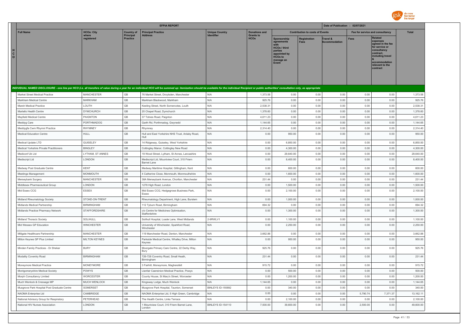

|                              |                                                                            |                          |                              | <b>EFPIA REPORT</b>                                                                                                                                                                                                            |                                     |                                 |                                                                                                                            |                                        | Date of Publication : 02/07/2021 |                                 |                                                                                                                                                                   |                    |
|------------------------------|----------------------------------------------------------------------------|--------------------------|------------------------------|--------------------------------------------------------------------------------------------------------------------------------------------------------------------------------------------------------------------------------|-------------------------------------|---------------------------------|----------------------------------------------------------------------------------------------------------------------------|----------------------------------------|----------------------------------|---------------------------------|-------------------------------------------------------------------------------------------------------------------------------------------------------------------|--------------------|
|                              | <b>Full Name</b>                                                           | <b>HCOs: City</b>        | <b>Country of</b>            | <b>Principal Practice</b>                                                                                                                                                                                                      | <b>Unique Country</b><br>Identifier | <b>Donations and</b>            |                                                                                                                            | <b>Contribution to costs of Events</b> |                                  | Fee for service and consultancy |                                                                                                                                                                   | <b>Total</b>       |
| H<br>$\mathtt{C}$<br>$\circ$ |                                                                            | where<br>registered      | Principal<br>Practice        | <b>Address</b>                                                                                                                                                                                                                 |                                     | <b>Grants to</b><br><b>HCOs</b> | <b>Sponsorship</b><br>agreements<br><b>HCOs / third</b><br>parties<br>appointed by<br><b>HCOs to</b><br>manage an<br>Event | <b>Registration</b><br>Fees            | Travel &<br>Accommodation        | <b>Fees</b>                     | <b>Related</b><br>expenses<br>aareed in the fee<br>for service or<br>consultancy<br>contract.<br>including travel<br>accommodation<br>relevant to the<br>contract |                    |
|                              |                                                                            |                          |                              | INDIVIDUAL NAMED DISCLOSURE - one line per HCO (i.e. all transfers of value during a year for an individual HCO will be summed up: itemization should be available for the individual Recipient or public authorities' consult |                                     |                                 |                                                                                                                            |                                        |                                  |                                 |                                                                                                                                                                   |                    |
|                              | Market Street Medical Practice                                             | <b>MANCHESTER</b>        | GB                           | 76 Market Street, Droylsden, Manchester                                                                                                                                                                                        | N/A                                 | 1,373.58                        | 0.00                                                                                                                       | 0.00                                   | 0.00                             | 0.00                            | 0.00                                                                                                                                                              | 1,373.58           |
|                              | Markham Medical Centre                                                     | <b>MARKHAM</b>           | GB                           | Markham Blackwood, Markham                                                                                                                                                                                                     | N/A                                 | 925.76                          | 0.00                                                                                                                       | 0.00                                   | 0.00                             | 0.00                            | 0.00                                                                                                                                                              | 925.76             |
|                              | Marsh Medical Practice                                                     | LOUTH                    | $\mathbb{G}\mathbb{B}$       | Keeling Street, North Somercotes, Louth                                                                                                                                                                                        | N/A                                 | 2,538.31                        | 0.00                                                                                                                       | 0.00                                   | 0.00                             | 0.00                            | 0.00                                                                                                                                                              | 2,538.31           |
|                              | Martello Health Centre                                                     | <b>DYMCHURCH</b>         | $\mathsf{GB}$                | 20 Chapel Road, Dymchurch                                                                                                                                                                                                      | N/A                                 | 1,378.60                        | 0.00                                                                                                                       | 0.00                                   | 0.00                             | 0.00                            | 0.00                                                                                                                                                              | 1,378.60           |
|                              | <b>Mavfield Medical Centre</b>                                             | <b>PAIGNTON</b>          | GB                           | 37 Totnes Road, Paignton                                                                                                                                                                                                       | N/A                                 | 4,611.23                        | 0.00                                                                                                                       | 0.00                                   | 0.00                             | 0.00                            | 0.00                                                                                                                                                              | 4.611.23           |
|                              | Meddyg Care                                                                | <b>PORTHMADOG</b>        | GB                           | Garth Rd, Porthmadog, Gwynedd                                                                                                                                                                                                  | N/A                                 | 1,144.65                        | 0.00                                                                                                                       | 0.00                                   | 0.00                             | 0.00                            | 0.00                                                                                                                                                              | 1,144.65           |
|                              | Meddygfa Cwm Rhymni Practice                                               | <b>RHYMNEY</b>           | GB                           | Rhymney                                                                                                                                                                                                                        | N/A                                 | 2,314.40                        | 0.00                                                                                                                       | 0.00                                   | 0.00                             | 0.00                            | 0.00                                                                                                                                                              | 2,314.40           |
|                              | <b>Medical Education Centre</b>                                            | HULL                     | GB                           | Hull and East Yorkshire NHS Trust, Anlaby Road,<br>Hull                                                                                                                                                                        | N/A                                 | 0.00                            | 950.00                                                                                                                     | 0.00                                   | 0.00                             | 0.00                            | 0.00                                                                                                                                                              | 950.00             |
|                              | Medical Update LTD                                                         | <b>GUISELEY</b>          | $\mathbb{G}\mathbb{B}$       | 14 Ridgeway, Guiseley, West Yorkshire                                                                                                                                                                                          | N/A                                 | 0.00                            | 6,850.00                                                                                                                   | 0.00                                   | 0.00                             | 0.00                            | 0.00                                                                                                                                                              | 6,850.00           |
|                              | Medical Yorkshire Private Practitioners                                    | <b>BINGLEY</b>           | GB                           | Cottingley Manor, Cottingley New Road                                                                                                                                                                                          | N/A                                 | 0.00                            | 4,300.00                                                                                                                   | 0.00                                   | 0.00                             | 0.00                            | 0.00                                                                                                                                                              | 4,300.00           |
|                              | Mediconf Uk Ltd                                                            | LYTHAM, ST ANNES         | GB                           | 19 Wood Street, Lytham, St Annes, Lancashire                                                                                                                                                                                   | N/A                                 | 0.00                            | 29,640.00                                                                                                                  | 0.00                                   | 0.00                             | 0.00                            | 0.00                                                                                                                                                              | 29,640.00          |
|                              | Mediscript I td                                                            | LONDON                   | GB                           | Mediscript Ltd, Mountview Court, 310 Friern<br>Barnet Lane                                                                                                                                                                     | N/A                                 | 0.00                            | 8,400.00                                                                                                                   | 0.00                                   | 0.00                             | 0.00                            | 0.00                                                                                                                                                              | 8,400.00           |
|                              | Medway Post Graduate Centre                                                | <b>KENT</b>              | GB                           | Medway Maritime Hospital, Gillingham, Kent                                                                                                                                                                                     | N/A                                 | 0.00                            | 600.00                                                                                                                     | 0.00                                   | 0.00                             | 0.00                            | 0.00                                                                                                                                                              | 600.00             |
|                              | Meetings Management                                                        | MONMOUTH                 | GB                           | 4 Catherine Close, Monmouth, Monmouthshire                                                                                                                                                                                     | N/A                                 | 0.00                            | 1,600.00                                                                                                                   | 0.00                                   | 0.00                             | 0.00                            | 0.00                                                                                                                                                              | 1,600.00           |
|                              | Merseybank Surgery                                                         | <b>MANCHESTER</b>        | $\mathbb{G}\mathbb{B}$       | 38A Merseybank Avenue, Chorlton, Manchester                                                                                                                                                                                    | N/A                                 | 231.44                          | 0.00                                                                                                                       | 0.00                                   | 0.00                             | 0.00                            | 0.00                                                                                                                                                              | 231.44             |
|                              | Middlesex Pharmaceutical Group                                             | LONDON                   | $\mathbb{G}\mathbb{B}$       | 1278 High Road, London                                                                                                                                                                                                         | N/A                                 | 0.00                            | 1,500.00                                                                                                                   | 0.00                                   | 0.00                             | 0.00                            | 0.00                                                                                                                                                              | 1,500.00           |
|                              | Mid Essex CCG                                                              | <b>ESSEX</b>             | GB                           | Mid Essex CCG, Hedgegrows Business Park,<br>Essex                                                                                                                                                                              | N/A                                 | 0.00                            | 2,100.00                                                                                                                   | 0.00                                   | 0.00                             | 0.00                            | 0.00                                                                                                                                                              | 2,100.00           |
|                              | Midland Rheumatology Society                                               | STOKE-ON-TRENT           | GB                           | Rheumatology Department, High Lane, Burslem                                                                                                                                                                                    | N/A                                 | 0.00                            | 1,000.00                                                                                                                   | 0.00                                   | 0.00                             | 0.00                            | 0.00                                                                                                                                                              | 1,000.00           |
|                              | Midlands Medical Partnership                                               | <b>BIRMINGHAM</b>        | GB                           | 112 Tyburn Road, Birmingham                                                                                                                                                                                                    | N/A                                 | 694.32                          | 0.00                                                                                                                       | 0.00                                   | 0.00                             | 0.00                            | 0.00                                                                                                                                                              | 694.32             |
|                              | Midlands Practice Pharmacy Network                                         | STAFFORDSHIRE            | GB                           | c/o Centre for Medicines Optimisation,<br>Staffordshire                                                                                                                                                                        | N/A                                 | 0.00                            | 1,300.00                                                                                                                   | 0.00                                   | 0.00                             | 0.00                            | 0.00                                                                                                                                                              | 1,300.00           |
|                              | Midland Thoracic Society                                                   | SOLIHULL                 | $\mathbb{G}\mathbb{B}$       | Solihull Hospital, Loade Lane, West Midlands                                                                                                                                                                                   | 2-9RWLV1                            | 0.00                            | 1,100.00                                                                                                                   | 0.00                                   | 0.00                             | 0.00                            | 0.00                                                                                                                                                              | 1,100.00           |
|                              | Mid Wessex GP Education                                                    | <b>WINCHESTER</b>        | GB                           | University of Winchester, Sparkford Road,<br>Winchester                                                                                                                                                                        | N/A                                 | 0.00                            | 2,250.00                                                                                                                   | 0.00                                   | 0.00                             | 0.00                            | 0.00                                                                                                                                                              | 2,250.00           |
|                              | Millgate Healthcare Partnership                                            | <b>MANCHESTER</b>        | $\mathbb{G}\mathbb{B}$       | 119 Manchester Road, Denton, Manchester                                                                                                                                                                                        | N/A                                 | 3,662.88                        | 0.00                                                                                                                       | 0.00                                   | 0.00                             | 0.00                            | 0.00                                                                                                                                                              | 3,662.88           |
|                              | Milton Keynes GP Plus Limited                                              | <b>MILTON KEYNES</b>     | GB                           | Parkside Medical Centre, Whalley Drive, Milton<br>Keynes                                                                                                                                                                       | N/A                                 | 0.00                            | 950.00                                                                                                                     | 0.00                                   | 0.00                             | 0.00                            | 0.00                                                                                                                                                              | 950.00             |
|                              | Minden Family Practices - Dr Shekar                                        | <b>BURY</b>              | $\mathbb{G}\mathbb{B}$       | Moorgate Primary Care Centre, 22 Derby Way,<br>Bury                                                                                                                                                                            | N/A                                 | 925.76                          | 0.00                                                                                                                       | 0.00                                   | 0.00                             | 0.00                            | 0.00                                                                                                                                                              | 925.76             |
|                              | Modality Coventry Road                                                     | <b>BIRMINGHAM</b>        | $\mathsf{GB}$                | 726-728 Coventry Road, Small Heath,<br>Birmingham                                                                                                                                                                              | N/A                                 | 231.44                          | 0.00                                                                                                                       | 0.00                                   | 0.00                             | 0.00                            | 0.00                                                                                                                                                              | 231.44             |
|                              | Moneymore Medical Practice                                                 | <b>MONEYMORE</b>         | GB                           | 3 Fairhill, Moneymore, Magherafelt                                                                                                                                                                                             | N/A                                 | 915.72                          | 0.00                                                                                                                       | 0.00                                   | 0.00                             | 0.00                            | 0.00                                                                                                                                                              | 915.72             |
|                              | Montgomeryshire Medical Society                                            | POWYS                    | GB                           | Llanfair Caereinion Medical Practice, Powys                                                                                                                                                                                    | N/A                                 | 0.00                            | 500.00                                                                                                                     | 0.00                                   | 0.00                             | 0.00                            | 0.00                                                                                                                                                              | 500.00             |
|                              | Morph Consultancy Limited                                                  | <b>WORCESTER</b>         | GB                           | County House, St Mary's Street, Worcester                                                                                                                                                                                      | N/A                                 | 0.00                            | 1,200.00                                                                                                                   | 0.00                                   | 0.00                             | 0.00                            | 0.00                                                                                                                                                              | 1,200.00           |
|                              | Much Wenlock & Cressage MP                                                 | MUCH WENLOCK<br>SOMERSET | GB<br>$\mathbb{G}\mathbb{B}$ | Kingsway Lodge, Much Wenlock                                                                                                                                                                                                   | N/A<br>BINLEYS ID-155892            | 1,144.65                        | 0.00                                                                                                                       | 0.00<br>0.00                           | 0.00<br>0.00                     | 0.00                            | 0.00<br>0.00                                                                                                                                                      | 1,144.65<br>340.00 |
|                              | Musgrove Park Hospital Post Graduate Centre<br>NAOMA Enterprise Ltd        | CAMBRIDGE                | GB                           | Musgrove Park Hospital, Taunton, Somerset<br>NAOMA Enterprise Ltd, 5 High Green, Cambridge                                                                                                                                     | N/A                                 | 0.00<br>0.00                    | 340.00<br>0.00                                                                                                             | 0.00                                   | 0.00                             | 0.00<br>5,790.74                | 7,371.37                                                                                                                                                          | 13,162.11          |
|                              |                                                                            | PETERHEAD                | GB                           | The Health Centre, Links Terrace                                                                                                                                                                                               | N/A                                 | 0.00                            | 2,100.00                                                                                                                   | 0.00                                   | 0.00                             | 0.00                            | 0.00                                                                                                                                                              | 2,100.00           |
|                              | National Advisory Group for Respiratory<br>National HIV Nurses Association | LONDON                   | GB                           | 1 Mountview Court, 310 Friern Barnet Lane,                                                                                                                                                                                     | BINLEYS ID-154110                   | 7,500.00                        | 39,600.00                                                                                                                  | 0.00                                   | 0.00                             | 2,500.00                        | 0.00                                                                                                                                                              | 49,600.00          |
|                              |                                                                            |                          |                              | I ondon                                                                                                                                                                                                                        |                                     |                                 |                                                                                                                            |                                        |                                  |                                 |                                                                                                                                                                   |                    |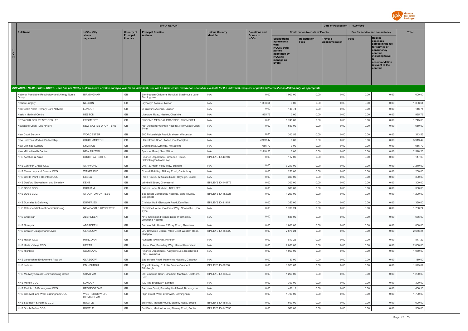

|                                                                                                                                                                                                                                                                      |                                     |                              | <b>EFPIA REPORT</b>                                            |                           |                                 |                                                                                                                     |                                        | Date of Publication : 02/07/2021 |                                 |                                                                                                                                                                   |              |
|----------------------------------------------------------------------------------------------------------------------------------------------------------------------------------------------------------------------------------------------------------------------|-------------------------------------|------------------------------|----------------------------------------------------------------|---------------------------|---------------------------------|---------------------------------------------------------------------------------------------------------------------|----------------------------------------|----------------------------------|---------------------------------|-------------------------------------------------------------------------------------------------------------------------------------------------------------------|--------------|
| <b>Full Name</b>                                                                                                                                                                                                                                                     | <b>HCOs: City</b>                   | <b>Country of</b>            | <b>Principal Practice</b>                                      | <b>Unique Country</b>     | <b>Donations and</b>            |                                                                                                                     | <b>Contribution to costs of Events</b> |                                  | Fee for service and consultancy |                                                                                                                                                                   | <b>Total</b> |
| H.<br>$\mathbf{C}$<br>$\mathbf{o}$<br>INDIVIDUAL NAMED DISCLOSURE - one line per HCO (i.e. all transfers of value during a year for an individual HCO will be summed up: itemization should be available for the individual Recipient or public authorities' consult | where<br>reaistered                 | Principal<br><b>Practice</b> | <b>Address</b>                                                 |                           | <b>Grants to</b><br><b>HCOs</b> | Sponsorship<br>agreements<br><b>HCOs / third</b><br>parties<br>appointed by<br><b>HCOs to</b><br>manage an<br>Event | <b>Registration</b><br>Fees            | Travel &<br><b>Accommodation</b> | Fees                            | <b>Related</b><br>expenses<br>agreed in the fee<br>for service or<br>consultancy<br>contract.<br>including travel<br>accommodation<br>relevant to the<br>contract |              |
|                                                                                                                                                                                                                                                                      |                                     |                              |                                                                |                           |                                 |                                                                                                                     |                                        |                                  |                                 |                                                                                                                                                                   |              |
| National Paediatric Respiratory and Allergy Nurse<br>Group                                                                                                                                                                                                           | <b>BIRMINGHAM</b>                   | GB                           | Birmingham Childrens Hospital, Steelhouse Lane,<br>Birmingham  | N/A                       | 0.00                            | 1,000.00                                                                                                            | 0.00                                   | 0.00                             | 0.00                            | 0.00                                                                                                                                                              | 1,000.00     |
| Nelson Surgery                                                                                                                                                                                                                                                       | <b>NELSON</b>                       | GB                           | Bryncelyn Avenue, Nelson                                       | N/A                       | 1,388.64                        | 0.00                                                                                                                | 0.00                                   | 0.00                             | 0.00                            | 0.00                                                                                                                                                              | 1,388.64     |
| NeoHealth North Primary Care Network                                                                                                                                                                                                                                 | LONDON                              | GB                           | St Quintins Avenue, London                                     | N/A                       | 0.00                            | 146.74                                                                                                              | 0.00                                   | 0.00                             | 0.00                            | 0.00                                                                                                                                                              | 146.74       |
| <b>Neston Medical Centre</b>                                                                                                                                                                                                                                         | <b>NESTON</b>                       | GB                           | Liverpool Road, Neston, Cheshire                               | N/A                       | 925.76                          | 0.00                                                                                                                | 0.00                                   | 0.00                             | 0.00                            | 0.00                                                                                                                                                              | 925.76       |
| NETWORK FOR PRACTICES LTD                                                                                                                                                                                                                                            | <b>FROMESET</b>                     | GB                           | FROOME MEDICAL PRACTICE. FROMESET                              | N/A                       | 0.00                            | 1,745.00                                                                                                            | 0.00                                   | 0.00                             | 0.00                            | 0.00                                                                                                                                                              | 1.745.00     |
| Newcasite Upon Tyne NHSFT                                                                                                                                                                                                                                            | NEW CASTLE UPON TYNE                | GB                           | No1 Account Freeman Hospital, New Castle Upon<br>Tyne          | N/A                       | 0.00                            | 650.00                                                                                                              | 0.00                                   | 0.00                             | 0.00                            | 0.00                                                                                                                                                              | 650.00       |
| New Court Surgery                                                                                                                                                                                                                                                    | <b>WORCESTER</b>                    | GB                           | 300 Pickersleigh Road, Malvern, Worcester                      | N/A                       | 0.00                            | 343.55                                                                                                              | 0.00                                   | 0.00                             | 0.00                            | 0.00                                                                                                                                                              | 343.55       |
| New Horizons Medical Partnership                                                                                                                                                                                                                                     | SOUTHAMPTON                         | GB                           | Hazel Farm Road, Totton, Southampton                           | N/A                       | 3,919.42                        | 0.00                                                                                                                | 0.00                                   | 0.00                             | 0.00                            | 0.00                                                                                                                                                              | 3,919.42     |
| New Lyminge Surgery                                                                                                                                                                                                                                                  | <b>I YMINGE</b>                     | GB                           | Greenbanks, Lyminge, Folkestone                                | N/A                       | 686.79                          | 0.00                                                                                                                | 0.00                                   | 0.00                             | 0.00                            | 0.00                                                                                                                                                              | 686.79       |
| New Milton Health Centre                                                                                                                                                                                                                                             | <b>NEW MILTON</b>                   | GB                           | Spencer Road, New Milton                                       | N/A                       | 2,518.23                        | 0.00                                                                                                                | 0.00                                   | 0.00                             | 0.00                            | 0.00                                                                                                                                                              | 2,518.23     |
| NHS Ayrshire & Arran                                                                                                                                                                                                                                                 | SOUTH AYRSHIRE                      | GB                           | Finance Department, Greenan House,<br>Dalmellington Road, Ayr  | BINLEYS ID-40246          | 0.00                            | 117.00                                                                                                              | 0.00                                   | 0.00                             | 0.00                            | 0.00                                                                                                                                                              | 117.00       |
| NHS Cannock Chase CCG                                                                                                                                                                                                                                                | <b>STAFFORD</b>                     | GB                           | Unit 12, Frank Foley Way, Stafford                             | N/A                       | 0.00                            | 3,240.00                                                                                                            | 0.00                                   | 0.00                             | 0.00                            | 0.00                                                                                                                                                              | 3,240.00     |
| NHS Canterbury and Coastal CCG                                                                                                                                                                                                                                       | WAKEFIELD                           | GB                           | Council Building, Military Road, Canterbury                    | N/A                       | 0.00                            | 250.00                                                                                                              | 0.00                                   | 0.00                             | 0.00                            | 0.00                                                                                                                                                              | 250.00       |
| NHS Castle Point & Rochford CCG                                                                                                                                                                                                                                      | <b>ESSEX</b>                        | GB                           | Pearl House, 12 Castle Road, Rayleigh, Essex                   | N/A                       | 0.00                            | 300.00                                                                                                              | 0.00                                   | 0.00                             | 0.00                            | 0.00                                                                                                                                                              | 300.00       |
| NHS Dartford Gravesham and Swanley                                                                                                                                                                                                                                   | KENT                                | GB                           | Windmill Street, Gravesend                                     | BINLEYS ID-146772         | 0.00                            | 300.00                                                                                                              | 0.00                                   | 0.00                             | 0.00                            | 0.00                                                                                                                                                              | 300.00       |
| NHS DDES CCG                                                                                                                                                                                                                                                         | <b>DURHAM</b>                       | GB                           | Satters Lane, Durham, TS21 3EE                                 | N/A                       | 0.00                            | 300.00                                                                                                              | 0.00                                   | 0.00                             | 0.00                            | 0.00                                                                                                                                                              | 300.00       |
| NHS DDES CCG                                                                                                                                                                                                                                                         | STOCKTON-ON-TEES                    | GB                           | Sedgefield Community Hospital, Salters Lane,<br>Sedgefield     | <b>BINI FYS ID-152928</b> | 0.00                            | 1,200.00                                                                                                            | 0.00                                   | 0.00                             | 0.00                            | 0.00                                                                                                                                                              | 1,200.00     |
| NHS Dumfries & Galloway                                                                                                                                                                                                                                              | <b>DUMERIES</b>                     | GB                           | Crichton Hall, Glencaple Road, Dumfries                        | <b>BINI FYS ID-31915</b>  | 0.00                            | 350.00                                                                                                              | 0.00                                   | 0.00                             | 0.00                            | 0.00                                                                                                                                                              | 350.00       |
| NHS Gateshead Clinical Commissioning                                                                                                                                                                                                                                 | NEWCASTLE UPON TYNE                 | GB                           | Riverside House, Goldcrest Way, Newcastle Upon<br>Tyne         | N/A                       | 0.00                            | 1,780.24                                                                                                            | 0.00                                   | 0.00                             | 0.00                            | 0.00                                                                                                                                                              | 1,780.24     |
| NHS Grampian                                                                                                                                                                                                                                                         | ABERDEEN                            | GB                           | NHS Grampian Finance Dept, Westholme,<br>Woodend Hospital      | N/A                       | 0.00                            | 636.00                                                                                                              | 0.00                                   | 0.00                             | 0.00                            | 0.00                                                                                                                                                              | 636.00       |
| NHS Grampian                                                                                                                                                                                                                                                         | ABERDEEN                            | GB                           | Summerfield House, 2 Eday Road, Aberdeen                       | N/A                       | 0.00                            | 1,800.00                                                                                                            | 0.00                                   | 0.00                             | 0.00                            | 0.00                                                                                                                                                              | 1,800.00     |
| NHS Greater Glasgow and Clyde                                                                                                                                                                                                                                        | GLASGOW                             | GB                           | C/O Brownlee Centre, 1053 Great Western Road,<br>Glasgow       | BINLEYS ID-153929         | 0.00                            | 2,676.24                                                                                                            | 0.00                                   | 0.00                             | 0.00                            | 0.00                                                                                                                                                              | 2,676.24     |
| NHS Halton CCG                                                                                                                                                                                                                                                       | <b>RUNCORN</b>                      | GB                           | Runcorn Town Hall, Runcorn                                     | N/A                       | 0.00                            | 847.22                                                                                                              | 0.00                                   | 0.00                             | 0.00                            | 0.00                                                                                                                                                              | 847.22       |
| NHS Herts Valleys CCG                                                                                                                                                                                                                                                | <b>HERTS</b>                        | GB                           | Hemel One, Boundary Way, Hemel Hempstead                       | N/A                       | 0.00                            | 2,050.00                                                                                                            | 0.00                                   | 0.00                             | 0.00                            | 0.00                                                                                                                                                              | 2,050.00     |
| NHS Highland                                                                                                                                                                                                                                                         | SCOTLAND                            | GB                           | Finance Department, Assynt House, Beechwood<br>Park, Inverness | N/A                       | 0.00                            | 1,050.00                                                                                                            | 0.00                                   | 0.00                             | 0.00                            | 0.00                                                                                                                                                              | 1,050.00     |
| NHS Lanarkshire Endowment Account                                                                                                                                                                                                                                    | GLASGOW                             | GB                           | Eaglesham Road, Hairmyres Hospital, Glasgow                    | N/A                       | 0.00                            | 180.00                                                                                                              | 0.00                                   | 0.00                             | 0.00                            | 0.00                                                                                                                                                              | 180.00       |
| NHS Lothian                                                                                                                                                                                                                                                          | EDINBURGH                           | GB                           | Royal Infirmary, 51 Little France Crescent,<br>Fdinburgh       | BINLEYS ID-59260          | 0.00                            | 1,523.67                                                                                                            | 0.00                                   | 0.00                             | 0.00                            | 0.00                                                                                                                                                              | 1,523.67     |
| NHS Medway Clinical Commissioning Group                                                                                                                                                                                                                              | CHATHAM                             | GB                           | 50 Pembroke Court, Chatham Maritime, Chatham,<br>Kent          | BINLEYS ID-148743         | 0.00                            | 1,260.00                                                                                                            | 0.00                                   | 0.00                             | 0.00                            | 0.00                                                                                                                                                              | 1,260.00     |
| NHS Merton CCG                                                                                                                                                                                                                                                       | LONDON                              | GB                           | 120 The Broadway, London                                       | N/A                       | 0.00                            | 300.00                                                                                                              | 0.00                                   | 0.00                             | 0.00                            | 0.00                                                                                                                                                              | 300.00       |
| NHS Redditch & Bromsgrove CCG                                                                                                                                                                                                                                        | <b>BROMSGROVE</b>                   | GB                           | Barnsley Court, Barnsley Hall Road, Bromsgrove                 | N/A                       | 0.00                            | 466.13                                                                                                              | 0.00                                   | 0.00                             | 0.00                            | 0.00                                                                                                                                                              | 466.13       |
| NHS Sandwell and West Birmingham CCG                                                                                                                                                                                                                                 | WEST BROMWICH,<br><b>BIRMINGHAM</b> | GB                           | High Street, West Bromwich, Birmingham                         | N/A                       | 0.00                            | 1,790.00                                                                                                            | 0.00                                   | 0.00                             | 0.00                            | 0.00                                                                                                                                                              | 1,790.00     |
| NHS Southport & Formby CCG                                                                                                                                                                                                                                           | <b>BOOTLE</b>                       | GB                           | 3rd Floor, Merton House, Stanley Road, Bootle                  | <b>BINLEYS ID-158132</b>  | 0.00                            | 600.00                                                                                                              | 0.00                                   | 0.00                             | 0.00                            | 0.00                                                                                                                                                              | 600.00       |
| NHS South Sefton CCG                                                                                                                                                                                                                                                 | <b>BOOTLE</b>                       | GB                           | 3rd Floor, Merton House, Stanley Road, Bootle                  | BINLEYS ID-147596         | 0.00                            | 560.00                                                                                                              | 0.00                                   | 0.00                             | 0.00                            | 0.00                                                                                                                                                              | 560.00       |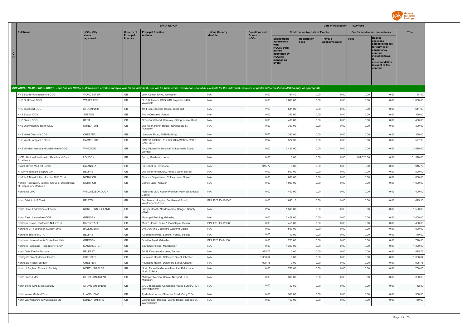

|                                                                                                                                                                                                                                |                      |                                     | <b>EFPIA REPORT</b>                                             |                                     |                                 |                                                                                                                             |                                        | Date of Publication : 02/07/2021 |                                 |                                                                                                                                                                   |              |
|--------------------------------------------------------------------------------------------------------------------------------------------------------------------------------------------------------------------------------|----------------------|-------------------------------------|-----------------------------------------------------------------|-------------------------------------|---------------------------------|-----------------------------------------------------------------------------------------------------------------------------|----------------------------------------|----------------------------------|---------------------------------|-------------------------------------------------------------------------------------------------------------------------------------------------------------------|--------------|
| <b>Full Name</b>                                                                                                                                                                                                               | <b>HCOs: City</b>    | <b>Country of</b>                   | <b>Principal Practice</b>                                       | <b>Unique Country</b><br>Identifier | <b>Donations and</b>            |                                                                                                                             | <b>Contribution to costs of Events</b> |                                  | Fee for service and consultancy |                                                                                                                                                                   | <b>Total</b> |
| $\mathbf{c}$<br>$\Omega$                                                                                                                                                                                                       | where<br>registered  | <b>Principal</b><br><b>Practice</b> | <b>Address</b>                                                  |                                     | <b>Grants to</b><br><b>HCOs</b> | Sponsorship<br>agreements<br>with<br><b>HCOs / third</b><br>parties<br>appointed by<br><b>HCOs to</b><br>manage an<br>Event | <b>Registration</b><br>Fees            | Travel &<br><b>Accommodation</b> | <b>Fees</b>                     | <b>Related</b><br>expenses<br>agreed in the fee<br>for service or<br>consultancy<br>contract,<br>including travel<br>accommodation<br>relevant to the<br>contract |              |
| INDIVIDUAL NAMED DISCLOSURE - one line per HCO (i.e. all transfers of value during a year for an individual HCO will be summed up: itemization should be available for the individual Recipient or public authorities' consult |                      |                                     |                                                                 |                                     |                                 |                                                                                                                             |                                        |                                  |                                 |                                                                                                                                                                   |              |
| NHS South Worcestershire CCG                                                                                                                                                                                                   | <b>WORCESTER</b>     | GB                                  | John Comyn Drive, Worcester                                     | N/A                                 | 0.00                            | 64.40                                                                                                                       | 0.00                                   | 0.00                             | 0.00                            | 0.00                                                                                                                                                              | 64.40        |
| NHS St Helens CCG                                                                                                                                                                                                              | WAKEFIELD            | GB                                  | NHS St Helens CCG, 01X Payables L475,<br>Wakefield              | N/A                                 | 0.00                            | 1,800.00                                                                                                                    | 0.00                                   | 0.00                             | 0.00                            | 0.00                                                                                                                                                              | 1,800.00     |
| NHS Stockport CCG                                                                                                                                                                                                              | <b>STOCKPORT</b>     | $\mathbb{G}\mathbb{B}$              | 4th Floor, Stopford House, Stockport                            | N/A                                 | 0.00                            | 641.00                                                                                                                      | 0.00                                   | 0.00                             | 0.00                            | 0.00                                                                                                                                                              | 641.00       |
| NHS Sutton CCG                                                                                                                                                                                                                 | SUTTON               | GB                                  | Priory Crescent, Sutton                                         | N/A                                 | 0.00                            | 350.00                                                                                                                      | 0.00                                   | 0.00                             | 0.00                            | 0.00                                                                                                                                                              | 350.00       |
| NHS Swale CCG                                                                                                                                                                                                                  | <b>KENT</b>          | GB                                  | Grovehurst Road, Kemsley, Sittingbourne, Kent                   | N/A                                 | 0.00                            | 480.00                                                                                                                      | 0.00                                   | 0.00                             | 0.00                            | 0.00                                                                                                                                                              | 480.00       |
| NHS Warwickshire North CCG                                                                                                                                                                                                     | <b>NUNEATON</b>      | GB                                  | 2nd Floor, Heron House, Newdegate St,<br>Nuneaton               | N/A                                 | 0.00                            | 300.00                                                                                                                      | 0.00                                   | 0.00                             | 0.00                            | 0.00                                                                                                                                                              | 300.00       |
| NHS West Cheshire CCG                                                                                                                                                                                                          | CHESTER              | GB                                  | Liverpool Road, 1829 Building                                   | N/A                                 | 0.00                            | 1,360.00                                                                                                                    | 0.00                                   | 0.00                             | 0.00                            | 0.00                                                                                                                                                              | 1,360.00     |
| NHS West Hampshire CCG                                                                                                                                                                                                         | <b>HAMPSHIRE</b>     | GB                                  | OMEGA HOUSE, 112 SOUTHAMPTON ROAD,<br><b>EASTLEIGH</b>          | N/A                                 | 0.00                            | 577.90                                                                                                                      | 0.00                                   | 0.00                             | 0.00                            | 0.00                                                                                                                                                              | 577.90       |
| NHS Windsor Ascot and Maidenhead CCG                                                                                                                                                                                           | <b>WINDSOR</b>       | $\mathbb{G}\mathbb{B}$              | King Edward VII Hospital, St Leonards Road,<br>Windsor          | N/A                                 | 0.00                            | 3,480.00                                                                                                                    | 0.00                                   | 0.00                             | 0.00                            | 0.00                                                                                                                                                              | 3,480.00     |
| NICE - National Institute for Health and Care<br>Excellence                                                                                                                                                                    | LONDON               | GB                                  | Spring Gardens, London                                          | N/A                                 | 0.00                            | 0.00                                                                                                                        | 0.00                                   | 0.00                             | 101,520.00                      | 0.00                                                                                                                                                              | 101,520.00   |
| Nicholl Street Medical Centre                                                                                                                                                                                                  | SWANSEA              | GB                                  | 33 Nicholl St, Swansea                                          | N/A                                 | 915.72                          | 0.00                                                                                                                        | 0.00                                   | 0.00                             | 0.00                            | 0.00                                                                                                                                                              | 915.72       |
| NI GP Federation Support Unit                                                                                                                                                                                                  | <b>BELFAST</b>       | GB                                  | 2nd Floor Forestview, Purdy's Lane, Belfast                     | N/A                                 | 0.00                            | 500.00                                                                                                                      | 0.00                                   | 0.00                             | 0.00                            | 0.00                                                                                                                                                              | 500.00       |
| Norfolk & Norwich Uni Hospital NHS Trust                                                                                                                                                                                       | NORWICH              | GB                                  | Finance Department, Colney Lane, Norwich                        | N/A                                 | 0.00                            | 880.00                                                                                                                      | 0.00                                   | 0.00                             | 0.00                            | 0.00                                                                                                                                                              | 880.00       |
| Norfolk Respiratory Interest Group of Department<br>of Respiratory Medicine                                                                                                                                                    | <b>NORWICH</b>       | GB                                  | Colney Lane, Norwich                                            | N/A                                 | 0.00                            | 1.000.00                                                                                                                    | 0.00                                   | 0.00                             | 0.00                            | 0.00                                                                                                                                                              | 1,000.00     |
| Northants LMC                                                                                                                                                                                                                  | WELLINGBOROUGH       | GB                                  | Northants LMC Abbey Practice, Mannock Medical<br>Centre         | N/A                                 | 0.00                            | 400.00                                                                                                                      | 0.00                                   | 0.00                             | 0.00                            | 0.00                                                                                                                                                              | 400.00       |
| North Bristol NHS Trust                                                                                                                                                                                                        | <b>BRISTOL</b>       | $\mathbb{G}\mathbb{B}$              | Southmead Hospital, Southmead Road,<br>Westbury-On-Trym         | <b>BINLEYS ID-160045</b>            | 0.00                            | 1,695.10                                                                                                                    | 0.00                                   | 0.00                             | 0.00                            | 0.00                                                                                                                                                              | 1,695.10     |
| North Down Federation of Family                                                                                                                                                                                                | NORTHERN IRELAND     | GB                                  | Bangor Health, Newtownards, Bangor, County<br>Down              | N/A                                 | 0.00                            | 1,500.00                                                                                                                    | 0.00                                   | 0.00                             | 0.00                            | 0.00                                                                                                                                                              | 1,500.00     |
| North East Lincolnshire CCG                                                                                                                                                                                                    | <b>GRIMSBY</b>       | GB                                  | Municipal Building, Grimsby                                     | N/A                                 | 0.00                            | 3,409.00                                                                                                                    | 0.00                                   | 0.00                             | 0.00                            | 0.00                                                                                                                                                              | 3,409.00     |
| Northern Devon Healthcare NHS Trust                                                                                                                                                                                            | <b>BARNSTAPLE</b>    | GB                                  | Munro House, Suite 7, Barnstaple, Devon                         | BINLEYS ID-119660                   | 0.00                            | 450.00                                                                                                                      | 0.00                                   | 0.00                             | 0.00                            | 0.00                                                                                                                                                              | 450.00       |
| Northern GP Federation Support Unit                                                                                                                                                                                            | <b>BALLYMENA</b>     | GB                                  | Unit 30A The Courtyard Galgorm Castle                           | N/A                                 | 0.00                            | 1,500.00                                                                                                                    | 0.00                                   | 0.00                             | 0.00                            | 0.00                                                                                                                                                              | 1,500.00     |
| Northern Ireland MDTA                                                                                                                                                                                                          | <b>BELFAST</b>       | GB                                  | 42 Beechill Road, Beechill House, Belfast                       | N/A                                 | 0.00                            | 140.00                                                                                                                      | 0.00                                   | 0.00                             | 0.00                            | 0.00                                                                                                                                                              | 140.00       |
| Northern Lincolnshire & Goole Hospitals                                                                                                                                                                                        | <b>GRIMSBY</b>       | GB                                  | Scartho Road, Grimsby                                           | BINLEYS ID-34130                    | 0.00                            | 720.00                                                                                                                      | 0.00                                   | 0.00                             | 0.00                            | 0.00                                                                                                                                                              | 720.00       |
| Northern Paediatric Respiratory Forum                                                                                                                                                                                          | <b>MANCHESTER</b>    | GB                                  | Southmoor Road, Manchester                                      | N/A                                 | 0.00                            | 1,320.00                                                                                                                    | 0.00                                   | 0.00                             | 0.00                            | 0.00                                                                                                                                                              | 1,320.00     |
| North Gate Family Practice                                                                                                                                                                                                     | <b>BELFAST</b>       | GB                                  | 36-38 Duncairn Gardens, Belfast                                 | N/A                                 | 925.76                          | 0.00                                                                                                                        | 0.00                                   | 0.00                             | 0.00                            | 0.00                                                                                                                                                              | 925.76       |
| Northgate Street Medical Centre                                                                                                                                                                                                | <b>CHESTER</b>       | GB                                  | Fountains Health, Delamere Street, Chester                      | N/A                                 | 1,388.64                        | 0.00                                                                                                                        | 0.00                                   | 0.00                             | 0.00                            | 0.00                                                                                                                                                              | 1.388.64     |
| Northgate Village Surgery                                                                                                                                                                                                      | CHESTER              | GB                                  | Fountains Health, Delamere Street, Chester                      | N/A<br>N/A                          | 925.76                          | 0.00                                                                                                                        | 0.00                                   | 0.00                             | 0.00                            | 0.00                                                                                                                                                              | 925.76       |
| North of England Thoracic Society                                                                                                                                                                                              | <b>NORTH SHIELDS</b> | GB                                  | North Tyneside General Hospital, Rake Lane,<br>North Shields    |                                     | 0.00                            | 750.00                                                                                                                      | 0.00                                   | 0.00                             | 0.00                            | 0.00                                                                                                                                                              | 750.00       |
| North Staffs LMC                                                                                                                                                                                                               | STOKE-ON-TRENT       | $\mathbb{G}\mathbb{B}$              | Midleport Medical Centre, Newport Lane,<br>Midleport            | N/A                                 | 0.00                            | 300.00                                                                                                                      | 0.00                                   | 0.00                             | 0.00                            | 0.00                                                                                                                                                              | 300.00       |
| North Stoke CPS Megs Locality                                                                                                                                                                                                  | STOKE-ON-TRENT       | $\mathbb{G}\mathbb{B}$              | C/O J Blackburn, Cambridge House Surgery, 124<br>Werrington Rd  | N/A                                 | 0.00                            | 42.60                                                                                                                       | 0.00                                   | 0.00                             | 0.00                            | 0.00                                                                                                                                                              | 42.60        |
| North Wales Medical Trust                                                                                                                                                                                                      | LLANDUDNO            | GB                                  | Tyldesley House, Clarence Road, Craig Y Don                     | N/A                                 | 0.00                            | 300.00                                                                                                                      | 0.00                                   | 0.00                             | 0.00                            | 0.00                                                                                                                                                              | 300.00       |
| North Warwickshire GP Education Ltd                                                                                                                                                                                            | NUNEATONHIRE         | GB                                  | George Eliot Hospital, Lewes House, College St,<br>Warwickshire | N/A                                 | 0.00                            | 150.00                                                                                                                      | 0.00                                   | 0.00                             | 0.00                            | 0.00                                                                                                                                                              | 150.00       |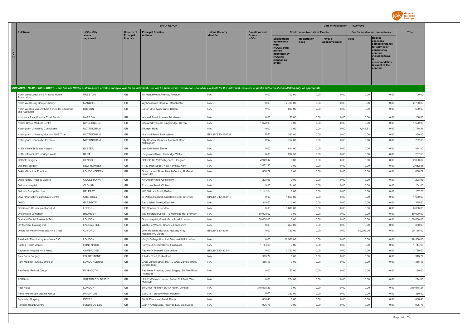

|                                                              | <b>EFPIA REPORT</b> |                                     |                                                                                                                                                                                                                                |                       |                                            | Date of Publication : 02/07/2021                                                                             |                                        |                                  |                                 |                                                                                                                                                                   |              |
|--------------------------------------------------------------|---------------------|-------------------------------------|--------------------------------------------------------------------------------------------------------------------------------------------------------------------------------------------------------------------------------|-----------------------|--------------------------------------------|--------------------------------------------------------------------------------------------------------------|----------------------------------------|----------------------------------|---------------------------------|-------------------------------------------------------------------------------------------------------------------------------------------------------------------|--------------|
| <b>Full Name</b>                                             | <b>HCOs: City</b>   | <b>Country of</b>                   | <b>Principal Practice</b>                                                                                                                                                                                                      | <b>Unique Country</b> | <b>Donations and</b>                       |                                                                                                              | <b>Contribution to costs of Events</b> |                                  | Fee for service and consultancy |                                                                                                                                                                   | <b>Total</b> |
| н<br>$\mathtt{C}$<br>$\circ$                                 | where<br>registered | <b>Principal</b><br><b>Practice</b> | <b>Address</b>                                                                                                                                                                                                                 | <b>Identifier</b>     | <b>Grants to</b><br><b>HCO<sub>s</sub></b> | Sponsorship<br>agreements<br>HCOs / third<br>parties<br>appointed by<br><b>HCOs to</b><br>manage an<br>Event | Registration<br><b>Fees</b>            | Travel &<br><b>Accommodation</b> | <b>Fees</b>                     | <b>Related</b><br>expenses<br>agreed in the fee<br>for service or<br>consultancy<br>contract.<br>including travel<br>accommodation<br>relevant to the<br>contract |              |
|                                                              |                     |                                     | INDIVIDUAL NAMED DISCLOSURE - one line per HCO (i.e. all transfers of value during a year for an individual HCO will be summed up: itemization should be available for the individual Recipient or public authorities' consult |                       |                                            |                                                                                                              |                                        |                                  |                                 |                                                                                                                                                                   |              |
| North West Lancashire Practice Nurse<br>Association          | PRESTON             | GB                                  | 75 Frenchwood Avenue, Preston                                                                                                                                                                                                  | N/A                   | 0.00                                       | 700.00                                                                                                       | 0.00                                   | 0.00                             | 0.00                            | 0.00                                                                                                                                                              | 700.00       |
| North West Lung Centre Charity                               | <b>MANCHESTER</b>   | GB                                  | Wythenshawe Hospital, Manchester                                                                                                                                                                                               | N/A                   | 0.00                                       | 2,700.00                                                                                                     | 0.00                                   | 0.00                             | 0.00                            | 0.00                                                                                                                                                              | 2,700.00     |
| North West Severe Asthma Forum for Education<br>and Research | <b>BOLTON</b>       | GB                                  | Bolton One, Moor Lane, Bolton                                                                                                                                                                                                  | N/A                   | 0.00                                       | 600.00                                                                                                       | 0.00                                   | 0.00                             | 0.00                            | 0.00                                                                                                                                                              | 600.00       |
| Northwick Park Hospital Trust Funds                          | <b>HARROW</b>       | GB                                  | Watford Road, Harrow, Middlesex                                                                                                                                                                                                | N/A                   | 0.00                                       | 156.00                                                                                                       | 0.00                                   | 0.00                             | 0.00                            | 0.00                                                                                                                                                              | 156.00       |
| Norton Brook Medical Centre                                  | KINGSBRIDGE         | GB                                  | Cookworthy Road, Kingsbridge, Devon                                                                                                                                                                                            | N/A                   | 1,620.08                                   | 0.00                                                                                                         | 0.00                                   | 0.00                             | 0.00                            | 0.00                                                                                                                                                              | 1,620.08     |
| Nottingham University Consultants                            | NOTTINGHAM          | GB                                  | Triumph Road                                                                                                                                                                                                                   | N/A                   | 0.00                                       | 0.00                                                                                                         | 0.00                                   | 0.00                             | 7,745.51                        | 0.00                                                                                                                                                              | 7,745.51     |
| Nottingham University Hospital NHS Trust                     | NOTTINGHAM          | GB                                  | Hucknall Road, Nottingham                                                                                                                                                                                                      | BINLEYS ID-154539     | 0.00                                       | 360.00                                                                                                       | 0.00                                   | 0.00                             | 0.00                            | 0.00                                                                                                                                                              | 360.00       |
| Nottingham University Hospitals                              | NOTTINGHAM          | GB                                  | City Hospital Campus, Hucknall Road,<br>Nottingham                                                                                                                                                                             | N/A                   | 0.00                                       | 752.00                                                                                                       | 0.00                                   | 0.00                             | 0.00                            | 0.00                                                                                                                                                              | 752.00       |
| Nuffield Health Exeter Hospital                              | <b>EXETER</b>       | GB                                  | Wonford Road, Exeter                                                                                                                                                                                                           | N/A                   | 0.00                                       | 1.844.00                                                                                                     | 0.00                                   | 0.00                             | 0.00                            | 0.00                                                                                                                                                              | 1.844.00     |
| Nuffield Hospital Tunbridge Wells                            | <b>KENT</b>         | GB                                  | Kingswood Road, Tunbridge Wells                                                                                                                                                                                                | N/A                   | 0.00                                       | 237.50                                                                                                       | 0.00                                   | 0.00                             | 0.00                            | 0.00                                                                                                                                                              | 237.50       |
| Oakfield Surgery                                             | <b>HENGOED</b>      | GB                                  | Oakfield St, Ystrad Mynach, Hengoed                                                                                                                                                                                            | N/A                   | 2,060.37                                   | 0.00                                                                                                         | 0.00                                   | 0.00                             | 0.00                            | 0.00                                                                                                                                                              | 2,060.37     |
| Oak Hall Surgery                                             | <b>NEW ROMNEY</b>   | GB                                  | 41-43 High Street, New Romney, Kent                                                                                                                                                                                            | N/A                   | 2,082.96                                   | 0.00                                                                                                         | 0.00                                   | 0.00                             | 0.00                            | 0.00                                                                                                                                                              | 2,082.96     |
| Oakleaf Medical Practice                                     | LONDONDERRY         | GB                                  | Great James Street Health Centre, 49 Great<br>James St                                                                                                                                                                         | N/A                   | 686.79                                     | 0.00                                                                                                         | 0.00                                   | 0.00                             | 0.00                            | 0.00                                                                                                                                                              | 686.79       |
| Oaks Family Practice Centre                                  | COOKSTOWN           | GB                                  | 48 Orritor Road, Cookstown                                                                                                                                                                                                     | N/A                   | 228.93                                     | 0.00                                                                                                         | 0.00                                   | 0.00                             | 0.00                            | 0.00                                                                                                                                                              | 228.93       |
| Oldham Hospital                                              | OLDHAM              | GB                                  | Rochdale Road, Oldham                                                                                                                                                                                                          | N/A                   | 0.00                                       | 154.00                                                                                                       | 0.00                                   | 0.00                             | 0.00                            | 0.00                                                                                                                                                              | 154.00       |
| <b>Oldpark Group Practice</b>                                | <b>BELFAST</b>      | GB                                  | 460 Oldpark Road, Belfast                                                                                                                                                                                                      | N/A                   | 1,157.20                                   | 0.00                                                                                                         | 0.00                                   | 0.00                             | 0.00                            | 0.00                                                                                                                                                              | 1,157.20     |
| Oliver Plunkett Postgraduate Centre                          | CHERTSEY            | GB                                  | St Peters Hospital, Guildford Road, Chertsey                                                                                                                                                                                   | BINLEYS ID-154415     | 0.00                                       | 1,650.00                                                                                                     | 0.00                                   | 0.00                             | 0.00                            | 0.00                                                                                                                                                              | 1,650.00     |
| OMIG                                                         | GLASGOW             | GB                                  | Sauchiehall Street, Glasgow                                                                                                                                                                                                    | N/A                   | 1,345.00                                   | 0.00                                                                                                         | 0.00                                   | 0.00                             | 0.00                            | 0.00                                                                                                                                                              | 1,345.00     |
| Omniamed Communications Ltd                                  | LONDON              | GB                                  | 108 Cannon St London                                                                                                                                                                                                           | N/A                   | 0.00                                       | 6,000.00                                                                                                     | 0.00                                   | 0.00                             | 0.00                            | 0.00                                                                                                                                                              | 6,000.00     |
| One Health Lewisham                                          | <b>BROMLEY</b>      | GB                                  | The Moorside Clinic, 7-9 Moorside Rd, Bromley                                                                                                                                                                                  | N/A                   | 50,000.00                                  | 0.00                                                                                                         | 0.00                                   | 0.00                             | 0.00                            | 0.00                                                                                                                                                              | 50,000.00    |
| Oral and Dental Research Trust                               | LONDON              | GB                                  | Guys Hospital, Great Maze Pond, London                                                                                                                                                                                         | N/A                   | 30,000.00                                  | 0.00                                                                                                         | 0.00                                   | 0.00                             | 0.00                            | 0.00                                                                                                                                                              | 30,000.00    |
| Orr Medical Training Ltd                                     | LANCASHIRE          | GB<br>GB                            | Whittle-le Woods, Chorley, Lancashire                                                                                                                                                                                          | N/A                   | 0.00                                       | 350.00                                                                                                       | 0.00                                   | 0.00                             | 0.00                            | 0.00                                                                                                                                                              | 350.00       |
| Oxford University Hospitals NHS Trust                        | OXFORD              |                                     | John Radcliffe Hospital, Headley Way,<br>Headington, Oxford                                                                                                                                                                    | BINLEYS ID-30971      | 0.00                                       | 737.00                                                                                                       | 0.00                                   | 0.00                             | 89,999.00                       | 0.00                                                                                                                                                              | 90,736.00    |
| Paediatric Respiratory Academy CIC                           | LONDON              | GB                                  | King's College Hospital, Denmark Hill, London                                                                                                                                                                                  | N/A                   | 0.00                                       | 18,500.00                                                                                                    | 0.00                                   | 0.00                             | 0.00                            | 0.00                                                                                                                                                              | 18,500.00    |
| Panteg Health Centre                                         | PONTYPOOL           | GB                                  | Kemys St, Griffithstown, Pontypool                                                                                                                                                                                             | N/A                   | 1,144.65                                   | 0.00                                                                                                         | 0.00                                   | 0.00                             | 0.00                            | 0.00                                                                                                                                                              | 1,144.65     |
| Papworth Hospital NHS Trust                                  | CAMBRIDGE           | GB                                  | Papworth Everard, Cambridge                                                                                                                                                                                                    | BINLEYS ID-32844      | 0.00                                       | 3,750.00                                                                                                     | 0.00                                   | 0.00                             | 0.00                            | 0.00                                                                                                                                                              | 3,750.00     |
| Park Farm Surgery                                            | <b>FOLKESTONE</b>   | GB                                  | 1 Alder Road, Folkestone                                                                                                                                                                                                       | N/A                   | 915.72                                     | 0.00                                                                                                         | 0.00                                   | 0.00                             | 0.00                            | 0.00                                                                                                                                                              | 915.72       |
| Park Medical - Great James St                                | LONDONDERRY         | GB                                  | Great James Street HC, 49 Great James Street,<br>Londonderry                                                                                                                                                                   | N/A                   | 1,386.13                                   | 0.00                                                                                                         | 0.00                                   | 0.00                             | 0.00                            | 0.00                                                                                                                                                              | 1,386.13     |
| Pathfields Medical Group                                     | PLYMOUTH            | GB                                  | Pathfields Practice, Laira Surgery, 95 Pike Road,<br>Plymouth                                                                                                                                                                  | N/A                   | 0.00                                       | 150.00                                                                                                       | 0.00                                   | 0.00                             | 0.00                            | 0.00                                                                                                                                                              | 150.00       |
| PCRS-UK                                                      | SUTTON COLDFIELD    | GB                                  | Unit 2, Warwick House, Sutton Coldfield, West<br>Midlands                                                                                                                                                                      | N/A                   | 0.00                                       | 274.00                                                                                                       | 0.00                                   | 0.00                             | 0.00                            | 0.00                                                                                                                                                              | 274.00       |
| Peer Voice                                                   | LONDON              | GB                                  | 30 Great Pulteney St, 4th Floor, London                                                                                                                                                                                        | N/A                   | 340,578.27                                 | 0.00                                                                                                         | 0.00                                   | 0.00                             | 0.00                            | 0.00                                                                                                                                                              | 340,578.27   |
| Pembroke House Medical Group                                 | PAIGNTON            | GB                                  | 226-276 Torquay Road, Paignton                                                                                                                                                                                                 | N/A                   | 0.00                                       | 350.00                                                                                                       | 0.00                                   | 0.00                             | 0.00                            | 0.00                                                                                                                                                              | 350.00       |
| Pencester Surgery                                            | <b>DOVER</b>        | GB                                  | 10/12 Pencester Road, Dover                                                                                                                                                                                                    | N/A                   | 1,836.46                                   | 0.00                                                                                                         | 0.00                                   | 0.00                             | 0.00                            | 0.00                                                                                                                                                              | 1.836.46     |
| Pengam Health Centre                                         | FLEUR-DE-LYS        | GB                                  | Glan Yr Afon Lane, Fleur-de-Lys, Blackwood                                                                                                                                                                                     | N/A                   | 925.76                                     | 0.00                                                                                                         | 0.00                                   | 0.00                             | 0.00                            | 0.00                                                                                                                                                              | 925.76       |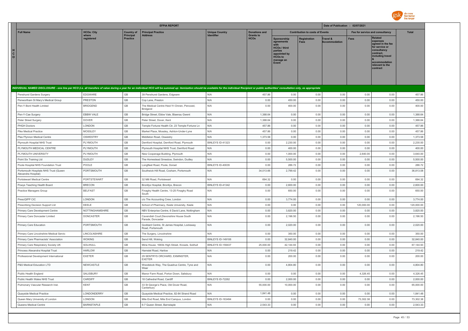

|                                                                                                                                                                                                                                |                                |                                       | <b>EFPIA REPORT</b>                                                     |                                     |                                          |                                                                                                                     |                                        | Date of Publication : 02/07/2021 |                                 |                                                                                                                                                                   |                    |
|--------------------------------------------------------------------------------------------------------------------------------------------------------------------------------------------------------------------------------|--------------------------------|---------------------------------------|-------------------------------------------------------------------------|-------------------------------------|------------------------------------------|---------------------------------------------------------------------------------------------------------------------|----------------------------------------|----------------------------------|---------------------------------|-------------------------------------------------------------------------------------------------------------------------------------------------------------------|--------------------|
| <b>Full Name</b>                                                                                                                                                                                                               | <b>HCOs: City</b><br>where     | <b>Country of</b><br><b>Principal</b> | <b>Principal Practice</b>                                               | <b>Unique Country</b><br>Identifier | <b>Donations and</b><br><b>Grants to</b> |                                                                                                                     | <b>Contribution to costs of Events</b> |                                  | Fee for service and consultancy |                                                                                                                                                                   | <b>Total</b>       |
| $\mathbf{c}$<br>$\circ$                                                                                                                                                                                                        | registered                     | <b>Practice</b>                       | <b>Address</b>                                                          |                                     | <b>HCOs</b>                              | Sponsorship<br>agreements<br><b>HCOs / third</b><br>parties<br>appointed by<br><b>HCOs to</b><br>manage an<br>Event | <b>Registration</b><br><b>Fees</b>     | Travel &<br><b>Accommodation</b> | Fees                            | <b>Related</b><br>expenses<br>agreed in the fee<br>for service or<br>consultancy<br>contract,<br>including travel<br>accommodation<br>relevant to the<br>contract |                    |
| INDIVIDUAL NAMED DISCLOSURE - one line per HCO (i.e. all transfers of value during a year for an individual HCO will be summed up: itemization should be available for the individual Recipient or public authorities' consult |                                |                                       |                                                                         |                                     |                                          |                                                                                                                     |                                        |                                  |                                 |                                                                                                                                                                   |                    |
| Penshurst Gardens Surgery                                                                                                                                                                                                      | <b>EDGWARE</b>                 | GB                                    | 39 Penshurst Gardens, Edgware                                           | N/A                                 | 457.86                                   | 0.00                                                                                                                | 0.00                                   | 0.00                             | 0.00                            | 0.00                                                                                                                                                              | 457.86             |
| Penwortham St Mary's Medical Group                                                                                                                                                                                             | <b>PRESTON</b>                 | GB                                    | Cop Lane, Preston                                                       | N/A                                 | 0.00                                     | 450.00                                                                                                              | 0.00                                   | 0.00                             | 0.00                            | 0.00                                                                                                                                                              | 450.00             |
| Pen-Y-Bont Health Limited                                                                                                                                                                                                      | <b>BRIDGEND</b>                | GB                                    | The Medical Centre Heol-Yr-Onnen, Pencoed,<br>Bridgend                  | N/A                                 | 0.00                                     | 400.00                                                                                                              | 0.00                                   | 0.00                             | 0.00                            | 0.00                                                                                                                                                              | 400.00             |
| Pen-Y-Cae Surgery                                                                                                                                                                                                              | EBBW VALE                      | GB                                    | Bridge Street, Ebbw Vale, Blaenau Gwent                                 | N/A                                 | 1,388.64                                 | 0.00                                                                                                                | 0.00                                   | 0.00                             | 0.00                            | 0.00                                                                                                                                                              | 1,388.64           |
| Peter Street Surgery                                                                                                                                                                                                           | <b>DOVER</b>                   | GB                                    | Peter Street, Dover, Kent                                               | N/A                                 | 1,388.64                                 | 0.00                                                                                                                | 0.00                                   | 0.00                             | 0.00                            | 0.00                                                                                                                                                              | 1,388.64           |
| PHGH Doctors                                                                                                                                                                                                                   | LONDON                         | $\mathbb{G}\mathbb{B}$                | Temple Fortune Health Ctr, 23 Temple Fortune Ln                         | N/A                                 | 457.86                                   | 0.00                                                                                                                | 0.00                                   | 0.00                             | 0.00                            | 0.00                                                                                                                                                              | 457.86             |
| <b>Pike Medical Practice</b>                                                                                                                                                                                                   | MOSSLEY                        | GB                                    | Market Place, Mossley, Ashton-Under-Lyne                                | N/A                                 | 457.86                                   | 0.00                                                                                                                | 0.00                                   | 0.00                             | 0.00                            | 0.00                                                                                                                                                              | 457.86             |
| Plas Ffynnon Medical Centre                                                                                                                                                                                                    | OSWESTRY                       | GB                                    | Middleton Road, Oswestry                                                | N/A                                 | 1,373.58                                 | 0.00                                                                                                                | 0.00                                   | 0.00                             | 0.00                            | 0.00                                                                                                                                                              | 1,373.58           |
| Plymouth Hospital NHS Trust                                                                                                                                                                                                    | PLYMOUTH                       | GB                                    | Derriford Hospital, Derriford Road, Plymouth                            | BINLEYS ID-41323                    | 0.00                                     | 2,230.00                                                                                                            | 0.00                                   | 0.00                             | 0.00                            | 0.00                                                                                                                                                              | 2,230.00           |
| PLYMOUTH MEDICAL CENTRE                                                                                                                                                                                                        | PLYMOUTH                       | GB                                    | Plymouth Hospital NHS Trust, Derriford Road                             | N/A                                 | 0.00                                     | 400.00                                                                                                              | 0.00                                   | 0.00                             | 0.00                            | 0.00                                                                                                                                                              | 400.00             |
| PLYMOUTH UNIVERSITY                                                                                                                                                                                                            | PLYMOUTH                       | $\mathbb{G}\mathbb{B}$<br>GB          | New Cooperage Building, Plymouth                                        | N/A                                 | 0.00<br>0.00                             | 1,000.00                                                                                                            | 0.00                                   | 0.00                             | 2,640.00                        | 0.00                                                                                                                                                              | 3,640.00           |
| Point Six Training Ltd<br>Poole Hospital NHS Foundation Trust                                                                                                                                                                  | <b>DUDLEY</b><br>POOLE         | GB                                    | The Homestead Smestow, Swindon, Dudley<br>Longfleet Road, Poole, Dorset | N/A<br>BINLEYS ID-40035             | 0.00                                     | 5,500.00<br>286.72                                                                                                  | 0.00<br>0.00                           | 0.00<br>0.00                     | 0.00<br>0.00                    | 0.00<br>0.00                                                                                                                                                      | 5,500.00<br>286.72 |
| Portsmouth Hospitals NHS Trust (Queen<br>Alexandra Hospital)                                                                                                                                                                   | PORTSMOUTH                     | GB                                    | Southwick Hill Road, Cosham, Portsmouth                                 | N/A                                 | 34,013.66                                | 2,799.42                                                                                                            | 0.00                                   | 0.00                             | 0.00                            | 0.00                                                                                                                                                              | 36,813.08          |
| Portstewart Medical Centre                                                                                                                                                                                                     | PORTSTEWART                    | GB                                    | 32 Mill Road, Portstewart                                               | N/A                                 | 694.32                                   | 0.00                                                                                                                | 0.00                                   | 0.00                             | 0.00                            | 0.00                                                                                                                                                              | 694.32             |
| Powys Teaching Health Board                                                                                                                                                                                                    | <b>BRECON</b>                  | GB                                    | Bronllys Hospital, Bronllys, Brecon                                     | BINLEYS ID-41342                    | 0.00                                     | 2,600.00                                                                                                            | 0.00                                   | 0.00                             | 0.00                            | 0.00                                                                                                                                                              | 2,600.00           |
| Practice Managers Group                                                                                                                                                                                                        | <b>BELFAST</b>                 | $\mathbb{G}\mathbb{B}$                | Finaghy Health Centre, 13-25 Finaghy Road<br>South                      | N/A                                 | 0.00                                     | 650.00                                                                                                              | 0.00                                   | 0.00                             | 0.00                            | 0.00                                                                                                                                                              | 650.00             |
| PrescQIPP CIC                                                                                                                                                                                                                  | LONDON                         | $\mathbb{G}\mathbb{B}$                | c/o The Accounting Crew, London                                         | N/A                                 | 0.00                                     | 3,774.00                                                                                                            | 0.00                                   | 0.00                             | 0.00                            | 0.00                                                                                                                                                              | 3,774.00           |
| Prescribing Decision Support Ltd                                                                                                                                                                                               | KEELE                          | $\mathbb{G}\mathbb{B}$                | School of Pharmacy, Keele University, Keele                             | N/A                                 | 0.00                                     | 0.00                                                                                                                | 0.00                                   | 0.00                             | 120,000.00                      | 0.00                                                                                                                                                              | 120,000.00         |
| Primary Care Development Centre                                                                                                                                                                                                | NOTTINGHAMSHIRE                | $\mathbb{G}\mathbb{B}$                | NBV Enterprise Centre, 6 David Lane, Nottingham                         | N/A                                 | 0.00                                     | 3,820.00                                                                                                            | 0.00                                   | 0.00                             | 0.00                            | 0.00                                                                                                                                                              | 3,820.00           |
| Primary Care Doncaster Limited                                                                                                                                                                                                 | <b>DONCASTER</b>               | GB                                    | Cavendish Court.Devonshire House South<br>Parade, Doncaster             | N/A                                 | 0.00                                     | 2,196.50                                                                                                            | 0.00                                   | 0.00                             | 0.00                            | 0.00                                                                                                                                                              | 2.196.50           |
| Primary Care Education                                                                                                                                                                                                         | PORTSMOUTH                     | $\mathbb{G}\mathbb{B}$                | Goddard Centre, St James Hospital, Locksway<br>Road, Portsmouth         | N/A                                 | 0.00                                     | 2,020.00                                                                                                            | 0.00                                   | 0.00                             | 0.00                            | 0.00                                                                                                                                                              | 2,020.00           |
| Primary Care Lincolnshire Medical Servic                                                                                                                                                                                       | LINCOLNSHIRE                   | GB                                    | The Surgery, Lincolnshire                                               | N/A                                 | 0.00                                     | 350.00                                                                                                              | 0.00                                   | 0.00                             | 0.00                            | 0.00                                                                                                                                                              | 350.00             |
| Primary Care Pharmacists' Association                                                                                                                                                                                          | <b>WOKING</b>                  | GB                                    | Send Hill, Woking                                                       | BINLEYS ID-149106                   | 0.00                                     | 32,840.00                                                                                                           | 0.00                                   | 0.00                             | 0.00                            | 0.00                                                                                                                                                              | 32.840.00          |
| Primary Care Respiratory Society UK                                                                                                                                                                                            | SOLIHULL                       | GB                                    | Miria House, 1683b High Street, Knowle, Solihull                        | BINLEYS ID-159437                   | 25,000.00                                | 42,144.93                                                                                                           | 0.00                                   | 0.00                             | 0.00                            | 0.00                                                                                                                                                              | 67,144.93          |
| Princess Alexandra Hospital Trust<br>Professional Development International                                                                                                                                                    | <b>HARLOW</b><br><b>EXETER</b> | GB<br>GB                              | Hamstel Road, Harlow<br>29 SENTRYS ORCHARD, EXMINSTER,<br><b>EXETER</b> | N/A<br>N/A                          | 0.00<br>0.00                             | 219.42<br>200.00                                                                                                    | 0.00<br>0.00                           | 0.00<br>0.00                     | 0.00<br>0.00                    | 0.00<br>0.00                                                                                                                                                      | 219.42<br>200.00   |
| P&S Medical Education LTD                                                                                                                                                                                                      | NEWCASTLE                      | GB                                    | Woodstock Way, The Quadrus Centre, Tyne and<br>Wear                     | N/A                                 | 0.00                                     | 4,804.80                                                                                                            | 0.00                                   | 0.00                             | 0.00                            | 0.00                                                                                                                                                              | 4,804.80           |
| Public Health England                                                                                                                                                                                                          | SALISBURY                      | GB                                    | Manor Farm Road, Porton Down, Salisbury                                 | N/A                                 | 0.00                                     | 0.00                                                                                                                | 0.00                                   | 0.00                             | 4,326.45                        | 0.00                                                                                                                                                              | 4,326.45           |
| Public Health Wales NHS Trust                                                                                                                                                                                                  | CARDIFF                        | GB                                    | 18 Cathedral Road, Cardiff                                              | BINLEYS ID-72262                    | 0.00                                     | 2,000.00                                                                                                            | 0.00                                   | 0.00                             | 0.00                            | 0.00                                                                                                                                                              | 2,000.00           |
| Pulmonary Vascular Research Inst.                                                                                                                                                                                              | <b>KENT</b>                    | GB                                    | 33 St George's Place, Old Dover Road,<br>Canterbury                     | N/A                                 | 55,000.00                                | 10,000.00                                                                                                           | 0.00                                   | 0.00                             | 0.00                            | 0.00                                                                                                                                                              | 65,000.00          |
| Quayside Medical Practice                                                                                                                                                                                                      | LONDONDERRY                    | GB                                    | Quayside Medical Practice, 82-84 Strand Road                            | N/A                                 | 1,841.48                                 | 0.00                                                                                                                | 0.00                                   | 0.00                             | 0.00                            | 0.00                                                                                                                                                              | 1,841.48           |
| Queen Mary University of London                                                                                                                                                                                                | LONDON                         | GB                                    | Mile End Road, Mile End Campus, London                                  | BINLEYS ID-163494                   | 0.00                                     | 0.00                                                                                                                | 0.00                                   | 0.00                             | 73,302.38                       | 0.00                                                                                                                                                              | 73,302.38          |
| Queens Medical Centre                                                                                                                                                                                                          | <b>BARNSTAPLE</b>              | GB                                    | 6-7 Queen Street, Barnstaple                                            | N/A                                 | 2,543.33                                 | 0.00                                                                                                                | 0.00                                   | 0.00                             | 0.00                            | 0.00                                                                                                                                                              | 2,543.33           |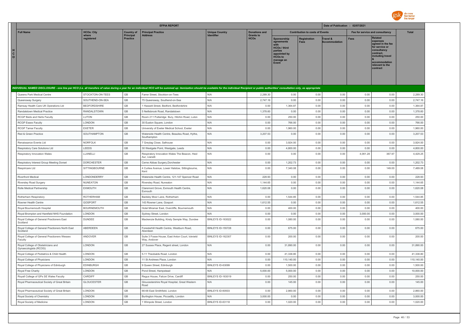

|                                                                                                                                                                                                                                |                            |                                       | <b>EFPIA REPORT</b>                                             |                                     |                                          |                                                                                                                             |                                        | Date of Publication : 02/07/2021 |                                 |                                                                                                                                                                   |              |
|--------------------------------------------------------------------------------------------------------------------------------------------------------------------------------------------------------------------------------|----------------------------|---------------------------------------|-----------------------------------------------------------------|-------------------------------------|------------------------------------------|-----------------------------------------------------------------------------------------------------------------------------|----------------------------------------|----------------------------------|---------------------------------|-------------------------------------------------------------------------------------------------------------------------------------------------------------------|--------------|
| <b>Full Name</b>                                                                                                                                                                                                               | <b>HCOs: City</b><br>where | <b>Country of</b><br><b>Principal</b> | <b>Principal Practice</b><br><b>Address</b>                     | <b>Unique Country</b><br>Identifier | <b>Donations and</b><br><b>Grants to</b> |                                                                                                                             | <b>Contribution to costs of Events</b> |                                  | Fee for service and consultancy |                                                                                                                                                                   | <b>Total</b> |
| н<br>C<br>$\circ$                                                                                                                                                                                                              | registered                 | <b>Practice</b>                       |                                                                 |                                     | <b>HCOs</b>                              | Sponsorship<br>agreements<br>with<br><b>HCOs / third</b><br>parties<br>appointed by<br><b>HCOs to</b><br>manage an<br>Event | <b>Registration</b><br><b>Fees</b>     | Travel &<br><b>Accommodation</b> | <b>Fees</b>                     | <b>Related</b><br>expenses<br>agreed in the fee<br>for service or<br>consultancy<br>contract,<br>including travel<br>accommodation<br>relevant to the<br>contract |              |
| INDIVIDUAL NAMED DISCLOSURE - one line per HCO (i.e. all transfers of value during a year for an individual HCO will be summed up: itemization should be available for the individual Recipient or public authorities' consult |                            |                                       |                                                                 |                                     |                                          |                                                                                                                             |                                        |                                  |                                 |                                                                                                                                                                   |              |
| Queens Park Medical Centre                                                                                                                                                                                                     | STOCKTON-ON-TEES           | GB                                    | Farrer Street, Stockton-on-Tees                                 | N/A                                 | 2,289.30                                 | 0.00                                                                                                                        | 0.00                                   | 0.00                             | 0.00                            | 0.00                                                                                                                                                              | 2,289.30     |
| Queensway Surgery                                                                                                                                                                                                              | SOUTHEND-ON-SEA            | GB                                    | 75 Queensway, Southend-on-Sea                                   | N/A                                 | 2,747.16                                 | 0.00                                                                                                                        | 0.00                                   | 0.00                             | 0.00                            | 0.00                                                                                                                                                              | 2,747.16     |
| Ramsay Health Care UK Operations Ltd                                                                                                                                                                                           | <b>BEDFORDSHIRE</b>        | GB                                    | 1 Hassett Street, Bedford, Bedfordshire                         | N/A                                 | 0.00                                     | 1,364.87                                                                                                                    | 0.00                                   | 0.00                             | 0.00                            | 0.00                                                                                                                                                              | 1,364.87     |
| Randalstown Medical Practice                                                                                                                                                                                                   | RANDALSTOWN                | GB                                    | 5 Neillsbrook Road, Randalstown                                 | N/A                                 | 1,378.60                                 | 0.00                                                                                                                        | 0.00                                   | 0.00                             | 0.00                            | 0.00                                                                                                                                                              | 1,378.60     |
| RCGP Beds and Herts Faculty                                                                                                                                                                                                    | LUTON                      | GB                                    | Room 211 Putteridge Bury, Hitchin Road, Luton                   | N/A                                 | 0.00                                     | 250.00                                                                                                                      | 0.00                                   | 0.00                             | 0.00                            | 0.00                                                                                                                                                              | 250.00       |
| <b>RCGP Essex Faculty</b>                                                                                                                                                                                                      | LONDON                     | $\mathbb{G}\mathbb{B}$                | 30 Euston Square, London                                        | N/A                                 | 0.00                                     | 766.00                                                                                                                      | 0.00                                   | 0.00                             | 0.00                            | 0.00                                                                                                                                                              | 766.00       |
| RCGP Tamar Faculty                                                                                                                                                                                                             | <b>EXETER</b>              | GB                                    | University of Exeter Medical School, Exeter                     | N/A                                 | 0.00                                     | 1,960.00                                                                                                                    | 0.00                                   | 0.00                             | 0.00                            | 0.00                                                                                                                                                              | 1,960.00     |
| Red & Green Practice                                                                                                                                                                                                           | SOUTHAMPTON                | GB                                    | Waterside Health Centre, Beaulieu Road, Hythe,<br>Southampton   | N/A                                 | 3,207.53                                 | 0.00                                                                                                                        | 0.00                                   | 0.00                             | 0.00                            | 0.00                                                                                                                                                              | 3,207.53     |
| Renaissance Events Ltd                                                                                                                                                                                                         | NORFOLK                    | $\mathbb{G}\mathbb{B}$                | 7 Greylag Close, Salhouse                                       | N/A                                 | 0.00                                     | 3,924.00                                                                                                                    | 0.00                                   | 0.00                             | 0.00                            | 0.00                                                                                                                                                              | 3,924.00     |
| Respiratory Care Solutions Ltd                                                                                                                                                                                                 | LEEDS                      | GB                                    | 30 Westgate Point, Westgate, Leeds                              | N/A                                 | 0.00                                     | 4,800.00                                                                                                                    | 0.00                                   | 0.00                             | 0.00                            | 0.00                                                                                                                                                              | 4,800.00     |
| Respiratory Innovation Wales                                                                                                                                                                                                   | LLANELLI                   | GB                                    | Respiratory Innovation Wales The Beacon, Heol<br>Aur, Llanelli  | N/A                                 | 0.00                                     | 0.00                                                                                                                        | 0.00                                   | 0.00                             | 4,061.28                        | 367.97                                                                                                                                                            | 4,429.25     |
| Respiratory Interest Group Meeting Dorset                                                                                                                                                                                      | <b>DORCHESTER</b>          | $\mathbb{G}\mathbb{B}$                | Cerne Abbas Surgery, Dorchester                                 | N/A                                 | 0.00                                     | 1,202.73                                                                                                                    | 0.00                                   | 0.00                             | 0.00                            | 0.00                                                                                                                                                              | 1,202.73     |
| Respiricare Ltd                                                                                                                                                                                                                | SITTINGBOURNE              | GB                                    | 4 Curlew Avenue, Lower Halstow, Sittingbourne,<br>Kent          | N/A                                 | 0.00                                     | 7,340.08                                                                                                                    | 0.00                                   | 0.00                             | 0.00                            | 149.00                                                                                                                                                            | 7,489.08     |
| <b>Riverfront Medical</b>                                                                                                                                                                                                      | LONDONDERRY                | $\mathbb{G}\mathbb{B}$                | Waterside Health Centre, 121-147 Spencer Road                   | N/A                                 | 228.93                                   | 0.00                                                                                                                        | 0.00                                   | 0.00                             | 0.00                            | 0.00                                                                                                                                                              | 228.93       |
| <b>Riversley Road Surgery</b>                                                                                                                                                                                                  | NUNEATON                   | GB                                    | Riversley Road, Nuneaton                                        | N/A                                 | 1,144.65                                 | 0.00                                                                                                                        | 0.00                                   | 0.00                             | 0.00                            | 0.00                                                                                                                                                              | 1,144.65     |
| Rolle Medical Partnership                                                                                                                                                                                                      | <b>EXMOUTH</b>             | $\mathbb{G}\mathbb{B}$                | Claremont Grove, Exmouth Health Centre<br>Exmouth               | N/A                                 | 1,620.08                                 | 0.00                                                                                                                        | 0.00                                   | 0.00                             | 0.00                            | 0.00                                                                                                                                                              | 1,620.08     |
| Rotherham Respiratory                                                                                                                                                                                                          | <b>ROTHERHAM</b>           | GB                                    | Badsley Moor Lane, Rotherham                                    | N/A                                 | 0.00                                     | 1,544.85                                                                                                                    | 0.00                                   | 0.00                             | 0.00                            | 0.00                                                                                                                                                              | 1,544.85     |
| Rowner Health Centre                                                                                                                                                                                                           | GOSPORT                    | GB                                    | 143 Rowner Lane, Gosport                                        | N/A                                 | 1,612.55                                 | 0.00                                                                                                                        | 0.00                                   | 0.00                             | 0.00                            | 0.00                                                                                                                                                              | 1,612.55     |
| Royal Bournemouth Hospital                                                                                                                                                                                                     | <b>BOURNEMOUTH</b>         | GB                                    | Hotel Miramar East, Overcliffe, Bournemouth                     | N/A                                 | 0.00                                     | 400.00                                                                                                                      | 0.00                                   | 0.00                             | 0.00                            | 0.00                                                                                                                                                              | 400.00       |
| Royal Brompton and Harefield NHS Foundation                                                                                                                                                                                    | LONDON                     | GB                                    | Sydney Street, London                                           | N/A                                 | 0.00                                     | 0.00                                                                                                                        | 0.00                                   | 0.00                             | 3,000.00                        | 0.00                                                                                                                                                              | 3,000.00     |
| Royal College of General Practioners East<br>Scotland                                                                                                                                                                          | <b>DUNDEE</b>              | GB                                    | Mackenzie Building, Kirsty Semple Way, Dundee                   | BINLEYS ID-163022                   | 0.00                                     | 1,080.00                                                                                                                    | 0.00                                   | 0.00                             | 0.00                            | 0.00                                                                                                                                                              | 1,080.00     |
| Royal College of General Practioners North East<br>Scotland                                                                                                                                                                    | <b>ABERDEEN</b>            | GB                                    | Foresterhill Health Centre, Westburn Road,<br>Aberdeen          | BINLEYS ID-155728                   | 0.00                                     | 675.00                                                                                                                      | 0.00                                   | 0.00                             | 0.00                            | 0.00                                                                                                                                                              | 675.00       |
| Royal College of General Practioners Wessex<br>Faculty                                                                                                                                                                         | ANDOVER                    | GB                                    | Suite 3 Fosse House, East Anton Court, Icknield<br>Way, Andover | BINLEYS ID-162307                   | 0.00                                     | 200.00                                                                                                                      | 0.00                                   | 0.00                             | 0.00                            | 0.00                                                                                                                                                              | 200.00       |
| Royal College of Obstetricians and<br>Gynaecologists (RCOG)                                                                                                                                                                    | LONDON                     | GB                                    | 27 Sussex Place, Regent street, London                          | N/A                                 | 0.00                                     | 31,890.00                                                                                                                   | 0.00                                   | 0.00                             | 0.00                            | 0.00                                                                                                                                                              | 31,890.00    |
| Royal College of Pediatrics & Child Health                                                                                                                                                                                     | LONDON                     | GB                                    | 5-11 Theobalds Road, London                                     | N/A                                 | 0.00                                     | 41,338.80                                                                                                                   | 0.00                                   | 0.00                             | 0.00                            | 0.00                                                                                                                                                              | 41,338.80    |
| Royal College of Physicians                                                                                                                                                                                                    | LONDON                     | GB                                    | 11 St Andrews Place, London                                     | N/A                                 | 0.00                                     | 110,140.00                                                                                                                  | 0.00                                   | 0.00                             | 0.00                            | 0.00                                                                                                                                                              | 110,140.00   |
| Royal College of Physicians of Edinburgh                                                                                                                                                                                       | <b>EDINBURGH</b>           | $\mathbb{G}\mathbb{B}$                | 9 Queen Street, Edinburgh                                       | BINLEYS ID-63099                    | 0.00                                     | 1,500.00                                                                                                                    | 0.00                                   | 0.00                             | 0.00                            | 0.00                                                                                                                                                              | 1,500.00     |
| Royal Free Charity                                                                                                                                                                                                             | LONDON                     | GB                                    | Pond Street, Hampstead                                          | N/A                                 | 5,000.00                                 | 5,000.00                                                                                                                    | 0.00                                   | 0.00                             | 0.00                            | 0.00                                                                                                                                                              | 10,000.00    |
| Royall College of GPs SE Wales Faculty                                                                                                                                                                                         | CARDIFF                    | GB                                    | Regus House, Falcon Drive, Cardiff                              | <b>BINLEYS ID-163019</b>            | 0.00                                     | 250.00                                                                                                                      | 0.00                                   | 0.00                             | 0.00                            | 0.00                                                                                                                                                              | 250.00       |
| Royal Pharmaceutical Society of Great Britain                                                                                                                                                                                  | <b>GLOUCESTER</b>          | GB                                    | Gloucestershire Royal Hospital, Great Western<br>Road           | N/A                                 | 0.00                                     | 145.00                                                                                                                      | 0.00                                   | 0.00                             | 0.00                            | 0.00                                                                                                                                                              | 145.00       |
| Royal Pharmaceutical Society of Great Britain                                                                                                                                                                                  | LONDON                     | GB                                    | 66-68 East Smithfield, London                                   | BINLEYS ID-60503                    | 0.00                                     | 2,860.00                                                                                                                    | 0.00                                   | 0.00                             | 0.00                            | 0.00                                                                                                                                                              | 2,860.00     |
| Royal Society of Chemistry                                                                                                                                                                                                     | LONDON                     | GB                                    | Burlington House, Piccadilly, London                            | N/A                                 | 3,000.00                                 | 0.00                                                                                                                        | 0.00                                   | 0.00                             | 0.00                            | 0.00                                                                                                                                                              | 3,000.00     |
| Royal Society of Medicine                                                                                                                                                                                                      | LONDON                     | GB                                    | 1 Wimpole Street, London                                        | BINLEYS ID-63118                    | 0.00                                     | 1,020.00                                                                                                                    | 0.00                                   | 0.00                             | 0.00                            | 0.00                                                                                                                                                              | 1,020.00     |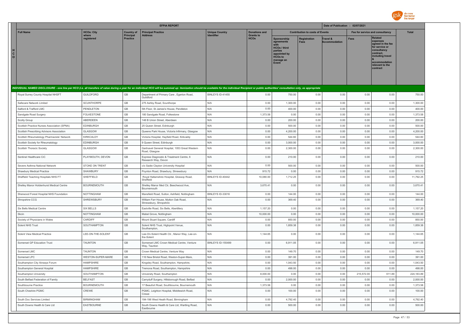

|                        |                                                                                                                                                                                                                                                                      |                     | <b>EFPIA REPORT</b>                 |                                                                 |                       |                                 |                                                                                                                     | Date of Publication : 02/07/2021       |                                  |                                 |                                                                                                                                                                   |              |
|------------------------|----------------------------------------------------------------------------------------------------------------------------------------------------------------------------------------------------------------------------------------------------------------------|---------------------|-------------------------------------|-----------------------------------------------------------------|-----------------------|---------------------------------|---------------------------------------------------------------------------------------------------------------------|----------------------------------------|----------------------------------|---------------------------------|-------------------------------------------------------------------------------------------------------------------------------------------------------------------|--------------|
|                        | <b>Full Name</b>                                                                                                                                                                                                                                                     | <b>HCOs: City</b>   | <b>Country of</b>                   | <b>Principal Practice</b>                                       | <b>Unique Country</b> | <b>Donations and</b>            |                                                                                                                     | <b>Contribution to costs of Events</b> |                                  | Fee for service and consultancy |                                                                                                                                                                   | <b>Total</b> |
| H<br>C<br>$\mathbf{o}$ | INDIVIDUAL NAMED DISCLOSURE - one line per HCO (i.e. all transfers of value during a year for an individual HCO will be summed up: itemization should be available for the individual Recipient or public authorities' consult<br>Royal Surrey County Hospital NHSFT | where<br>registered | <b>Principal</b><br><b>Practice</b> | <b>Address</b>                                                  | Identifier            | <b>Grants to</b><br><b>HCOs</b> | Sponsorship<br>agreements<br><b>HCOs / third</b><br>parties<br>appointed by<br><b>HCOs to</b><br>manage an<br>Event | Registration<br><b>Fees</b>            | Travel &<br><b>Accommodation</b> | <b>Fees</b>                     | <b>Related</b><br>expenses<br>agreed in the fee<br>for service or<br>consultancy<br>contract.<br>including travel<br>accommodation<br>relevant to the<br>contract |              |
|                        |                                                                                                                                                                                                                                                                      |                     |                                     |                                                                 |                       |                                 |                                                                                                                     |                                        |                                  |                                 |                                                                                                                                                                   |              |
|                        |                                                                                                                                                                                                                                                                      | <b>GUILDFORD</b>    | GB                                  | Department of Primary Care, Egerton Road,<br>Guildford          | BINLEYS ID-41455      | 0.00                            | 750.00                                                                                                              | 0.00                                   | 0.00                             | 0.00                            | 0.00                                                                                                                                                              | 750.00       |
|                        | Safecare Network Limited                                                                                                                                                                                                                                             | <b>SCUNTHORPE</b>   | GB                                  | 275 Ashby Road, Scunthorpe                                      | N/A                   | 0.00                            | 1,300.00                                                                                                            | 0.00                                   | 0.00                             | 0.00                            | 0.00                                                                                                                                                              | 1,300.00     |
|                        | Salford & Trafford LMC                                                                                                                                                                                                                                               | PENDLETON           | GB                                  | 5th Floor, St James's House, Pendleton                          | N/A                   | 0.00                            | 400.00                                                                                                              | 0.00                                   | 0.00                             | 0.00                            | 0.00                                                                                                                                                              | 400.00       |
|                        | Sandgate Road Surgery                                                                                                                                                                                                                                                | <b>FOLKESTONE</b>   | GB                                  | 180 Sandgate Road, Folkestone                                   | N/A                   | 1,373.58                        | 0.00                                                                                                                | 0.00                                   | 0.00                             | 0.00                            | 0.00                                                                                                                                                              | 1,373.58     |
|                        | Scolty Group                                                                                                                                                                                                                                                         | <b>ABERDEEN</b>     | GB                                  | 148 B Union Street, Aberdeen                                    | N/A                   | 0.00                            | 200.00                                                                                                              | 0.00                                   | 0.00                             | 0.00                            | 0.00                                                                                                                                                              | 200.00       |
|                        | Scottish Practice Nurses Association (SPNA)                                                                                                                                                                                                                          | <b>EDINBURGH</b>    | GB                                  | 25 Queen Street, Edinburgh                                      | N/A                   | 0.00                            | 500.00                                                                                                              | 0.00                                   | 0.00                             | 0.00                            | 0.00                                                                                                                                                              | 500.00       |
|                        | Scottish Prescribing Advisors Association                                                                                                                                                                                                                            | GLASGOW             | GB                                  | Queens Park House, Victoria Infirmary, Glasgow                  | N/A                   | 0.00                            | 4,200.00                                                                                                            | 0.00                                   | 0.00                             | 0.00                            | 0.00                                                                                                                                                              | 4,200.00     |
|                        | Scottish Rheumatology Pharmacists' Network                                                                                                                                                                                                                           | KIRKCALDY           | GB                                  | Victoria Hospital, Hayfield Road, Kirkcaldy                     | N/A                   | 0.00                            | 544.60                                                                                                              | 0.00                                   | 0.00                             | 0.00                            | 0.00                                                                                                                                                              | 544.60       |
|                        | Scottish Society for Rheumatology                                                                                                                                                                                                                                    | <b>EDINBURGH</b>    | GB                                  | 9 Queen Street, Edinburgh                                       | N/A                   | 0.00                            | 3,000.00                                                                                                            | 0.00                                   | 0.00                             | 0.00                            | 0.00                                                                                                                                                              | 3,000.00     |
|                        | Scottish Thoracic Society                                                                                                                                                                                                                                            | GLASGOW             | GB                                  | Gartnavel General Hospital, 1053 Great Western<br>Road, Glasgow | N/A                   | 0.00                            | 2,300.00                                                                                                            | 0.00                                   | 0.00                             | 0.00                            | 0.00                                                                                                                                                              | 2,300.00     |
|                        | Sentinel Healthcare CiC                                                                                                                                                                                                                                              | PLAYMOUTH, DEVON    | GB                                  | Express Diagnostic & Treatment Centre, 6<br>Research Way, Devon | N/A                   | 0.00                            | 210.00                                                                                                              | 0.00                                   | 0.00                             | 0.00                            | 0.00                                                                                                                                                              | 210.00       |
|                        | Severe Asthma National Network                                                                                                                                                                                                                                       | STOKE ON TRENT      | GB                                  | c/o Sadie Clayton University Hospital                           | N/A                   | 0.00                            | 500.00                                                                                                              | 0.00                                   | 0.00                             | 0.00                            | 0.00                                                                                                                                                              | 500.00       |
|                        | Shawbury Medical Practice                                                                                                                                                                                                                                            | SHAWBURY            | GB                                  | Poynton Road, Shawbury, Shrewsbury                              | N/A                   | 915.72                          | 0.00                                                                                                                | 0.00                                   | 0.00                             | 0.00                            | 0.00                                                                                                                                                              | 915.72       |
|                        | Sheffield Teaching Hospitals NHS FT                                                                                                                                                                                                                                  | SHEFFIELD           | GB                                  | Royal Hallamshire Hospital, Glossop Road,<br>Sheffield          | BINLEYS ID-40442      | 10,080.00                       | 1,712.25                                                                                                            | 0.00                                   | 0.00                             | 0.00                            | 0.00                                                                                                                                                              | 11,792.25    |
|                        | Shelley Manor Holdenhurst Medical Centre                                                                                                                                                                                                                             | <b>BOURNEMOUTH</b>  | GB                                  | Shelley Manor Med Ctr, Beechwood Ave,<br>Bournemouth            | N/A                   | 3,670.41                        | 0.00                                                                                                                | 0.00                                   | 0.00                             | 0.00                            | 0.00                                                                                                                                                              | 3,670.41     |
|                        | Sherwood Forest Hospital NHS Foundation                                                                                                                                                                                                                              | <b>NOTTINGHAM</b>   | GB                                  | Mansfield Road, Sutton, Ashfield, Nottingham                    | BINLEYS ID-33016      | 0.00                            | 144.00                                                                                                              | 0.00                                   | 0.00                             | 0.00                            | 0.00                                                                                                                                                              | 144.00       |
|                        | Shropshire CCG                                                                                                                                                                                                                                                       | SHREWSBURY          | GB                                  | William Farr House, Mytton Oak Road<br>Shrewsbury, Shropshire   | N/A                   | 0.00                            | 369.40                                                                                                              | 0.00                                   | 0.00                             | 0.00                            | 0.00                                                                                                                                                              | 369.40       |
|                        | Six Bells Medical Centre                                                                                                                                                                                                                                             | <b>SIX BELLS</b>    | GB                                  | Eastville Road, Six Bells, Abertillery                          | N/A                   | 1,157.20                        | 0.00                                                                                                                | 0.00                                   | 0.00                             | 0.00                            | 0.00                                                                                                                                                              | 1,157.20     |
|                        | Skcin                                                                                                                                                                                                                                                                | <b>NOTTINGHAM</b>   | GB                                  | Mabel Grove, Nottingham                                         | N/A                   | 10,000.00                       | 0.00                                                                                                                | 0.00                                   | 0.00                             | 0.00                            | 0.00                                                                                                                                                              | 10,000.00    |
|                        | Society of Physicians in Wales                                                                                                                                                                                                                                       | CARDIFF             | GB                                  | Mount Stuart Square, Cardiff                                    | N/A                   | 0.00                            | 850.00                                                                                                              | 0.00                                   | 0.00                             | 0.00                            | 0.00                                                                                                                                                              | 850.00       |
|                        | Solent NHS Trust                                                                                                                                                                                                                                                     | SOUTHAMPTON         | GB                                  | Solent NHS Trust, Highpoint Venue,<br>Southampton,              | N/A                   | 0.00                            | 1,859.38                                                                                                            | 0.00                                   | 0.00                             | 0.00                            | 0.00                                                                                                                                                              | 1,859.38     |
|                        | Solent View Medical Practice                                                                                                                                                                                                                                         | LEE-ON-THE-SOLENT   | GB                                  | Lee-On-Solent Health Ctr., Manor Way, Lee-on-<br>the-Solent     | N/A                   | 1,144.65                        | 0.00                                                                                                                | 0.00                                   | 0.00                             | 0.00                            | 0.00                                                                                                                                                              | 1,144.65     |
|                        | Somerset GP Education Trust                                                                                                                                                                                                                                          | <b>TAUNTON</b>      | GB                                  | Somerset LMC Crown Medical Centre, Venture<br>Way, Taunton      | BINLEYS ID-155499     | 0.00                            | 6,911.05                                                                                                            | 0.00                                   | 0.00                             | 0.00                            | 0.00                                                                                                                                                              | 6,911.05     |
|                        | Somerset LMC                                                                                                                                                                                                                                                         | <b>TAUNTON</b>      | GB                                  | Crown Medical Centre, Venture Way                               | N/A                   | 0.00                            | 149.70                                                                                                              | 0.00                                   | 0.00                             | 0.00                            | 0.00                                                                                                                                                              | 149.70       |
|                        | Somerset LPC                                                                                                                                                                                                                                                         | WESTON-SUPER-MARE   | GB                                  | 116 New Bristol Road, Weston-Super-Mare                         | N/A                   | 0.00                            | 391.00                                                                                                              | 0.00                                   | 0.00                             | 0.00                            | 0.00                                                                                                                                                              | 391.00       |
|                        | Southampton City Airways Forum                                                                                                                                                                                                                                       | <b>HAMPSHIRE</b>    | GB                                  | Kingsley Road, Southampton, Hampshire,                          | N/A                   | 0.00                            | 1,043.50                                                                                                            | 0.00                                   | 0.00                             | 0.00                            | 0.00                                                                                                                                                              | 1,043.50     |
|                        | Southampton General Hospital                                                                                                                                                                                                                                         | <b>HAMPSHIRE</b>    | GB                                  | Tremona Road, Southampton, Hampshire                            | N/A                   | 0.00                            | 498.00                                                                                                              | 0.00                                   | 0.00                             | 0.00                            | 0.00                                                                                                                                                              | 498.00       |
|                        | Southampton University                                                                                                                                                                                                                                               | SOUTHAMPTON         | GB                                  | University Road, Southampton                                    | N/A                   | 8,000.00                        | 0.00                                                                                                                | 0.00                                   | 0.00                             | 215,572.00                      | 611.89                                                                                                                                                            | 224,183.89   |
|                        | South Belfast Federation of Family                                                                                                                                                                                                                                   | <b>BELFAST</b>      | GB                                  | Carryduff Surgery, Hillsborough Road, Belfast                   | N/A                   | 0.00                            | 2,000.00                                                                                                            | 0.00                                   | 0.00                             | 0.00                            | 0.00                                                                                                                                                              | 2,000.00     |
|                        | Southbourne Practice                                                                                                                                                                                                                                                 | <b>BOURNEMOUTH</b>  | GB                                  | 17 Beaufort Road, Southbourne, Bournemouth                      | N/A                   | 1,373.58                        | 0.00                                                                                                                | 0.00                                   | 0.00                             | 0.00                            | 0.00                                                                                                                                                              | 1,373.58     |
|                        | South Cheshire PGMC                                                                                                                                                                                                                                                  | CREWE               | GB                                  | PGMC, Leighton Hospital, Middlewich Road,<br>Crewe              | N/A                   | 0.00                            | 100.00                                                                                                              | 0.00                                   | 0.00                             | 0.00                            | 0.00                                                                                                                                                              | 100.00       |
|                        | South Doc Services Limited                                                                                                                                                                                                                                           | <b>BIRMINGHAM</b>   | GB                                  | 194-196 West Heath Road, Birmingham                             | N/A                   | 0.00                            | 4,792.40                                                                                                            | 0.00                                   | 0.00                             | 0.00                            | 0.00                                                                                                                                                              | 4,792.40     |
|                        | South Downs Health & Care Ltd                                                                                                                                                                                                                                        | EASTBOURNE          | GB                                  | South Downs Health & Care Ltd, Wartling Road,<br>Eastbourne     | N/A                   | 0.00                            | 500.00                                                                                                              | 0.00                                   | 0.00                             | 0.00                            | 0.00                                                                                                                                                              | 500.00       |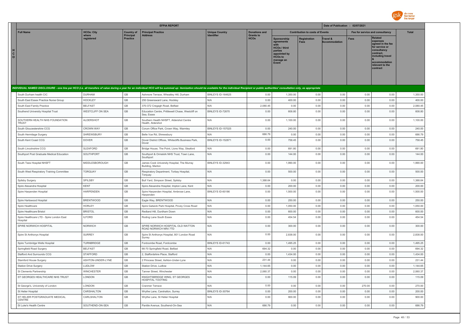

|                                                                                                                                                                                                                                |                         |                              | <b>EFPIA REPORT</b>                                             |                                     |                                 |                                                                                                                     |                                        | Date of Publication : 02/07/2021 |                                 |                                                                                                                                                                   |              |
|--------------------------------------------------------------------------------------------------------------------------------------------------------------------------------------------------------------------------------|-------------------------|------------------------------|-----------------------------------------------------------------|-------------------------------------|---------------------------------|---------------------------------------------------------------------------------------------------------------------|----------------------------------------|----------------------------------|---------------------------------|-------------------------------------------------------------------------------------------------------------------------------------------------------------------|--------------|
| <b>Full Name</b>                                                                                                                                                                                                               | <b>HCOs: City</b>       | <b>Country of</b>            | <b>Principal Practice</b>                                       | <b>Unique Country</b><br>Identifier | <b>Donations and</b>            |                                                                                                                     | <b>Contribution to costs of Events</b> |                                  | Fee for service and consultancy |                                                                                                                                                                   | <b>Total</b> |
| н<br>$\mathbf{c}$<br>$\circ$                                                                                                                                                                                                   | where<br>reaistered     | Principal<br><b>Practice</b> | <b>Address</b>                                                  |                                     | <b>Grants to</b><br><b>HCOs</b> | Sponsorship<br>agreements<br><b>HCOs / third</b><br>parties<br>appointed by<br><b>HCOs to</b><br>manage an<br>Event | Registration<br><b>Fees</b>            | Travel &<br><b>Accommodation</b> | Fees                            | <b>Related</b><br>expenses<br>agreed in the fee<br>for service or<br>consultancy<br>contract.<br>including travel<br>accommodation<br>relevant to the<br>contract |              |
| INDIVIDUAL NAMED DISCLOSURE - one line per HCO (i.e. all transfers of value during a year for an individual HCO will be summed up: itemization should be available for the individual Recipient or public authorities' consult |                         |                              |                                                                 |                                     |                                 |                                                                                                                     |                                        |                                  |                                 |                                                                                                                                                                   |              |
| South Durham health CIC                                                                                                                                                                                                        | <b>DURHAM</b>           | GB                           | Ashmore Terrace, Wheatley Hill, Durham                          | BINI FYS ID-164625                  | 0.00                            | 1,350.00                                                                                                            | 0.00                                   | 0.00                             | 0.00                            | 0.00                                                                                                                                                              | 1,350.00     |
| South East Essex Practice Nurse Group                                                                                                                                                                                          | <b>HOCKLEY</b>          | GB                           | 250 Greensward Lane, Hockley                                    | N/A                                 | 0.00                            | 400.00                                                                                                              | 0.00                                   | 0.00                             | 0.00                            | 0.00                                                                                                                                                              | 400.00       |
| South East Family Practice                                                                                                                                                                                                     | <b>BELFAST</b>          | GB                           | 370-372 Cregagh Road, Belfast                                   | N/A                                 | 2,080.45                        | 0.00                                                                                                                | 0.00                                   | 0.00                             | 0.00                            | 0.00                                                                                                                                                              | 2,080.45     |
| Southend University Hospital Trust                                                                                                                                                                                             | <b>WESTCLIFF ON SEA</b> | GB                           | Education Centre, Prittlewell Chase, Westcliff on<br>Sea. Essex | BINLEYS ID-72670                    | 0.00                            | 608.80                                                                                                              | 0.00                                   | 0.00                             | 0.00                            | 0.00                                                                                                                                                              | 608.80       |
| SOUTHERN HEALTH NHS FOUNDATION<br>TRUST                                                                                                                                                                                        | <b>ALDERSHOT</b>        | GB                           | Southern Health NHSFT, Aldershot Centre<br>Health, Aldershot    | N/A                                 | 0.00                            | 1,100.00                                                                                                            | 0.00                                   | 0.00                             | 0.00                            | 0.00                                                                                                                                                              | 1,100.00     |
| South Gloucestershire CCG                                                                                                                                                                                                      | <b>CROWN WAY</b>        | GB                           | Corum Office Park, Crown Way, Warmley                           | <b>BINLEYS ID-157025</b>            | 0.00                            | 240.00                                                                                                              | 0.00                                   | 0.00                             | 0.00                            | 0.00                                                                                                                                                              | 240.00       |
| South Hermitage Surgery                                                                                                                                                                                                        | SHREWSBURY              | GB                           | Belle Vue Rd, Shrewsbury                                        | N/A                                 | 686.79                          | 0.00                                                                                                                | 0.00                                   | 0.00                             | 0.00                            | 0.00                                                                                                                                                              | 686.79       |
| South Kent Coast CCG                                                                                                                                                                                                           | <b>DOVER</b>            | GB                           | Dover District Offices, Whitecliffs Business Park,<br>Dover     | BINLEYS ID-152871                   | 0.00                            | 758.45                                                                                                              | 0.00                                   | 0.00                             | 0.00                            | 0.00                                                                                                                                                              | 758.45       |
| South Lincolnshire CCG                                                                                                                                                                                                         | SLEAFORD                | $\mathbb{G}\mathbb{B}$       | Bridge House, The Point, Lions Way, Sleaford                    | N/A                                 | 0.00                            | 691.80                                                                                                              | 0.00                                   | 0.00                             | 0.00                            | 0.00                                                                                                                                                              | 691.80       |
| Southport Post Graduate Medical Education                                                                                                                                                                                      | SOUTHPORT               | GB                           | Southport & Ormskirk NHS Trust, Town Lane,<br>Southport         | N/A                                 | 0.00                            | 144.00                                                                                                              | 0.00                                   | 0.00                             | 0.00                            | 0.00                                                                                                                                                              | 144.00       |
| South Tees Hospital NHSFT                                                                                                                                                                                                      | MIDDLESBOROUGH          | GB                           | James Cook University Hospital, The Murray<br>Building, Marton  | BINLEYS ID-32943                    | 0.00                            | 1,990.00                                                                                                            | 0.00                                   | 0.00                             | 0.00                            | 0.00                                                                                                                                                              | 1,990.00     |
| South West Respiratory Training Committee                                                                                                                                                                                      | <b>TORQUAY</b>          | GB                           | Respiratory Department, Torbay Hospital,<br>Torquay             | N/A                                 | 0.00                            | 500.00                                                                                                              | 0.00                                   | 0.00                             | 0.00                            | 0.00                                                                                                                                                              | 500.00       |
| Spilsby Surgery                                                                                                                                                                                                                | SPILSBY                 | $\mathbb{G}\mathbb{B}$       | Bull Yard, Simpson Street, Spilsby                              | N/A                                 | 1,388.64                        | 0.00                                                                                                                | 0.00                                   | 0.00                             | 0.00                            | 0.00                                                                                                                                                              | 1,388.64     |
| Spire Alexandra Hospital                                                                                                                                                                                                       | <b>KENT</b>             | GB                           | Spire Alexandra Hospital, Impton Lane, Kent                     | N/A                                 | 0.00                            | 200.00                                                                                                              | 0.00                                   | 0.00                             | 0.00                            | 0.00                                                                                                                                                              | 200.00       |
| Spire Harpenden Hospital                                                                                                                                                                                                       | HARPENDEN               | GB                           | Spire Harpenden Hospital, Ambrose Lane<br>Harpenden             | BINLEYS ID-60186                    | 0.00                            | 1,500.00                                                                                                            | 0.00                                   | 0.00                             | 0.00                            | 0.00                                                                                                                                                              | 1,500.00     |
| Spire Hartswood Hospital                                                                                                                                                                                                       | <b>BRENTWOOD</b>        | GB                           | Eagle Way, BRENTWOOD                                            | N/A                                 | 0.00                            | 250.00                                                                                                              | 0.00                                   | 0.00                             | 0.00                            | 0.00                                                                                                                                                              | 250.00       |
| Spire Healthcare                                                                                                                                                                                                               | <b>HORLEY</b>           | $\mathbb{G}\mathbb{B}$       | Spire Gatwick Park Hospital, Povey Cross Road                   | N/A                                 | 0.00                            | 1,050.00                                                                                                            | 0.00                                   | 0.00                             | 0.00                            | 0.00                                                                                                                                                              | 1,050.00     |
| Spire Healthcare Bristol                                                                                                                                                                                                       | <b>BRISTOL</b>          | $\mathbb{G}\mathbb{B}$       | Redland Hill, Durdham Down                                      | N/A                                 | 0.00                            | 600.00                                                                                                              | 0.00                                   | 0.00                             | 0.00                            | 0.00                                                                                                                                                              | 600.00       |
| Spire Healthcare LTD - Spire London East<br>Hospital                                                                                                                                                                           | <b>ILFORD</b>           | GB                           | Roding Lane South Essex                                         | N/A                                 | 0.00                            | 454.54                                                                                                              | 0.00                                   | 0.00                             | 0.00                            | 0.00                                                                                                                                                              | 454.54       |
| SPIRE NORWICH HOSPITAL                                                                                                                                                                                                         | <b>NORWICH</b>          | GB                           | SPIRE NORWICH HOSPITAL OLD WATTON<br>ROAD NORWICH NR4 7TD       | N/A                                 | 0.00                            | 300.00                                                                                                              | 0.00                                   | 0.00                             | 0.00                            | 0.00                                                                                                                                                              | 300.00       |
| Spire St Anthonys Hospital                                                                                                                                                                                                     | <b>SURREY</b>           | GB                           | Spire St Anthonys Hospital, 801 London Road<br>Surrey           | N/A                                 | 0.00                            | 2.838.00                                                                                                            | 0.00                                   | 0.00                             | 0.00                            | 0.00                                                                                                                                                              | 2.838.00     |
| Spire Turnbridge Wells Hospital                                                                                                                                                                                                | <b>TURNBRIDGE</b>       | GB                           | Fordcombe Road, Fordcombe                                       | BINLEYS ID-61743                    | 0.00                            | 1,495.25                                                                                                            | 0.00                                   | 0.00                             | 0.00                            | 0.00                                                                                                                                                              | 1,495.25     |
| Springfield Road Surgery                                                                                                                                                                                                       | <b>BELFAST</b>          | GB                           | 66-70 Springfield Road, Belfast                                 | N/A                                 | 694.32                          | 0.00                                                                                                                | 0.00                                   | 0.00                             | 0.00                            | 0.00                                                                                                                                                              | 694.32       |
| Stafford And Surrounds CCG                                                                                                                                                                                                     | <b>STAFFORD</b>         | GB                           | 2, Staffordshire Place, Stafford                                | N/A                                 | 0.00                            | 1,434.00                                                                                                            | 0.00                                   | 0.00                             | 0.00                            | 0.00                                                                                                                                                              | 1,434.00     |
| Stamford House Surgery                                                                                                                                                                                                         | ASHTON-UNDER-LYNE       | GB                           | 2 Princess Street, Ashton-Under-Lyne                            | N/A                                 | 231.44                          | 0.00                                                                                                                | 0.00                                   | 0.00                             | 0.00                            | 0.00                                                                                                                                                              | 231.44       |
| Station Drive Surgery                                                                                                                                                                                                          | LUDLOW                  | GB                           | Station Drive, Ludlow                                           | N/A                                 | 1,144.65                        | 0.00                                                                                                                | 0.00                                   | 0.00                             | 0.00                            | 0.00                                                                                                                                                              | 1,144.65     |
| St Clements Partnership                                                                                                                                                                                                        | <b>WINCHESTER</b>       | $\mathbb{G}\mathbb{B}$       | Tanner Street, Winchester                                       | N/A                                 | 2,060.37                        | 0.00                                                                                                                | 0.00                                   | 0.00                             | 0.00                            | 0.00                                                                                                                                                              | 2,060.37     |
| ST GEORGES HEALTHCARE NHS TRUST                                                                                                                                                                                                | LONDON                  | $\mathbb{G}\mathbb{B}$       | KNIGHTSBRIDGE WING, ST GEORGES<br>HOSPITAL TOOTING              | N/A                                 | 0.00                            | 115.09                                                                                                              | 0.00                                   | 0.00                             | 0.00                            | 0.00                                                                                                                                                              | 115.09       |
| St George's, University of London                                                                                                                                                                                              | LONDON                  | GB                           | Cranmer Terrace                                                 | N/A                                 | 0.00                            | 0.00                                                                                                                | 0.00                                   | 0.00                             | 270.00                          | 0.00                                                                                                                                                              | 270.00       |
| St Helier Hospital                                                                                                                                                                                                             | CARSHALTON              | GB                           | Wrythe Lane, Carshalton, Surrey                                 | BINLEYS ID-30764                    | 0.00                            | 200.00                                                                                                              | 0.00                                   | 0.00                             | 0.00                            | 0.00                                                                                                                                                              | 200.00       |
| ST HELIER POSTGRADUATE MEDICAL<br><b>CENTRE</b>                                                                                                                                                                                | CARI SHAI TON           | <b>GB</b>                    | Wrythe Lane, St Helier Hospital                                 | N/A                                 | 0.00                            | 900.00                                                                                                              | 0.00                                   | 0.00                             | 0.00                            | 0.00                                                                                                                                                              | 900.00       |
| St Luke's Health Centre                                                                                                                                                                                                        | SOUTHEND-ON-SEA         | GB                           | Pantile Avenue, Southend-On-Sea                                 | N/A                                 | 686.79                          | 0.00                                                                                                                | 0.00                                   | 0.00                             | 0.00                            | 0.00                                                                                                                                                              | 686.79       |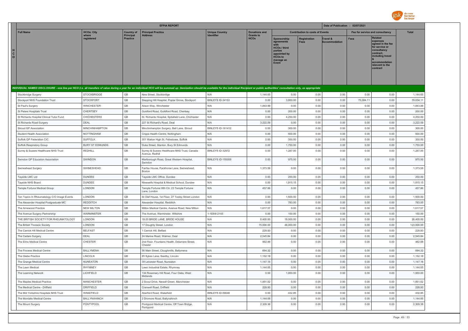

|                                                                                                                                                                                                                                |                        |                              | <b>EFPIA REPORT</b>                                             |                           |                                 |                                                                                                                            |                                        | Date of Publication : 02/07/2021 |                                 |                                                                                                                                                                   |              |
|--------------------------------------------------------------------------------------------------------------------------------------------------------------------------------------------------------------------------------|------------------------|------------------------------|-----------------------------------------------------------------|---------------------------|---------------------------------|----------------------------------------------------------------------------------------------------------------------------|----------------------------------------|----------------------------------|---------------------------------|-------------------------------------------------------------------------------------------------------------------------------------------------------------------|--------------|
| <b>Full Name</b>                                                                                                                                                                                                               | <b>HCOs: City</b>      | <b>Country of</b>            | <b>Principal Practice</b>                                       | <b>Unique Country</b>     | <b>Donations and</b>            |                                                                                                                            | <b>Contribution to costs of Events</b> |                                  | Fee for service and consultancy |                                                                                                                                                                   | <b>Total</b> |
| н<br>C<br>$\circ$                                                                                                                                                                                                              | where<br>registered    | Principal<br><b>Practice</b> | <b>Address</b>                                                  |                           | <b>Grants to</b><br><b>HCOs</b> | <b>Sponsorship</b><br>agreements<br><b>HCOs / third</b><br>parties<br>appointed by<br><b>HCOs to</b><br>manage an<br>Event | <b>Registration</b><br>Fees            | Travel &<br><b>Accommodation</b> | <b>Fees</b>                     | <b>Related</b><br>expenses<br>agreed in the fee<br>for service or<br>consultancy<br>contract.<br>including travel<br>accommodation<br>relevant to the<br>contract |              |
| INDIVIDUAL NAMED DISCLOSURE - one line per HCO (i.e. all transfers of value during a year for an individual HCO will be summed up: itemization should be available for the individual Recipient or public authorities' consult |                        |                              |                                                                 |                           |                                 |                                                                                                                            |                                        |                                  |                                 |                                                                                                                                                                   |              |
| Stockbridge Surgery                                                                                                                                                                                                            | STOCKBRIDGE            | GB                           | New Street, Stockbridge                                         | N/A                       | 1,144.65                        | 0.00                                                                                                                       | 0.00                                   | 0.00                             | 0.00                            | 0.00                                                                                                                                                              | 1,144.65     |
| Stockport NHS Foundation Trust                                                                                                                                                                                                 | <b>STOCKPORT</b>       | GB                           | Stepping Hill Hospital, Poplar Grove, Stockport                 | BINLEYS ID-34153          | 0.00                            | 3,950.00                                                                                                                   | 0.00                                   | 0.00                             | 75,084.1                        | 0.00                                                                                                                                                              | 79,034.11    |
| St Paul's Surgery                                                                                                                                                                                                              | <b>WINCHESTER</b>      | GB                           | Alison Way, Winchester                                          | N/A                       | 1,843.99                        | 0.00                                                                                                                       | 0.00                                   | 0.00                             | 0.00                            | 0.00                                                                                                                                                              | 1,843.99     |
| St Peters Hospitals Trust                                                                                                                                                                                                      | <b>CHERTSEY</b>        | $\mathbb{G}\mathbb{B}$       | Guidford Road, Guildford Road, Chertsey                         | N/A                       | 0.00                            | 200.00                                                                                                                     | 0.00                                   | 0.00                             | 0.00                            | 0.00                                                                                                                                                              | 200.00       |
| St Richards Hospital Clinical Tutor Fund                                                                                                                                                                                       | <b>CHICHESTERX</b>     | GB                           | St. Richards Hospital, Spitafield Lane, Chichester              | N/A                       | 0.00                            | 4,250.00                                                                                                                   | 0.00                                   | 0.00                             | 0.00                            | 0.00                                                                                                                                                              | 4,250.00     |
| St Richards Road Surgery                                                                                                                                                                                                       | DEAL                   | GB                           | 227 St Richard's Road, Deal                                     | N/A                       | 3,222.59                        | 0.00                                                                                                                       | 0.00                                   | 0.00                             | 0.00                            | 0.00                                                                                                                                                              | 3,222.59     |
| Stroud GP Association                                                                                                                                                                                                          | MINCHINHAMPTON         | GB                           | Minchinhampton Surgery, Bell Lane, Stroud                       | BINLEYS ID-161412         | 0.00                            | 300.00                                                                                                                     | 0.00                                   | 0.00                             | 0.00                            | 0.00                                                                                                                                                              | 300.00       |
| Student Health Association                                                                                                                                                                                                     | NOTTINGHAM             | GB                           | Cripps Health Centre, Nottingham                                | N/A                       | 0.00                            | 500.00                                                                                                                     | 0.00                                   | 0.00                             | 0.00                            | 0.00                                                                                                                                                              | 500.00       |
| Suffolk GP Federation CIC                                                                                                                                                                                                      | <b>SUFFOLK</b>         | GB                           | 301 Walton High St, Felixstowe, Suffolk                         | N/A                       | 0.00                            | 350.00                                                                                                                     | 0.00                                   | 0.00                             | 0.00                            | 0.00                                                                                                                                                              | 350.00       |
| Suffolk Respiratory Group                                                                                                                                                                                                      | <b>BURY ST EDMUNDS</b> | GB                           | Duke Street, Stanton, Bury St Edmunds                           | N/A                       | 0.00                            | 1,750.00                                                                                                                   | 0.00                                   | 0.00                             | 0.00                            | 0.00                                                                                                                                                              | 1,750.00     |
| Surrey & Sussex Healthcare NHS Trust                                                                                                                                                                                           | <b>REDHILL</b>         | GB                           | Surrey & Sussex Healthcare NHS Trust, Canada<br>Avenue, Redhill | BINLEYS ID-32972          | 0.00                            | 1.287.00                                                                                                                   | 0.00                                   | 0.00                             | 0.00                            | 0.00                                                                                                                                                              | 1.287.00     |
| Swindon GP Education Association                                                                                                                                                                                               | <b>SWINDON</b>         | GB                           | Marlborough Road, Great Western Hospital,<br>Swindon            | <b>BINI FYS ID-155059</b> | 0.00                            | 975.00                                                                                                                     | 0.00                                   | 0.00                             | 0.00                            | 0.00                                                                                                                                                              | 975.00       |
| Swineshead Surgery                                                                                                                                                                                                             | SWINESHEAD             | GB                           | Fairfax House, Packhorse Lane, Swineshead,<br><b>Boston</b>     | N/A                       | 1,373.58                        | 0.00                                                                                                                       | 0.00                                   | 0.00                             | 0.00                            | 0.00                                                                                                                                                              | 1,373.58     |
| Tayside LMC Ltd                                                                                                                                                                                                                | <b>DUNDEE</b>          | GB                           | Tayside LMC Office, Dundee                                      | N/A                       | 0.00                            | 250.00                                                                                                                     | 0.00                                   | 0.00                             | 0.00                            | 0.00                                                                                                                                                              | 250.00       |
| Tayside NHS Board                                                                                                                                                                                                              | <b>DUNDEE</b>          | GB                           | Ninewells Hospital & Medical School, Dundee                     | N/A                       | 0.00                            | 1,915.15                                                                                                                   | 0.00                                   | 0.00                             | 0.00                            | 0.00                                                                                                                                                              | 1,915.15     |
| Temple Fortune Medical Group                                                                                                                                                                                                   | LONDON                 | GB                           | Temple Fortune Hith Ctr, 23 Temple Fortune<br>Lane, London      | N/A                       | 457.86                          | 0.00                                                                                                                       | 0.00                                   | 0.00                             | 0.00                            | 0.00                                                                                                                                                              | 457.86       |
| Ten Topics In Rheumatology C/O Image Events                                                                                                                                                                                    | LONDON                 | GB                           | St Olaf House, 1st Floor, 27 Tooley Street London               | N/A                       | 0.00                            | 1,500.00                                                                                                                   | 0.00                                   | 0.00                             | 0.00                            | 0.00                                                                                                                                                              | 1,500.00     |
| The Alexander Hospital Postgraduate MC                                                                                                                                                                                         | <b>REDDITCH</b>        | GB                           | Alexander Hospital, Redditch                                    | N/A                       | 0.00                            | 783.00                                                                                                                     | 0.00                                   | 0.00                             | 0.00                            | 0.00                                                                                                                                                              | 783.00       |
| The Arnewood Practice                                                                                                                                                                                                          | NEW MILTON             | GB                           | Milton Medical Centre, Avenue Road, New Milton                  | N/A                       | 1,617.57                        | 0.00                                                                                                                       | 0.00                                   | 0.00                             | 0.00                            | 0.00                                                                                                                                                              | 1,617.57     |
| The Avenue Surgery Partnership                                                                                                                                                                                                 | <b>WARMINSTER</b>      | GB                           | The Avenue, Warminster, Wiltshire                               | 1-1E64l-2143              | 0.00                            | 150.00                                                                                                                     | 0.00                                   | 0.00                             | 0.00                            | 0.00                                                                                                                                                              | 150.00       |
| THE BRITISH SOCIETY FOR RHEUMATOLOGY                                                                                                                                                                                           | LONDON                 | GB                           | 18-20 BRIDE LANE, BRIDE HOUSE                                   | N/A                       | 8,400.00                        | 18,000.00                                                                                                                  | 0.00                                   | 0.00                             | 0.00                            | 0.00                                                                                                                                                              | 26,400.00    |
| The British Thoracic Society                                                                                                                                                                                                   | LONDON                 | GB                           | 17 Doughty Street, London                                       | N/A                       | 75,000.00                       | 48,000.00                                                                                                                  | 0.00                                   | 0.00                             | 0.00                            | 0.00                                                                                                                                                              | 123,000.00   |
| The Carrick Hill Medical Centre                                                                                                                                                                                                | <b>BELFAST</b>         | $\mathbb{G}\mathbb{B}$       | 1 Carrick Hill, Belfast                                         | N/A                       | 228.93                          | 0.00                                                                                                                       | 0.00                                   | 0.00                             | 0.00                            | 0.00                                                                                                                                                              | 228.93       |
| The Cedars Surgery                                                                                                                                                                                                             | DEAL                   | $\mathbb{G}\mathbb{B}$       | 24 Marine Road, Walmer, Deal                                    | N/A                       | 2.545.84                        | 0.00                                                                                                                       | 0.00                                   | 0.00                             | 0.00                            | 0.00                                                                                                                                                              | 2,545.84     |
| The Elms Medical Centre                                                                                                                                                                                                        | <b>CHESTER</b>         | GB                           | 2nd Floor, Fountains Health, Delamere Street,<br>Chester        | N/A                       | 462.88                          | 0.00                                                                                                                       | 0.00                                   | 0.00                             | 0.00                            | 0.00                                                                                                                                                              | 462.88       |
| The Frocess Medical Centre                                                                                                                                                                                                     | <b>BALLYMENA</b>       | GB                           | 56 Main Street, Cloughmills, Ballymena                          | N/A                       | 694.32                          | 0.00                                                                                                                       | 0.00                                   | 0.00                             | 0.00                            | 0.00                                                                                                                                                              | 694.32       |
| The Glebe Practice                                                                                                                                                                                                             | LINCOLN                | GB                           | 85 Sykes Lane, Saxilby, Lincoln                                 | N/A                       | 1,152.18                        | 0.00                                                                                                                       | 0.00                                   | 0.00                             | 0.00                            | 0.00                                                                                                                                                              | 1,152.18     |
| The Grange Medical Centre                                                                                                                                                                                                      | <b>NUNEATON</b>        | GB                           | 39 Leicester Road, Nuneaton                                     | N/A                       | 1,147.16                        | 0.00                                                                                                                       | 0.00                                   | 0.00                             | 0.00                            | 0.00                                                                                                                                                              | 1,147.16     |
| The Lawn Medical                                                                                                                                                                                                               | <b>RHYMNEY</b>         | GB                           | Lawn Industrial Estate, Rhymney                                 | N/A                       | 1,144.65                        | 0.00                                                                                                                       | 0.00                                   | 0.00                             | 0.00                            | 0.00                                                                                                                                                              | 1,144.65     |
| The Learning Network                                                                                                                                                                                                           | LICHFIELD              | GB                           | 134 Rosemary Hill Road, Four Oaks, West<br>Midlands             | N/A                       | 0.00                            | 1,950.00                                                                                                                   | 0.00                                   | 0.00                             | 0.00                            | 0.00                                                                                                                                                              | 1,950.00     |
| The Maples Medical Practice                                                                                                                                                                                                    | <b>MANCHESTER</b>      | GB                           | 2 Scout Drive, Newall Green, Manchester                         | N/A                       | 1,851.52                        | 0.00                                                                                                                       | 0.00                                   | 0.00                             | 0.00                            | 0.00                                                                                                                                                              | 1,851.52     |
| The Medical Centre - Driffield                                                                                                                                                                                                 | <b>DRIFFIELD</b>       | GB                           | Cranwell Road, Driffield                                        | N/A                       | 228.93                          | 0.00                                                                                                                       | 0.00                                   | 0.00                             | 0.00                            | 0.00                                                                                                                                                              | 228.93       |
| The Mid Yorkshire Hospitals NHS Trust                                                                                                                                                                                          | WAKEFIELD              | GB                           | Aberford Road, Wakefield                                        | BINLEYS ID-59048          | 0.00                            | 432.85                                                                                                                     | 0.00                                   | 0.00                             | 0.00                            | 0.00                                                                                                                                                              | 432.85       |
| The Montalto Medical Centre                                                                                                                                                                                                    | <b>BAI I YNAHINCH</b>  | $\mathbb{G}\mathbb{B}$       | 2 Dromore Road, Ballynahinch                                    | N/A                       | 1,144.65                        | 0.00                                                                                                                       | 0.00                                   | 0.00                             | 0.00                            | 0.00                                                                                                                                                              | 1,144.65     |
| The Mount Surgery                                                                                                                                                                                                              | PONTYPOOL              | GB                           | Pontypool Medical Centre, Off Town Bridge,<br>Pontypool         | N/A                       | 2,309.38                        | 0.00                                                                                                                       | 0.00                                   | 0.00                             | 0.00                            | 0.00                                                                                                                                                              | 2,309.38     |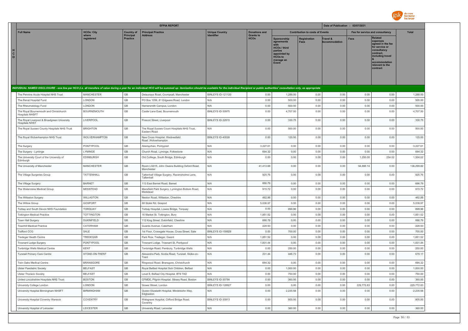

|                                                                                                                                                                                                                                |                      |                              | <b>EFPIA REPORT</b>                                         |                          |                                 |                                                                                                                            |                                        | Date of Publication : 02/07/2021 |             |                                                                                                                                                                   |              |
|--------------------------------------------------------------------------------------------------------------------------------------------------------------------------------------------------------------------------------|----------------------|------------------------------|-------------------------------------------------------------|--------------------------|---------------------------------|----------------------------------------------------------------------------------------------------------------------------|----------------------------------------|----------------------------------|-------------|-------------------------------------------------------------------------------------------------------------------------------------------------------------------|--------------|
| <b>Full Name</b>                                                                                                                                                                                                               | <b>HCOs: City</b>    | <b>Country of</b>            | <b>Principal Practice</b>                                   | <b>Unique Country</b>    | <b>Donations and</b>            |                                                                                                                            | <b>Contribution to costs of Events</b> |                                  |             | Fee for service and consultancy                                                                                                                                   | <b>Total</b> |
| н<br>C<br>$\circ$                                                                                                                                                                                                              | where<br>registered  | Principal<br><b>Practice</b> | <b>Address</b>                                              |                          | <b>Grants to</b><br><b>HCOs</b> | <b>Sponsorship</b><br>agreements<br><b>HCOs / third</b><br>parties<br>appointed by<br><b>HCOs to</b><br>manage an<br>Event | <b>Registration</b><br>Fees            | Travel &<br><b>Accommodation</b> | <b>Fees</b> | <b>Related</b><br>expenses<br>agreed in the fee<br>for service or<br>consultancy<br>contract.<br>including travel<br>accommodation<br>relevant to the<br>contract |              |
| INDIVIDUAL NAMED DISCLOSURE - one line per HCO (i.e. all transfers of value during a year for an individual HCO will be summed up: itemization should be available for the individual Recipient or public authorities' consult |                      |                              |                                                             |                          |                                 |                                                                                                                            |                                        |                                  |             |                                                                                                                                                                   |              |
| The Pennine Acute Hospital NHS Trust                                                                                                                                                                                           | <b>MANCHESTER</b>    | GB                           | Delaunays Road, Crumpsall, Manchester                       | <b>BINLEYS ID-121120</b> | 0.00                            | 1,288.00                                                                                                                   | 0.00                                   | 0.00                             | 0.00        | 0.00                                                                                                                                                              | 1,288.00     |
| The Renal Hospital Fund                                                                                                                                                                                                        | LONDON               | GB                           | PO Box 1056, 81 Edgware Road, London                        | N/A                      | 0.00                            | 500.00                                                                                                                     | 0.00                                   | 0.00                             | 0.00        | 0.00                                                                                                                                                              | 500.00       |
| The Rheumatology Fund                                                                                                                                                                                                          | LONDON               | GB                           | Hamersmith Campus, London                                   | N/A                      | 0.00                            | 500.00                                                                                                                     | 0.00                                   | 0.00                             | 0.00        | 0.00                                                                                                                                                              | 500.00       |
| The Royal Bournemouth and Christchurch<br><b>Hospitals NHSFT</b>                                                                                                                                                               | <b>BOURNEMOUTH</b>   | $\mathbb{G}\mathbb{B}$       | Castle Lane East, Bournemouth                               | BINLEYS ID-30975         | 0.00                            | 4,707.50                                                                                                                   | 0.00                                   | 0.00                             | 0.00        | 0.00                                                                                                                                                              | 4,707.50     |
| The Royal Liverpool & Broadgreen University<br><b>Hospitals NHST</b>                                                                                                                                                           | LIVERPOOL            | GB                           | Prescot Street, Liverpool                                   | <b>BINI FYS ID-32915</b> | 0.00                            | 330.75                                                                                                                     | 0.00                                   | 0.00                             | 0.00        | 0.00                                                                                                                                                              | 330.75       |
| The Royal Sussex County Hospitals NHS Trust                                                                                                                                                                                    | <b>BRIGHTON</b>      | GB                           | The Royal Sussex Count Hospitals NHS Trust,<br>Eastern Road | N/A                      | 0.00                            | 500.00                                                                                                                     | 0.00                                   | 0.00                             | 0.00        | 0.00                                                                                                                                                              | 500.00       |
| The Royal Wolverhampton NHS Trust                                                                                                                                                                                              | <b>WOLVERHAMPTON</b> | GB                           | New Cross Hospital, Wednesfield<br>Road , Wolverhampton     | BINLEYS ID-40028         | 0.00                            | 120.00                                                                                                                     | 0.00                                   | 0.00                             | 0.00        | 0.00                                                                                                                                                              | 120.00       |
| The Surgery                                                                                                                                                                                                                    | PONTYPOOL            | GB                           | Abersychan, Pontypool                                       | N/A                      | 3,227.61                        | 0.00                                                                                                                       | 0.00                                   | 0.00                             | 0.00        | 0.00                                                                                                                                                              | 3,227.61     |
| The Surgery - Lyminge                                                                                                                                                                                                          | LYMINGE              | GB                           | Church Road, Lyminge, Folkestone                            | N/A                      | 694.32                          | 0.00                                                                                                                       | 0.00                                   | 0.00                             | 0.00        | 0.00                                                                                                                                                              | 694.32       |
| The University Court of the University of<br>Edinburgh                                                                                                                                                                         | EDINBURGH            | GB                           | Old Colllege, South Bridge, Edinburgh                       | N/A                      | 0.00                            | 0.00                                                                                                                       | 0.00                                   | 0.00                             | 1,250.00    | 254.02                                                                                                                                                            | 1,504.02     |
| The University of Manchester                                                                                                                                                                                                   | <b>MANCHESTER</b>    | GB                           | Room LG015, John Owens Building, Oxford Road,<br>Manchester | N/A                      | 41,413.68                       | 0.00                                                                                                                       | 0.00                                   | 0.00                             | 94,886.14   | 0.00                                                                                                                                                              | 136,299.82   |
| The Village Surgeries Group                                                                                                                                                                                                    | TATTENHALL           | $\mathbb{G}\mathbb{B}$       | Tattenhall Village Surgery, Ravensholme Lane,<br>Tattenhall | N/A                      | 925.76                          | 0.00                                                                                                                       | 0.00                                   | 0.00                             | 0.00        | 0.00                                                                                                                                                              | 925.76       |
| The Village Surgery                                                                                                                                                                                                            | <b>BARNET</b>        | $\mathbb{G}\mathbb{B}$       | 113 East Barnet Road, Barnet                                | N/A                      | 686.79                          | 0.00                                                                                                                       | 0.00                                   | 0.00                             | 0.00        | 0.00                                                                                                                                                              | 686.79       |
| The Watercress Medical Group                                                                                                                                                                                                   | MEDSTEAD             | $\mathbb{G}\mathbb{B}$       | Mansfield Park Surgery, Lymington Bottom Road,<br>Medstead  | N/A                      | 915.72                          | 0.00                                                                                                                       | 0.00                                   | 0.00                             | 0.00        | 0.00                                                                                                                                                              | 915.72       |
| The Willaston Surgery                                                                                                                                                                                                          | WILLASTON            | $\mathbb{G}\mathbb{B}$       | Neston Road, Willaston, Cheshire                            | N/A                      | 462.88                          | 0.00                                                                                                                       | 0.00                                   | 0.00                             | 0.00        | 0.00                                                                                                                                                              | 462.88       |
| The Willow Group                                                                                                                                                                                                               | GOSPORT              | GB                           | 68 Stoke Rd. Gosport                                        | N/A                      | 5,038.97                        | 0.00                                                                                                                       | 0.00                                   | 0.00                             | 0.00        | 0.00                                                                                                                                                              | 5,038.97     |
| Torbay and South Devon NHS Foundation                                                                                                                                                                                          | <b>TORQUAY</b>       | GB                           | Torbay Hospital, Lowes Bridge, Torquay                      | N/A                      | 0.00                            | 899.96                                                                                                                     | 0.00                                   | 0.00                             | 0.00        | 0.00                                                                                                                                                              | 899.96       |
| <b>Tottington Medical Practice</b>                                                                                                                                                                                             | <b>TOTTINGTON</b>    | GB                           | 16 Market St, Tottington, Bury                              | N/A                      | 1,851.52                        | 0.00                                                                                                                       | 0.00                                   | 0.00                             | 0.00        | 0.00                                                                                                                                                              | 1,851.52     |
| Town Hall Surgery                                                                                                                                                                                                              | <b>DUKINFIELD</b>    | GB                           | 12 King Street, Dukinfield, Cheshire                        | N/A                      | 686.79                          | 0.00                                                                                                                       | 0.00                                   | 0.00                             | 0.00        | 0.00                                                                                                                                                              | 686.79       |
| <b>Townhill Medical Practice</b>                                                                                                                                                                                               | CATERHAM             | GB                           | Guards Avenue, Caterham                                     | N/A                      | 228.93                          | 0.00                                                                                                                       | 0.00                                   | 0.00                             | 0.00        | 0.00                                                                                                                                                              | 228.93       |
| <b>Trafford CCG</b>                                                                                                                                                                                                            | SALE                 | GB                           | 1st Floor, Crossgate House, Cross Street, Sale              | BINLEYS ID-159928        | 0.00                            | 700.00                                                                                                                     | 0.00                                   | 0.00                             | 0.00        | 0.00                                                                                                                                                              | 700.00       |
| Tredegar Health Centre                                                                                                                                                                                                         | TREDEGAR             | GB                           | Park Row, Tredegar, Gwent                                   | N/A                      | 1.851.52                        | 0.00                                                                                                                       | 0.00                                   | 0.00                             | 0.00        | 0.00                                                                                                                                                              | 1,851.52     |
| <b>Trosnant Lodge Surgery</b>                                                                                                                                                                                                  | PONTYPOOL            | GB                           | Trosnant Lodge, Trosnant St, Pontypool                      | N/A                      | 1,831.44                        | 0.00                                                                                                                       | 0.00                                   | 0.00                             | 0.00        | 0.00                                                                                                                                                              | 1,831.44     |
| Tunbridge Wells Medical Centre                                                                                                                                                                                                 | <b>KENT</b>          | GB                           | Tonbridge Road, Pembury, Tunbridge Wells                    | N/A                      | 0.00                            | 250.00                                                                                                                     | 0.00                                   | 0.00                             | 0.00        | 0.00                                                                                                                                                              | 250.00       |
| Tunstall Primary Care Centre                                                                                                                                                                                                   | STOKE-ON-TRENT       | GB                           | Alexandra Park, Scotia Road, Tunstall, Stoke-on-<br>Trent   | N/A                      | 231.44                          | 446.73                                                                                                                     | 0.00                                   | 0.00                             | 0.00        | 0.00                                                                                                                                                              | 678.17       |
| Twin Oaks Medical Centre                                                                                                                                                                                                       | <b>BRANSGORE</b>     | GB                           | Ringwood Road, Bransgore, Christchurch                      | N/A                      | 694.32                          | 0.00                                                                                                                       | 0.00                                   | 0.00                             | 0.00        | 0.00                                                                                                                                                              | 694.32       |
| <b>Ulster Paediatric Society</b>                                                                                                                                                                                               | <b>BELFAST</b>       | $\mathbb{G}\mathbb{B}$       | Royal Belfast Hospital Sick Children, Belfast               | $\mathsf{N}/\mathsf{A}$  | 0.00                            | 1,000.00                                                                                                                   | 0.00                                   | 0.00                             | 0.00        | 0.00                                                                                                                                                              | 1,000.00     |
| <b>Ulster Thoracic Society</b>                                                                                                                                                                                                 | <b>BELFAST</b>       | GB                           | Level 8, Belfast City Hospital, BT9 7AD                     | N/A                      | 0.00                            | 750.00                                                                                                                     | 0.00                                   | 0.00                             | 0.00        | 0.00                                                                                                                                                              | 750.00       |
| United Lincolnshire Hospitals NHS Trust                                                                                                                                                                                        | <b>BOSTON</b>        | GB                           | CFMDE, Pilgrim Hospital, Sibsey Road, Boston                | BINLEYS ID-30784         | 0.00                            | 360.00                                                                                                                     | 0.00                                   | 0.00                             | 0.00        | 0.00                                                                                                                                                              | 360.00       |
| University College London                                                                                                                                                                                                      | <b>LONDON</b>        | GB                           | Gower Street, London                                        | BINLEYS ID-128927        | 0.00                            | 0.00                                                                                                                       | 0.00                                   | 0.00                             | 229,772.83  | 0.00                                                                                                                                                              | 229,772.83   |
| University Hospital Birmingham NHSFT                                                                                                                                                                                           | <b>BIRMINGHAM</b>    | GB                           | Queen Elizabeth Hospital, Mindelsohn Way,<br>Edgbaston      | N/A                      | 0.00                            | 2,235.58                                                                                                                   | 0.00                                   | 0.00                             | 0.00        | 0.00                                                                                                                                                              | 2,235.58     |
| University Hospital Coventry Warwick                                                                                                                                                                                           | COVENTRY             | GB                           | Walsgrave Hospital, Clifford Bridge Road,<br>Coventry       | BINLEYS ID-30913         | 0.00                            | 800.00                                                                                                                     | 0.00                                   | 0.00                             | 0.00        | 0.00                                                                                                                                                              | 800.00       |
| University Hospital of Leicester                                                                                                                                                                                               | LEICESTER            | GB                           | University Road, Leicester                                  | N/A                      | 0.00                            | 360.00                                                                                                                     | 0.00                                   | 0.00                             | 0.00        | 0.00                                                                                                                                                              | 360.00       |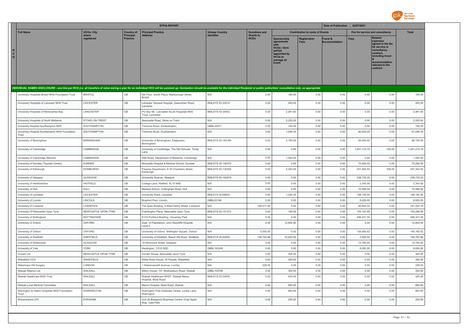

|                              |                                                         |                     |                              | <b>EFPIA REPORT</b>                                                                                                                                                                                                            |                                            |                                 |                                                                                                                     |                                        | Date of Publication : 02/07/2021 |              |                                                                                                                                                                   |              |
|------------------------------|---------------------------------------------------------|---------------------|------------------------------|--------------------------------------------------------------------------------------------------------------------------------------------------------------------------------------------------------------------------------|--------------------------------------------|---------------------------------|---------------------------------------------------------------------------------------------------------------------|----------------------------------------|----------------------------------|--------------|-------------------------------------------------------------------------------------------------------------------------------------------------------------------|--------------|
|                              | <b>Full Name</b>                                        | <b>HCOs: City</b>   | <b>Country of</b>            | <b>Principal Practice</b>                                                                                                                                                                                                      | <b>Unique Country</b><br><b>Identifier</b> | <b>Donations and</b>            |                                                                                                                     | <b>Contribution to costs of Events</b> |                                  |              | Fee for service and consultancy                                                                                                                                   | <b>Total</b> |
| $\mathbf{C}$<br>$\mathbf{o}$ |                                                         | where<br>registered | Principal<br><b>Practice</b> | <b>Address</b>                                                                                                                                                                                                                 |                                            | <b>Grants to</b><br><b>HCOs</b> | Sponsorship<br>agreements<br><b>HCOs / third</b><br>parties<br>appointed by<br><b>HCOs to</b><br>manage an<br>Event | Registration<br><b>Fees</b>            | Travel &<br><b>Accommodation</b> | <b>Fees</b>  | <b>Related</b><br>expenses<br>agreed in the fee<br>for service or<br>consultancy<br>contract.<br>including travel<br>accommodation<br>relevant to the<br>contract |              |
|                              |                                                         |                     |                              |                                                                                                                                                                                                                                |                                            |                                 |                                                                                                                     |                                        |                                  |              |                                                                                                                                                                   |              |
|                              |                                                         |                     |                              | INDIVIDUAL NAMED DISCLOSURE - one line per HCO (i.e. all transfers of value during a year for an individual HCO will be summed up: itemization should be available for the individual Recipient or public authorities' consult |                                            |                                 |                                                                                                                     |                                        |                                  |              |                                                                                                                                                                   |              |
|                              | University Hospitals Bristol NHS Foundation Trust       | <b>BRISTOL</b>      | GB                           | 6th Floor, South Plaza, Marlborough Street,<br><b>Bristol</b>                                                                                                                                                                  | N/A                                        | 0.00                            | 180.00                                                                                                              | 0.00                                   | 0.00                             | 0.00         | 0.00                                                                                                                                                              | 180.00       |
|                              | University Hospitals of Leicester NHS Trust             | LEICESTER           | GB                           | Leicester General Hospital, Gwendolen Road,<br>Leicester                                                                                                                                                                       | BINLEYS ID-33014                           | 0.00                            | 450.00                                                                                                              | 0.00                                   | 0.00                             | 0.00         | 0.00                                                                                                                                                              | 450.00       |
|                              | University Hospitals of Morecambe Bay                   | LANCASTER           | GB                           | PO Box 98, Lancaster Acute Hospitals NHS<br>Trust. Lancaster                                                                                                                                                                   | BINLEYS ID-34452                           | 0.00                            | 2,991.60                                                                                                            | 0.00                                   | 0.00                             | 0.00         | 0.00                                                                                                                                                              | 2,991.60     |
|                              | University Hospitals of North Midlands                  | STOKE-ON-TRENT      | GB                           | Newcastle Road, Stoke on Trent                                                                                                                                                                                                 | N/A                                        | 0.00                            | 2,250.00                                                                                                            | 0.00                                   | 0.00                             | 0.00         | 0.00                                                                                                                                                              | 2,250.00     |
|                              | University Hospital Southampton NHS                     | SOUTHAMPTON         | GB                           | Tremona Road, Southampton,                                                                                                                                                                                                     | GBBL32971                                  | 0.00                            | 150.00                                                                                                              | 0.00                                   | 0.00                             | 0.00         | 0.00                                                                                                                                                              | 150.00       |
|                              | University Hospital Southampton NHS Foundation<br>Trust | SOUTHAMPTON         | GB                           | Tremona Road, Southampton                                                                                                                                                                                                      | N/A                                        | 0.00                            | 1,046.34                                                                                                            | 0.00                                   | 0.00                             | 60,000.00    | 0.00                                                                                                                                                              | 61,046.34    |
|                              | University of Birmingham                                | <b>BIRMINGHAM</b>   | GB                           | University of Birmingham, Edgbaston,<br>Birmingham                                                                                                                                                                             | BINLEYS ID-163169                          | 0.00                            | 4,150.00                                                                                                            | 0.00                                   | 0.00                             | 94,000.00    | 0.00                                                                                                                                                              | 98,150.00    |
|                              | University of Cambridge                                 | CAMBRIDGE           | $\mathbb{G}\mathbb{B}$       | University of Cambridge, The Old Schools, Trinity<br>I ane                                                                                                                                                                     | N/A                                        | 0.00                            | 0.00                                                                                                                | 0.00                                   | 0.00                             | 1,501,110.70 | 100.00                                                                                                                                                            | 1,501,210.70 |
|                              | University of Cambridge (Morrell)                       | CAMBRIDGE           | $\mathbb{G}\mathbb{B}$       | Hills Road, Department of Medicine, Cambridge                                                                                                                                                                                  | N/A                                        | 0.00                            | 1,000.00                                                                                                            | 0.00                                   | 0.00                             | 0.00         | 0.00                                                                                                                                                              | 1,000.00     |
|                              | University of Dundee (Tayside Centre)                   | <b>DUNDEE</b>       | GB                           | Ninewells Hospital & Medical School, Dundee                                                                                                                                                                                    | BINLEYS ID-140374                          | 0.00                            | 0.00                                                                                                                | 0.00                                   | 0.00                             | 75,000.00    | 0.00                                                                                                                                                              | 75,000.00    |
|                              | University of Edinburgh                                 | <b>EDINBURGH</b>    | GB                           | Finance Department, 9-16 Chambers Street,<br>Edinburgh                                                                                                                                                                         | BINI FYS ID-135308                         | 0.00                            | 5,200.00                                                                                                            | 0.00                                   | 0.00                             | 201,804.50   | 338.00                                                                                                                                                            | 207,342.50   |
|                              | University of Glasgow                                   | GLASGOW             | GB                           | University Avenue, Glasgow                                                                                                                                                                                                     | BINLEYS ID-162979                          | 0.00                            | 0.00                                                                                                                | 0.00                                   | 0.00                             | 238,730.20   | 0.00                                                                                                                                                              | 238,730.20   |
|                              | University of Hertfordshire                             | <b>HATFIELD</b>     | GB                           | College Lane, Hatfield, AL10 9AB                                                                                                                                                                                               | N/A                                        | 0.00                            | 0.00                                                                                                                | 0.00                                   | 0.00                             | 2,345.00     | 0.00                                                                                                                                                              | 2,345.00     |
|                              | University of Hull                                      | <b>HULL</b>         | GB                           | Medical School, Cottingham Road, Hull                                                                                                                                                                                          | N/A                                        | 0.00                            | 0.00                                                                                                                | 0.00                                   | 0.00                             | 15,588.00    | 0.00                                                                                                                                                              | 15,588.00    |
|                              | University of Leicester                                 | LEICESTER           | GB                           | University Road, Leicester                                                                                                                                                                                                     | BINLEYS ID-68603                           | 0.00                            | 1,040.00                                                                                                            | 0.00                                   | 0.00                             | 198,155.00   | 0.00                                                                                                                                                              | 199,195.00   |
|                              | University of Lincoln                                   | LINCOLN             | GB                           | Brayford Pool, Lincoln                                                                                                                                                                                                         | GBBI 63196                                 | 0.00                            | 0.00                                                                                                                | 0.00                                   | 0.00                             | 8,000.00     | 0.00                                                                                                                                                              | 8,000.00     |
|                              | University of Liverpool                                 | <b>LIVERPOOL</b>    | GB                           | The Apex Building, 8 West Derby Street, Liverpool                                                                                                                                                                              | N/A                                        | 106,517.92                      | 0.00                                                                                                                | 0.00                                   | 0.00                             | 84,902.24    | 0.00                                                                                                                                                              | 191,420.16   |
|                              | University Of Newcastle Upon Tyne                       | NEWCASTLE UPON TYNE | GB                           | Framlington Place, Newcastle Upon Tyne                                                                                                                                                                                         | BINLEYS ID-151372                          | 0.00                            | 195.50                                                                                                              | 0.00                                   | 0.00                             | 154,103.56   | 0.00                                                                                                                                                              | 154,299.06   |
|                              | University of Nottingham                                | <b>NOTTINGHAM</b>   | GB                           | E123 Portland Building, University Park                                                                                                                                                                                        | N/A                                        | 0.00                            | 0.00                                                                                                                | 0.00                                   | 0.00                             | 498,341.00   | 0.00                                                                                                                                                              | 498,341.00   |
|                              | University of Oxford                                    | OXFORD              | GB                           | Dept. of Paediatrics, John Radcliffe Hospital,<br>Level 2                                                                                                                                                                      | N/A                                        | 0.00                            | 12,600.00                                                                                                           | 0.00                                   | 0.00                             | 0.00         | 0.00                                                                                                                                                              | 12,600.00    |
|                              | University of Oxford                                    | OXFORD              | GB                           | University of Oxford, Wellington Square, Oxford                                                                                                                                                                                | N/A                                        | 5,500.00                        | 0.00                                                                                                                | 0.00                                   | 0.00                             | 134,660.92   | 0.00                                                                                                                                                              | 140,160.92   |
|                              | University of Sheffield                                 | SHEFFIELD           | GB                           | University of Sheffield, Beech Hill Road, Sheffield                                                                                                                                                                            | BINLEYS ID-62593                           | 136,700.88                      | 10,000.00                                                                                                           | 0.00                                   | 0.00                             | 2,000.00     | 0.00                                                                                                                                                              | 148,700.88   |
|                              | University of Strathclyde                               | GLASGOW             | GB                           | 16 Richmond Street, Glasgow                                                                                                                                                                                                    | N/A                                        | 0.00                            | 0.00                                                                                                                | 0.00                                   | 0.00                             | 12,760.00    | 0.00                                                                                                                                                              | 12.760.00    |
|                              | University of York                                      | <b>YORK</b>         | GB                           | Heslington, YO10 5DD                                                                                                                                                                                                           | GBBL163240                                 | 0.00                            | 0.00                                                                                                                | 0.00                                   | 0.00                             | 8,000.00     | 0.00                                                                                                                                                              | 8,000.00     |
|                              | Vocare Ltd                                              | NEWCASTLE UPON TYNE | GB                           | Vocare House, Newcastle Upon Tyne                                                                                                                                                                                              | N/A                                        | 0.00                            | 300.00                                                                                                              | 0.00                                   | 0.00                             | 0.00         | 0.00                                                                                                                                                              | 300.00       |
|                              | Wakefield CCG                                           | WAKEFIELD           | GB                           | White Rose House, W Parade, Wakefield                                                                                                                                                                                          | N/A                                        | 0.00                            | 300.00                                                                                                              | 0.00                                   | 0.00                             | 0.00         | 0.00                                                                                                                                                              | 300.00       |
|                              | Wakemans Hill Surgery                                   | LONDON              | GB                           | 1 Wakemanshill Avenue, London                                                                                                                                                                                                  | N/A                                        | 228.93                          | 0.00                                                                                                                | 0.00                                   | 0.00                             | 0.00         | 0.00                                                                                                                                                              | 228.93       |
|                              | Walsall Alliance I td                                   | WALSALL             | GB                           | Milton House, 151 Wednesbury Road, Walsall                                                                                                                                                                                     | GBBL163785                                 | 0.00                            | 350.00                                                                                                              | 0.00                                   | 0.00                             | 0.00         | 0.00                                                                                                                                                              | 350.00       |
|                              | Walsall Healthcare NHS Trust                            | WALSALL             | GB                           | Walsall Healthcare NHST, Walsall Manor<br>Hospital, Moat Road                                                                                                                                                                  | BINLEYS ID-34550                           | 0.00                            | 425.00                                                                                                              | 0.00                                   | 0.00                             | 0.00         | 0.00                                                                                                                                                              | 425.00       |
|                              | Walsall Local Medical Committee                         | WALSALL             | GB                           | Manor Hospital, Moat Road, Walsall                                                                                                                                                                                             | N/A                                        | 0.00                            | 680.00                                                                                                              | 0.00                                   | 0.00                             | 0.00         | 0.00                                                                                                                                                              | 680.00       |
|                              | Warrington & Halton Hospitals NHS Foundation<br>Trust   | <b>WARRINGTON</b>   | GB                           | Warrington Post Graduate Centre, Lovely Lane,<br>Warrington                                                                                                                                                                    | N/A                                        | 0.00                            | 660.00                                                                                                              | 0.00                                   | 0.00                             | 0.00         | 0.00                                                                                                                                                              | 660.00       |
|                              | Warwickshire LPC                                        | <b>EVESHAM</b>      | <b>GB</b>                    | Unit 24, Basepoint Business Centre, Crab Apple<br>Way, Vale Park                                                                                                                                                               | N/A                                        | 0.00                            | 250.00                                                                                                              | 0.00                                   | 0.00                             | 0.00         | 0.00                                                                                                                                                              | 250.00       |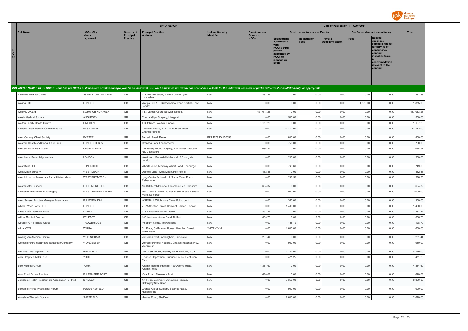

|                                                                                                                                                                                                                                |                       |                                     | <b>EFPIA REPORT</b>                                                |                                               |                                 |                                                                                                                             |                                    | Date of Publication : 02/07/2021 |                                 |                                                                                                                                                                   |            |
|--------------------------------------------------------------------------------------------------------------------------------------------------------------------------------------------------------------------------------|-----------------------|-------------------------------------|--------------------------------------------------------------------|-----------------------------------------------|---------------------------------|-----------------------------------------------------------------------------------------------------------------------------|------------------------------------|----------------------------------|---------------------------------|-------------------------------------------------------------------------------------------------------------------------------------------------------------------|------------|
| <b>Full Name</b>                                                                                                                                                                                                               | <b>HCOs: City</b>     | <b>Country of</b>                   | <b>Principal Practice</b>                                          | <b>Unique Country</b><br><b>Donations and</b> |                                 | <b>Contribution to costs of Events</b>                                                                                      |                                    |                                  | Fee for service and consultancy |                                                                                                                                                                   |            |
| H<br>$_{\rm o}^{\rm c}$                                                                                                                                                                                                        | where<br>registered   | <b>Principal</b><br><b>Practice</b> | <b>Address</b>                                                     | Identifier                                    | <b>Grants to</b><br><b>HCOs</b> | Sponsorship<br>agreements<br>with<br><b>HCOs / third</b><br>parties<br>appointed by<br><b>HCOs to</b><br>manage an<br>Event | <b>Registration</b><br><b>Fees</b> | Travel &<br><b>Accommodation</b> | <b>Fees</b>                     | <b>Related</b><br>expenses<br>agreed in the fee<br>for service or<br>consultancy<br>contract.<br>including travel<br>accommodation<br>relevant to the<br>contract |            |
|                                                                                                                                                                                                                                |                       |                                     |                                                                    |                                               |                                 |                                                                                                                             |                                    |                                  |                                 |                                                                                                                                                                   |            |
| INDIVIDUAL NAMED DISCLOSURE - one line per HCO (i.e. all transfers of value during a year for an individual HCO will be summed up: itemization should be available for the individual Recipient or public authorities' consult |                       |                                     |                                                                    |                                               |                                 |                                                                                                                             |                                    |                                  |                                 |                                                                                                                                                                   |            |
| Waterloo Medical Centre                                                                                                                                                                                                        | ASHTON-UNDER-LYNE     | GB                                  | 1 Dunkerley Street, Ashton-Under-Lyne,<br>Lancashire               | N/A                                           | 457.86                          | 0.00                                                                                                                        | 0.00                               | 0.00                             | 0.00                            | 0.00                                                                                                                                                              | 457.86     |
| Watipa CIC                                                                                                                                                                                                                     | LONDON                | GB                                  | Watipa CIC 115 Bartholomew Road Kentish Town<br>London             | N/A                                           | 0.00                            | 0.00                                                                                                                        | 0.00                               | 0.00                             | 1,875.00                        | 0.00                                                                                                                                                              | 1,875.00   |
| WebMD UK Ltd                                                                                                                                                                                                                   | NORWICH NORFOLK       | GB                                  | 1 St. James Court, Norwich Norfolk                                 | N/A                                           | 437,013.25                      | 0.00                                                                                                                        | 0.00                               | 0.00                             | 0.00                            | 0.00                                                                                                                                                              | 437,013.25 |
| <b>Welsh Medical Society</b>                                                                                                                                                                                                   | ANGLESEY              | GB                                  | Coed Y Glyn Surgery, Llangefni                                     | N/A                                           | 0.00                            | 500.00                                                                                                                      | 0.00                               | 0.00                             | 0.00                            | 0.00                                                                                                                                                              | 500.00     |
| Welton Family Health Centre                                                                                                                                                                                                    | LINCOLN               | GB                                  | 4 Cliff Road, Welton, Lincoln                                      | N/A                                           | 1,157.20                        | 0.00                                                                                                                        | 0.00                               | 0.00                             | 0.00                            | 0.00                                                                                                                                                              | 1,157.20   |
| Wessex Local Medical Committees Ltd                                                                                                                                                                                            | EASTLEIGH             | GB                                  | Churchill House, 122-124 Hursley Road,<br>Chandlers Ford           | N/A                                           | 0.00                            | 11,172.00                                                                                                                   | 0.00                               | 0.00                             | 0.00                            | 0.00                                                                                                                                                              | 11,172.00  |
| West Country Chest Society                                                                                                                                                                                                     | <b>EXETER</b>         | GB                                  | Barrack Road, Exeter                                               | <b>BINLEYS ID-155058</b>                      | 0.00                            | 800.00                                                                                                                      | 0.00                               | 0.00                             | 0.00                            | 0.00                                                                                                                                                              | 800.00     |
| Western Health and Social Care Trust                                                                                                                                                                                           | LONDONDERRY           | GB                                  | Gransha Park, Londonderry                                          | N/A                                           | 0.00                            | 750.00                                                                                                                      | 0.00                               | 0.00                             | 0.00                            | 0.00                                                                                                                                                              | 750.00     |
| Western Rural Healthcare                                                                                                                                                                                                       | CASTLEDERG            | GB                                  | Castlederg Group Surgery, 13A Lower Strabane<br>Rd, Castlederg     | N/A                                           | 694.32                          | 0.00                                                                                                                        | 0.00                               | 0.00                             | 0.00                            | 0.00                                                                                                                                                              | 694.32     |
| West Herts Essentially Medical                                                                                                                                                                                                 | LONDON                | $\mathbb{G}\mathbb{B}$              | West Herts Essentially Medical, 13, Shortgate,<br>London           | N/A                                           | 0.00                            | 200.00                                                                                                                      | 0.00                               | 0.00                             | 0.00                            | 0.00                                                                                                                                                              | 200.00     |
| West Kent CCG                                                                                                                                                                                                                  | <b>TONBRIDGE</b>      | GB                                  | Wharf House, Medway Wharf Road, Tonbridge                          | N/A                                           | 0.00                            | 749.69                                                                                                                      | 0.00                               | 0.00                             | 0.00                            | 0.00                                                                                                                                                              | 749.69     |
| West Meon Surgery                                                                                                                                                                                                              | WEST MEON             | GB                                  | Doctors Lane, West Meon, Petersfield                               | N/A                                           | 462.88                          | 0.00                                                                                                                        | 0.00                               | 0.00                             | 0.00                            | 0.00                                                                                                                                                              | 462.88     |
| West Midlands Pulmonary Rehabilitation Group                                                                                                                                                                                   | <b>WEST BROMWICH</b>  | GB                                  | Lyng Centre for Health & Social Care, Frank<br>Fisher Way          | N/A                                           | 0.00                            | 286.50                                                                                                                      | 0.00                               | 0.00                             | 0.00                            | 0.00                                                                                                                                                              | 286.50     |
| Westminster Surgery                                                                                                                                                                                                            | ELLESMERE PORT        | GB                                  | 16-18 Church Parade, Ellesmere Port, Cheshire                      | N/A                                           | 694.32                          | 0.00                                                                                                                        | 0.00                               | 0.00                             | 0.00                            | 0.00                                                                                                                                                              | 694.32     |
| Weston Planet New Court Surgery                                                                                                                                                                                                | WESTON SUPER MARE     | GB                                  | New Court Surgery, 39 Boulevard, Weston Super<br>Mare, Somerset    | N/A                                           | 0.00                            | 2,000.00                                                                                                                    | 0.00                               | 0.00                             | 0.00                            | 0.00                                                                                                                                                              | 2,000.00   |
| West Sussex Practice Manager Association                                                                                                                                                                                       | PULBOROUGH            | GB                                  | WSPMA, 9 Wildbrooks Close Pulborough                               | N/A                                           | 0.00                            | 350.00                                                                                                                      | 0.00                               | 0.00                             | 0.00                            | 0.00                                                                                                                                                              | 350.00     |
| Which, When, Why LTD                                                                                                                                                                                                           | LONDON                | GB                                  | 71-75 Shelton Street, Convent Garden, London                       | N/A                                           | 0.00                            | 1,400.00                                                                                                                    | 0.00                               | 0.00                             | 0.00                            | 0.00                                                                                                                                                              | 1,400.00   |
| White Cliffs Medical Centre                                                                                                                                                                                                    | <b>DOVER</b>          | GB                                  | 143 Folkestone Road, Dover                                         | N/A                                           | 1,831.44                        | 0.00                                                                                                                        | 0.00                               | 0.00                             | 0.00                            | 0.00                                                                                                                                                              | 1,831.44   |
| Willow Medical Practice                                                                                                                                                                                                        | <b>BELFAST</b>        | GB                                  | 155 Andersonstown Road, Belfast                                    | N/A                                           | 686.79                          | 0.00                                                                                                                        | 0.00                               | 0.00                             | 0.00                            | 0.00                                                                                                                                                              | 686.79     |
| Wiltshire GP Trainers Group                                                                                                                                                                                                    | <b>TROWBRIDGE</b>     | GB                                  | Polebarn Circus, Towerbridge                                       | N/A                                           | 0.00                            | 128.70                                                                                                                      | 0.00                               | 0.00                             | 0.00                            | 0.00                                                                                                                                                              | 128.70     |
| Wirral CCG                                                                                                                                                                                                                     | <b>WIRRAL</b>         | GB                                  | 5th Floor, Old Market House, Hamilton Street,<br><b>Birkenhead</b> | 2-2VPKY-14                                    | 0.00                            | 1,600.00                                                                                                                    | 0.00                               | 0.00                             | 0.00                            | 0.00                                                                                                                                                              | 1,600.00   |
| Wokingham Medical Centre                                                                                                                                                                                                       | <b>WOKINGHAM</b>      | $\mathbb{G}\mathbb{B}$              | 23 Rose Street, Wokingham, Berkshire                               | N/A                                           | 231.44                          | 0.00                                                                                                                        | 0.00                               | 0.00                             | 0.00                            | 0.00                                                                                                                                                              | 231.44     |
| Worcestershire Healthcare Education Company                                                                                                                                                                                    | <b>WORCESTER</b>      | GB                                  | Worcester Royal Hospital, Charles Hastings Way,<br>Worcester       | N/A                                           | 0.00                            | 930.00                                                                                                                      | 0.00                               | 0.00                             | 0.00                            | 0.00                                                                                                                                                              | 930.00     |
| WP Event Management Ltd                                                                                                                                                                                                        | <b>RUFFORTH</b>       | GB                                  | Oak Tree House, Bradley Lane, Rufforth, York                       | N/A                                           | 0.00                            | 4,246.00                                                                                                                    | 0.00                               | 0.00                             | 0.00                            | 0.00                                                                                                                                                              | 4,246.00   |
| York Hospitals NHS Trust                                                                                                                                                                                                       | <b>YORK</b>           | GB                                  | Finance Department, Tribune House, Centurion<br>Park               | N/A                                           | 0.00                            | 471.25                                                                                                                      | 0.00                               | 0.00                             | 0.00                            | 0.00                                                                                                                                                              | 471.25     |
| York Medical Group                                                                                                                                                                                                             | <b>YORK</b>           | <b>GB</b>                           | Acomb Medical Practice, 199 Acomb Road,<br>Acomb, York             | N/A                                           | 4,354.69                        | 0.00                                                                                                                        | 0.00                               | 0.00                             | 0.00                            | 0.00                                                                                                                                                              | 4.354.69   |
| York Road Group Practice                                                                                                                                                                                                       | <b>ELLESMERE PORT</b> | $\mathbb{G}\mathbb{B}$              | York Road, Ellesmere Port                                          | N/A                                           | 1,620.08                        | 0.00                                                                                                                        | 0.00                               | 0.00                             | 0.00                            | 0.00                                                                                                                                                              | 1,620.08   |
| Yorkshire Health Practitioners Association (YHPA)                                                                                                                                                                              | <b>BINGLEY</b>        | GB                                  | 1st Floor, Cottingley Consulting Rooms,<br>Cottingley New Road     | N/A                                           | 0.00                            | 8,350.00                                                                                                                    | 0.00                               | 0.00                             | 0.00                            | 0.00                                                                                                                                                              | 8,350.00   |
| Yorkshire Nurse Practitioner Forum                                                                                                                                                                                             | HUDDERSFIELD          | GB                                  | Grange Group Surgery, Spaines Road,<br>Huddersfield                | N/A                                           | 0.00                            | 900.00                                                                                                                      | 0.00                               | 0.00                             | 0.00                            | 0.00                                                                                                                                                              | 900.00     |
| Yorkshire Thoracic Society                                                                                                                                                                                                     | SHEFFIELD             | GB                                  | Herries Road, Sheffield                                            | N/A                                           | 0.00                            | 2,640.00                                                                                                                    | 0.00                               | 0.00                             | 0.00                            | 0.00                                                                                                                                                              | 2,640.00   |